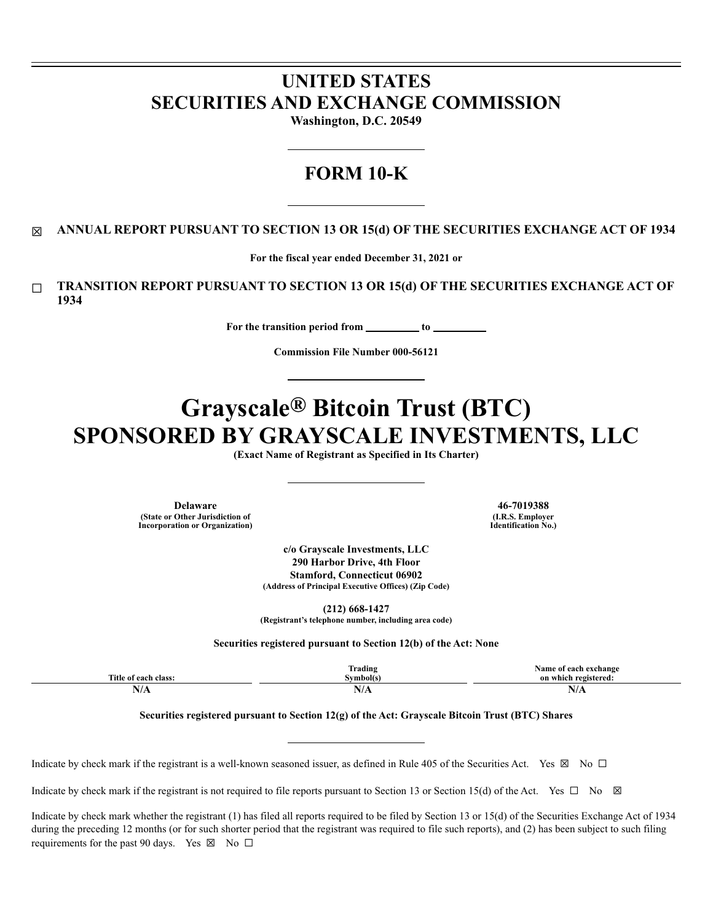# **UNITED STATES SECURITIES AND EXCHANGE COMMISSION**

**Washington, D.C. 20549**

# **FORM 10-K**

# ☒ **ANNUAL REPORT PURSUANT TO SECTION 13 OR 15(d) OF THE SECURITIES EXCHANGE ACT OF 1934**

**For the fiscal year ended December 31, 2021 or**

☐ **TRANSITION REPORT PURSUANT TO SECTION 13 OR 15(d) OF THE SECURITIES EXCHANGE ACT OF 1934**

For the transition period from \_\_\_\_\_\_\_\_\_\_ to \_

**Commission File Number 000-56121**

# **Grayscale® Bitcoin Trust (BTC) SPONSORED BY GRAYSCALE INVESTMENTS, LLC**

**(Exact Name of Registrant as Specified in Its Charter)**

**Delaware 46-7019388 (State or Other Jurisdiction of Incorporation or Organization)**

**(I.R.S. Employer Identification No.)**

**c/o Grayscale Investments, LLC 290 Harbor Drive, 4th Floor Stamford, Connecticut 06902 (Address of Principal Executive Offices) (Zip Code)**

**(212) 668-1427 (Registrant's telephone number, including area code)**

**Securities registered pursuant to Section 12(b) of the Act: None**

|                         | $\blacksquare$<br>Trading | each exchange<br>Name<br>∙ ∩t |
|-------------------------|---------------------------|-------------------------------|
| Title of each<br>class: | arma l                    | on which<br>registered:       |
| IV/A                    | - - -<br>TAILT            | 11/71                         |

**Securities registered pursuant to Section 12(g) of the Act: Grayscale Bitcoin Trust (BTC) Shares**

Indicate by check mark if the registrant is a well-known seasoned issuer, as defined in Rule 405 of the Securities Act. Yes  $\boxtimes$  No  $\Box$ 

Indicate by check mark if the registrant is not required to file reports pursuant to Section 13 or Section 15(d) of the Act. Yes  $\Box$  No  $\boxtimes$ 

Indicate by check mark whether the registrant (1) has filed all reports required to be filed by Section 13 or 15(d) of the Securities Exchange Act of 1934 during the preceding 12 months (or for such shorter period that the registrant was required to file such reports), and (2) has been subject to such filing requirements for the past 90 days. Yes  $\boxtimes$  No  $\Box$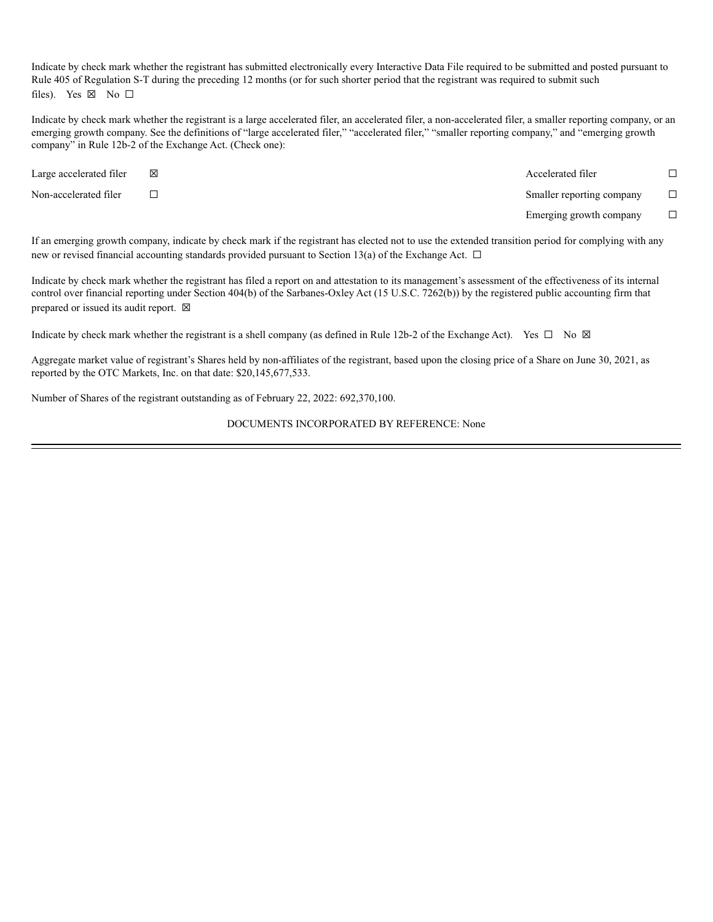Indicate by check mark whether the registrant has submitted electronically every Interactive Data File required to be submitted and posted pursuant to Rule 405 of Regulation S-T during the preceding 12 months (or for such shorter period that the registrant was required to submit such files). Yes  $\boxtimes$  No  $\square$ 

Indicate by check mark whether the registrant is a large accelerated filer, an accelerated filer, a non-accelerated filer, a smaller reporting company, or an emerging growth company. See the definitions of "large accelerated filer," "accelerated filer," "smaller reporting company," and "emerging growth company" in Rule 12b-2 of the Exchange Act. (Check one):

| Large accelerated filer | ⊠ | Accelerated filer         |        |
|-------------------------|---|---------------------------|--------|
| Non-accelerated filer   |   | Smaller reporting company | $\Box$ |
|                         |   | Emerging growth company   | $\Box$ |

If an emerging growth company, indicate by check mark if the registrant has elected not to use the extended transition period for complying with any new or revised financial accounting standards provided pursuant to Section 13(a) of the Exchange Act.  $\Box$ 

Indicate by check mark whether the registrant has filed a report on and attestation to its management's assessment of the effectiveness of its internal control over financial reporting under Section 404(b) of the Sarbanes-Oxley Act (15 U.S.C. 7262(b)) by the registered public accounting firm that prepared or issued its audit report.  $\boxtimes$ 

Indicate by check mark whether the registrant is a shell company (as defined in Rule 12b-2 of the Exchange Act). Yes  $\Box$  No  $\boxtimes$ 

Aggregate market value of registrant's Shares held by non-affiliates of the registrant, based upon the closing price of a Share on June 30, 2021, as reported by the OTC Markets, Inc. on that date: \$20,145,677,533.

Number of Shares of the registrant outstanding as of February 22, 2022: 692,370,100.

DOCUMENTS INCORPORATED BY REFERENCE: None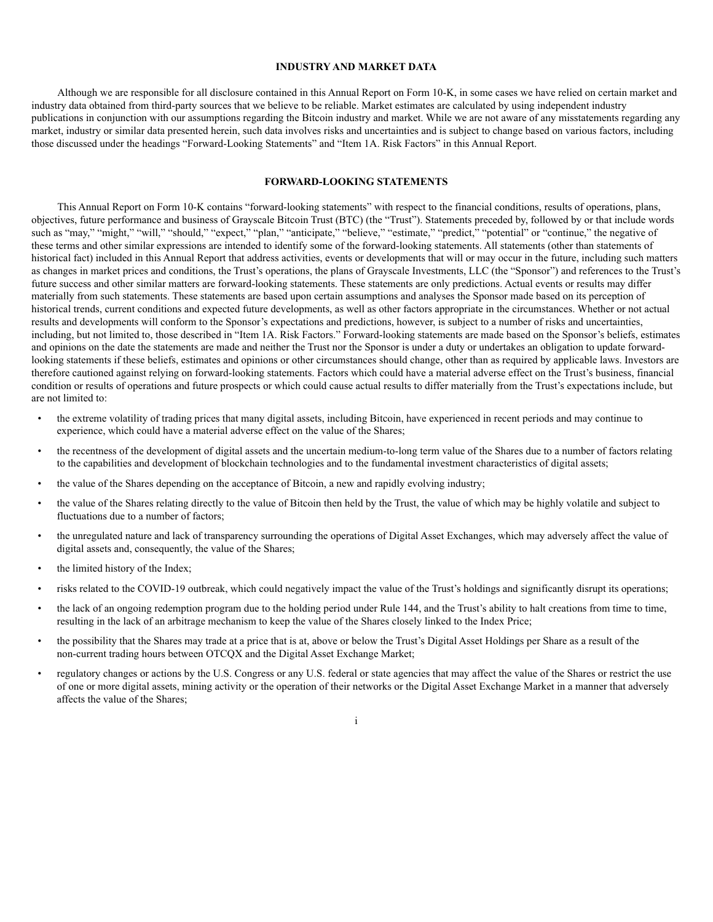# **INDUSTRY AND MARKET DATA**

Although we are responsible for all disclosure contained in this Annual Report on Form 10-K, in some cases we have relied on certain market and industry data obtained from third-party sources that we believe to be reliable. Market estimates are calculated by using independent industry publications in conjunction with our assumptions regarding the Bitcoin industry and market. While we are not aware of any misstatements regarding any market, industry or similar data presented herein, such data involves risks and uncertainties and is subject to change based on various factors, including those discussed under the headings "Forward-Looking Statements" and "Item 1A. Risk Factors" in this Annual Report.

# **FORWARD-LOOKING STATEMENTS**

This Annual Report on Form 10-K contains "forward-looking statements" with respect to the financial conditions, results of operations, plans, objectives, future performance and business of Grayscale Bitcoin Trust (BTC) (the "Trust"). Statements preceded by, followed by or that include words such as "may," "might," "will," "should," "expect," "plan," "anticipate," "believe," "estimate," "predict," "potential" or "continue," the negative of these terms and other similar expressions are intended to identify some of the forward-looking statements. All statements (other than statements of historical fact) included in this Annual Report that address activities, events or developments that will or may occur in the future, including such matters as changes in market prices and conditions, the Trust's operations, the plans of Grayscale Investments, LLC (the "Sponsor") and references to the Trust's future success and other similar matters are forward-looking statements. These statements are only predictions. Actual events or results may differ materially from such statements. These statements are based upon certain assumptions and analyses the Sponsor made based on its perception of historical trends, current conditions and expected future developments, as well as other factors appropriate in the circumstances. Whether or not actual results and developments will conform to the Sponsor's expectations and predictions, however, is subject to a number of risks and uncertainties, including, but not limited to, those described in "Item 1A. Risk Factors." Forward-looking statements are made based on the Sponsor's beliefs, estimates and opinions on the date the statements are made and neither the Trust nor the Sponsor is under a duty or undertakes an obligation to update forwardlooking statements if these beliefs, estimates and opinions or other circumstances should change, other than as required by applicable laws. Investors are therefore cautioned against relying on forward-looking statements. Factors which could have a material adverse effect on the Trust's business, financial condition or results of operations and future prospects or which could cause actual results to differ materially from the Trust's expectations include, but are not limited to:

- the extreme volatility of trading prices that many digital assets, including Bitcoin, have experienced in recent periods and may continue to experience, which could have a material adverse effect on the value of the Shares;
- the recentness of the development of digital assets and the uncertain medium-to-long term value of the Shares due to a number of factors relating to the capabilities and development of blockchain technologies and to the fundamental investment characteristics of digital assets;
- the value of the Shares depending on the acceptance of Bitcoin, a new and rapidly evolving industry;
- the value of the Shares relating directly to the value of Bitcoin then held by the Trust, the value of which may be highly volatile and subject to fluctuations due to a number of factors;
- the unregulated nature and lack of transparency surrounding the operations of Digital Asset Exchanges, which may adversely affect the value of digital assets and, consequently, the value of the Shares;
- the limited history of the Index;
- risks related to the COVID-19 outbreak, which could negatively impact the value of the Trust's holdings and significantly disrupt its operations;
- the lack of an ongoing redemption program due to the holding period under Rule 144, and the Trust's ability to halt creations from time to time, resulting in the lack of an arbitrage mechanism to keep the value of the Shares closely linked to the Index Price;
- the possibility that the Shares may trade at a price that is at, above or below the Trust's Digital Asset Holdings per Share as a result of the non-current trading hours between OTCQX and the Digital Asset Exchange Market;
- regulatory changes or actions by the U.S. Congress or any U.S. federal or state agencies that may affect the value of the Shares or restrict the use of one or more digital assets, mining activity or the operation of their networks or the Digital Asset Exchange Market in a manner that adversely affects the value of the Shares;

i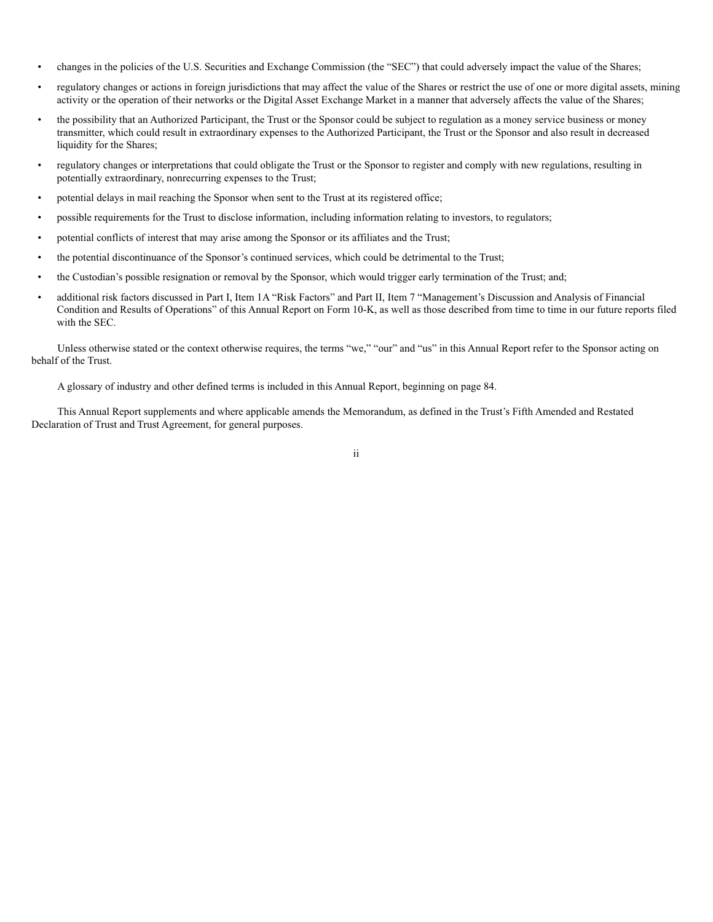- changes in the policies of the U.S. Securities and Exchange Commission (the "SEC") that could adversely impact the value of the Shares;
- regulatory changes or actions in foreign jurisdictions that may affect the value of the Shares or restrict the use of one or more digital assets, mining activity or the operation of their networks or the Digital Asset Exchange Market in a manner that adversely affects the value of the Shares;
- the possibility that an Authorized Participant, the Trust or the Sponsor could be subject to regulation as a money service business or money transmitter, which could result in extraordinary expenses to the Authorized Participant, the Trust or the Sponsor and also result in decreased liquidity for the Shares;
- regulatory changes or interpretations that could obligate the Trust or the Sponsor to register and comply with new regulations, resulting in potentially extraordinary, nonrecurring expenses to the Trust;
- potential delays in mail reaching the Sponsor when sent to the Trust at its registered office;
- possible requirements for the Trust to disclose information, including information relating to investors, to regulators;
- potential conflicts of interest that may arise among the Sponsor or its affiliates and the Trust;
- the potential discontinuance of the Sponsor's continued services, which could be detrimental to the Trust;
- the Custodian's possible resignation or removal by the Sponsor, which would trigger early termination of the Trust; and;
- additional risk factors discussed in Part I, Item 1A "Risk Factors" and Part II, Item 7 "Management's Discussion and Analysis of Financial Condition and Results of Operations" of this Annual Report on Form 10-K, as well as those described from time to time in our future reports filed with the SEC.

Unless otherwise stated or the context otherwise requires, the terms "we," "our" and "us" in this Annual Report refer to the Sponsor acting on behalf of the Trust.

A glossary of industry and other defined terms is included in this Annual Report, beginning on page 84.

This Annual Report supplements and where applicable amends the Memorandum, as defined in the Trust's Fifth Amended and Restated Declaration of Trust and Trust Agreement, for general purposes.

ii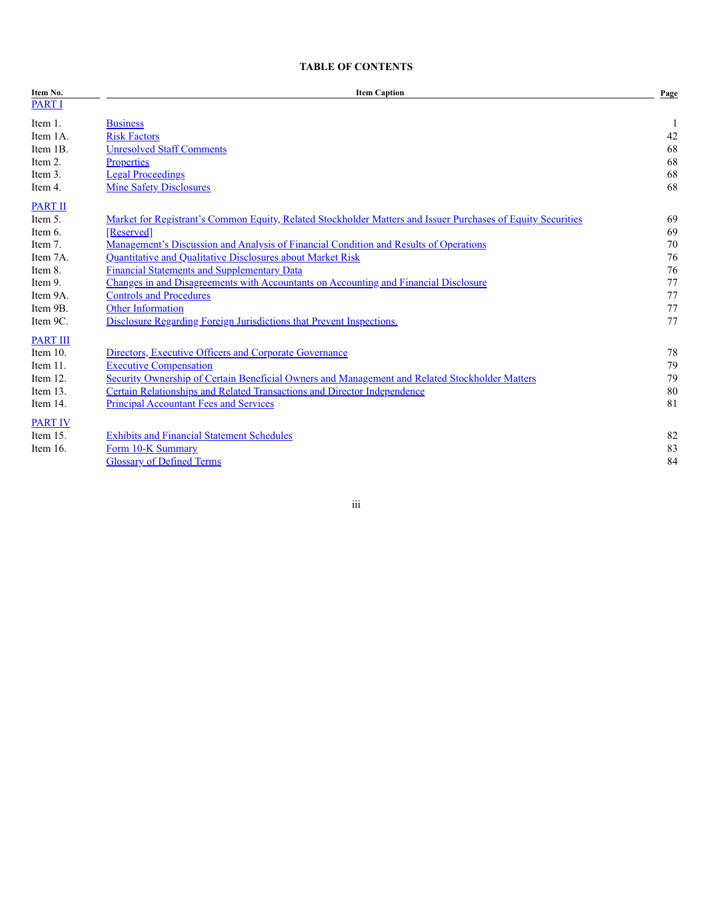# **TABLE OF CONTENTS**

| Item No.<br><b>PART I</b> | <b>Item Caption</b>                                                                                          | Page |
|---------------------------|--------------------------------------------------------------------------------------------------------------|------|
| Item 1.                   | <b>Business</b>                                                                                              |      |
| Item 1A.                  | <b>Risk Factors</b>                                                                                          | 42   |
| Item 1B.                  | <b>Unresolved Staff Comments</b>                                                                             | 68   |
| Item 2.                   | Properties                                                                                                   | 68   |
| Item 3.                   | <b>Legal Proceedings</b>                                                                                     | 68   |
| Item 4.                   | <b>Mine Safety Disclosures</b>                                                                               | 68   |
| <b>PART II</b>            |                                                                                                              |      |
| Item 5.                   | Market for Registrant's Common Equity, Related Stockholder Matters and Issuer Purchases of Equity Securities | 69   |
| Item 6.                   | [Reserved]                                                                                                   | 69   |
| Item 7.                   | Management's Discussion and Analysis of Financial Condition and Results of Operations                        | 70   |
| Item 7A.                  | Quantitative and Qualitative Disclosures about Market Risk                                                   | 76   |
| Item 8.                   | <b>Financial Statements and Supplementary Data</b>                                                           | 76   |
| Item 9.                   | Changes in and Disagreements with Accountants on Accounting and Financial Disclosure                         | 77   |
| Item 9A.                  | <b>Controls and Procedures</b>                                                                               | 77   |
| Item 9B.                  | Other Information                                                                                            | 77   |
| Item 9C.                  | Disclosure Regarding Foreign Jurisdictions that Prevent Inspections.                                         | 77   |
| <b>PART III</b>           |                                                                                                              |      |
| Item $10$ .               | Directors, Executive Officers and Corporate Governance                                                       | 78   |
| Item $11$ .               | <b>Executive Compensation</b>                                                                                | 79   |
| Item 12.                  | Security Ownership of Certain Beneficial Owners and Management and Related Stockholder Matters               | 79   |
| Item $13$ .               | Certain Relationships and Related Transactions and Director Independence                                     | 80   |
| Item 14.                  | <b>Principal Accountant Fees and Services</b>                                                                | 81   |
| <b>PART IV</b>            |                                                                                                              |      |
| Item 15.                  | <b>Exhibits and Financial Statement Schedules</b>                                                            | 82   |
| Item $16$ .               | Form 10-K Summary                                                                                            | 83   |
|                           | <b>Glossary of Defined Terms</b>                                                                             | 84   |

iii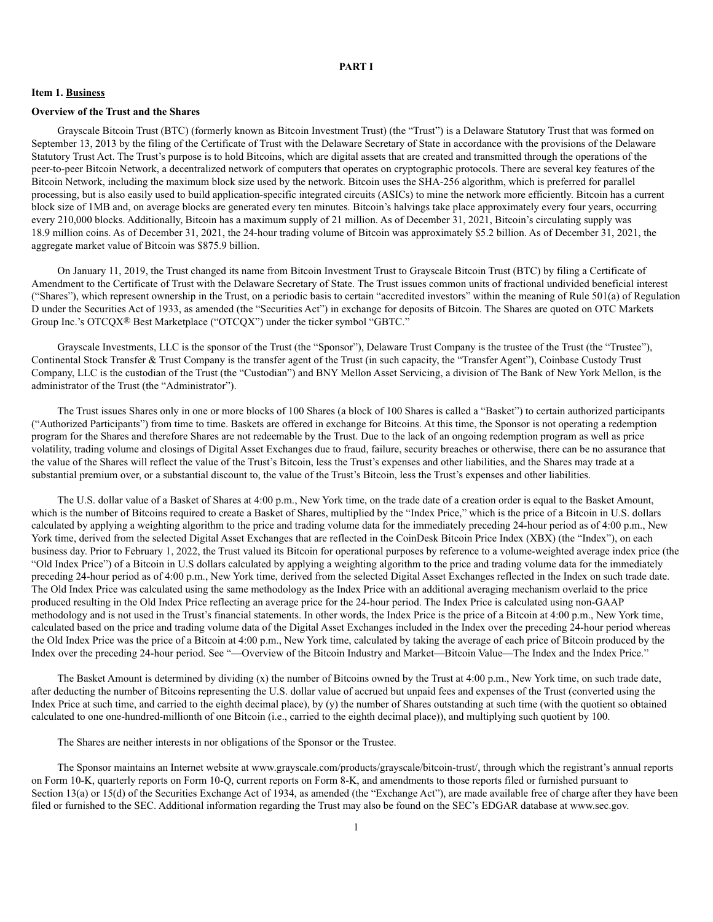#### **PART I**

#### **Item 1. Business**

#### **Overview of the Trust and the Shares**

Grayscale Bitcoin Trust (BTC) (formerly known as Bitcoin Investment Trust) (the "Trust") is a Delaware Statutory Trust that was formed on September 13, 2013 by the filing of the Certificate of Trust with the Delaware Secretary of State in accordance with the provisions of the Delaware Statutory Trust Act. The Trust's purpose is to hold Bitcoins, which are digital assets that are created and transmitted through the operations of the peer-to-peer Bitcoin Network, a decentralized network of computers that operates on cryptographic protocols. There are several key features of the Bitcoin Network, including the maximum block size used by the network. Bitcoin uses the SHA-256 algorithm, which is preferred for parallel processing, but is also easily used to build application-specific integrated circuits (ASICs) to mine the network more efficiently. Bitcoin has a current block size of 1MB and, on average blocks are generated every ten minutes. Bitcoin's halvings take place approximately every four years, occurring every 210,000 blocks. Additionally, Bitcoin has a maximum supply of 21 million. As of December 31, 2021, Bitcoin's circulating supply was 18.9 million coins. As of December 31, 2021, the 24-hour trading volume of Bitcoin was approximately \$5.2 billion. As of December 31, 2021, the aggregate market value of Bitcoin was \$875.9 billion.

On January 11, 2019, the Trust changed its name from Bitcoin Investment Trust to Grayscale Bitcoin Trust (BTC) by filing a Certificate of Amendment to the Certificate of Trust with the Delaware Secretary of State. The Trust issues common units of fractional undivided beneficial interest ("Shares"), which represent ownership in the Trust, on a periodic basis to certain "accredited investors" within the meaning of Rule 501(a) of Regulation D under the Securities Act of 1933, as amended (the "Securities Act") in exchange for deposits of Bitcoin. The Shares are quoted on OTC Markets Group Inc.'s OTCQX® Best Marketplace ("OTCQX") under the ticker symbol "GBTC."

Grayscale Investments, LLC is the sponsor of the Trust (the "Sponsor"), Delaware Trust Company is the trustee of the Trust (the "Trustee"), Continental Stock Transfer & Trust Company is the transfer agent of the Trust (in such capacity, the "Transfer Agent"), Coinbase Custody Trust Company, LLC is the custodian of the Trust (the "Custodian") and BNY Mellon Asset Servicing, a division of The Bank of New York Mellon, is the administrator of the Trust (the "Administrator").

The Trust issues Shares only in one or more blocks of 100 Shares (a block of 100 Shares is called a "Basket") to certain authorized participants ("Authorized Participants") from time to time. Baskets are offered in exchange for Bitcoins. At this time, the Sponsor is not operating a redemption program for the Shares and therefore Shares are not redeemable by the Trust. Due to the lack of an ongoing redemption program as well as price volatility, trading volume and closings of Digital Asset Exchanges due to fraud, failure, security breaches or otherwise, there can be no assurance that the value of the Shares will reflect the value of the Trust's Bitcoin, less the Trust's expenses and other liabilities, and the Shares may trade at a substantial premium over, or a substantial discount to, the value of the Trust's Bitcoin, less the Trust's expenses and other liabilities.

The U.S. dollar value of a Basket of Shares at 4:00 p.m., New York time, on the trade date of a creation order is equal to the Basket Amount, which is the number of Bitcoins required to create a Basket of Shares, multiplied by the "Index Price," which is the price of a Bitcoin in U.S. dollars calculated by applying a weighting algorithm to the price and trading volume data for the immediately preceding 24-hour period as of 4:00 p.m., New York time, derived from the selected Digital Asset Exchanges that are reflected in the CoinDesk Bitcoin Price Index (XBX) (the "Index"), on each business day. Prior to February 1, 2022, the Trust valued its Bitcoin for operational purposes by reference to a volume-weighted average index price (the "Old Index Price") of a Bitcoin in U.S dollars calculated by applying a weighting algorithm to the price and trading volume data for the immediately preceding 24-hour period as of 4:00 p.m., New York time, derived from the selected Digital Asset Exchanges reflected in the Index on such trade date. The Old Index Price was calculated using the same methodology as the Index Price with an additional averaging mechanism overlaid to the price produced resulting in the Old Index Price reflecting an average price for the 24-hour period. The Index Price is calculated using non-GAAP methodology and is not used in the Trust's financial statements. In other words, the Index Price is the price of a Bitcoin at 4:00 p.m., New York time, calculated based on the price and trading volume data of the Digital Asset Exchanges included in the Index over the preceding 24-hour period whereas the Old Index Price was the price of a Bitcoin at 4:00 p.m., New York time, calculated by taking the average of each price of Bitcoin produced by the Index over the preceding 24-hour period. See "—Overview of the Bitcoin Industry and Market—Bitcoin Value—The Index and the Index Price."

The Basket Amount is determined by dividing (x) the number of Bitcoins owned by the Trust at 4:00 p.m., New York time, on such trade date, after deducting the number of Bitcoins representing the U.S. dollar value of accrued but unpaid fees and expenses of the Trust (converted using the Index Price at such time, and carried to the eighth decimal place), by (y) the number of Shares outstanding at such time (with the quotient so obtained calculated to one one-hundred-millionth of one Bitcoin (i.e., carried to the eighth decimal place)), and multiplying such quotient by 100.

The Shares are neither interests in nor obligations of the Sponsor or the Trustee.

The Sponsor maintains an Internet website at www.grayscale.com/products/grayscale/bitcoin-trust/, through which the registrant's annual reports on Form 10-K, quarterly reports on Form 10-Q, current reports on Form 8-K, and amendments to those reports filed or furnished pursuant to Section 13(a) or 15(d) of the Securities Exchange Act of 1934, as amended (the "Exchange Act"), are made available free of charge after they have been filed or furnished to the SEC. Additional information regarding the Trust may also be found on the SEC's EDGAR database at www.sec.gov.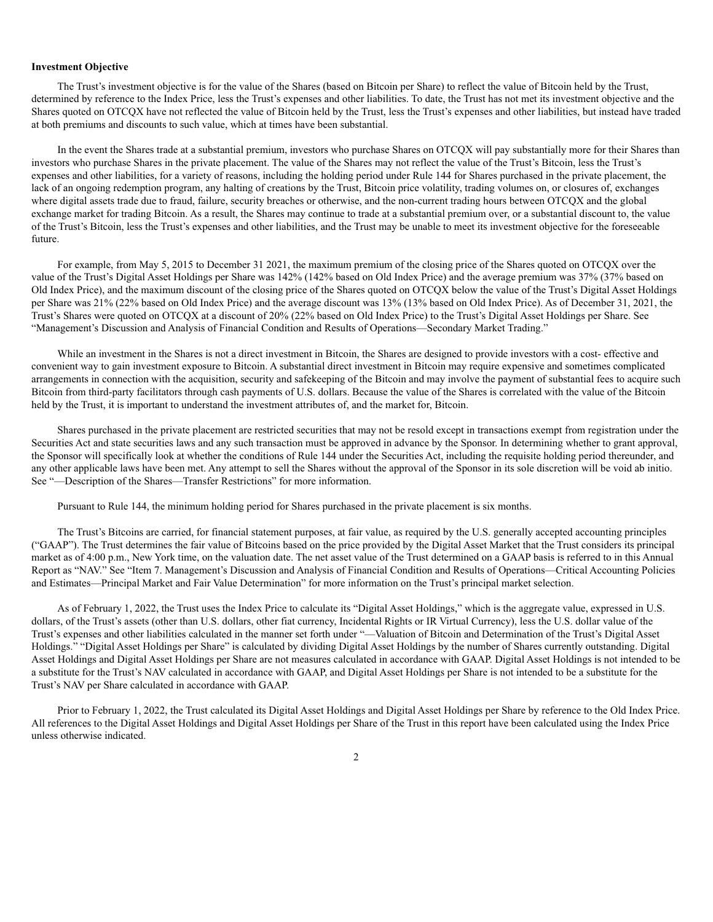# **Investment Objective**

The Trust's investment objective is for the value of the Shares (based on Bitcoin per Share) to reflect the value of Bitcoin held by the Trust, determined by reference to the Index Price, less the Trust's expenses and other liabilities. To date, the Trust has not met its investment objective and the Shares quoted on OTCQX have not reflected the value of Bitcoin held by the Trust, less the Trust's expenses and other liabilities, but instead have traded at both premiums and discounts to such value, which at times have been substantial.

In the event the Shares trade at a substantial premium, investors who purchase Shares on OTCQX will pay substantially more for their Shares than investors who purchase Shares in the private placement. The value of the Shares may not reflect the value of the Trust's Bitcoin, less the Trust's expenses and other liabilities, for a variety of reasons, including the holding period under Rule 144 for Shares purchased in the private placement, the lack of an ongoing redemption program, any halting of creations by the Trust, Bitcoin price volatility, trading volumes on, or closures of, exchanges where digital assets trade due to fraud, failure, security breaches or otherwise, and the non-current trading hours between OTCQX and the global exchange market for trading Bitcoin. As a result, the Shares may continue to trade at a substantial premium over, or a substantial discount to, the value of the Trust's Bitcoin, less the Trust's expenses and other liabilities, and the Trust may be unable to meet its investment objective for the foreseeable future.

For example, from May 5, 2015 to December 31 2021, the maximum premium of the closing price of the Shares quoted on OTCQX over the value of the Trust's Digital Asset Holdings per Share was 142% (142% based on Old Index Price) and the average premium was 37% (37% based on Old Index Price), and the maximum discount of the closing price of the Shares quoted on OTCQX below the value of the Trust's Digital Asset Holdings per Share was 21% (22% based on Old Index Price) and the average discount was 13% (13% based on Old Index Price). As of December 31, 2021, the Trust's Shares were quoted on OTCQX at a discount of 20% (22% based on Old Index Price) to the Trust's Digital Asset Holdings per Share. See "Management's Discussion and Analysis of Financial Condition and Results of Operations—Secondary Market Trading."

While an investment in the Shares is not a direct investment in Bitcoin, the Shares are designed to provide investors with a cost- effective and convenient way to gain investment exposure to Bitcoin. A substantial direct investment in Bitcoin may require expensive and sometimes complicated arrangements in connection with the acquisition, security and safekeeping of the Bitcoin and may involve the payment of substantial fees to acquire such Bitcoin from third-party facilitators through cash payments of U.S. dollars. Because the value of the Shares is correlated with the value of the Bitcoin held by the Trust, it is important to understand the investment attributes of, and the market for, Bitcoin.

Shares purchased in the private placement are restricted securities that may not be resold except in transactions exempt from registration under the Securities Act and state securities laws and any such transaction must be approved in advance by the Sponsor. In determining whether to grant approval, the Sponsor will specifically look at whether the conditions of Rule 144 under the Securities Act, including the requisite holding period thereunder, and any other applicable laws have been met. Any attempt to sell the Shares without the approval of the Sponsor in its sole discretion will be void ab initio. See "—Description of the Shares—Transfer Restrictions" for more information.

Pursuant to Rule 144, the minimum holding period for Shares purchased in the private placement is six months.

The Trust's Bitcoins are carried, for financial statement purposes, at fair value, as required by the U.S. generally accepted accounting principles ("GAAP"). The Trust determines the fair value of Bitcoins based on the price provided by the Digital Asset Market that the Trust considers its principal market as of 4:00 p.m., New York time, on the valuation date. The net asset value of the Trust determined on a GAAP basis is referred to in this Annual Report as "NAV." See "Item 7. Management's Discussion and Analysis of Financial Condition and Results of Operations—Critical Accounting Policies and Estimates—Principal Market and Fair Value Determination" for more information on the Trust's principal market selection.

As of February 1, 2022, the Trust uses the Index Price to calculate its "Digital Asset Holdings," which is the aggregate value, expressed in U.S. dollars, of the Trust's assets (other than U.S. dollars, other fiat currency, Incidental Rights or IR Virtual Currency), less the U.S. dollar value of the Trust's expenses and other liabilities calculated in the manner set forth under "—Valuation of Bitcoin and Determination of the Trust's Digital Asset Holdings." "Digital Asset Holdings per Share" is calculated by dividing Digital Asset Holdings by the number of Shares currently outstanding. Digital Asset Holdings and Digital Asset Holdings per Share are not measures calculated in accordance with GAAP. Digital Asset Holdings is not intended to be a substitute for the Trust's NAV calculated in accordance with GAAP, and Digital Asset Holdings per Share is not intended to be a substitute for the Trust's NAV per Share calculated in accordance with GAAP.

Prior to February 1, 2022, the Trust calculated its Digital Asset Holdings and Digital Asset Holdings per Share by reference to the Old Index Price. All references to the Digital Asset Holdings and Digital Asset Holdings per Share of the Trust in this report have been calculated using the Index Price unless otherwise indicated.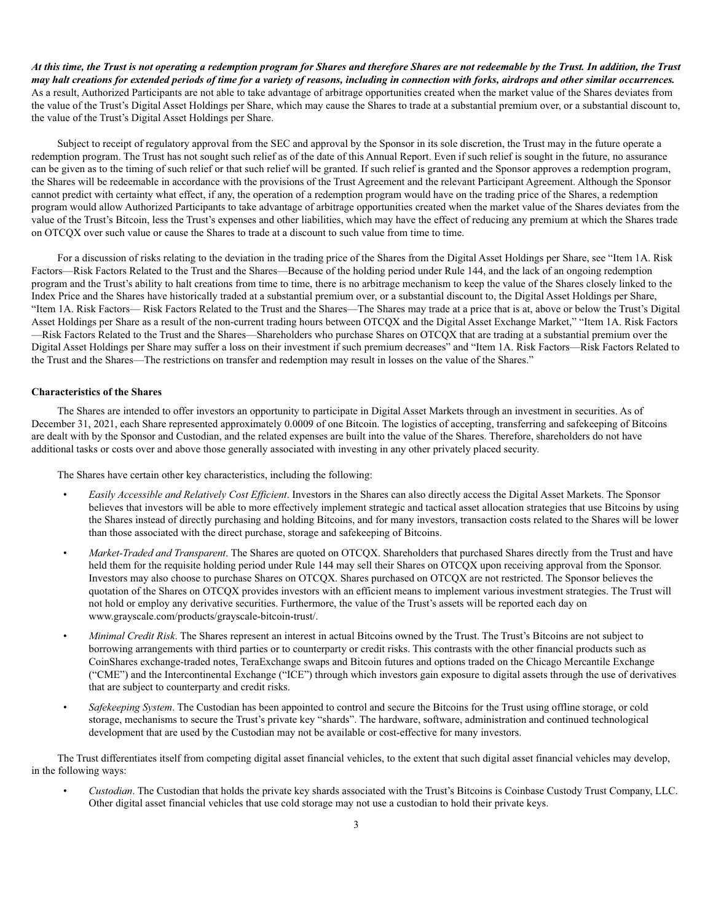*At this time, the Trust is not operating a redemption program for Shares and therefore Shares are not redeemable by the Trust. In addition, the Trust may halt creations for extended periods of time for a variety of reasons, including in connection with forks, airdrops and other similar occurrences.* As a result, Authorized Participants are not able to take advantage of arbitrage opportunities created when the market value of the Shares deviates from the value of the Trust's Digital Asset Holdings per Share, which may cause the Shares to trade at a substantial premium over, or a substantial discount to, the value of the Trust's Digital Asset Holdings per Share.

Subject to receipt of regulatory approval from the SEC and approval by the Sponsor in its sole discretion, the Trust may in the future operate a redemption program. The Trust has not sought such relief as of the date of this Annual Report. Even if such relief is sought in the future, no assurance can be given as to the timing of such relief or that such relief will be granted. If such relief is granted and the Sponsor approves a redemption program, the Shares will be redeemable in accordance with the provisions of the Trust Agreement and the relevant Participant Agreement. Although the Sponsor cannot predict with certainty what effect, if any, the operation of a redemption program would have on the trading price of the Shares, a redemption program would allow Authorized Participants to take advantage of arbitrage opportunities created when the market value of the Shares deviates from the value of the Trust's Bitcoin, less the Trust's expenses and other liabilities, which may have the effect of reducing any premium at which the Shares trade on OTCQX over such value or cause the Shares to trade at a discount to such value from time to time.

For a discussion of risks relating to the deviation in the trading price of the Shares from the Digital Asset Holdings per Share, see "Item 1A. Risk Factors—Risk Factors Related to the Trust and the Shares—Because of the holding period under Rule 144, and the lack of an ongoing redemption program and the Trust's ability to halt creations from time to time, there is no arbitrage mechanism to keep the value of the Shares closely linked to the Index Price and the Shares have historically traded at a substantial premium over, or a substantial discount to, the Digital Asset Holdings per Share, "Item 1A. Risk Factors— Risk Factors Related to the Trust and the Shares—The Shares may trade at a price that is at, above or below the Trust's Digital Asset Holdings per Share as a result of the non-current trading hours between OTCQX and the Digital Asset Exchange Market," "Item 1A. Risk Factors —Risk Factors Related to the Trust and the Shares—Shareholders who purchase Shares on OTCQX that are trading at a substantial premium over the Digital Asset Holdings per Share may suffer a loss on their investment if such premium decreases" and "Item 1A. Risk Factors—Risk Factors Related to the Trust and the Shares—The restrictions on transfer and redemption may result in losses on the value of the Shares."

# **Characteristics of the Shares**

The Shares are intended to offer investors an opportunity to participate in Digital Asset Markets through an investment in securities. As of December 31, 2021, each Share represented approximately 0.0009 of one Bitcoin. The logistics of accepting, transferring and safekeeping of Bitcoins are dealt with by the Sponsor and Custodian, and the related expenses are built into the value of the Shares. Therefore, shareholders do not have additional tasks or costs over and above those generally associated with investing in any other privately placed security.

The Shares have certain other key characteristics, including the following:

- *Easily Accessible and Relatively Cost Efficient*. Investors in the Shares can also directly access the Digital Asset Markets. The Sponsor believes that investors will be able to more effectively implement strategic and tactical asset allocation strategies that use Bitcoins by using the Shares instead of directly purchasing and holding Bitcoins, and for many investors, transaction costs related to the Shares will be lower than those associated with the direct purchase, storage and safekeeping of Bitcoins.
- *Market-Traded and Transparent*. The Shares are quoted on OTCQX. Shareholders that purchased Shares directly from the Trust and have held them for the requisite holding period under Rule 144 may sell their Shares on OTCQX upon receiving approval from the Sponsor. Investors may also choose to purchase Shares on OTCQX. Shares purchased on OTCQX are not restricted. The Sponsor believes the quotation of the Shares on OTCQX provides investors with an efficient means to implement various investment strategies. The Trust will not hold or employ any derivative securities. Furthermore, the value of the Trust's assets will be reported each day on www.grayscale.com/products/grayscale-bitcoin-trust/.
- *Minimal Credit Risk*. The Shares represent an interest in actual Bitcoins owned by the Trust. The Trust's Bitcoins are not subject to borrowing arrangements with third parties or to counterparty or credit risks. This contrasts with the other financial products such as CoinShares exchange-traded notes, TeraExchange swaps and Bitcoin futures and options traded on the Chicago Mercantile Exchange ("CME") and the Intercontinental Exchange ("ICE") through which investors gain exposure to digital assets through the use of derivatives that are subject to counterparty and credit risks.
- *Safekeeping System*. The Custodian has been appointed to control and secure the Bitcoins for the Trust using offline storage, or cold storage, mechanisms to secure the Trust's private key "shards". The hardware, software, administration and continued technological development that are used by the Custodian may not be available or cost-effective for many investors.

The Trust differentiates itself from competing digital asset financial vehicles, to the extent that such digital asset financial vehicles may develop, in the following ways:

• *Custodian*. The Custodian that holds the private key shards associated with the Trust's Bitcoins is Coinbase Custody Trust Company, LLC. Other digital asset financial vehicles that use cold storage may not use a custodian to hold their private keys.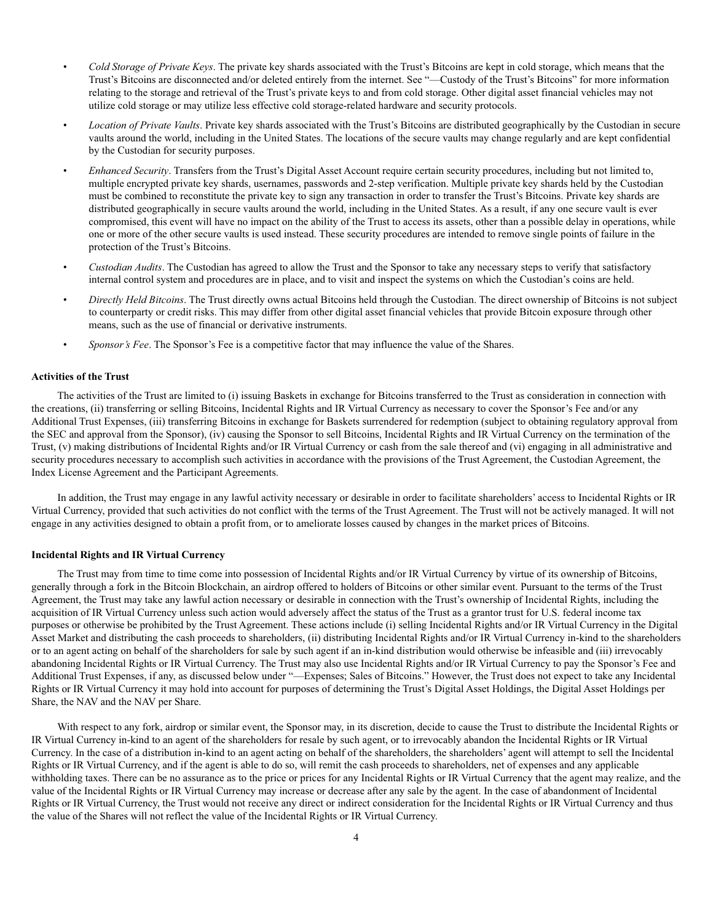- *Cold Storage of Private Keys*. The private key shards associated with the Trust's Bitcoins are kept in cold storage, which means that the Trust's Bitcoins are disconnected and/or deleted entirely from the internet. See "—Custody of the Trust's Bitcoins" for more information relating to the storage and retrieval of the Trust's private keys to and from cold storage. Other digital asset financial vehicles may not utilize cold storage or may utilize less effective cold storage-related hardware and security protocols.
- *Location of Private Vaults*. Private key shards associated with the Trust's Bitcoins are distributed geographically by the Custodian in secure vaults around the world, including in the United States. The locations of the secure vaults may change regularly and are kept confidential by the Custodian for security purposes.
- *Enhanced Security*. Transfers from the Trust's Digital Asset Account require certain security procedures, including but not limited to, multiple encrypted private key shards, usernames, passwords and 2-step verification. Multiple private key shards held by the Custodian must be combined to reconstitute the private key to sign any transaction in order to transfer the Trust's Bitcoins. Private key shards are distributed geographically in secure vaults around the world, including in the United States. As a result, if any one secure vault is ever compromised, this event will have no impact on the ability of the Trust to access its assets, other than a possible delay in operations, while one or more of the other secure vaults is used instead. These security procedures are intended to remove single points of failure in the protection of the Trust's Bitcoins.
- *Custodian Audits*. The Custodian has agreed to allow the Trust and the Sponsor to take any necessary steps to verify that satisfactory internal control system and procedures are in place, and to visit and inspect the systems on which the Custodian's coins are held.
- *Directly Held Bitcoins*. The Trust directly owns actual Bitcoins held through the Custodian. The direct ownership of Bitcoins is not subject to counterparty or credit risks. This may differ from other digital asset financial vehicles that provide Bitcoin exposure through other means, such as the use of financial or derivative instruments.
- *Sponsor's Fee*. The Sponsor's Fee is a competitive factor that may influence the value of the Shares.

# **Activities of the Trust**

The activities of the Trust are limited to (i) issuing Baskets in exchange for Bitcoins transferred to the Trust as consideration in connection with the creations, (ii) transferring or selling Bitcoins, Incidental Rights and IR Virtual Currency as necessary to cover the Sponsor's Fee and/or any Additional Trust Expenses, (iii) transferring Bitcoins in exchange for Baskets surrendered for redemption (subject to obtaining regulatory approval from the SEC and approval from the Sponsor), (iv) causing the Sponsor to sell Bitcoins, Incidental Rights and IR Virtual Currency on the termination of the Trust, (v) making distributions of Incidental Rights and/or IR Virtual Currency or cash from the sale thereof and (vi) engaging in all administrative and security procedures necessary to accomplish such activities in accordance with the provisions of the Trust Agreement, the Custodian Agreement, the Index License Agreement and the Participant Agreements.

In addition, the Trust may engage in any lawful activity necessary or desirable in order to facilitate shareholders' access to Incidental Rights or IR Virtual Currency, provided that such activities do not conflict with the terms of the Trust Agreement. The Trust will not be actively managed. It will not engage in any activities designed to obtain a profit from, or to ameliorate losses caused by changes in the market prices of Bitcoins.

# **Incidental Rights and IR Virtual Currency**

The Trust may from time to time come into possession of Incidental Rights and/or IR Virtual Currency by virtue of its ownership of Bitcoins, generally through a fork in the Bitcoin Blockchain, an airdrop offered to holders of Bitcoins or other similar event. Pursuant to the terms of the Trust Agreement, the Trust may take any lawful action necessary or desirable in connection with the Trust's ownership of Incidental Rights, including the acquisition of IR Virtual Currency unless such action would adversely affect the status of the Trust as a grantor trust for U.S. federal income tax purposes or otherwise be prohibited by the Trust Agreement. These actions include (i) selling Incidental Rights and/or IR Virtual Currency in the Digital Asset Market and distributing the cash proceeds to shareholders, (ii) distributing Incidental Rights and/or IR Virtual Currency in-kind to the shareholders or to an agent acting on behalf of the shareholders for sale by such agent if an in-kind distribution would otherwise be infeasible and (iii) irrevocably abandoning Incidental Rights or IR Virtual Currency. The Trust may also use Incidental Rights and/or IR Virtual Currency to pay the Sponsor's Fee and Additional Trust Expenses, if any, as discussed below under "—Expenses; Sales of Bitcoins." However, the Trust does not expect to take any Incidental Rights or IR Virtual Currency it may hold into account for purposes of determining the Trust's Digital Asset Holdings, the Digital Asset Holdings per Share, the NAV and the NAV per Share.

With respect to any fork, airdrop or similar event, the Sponsor may, in its discretion, decide to cause the Trust to distribute the Incidental Rights or IR Virtual Currency in-kind to an agent of the shareholders for resale by such agent, or to irrevocably abandon the Incidental Rights or IR Virtual Currency. In the case of a distribution in-kind to an agent acting on behalf of the shareholders, the shareholders' agent will attempt to sell the Incidental Rights or IR Virtual Currency, and if the agent is able to do so, will remit the cash proceeds to shareholders, net of expenses and any applicable withholding taxes. There can be no assurance as to the price or prices for any Incidental Rights or IR Virtual Currency that the agent may realize, and the value of the Incidental Rights or IR Virtual Currency may increase or decrease after any sale by the agent. In the case of abandonment of Incidental Rights or IR Virtual Currency, the Trust would not receive any direct or indirect consideration for the Incidental Rights or IR Virtual Currency and thus the value of the Shares will not reflect the value of the Incidental Rights or IR Virtual Currency.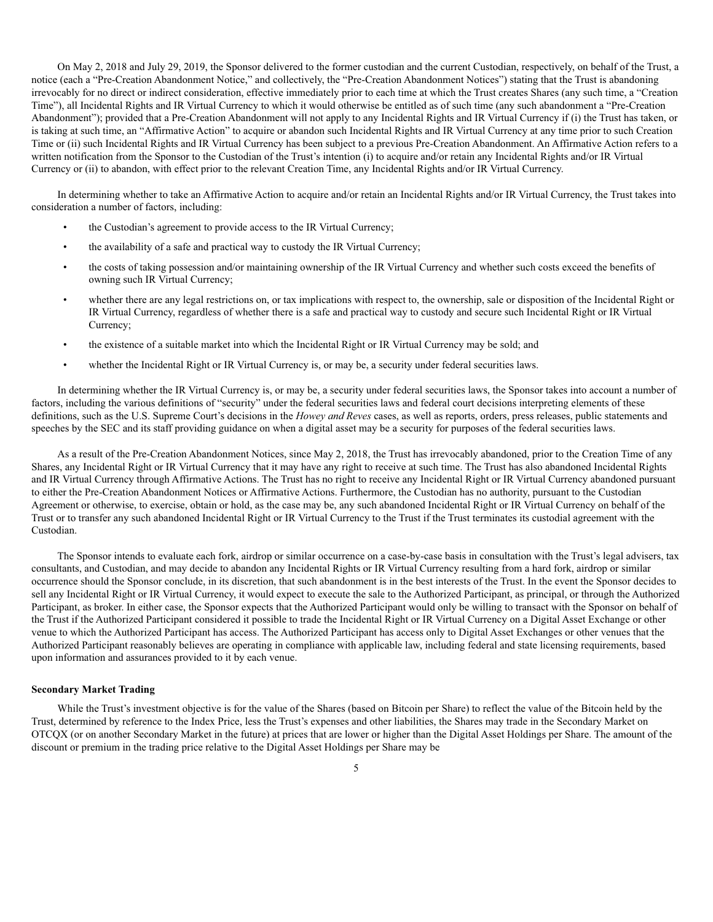On May 2, 2018 and July 29, 2019, the Sponsor delivered to the former custodian and the current Custodian, respectively, on behalf of the Trust, a notice (each a "Pre-Creation Abandonment Notice," and collectively, the "Pre-Creation Abandonment Notices") stating that the Trust is abandoning irrevocably for no direct or indirect consideration, effective immediately prior to each time at which the Trust creates Shares (any such time, a "Creation Time"), all Incidental Rights and IR Virtual Currency to which it would otherwise be entitled as of such time (any such abandonment a "Pre-Creation Abandonment"); provided that a Pre-Creation Abandonment will not apply to any Incidental Rights and IR Virtual Currency if (i) the Trust has taken, or is taking at such time, an "Affirmative Action" to acquire or abandon such Incidental Rights and IR Virtual Currency at any time prior to such Creation Time or (ii) such Incidental Rights and IR Virtual Currency has been subject to a previous Pre-Creation Abandonment. An Affirmative Action refers to a written notification from the Sponsor to the Custodian of the Trust's intention (i) to acquire and/or retain any Incidental Rights and/or IR Virtual Currency or (ii) to abandon, with effect prior to the relevant Creation Time, any Incidental Rights and/or IR Virtual Currency.

In determining whether to take an Affirmative Action to acquire and/or retain an Incidental Rights and/or IR Virtual Currency, the Trust takes into consideration a number of factors, including:

- the Custodian's agreement to provide access to the IR Virtual Currency;
- the availability of a safe and practical way to custody the IR Virtual Currency;
- the costs of taking possession and/or maintaining ownership of the IR Virtual Currency and whether such costs exceed the benefits of owning such IR Virtual Currency;
- whether there are any legal restrictions on, or tax implications with respect to, the ownership, sale or disposition of the Incidental Right or IR Virtual Currency, regardless of whether there is a safe and practical way to custody and secure such Incidental Right or IR Virtual Currency;
- the existence of a suitable market into which the Incidental Right or IR Virtual Currency may be sold; and
- whether the Incidental Right or IR Virtual Currency is, or may be, a security under federal securities laws.

In determining whether the IR Virtual Currency is, or may be, a security under federal securities laws, the Sponsor takes into account a number of factors, including the various definitions of "security" under the federal securities laws and federal court decisions interpreting elements of these definitions, such as the U.S. Supreme Court's decisions in the *Howey and Reves* cases, as well as reports, orders, press releases, public statements and speeches by the SEC and its staff providing guidance on when a digital asset may be a security for purposes of the federal securities laws.

As a result of the Pre-Creation Abandonment Notices, since May 2, 2018, the Trust has irrevocably abandoned, prior to the Creation Time of any Shares, any Incidental Right or IR Virtual Currency that it may have any right to receive at such time. The Trust has also abandoned Incidental Rights and IR Virtual Currency through Affirmative Actions. The Trust has no right to receive any Incidental Right or IR Virtual Currency abandoned pursuant to either the Pre-Creation Abandonment Notices or Affirmative Actions. Furthermore, the Custodian has no authority, pursuant to the Custodian Agreement or otherwise, to exercise, obtain or hold, as the case may be, any such abandoned Incidental Right or IR Virtual Currency on behalf of the Trust or to transfer any such abandoned Incidental Right or IR Virtual Currency to the Trust if the Trust terminates its custodial agreement with the Custodian.

The Sponsor intends to evaluate each fork, airdrop or similar occurrence on a case-by-case basis in consultation with the Trust's legal advisers, tax consultants, and Custodian, and may decide to abandon any Incidental Rights or IR Virtual Currency resulting from a hard fork, airdrop or similar occurrence should the Sponsor conclude, in its discretion, that such abandonment is in the best interests of the Trust. In the event the Sponsor decides to sell any Incidental Right or IR Virtual Currency, it would expect to execute the sale to the Authorized Participant, as principal, or through the Authorized Participant, as broker. In either case, the Sponsor expects that the Authorized Participant would only be willing to transact with the Sponsor on behalf of the Trust if the Authorized Participant considered it possible to trade the Incidental Right or IR Virtual Currency on a Digital Asset Exchange or other venue to which the Authorized Participant has access. The Authorized Participant has access only to Digital Asset Exchanges or other venues that the Authorized Participant reasonably believes are operating in compliance with applicable law, including federal and state licensing requirements, based upon information and assurances provided to it by each venue.

# **Secondary Market Trading**

While the Trust's investment objective is for the value of the Shares (based on Bitcoin per Share) to reflect the value of the Bitcoin held by the Trust, determined by reference to the Index Price, less the Trust's expenses and other liabilities, the Shares may trade in the Secondary Market on OTCQX (or on another Secondary Market in the future) at prices that are lower or higher than the Digital Asset Holdings per Share. The amount of the discount or premium in the trading price relative to the Digital Asset Holdings per Share may be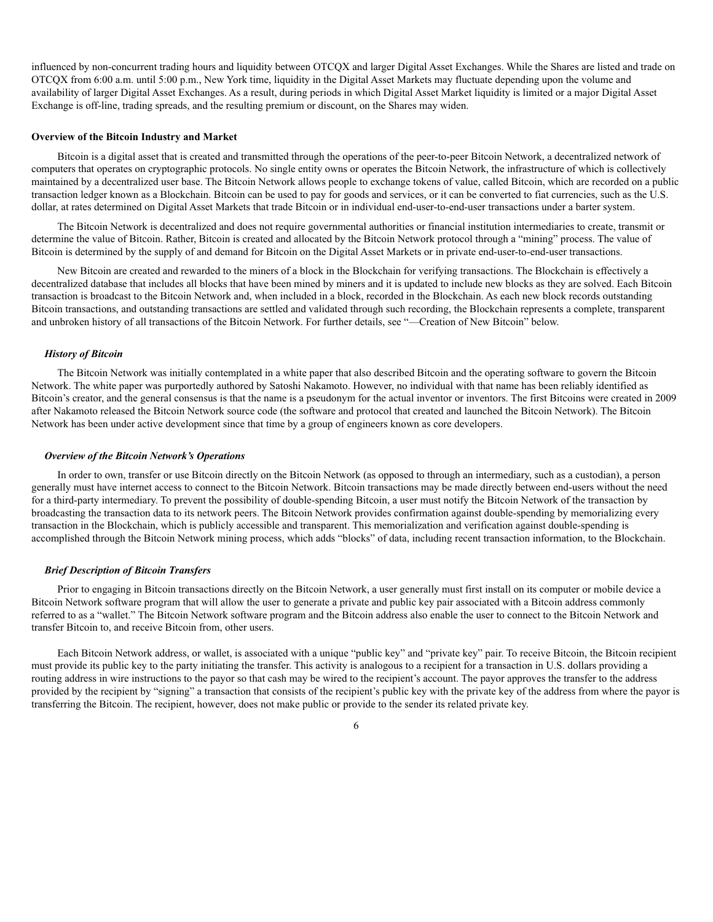influenced by non-concurrent trading hours and liquidity between OTCQX and larger Digital Asset Exchanges. While the Shares are listed and trade on OTCQX from 6:00 a.m. until 5:00 p.m., New York time, liquidity in the Digital Asset Markets may fluctuate depending upon the volume and availability of larger Digital Asset Exchanges. As a result, during periods in which Digital Asset Market liquidity is limited or a major Digital Asset Exchange is off-line, trading spreads, and the resulting premium or discount, on the Shares may widen.

# **Overview of the Bitcoin Industry and Market**

Bitcoin is a digital asset that is created and transmitted through the operations of the peer-to-peer Bitcoin Network, a decentralized network of computers that operates on cryptographic protocols. No single entity owns or operates the Bitcoin Network, the infrastructure of which is collectively maintained by a decentralized user base. The Bitcoin Network allows people to exchange tokens of value, called Bitcoin, which are recorded on a public transaction ledger known as a Blockchain. Bitcoin can be used to pay for goods and services, or it can be converted to fiat currencies, such as the U.S. dollar, at rates determined on Digital Asset Markets that trade Bitcoin or in individual end-user-to-end-user transactions under a barter system.

The Bitcoin Network is decentralized and does not require governmental authorities or financial institution intermediaries to create, transmit or determine the value of Bitcoin. Rather, Bitcoin is created and allocated by the Bitcoin Network protocol through a "mining" process. The value of Bitcoin is determined by the supply of and demand for Bitcoin on the Digital Asset Markets or in private end-user-to-end-user transactions.

New Bitcoin are created and rewarded to the miners of a block in the Blockchain for verifying transactions. The Blockchain is effectively a decentralized database that includes all blocks that have been mined by miners and it is updated to include new blocks as they are solved. Each Bitcoin transaction is broadcast to the Bitcoin Network and, when included in a block, recorded in the Blockchain. As each new block records outstanding Bitcoin transactions, and outstanding transactions are settled and validated through such recording, the Blockchain represents a complete, transparent and unbroken history of all transactions of the Bitcoin Network. For further details, see "—Creation of New Bitcoin" below.

# *History of Bitcoin*

The Bitcoin Network was initially contemplated in a white paper that also described Bitcoin and the operating software to govern the Bitcoin Network. The white paper was purportedly authored by Satoshi Nakamoto. However, no individual with that name has been reliably identified as Bitcoin's creator, and the general consensus is that the name is a pseudonym for the actual inventor or inventors. The first Bitcoins were created in 2009 after Nakamoto released the Bitcoin Network source code (the software and protocol that created and launched the Bitcoin Network). The Bitcoin Network has been under active development since that time by a group of engineers known as core developers.

# *Overview of the Bitcoin Network's Operations*

In order to own, transfer or use Bitcoin directly on the Bitcoin Network (as opposed to through an intermediary, such as a custodian), a person generally must have internet access to connect to the Bitcoin Network. Bitcoin transactions may be made directly between end-users without the need for a third-party intermediary. To prevent the possibility of double-spending Bitcoin, a user must notify the Bitcoin Network of the transaction by broadcasting the transaction data to its network peers. The Bitcoin Network provides confirmation against double-spending by memorializing every transaction in the Blockchain, which is publicly accessible and transparent. This memorialization and verification against double-spending is accomplished through the Bitcoin Network mining process, which adds "blocks" of data, including recent transaction information, to the Blockchain.

# *Brief Description of Bitcoin Transfers*

Prior to engaging in Bitcoin transactions directly on the Bitcoin Network, a user generally must first install on its computer or mobile device a Bitcoin Network software program that will allow the user to generate a private and public key pair associated with a Bitcoin address commonly referred to as a "wallet." The Bitcoin Network software program and the Bitcoin address also enable the user to connect to the Bitcoin Network and transfer Bitcoin to, and receive Bitcoin from, other users.

Each Bitcoin Network address, or wallet, is associated with a unique "public key" and "private key" pair. To receive Bitcoin, the Bitcoin recipient must provide its public key to the party initiating the transfer. This activity is analogous to a recipient for a transaction in U.S. dollars providing a routing address in wire instructions to the payor so that cash may be wired to the recipient's account. The payor approves the transfer to the address provided by the recipient by "signing" a transaction that consists of the recipient's public key with the private key of the address from where the payor is transferring the Bitcoin. The recipient, however, does not make public or provide to the sender its related private key.

6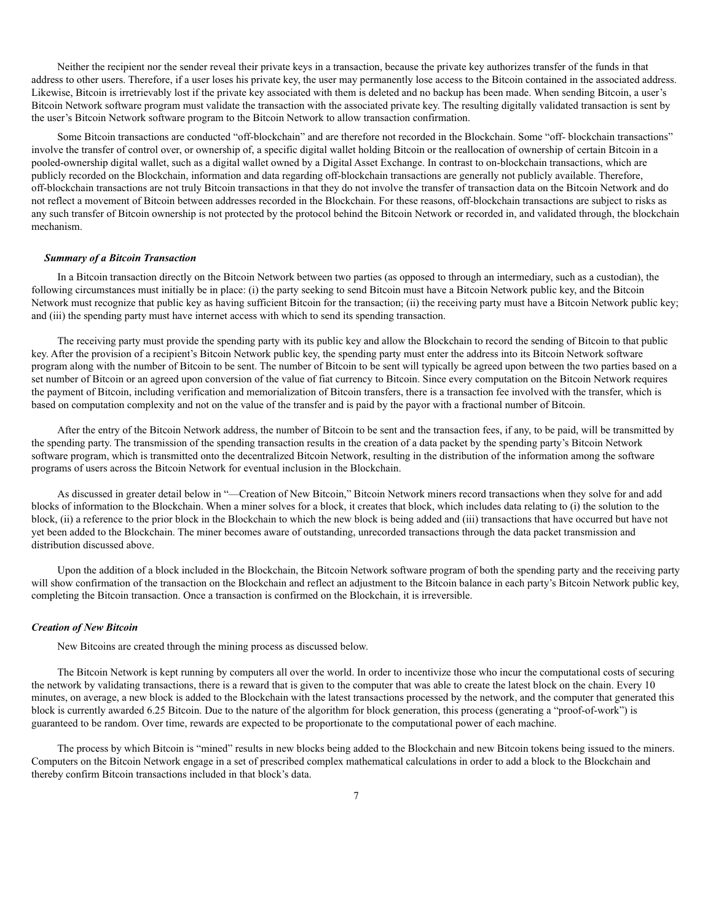Neither the recipient nor the sender reveal their private keys in a transaction, because the private key authorizes transfer of the funds in that address to other users. Therefore, if a user loses his private key, the user may permanently lose access to the Bitcoin contained in the associated address. Likewise, Bitcoin is irretrievably lost if the private key associated with them is deleted and no backup has been made. When sending Bitcoin, a user's Bitcoin Network software program must validate the transaction with the associated private key. The resulting digitally validated transaction is sent by the user's Bitcoin Network software program to the Bitcoin Network to allow transaction confirmation.

Some Bitcoin transactions are conducted "off-blockchain" and are therefore not recorded in the Blockchain. Some "off- blockchain transactions" involve the transfer of control over, or ownership of, a specific digital wallet holding Bitcoin or the reallocation of ownership of certain Bitcoin in a pooled-ownership digital wallet, such as a digital wallet owned by a Digital Asset Exchange. In contrast to on-blockchain transactions, which are publicly recorded on the Blockchain, information and data regarding off-blockchain transactions are generally not publicly available. Therefore, off-blockchain transactions are not truly Bitcoin transactions in that they do not involve the transfer of transaction data on the Bitcoin Network and do not reflect a movement of Bitcoin between addresses recorded in the Blockchain. For these reasons, off-blockchain transactions are subject to risks as any such transfer of Bitcoin ownership is not protected by the protocol behind the Bitcoin Network or recorded in, and validated through, the blockchain mechanism.

# *Summary of a Bitcoin Transaction*

In a Bitcoin transaction directly on the Bitcoin Network between two parties (as opposed to through an intermediary, such as a custodian), the following circumstances must initially be in place: (i) the party seeking to send Bitcoin must have a Bitcoin Network public key, and the Bitcoin Network must recognize that public key as having sufficient Bitcoin for the transaction; (ii) the receiving party must have a Bitcoin Network public key; and (iii) the spending party must have internet access with which to send its spending transaction.

The receiving party must provide the spending party with its public key and allow the Blockchain to record the sending of Bitcoin to that public key. After the provision of a recipient's Bitcoin Network public key, the spending party must enter the address into its Bitcoin Network software program along with the number of Bitcoin to be sent. The number of Bitcoin to be sent will typically be agreed upon between the two parties based on a set number of Bitcoin or an agreed upon conversion of the value of fiat currency to Bitcoin. Since every computation on the Bitcoin Network requires the payment of Bitcoin, including verification and memorialization of Bitcoin transfers, there is a transaction fee involved with the transfer, which is based on computation complexity and not on the value of the transfer and is paid by the payor with a fractional number of Bitcoin.

After the entry of the Bitcoin Network address, the number of Bitcoin to be sent and the transaction fees, if any, to be paid, will be transmitted by the spending party. The transmission of the spending transaction results in the creation of a data packet by the spending party's Bitcoin Network software program, which is transmitted onto the decentralized Bitcoin Network, resulting in the distribution of the information among the software programs of users across the Bitcoin Network for eventual inclusion in the Blockchain.

As discussed in greater detail below in "—Creation of New Bitcoin," Bitcoin Network miners record transactions when they solve for and add blocks of information to the Blockchain. When a miner solves for a block, it creates that block, which includes data relating to (i) the solution to the block, (ii) a reference to the prior block in the Blockchain to which the new block is being added and (iii) transactions that have occurred but have not yet been added to the Blockchain. The miner becomes aware of outstanding, unrecorded transactions through the data packet transmission and distribution discussed above.

Upon the addition of a block included in the Blockchain, the Bitcoin Network software program of both the spending party and the receiving party will show confirmation of the transaction on the Blockchain and reflect an adjustment to the Bitcoin balance in each party's Bitcoin Network public key, completing the Bitcoin transaction. Once a transaction is confirmed on the Blockchain, it is irreversible.

# *Creation of New Bitcoin*

New Bitcoins are created through the mining process as discussed below.

The Bitcoin Network is kept running by computers all over the world. In order to incentivize those who incur the computational costs of securing the network by validating transactions, there is a reward that is given to the computer that was able to create the latest block on the chain. Every 10 minutes, on average, a new block is added to the Blockchain with the latest transactions processed by the network, and the computer that generated this block is currently awarded 6.25 Bitcoin. Due to the nature of the algorithm for block generation, this process (generating a "proof-of-work") is guaranteed to be random. Over time, rewards are expected to be proportionate to the computational power of each machine.

The process by which Bitcoin is "mined" results in new blocks being added to the Blockchain and new Bitcoin tokens being issued to the miners. Computers on the Bitcoin Network engage in a set of prescribed complex mathematical calculations in order to add a block to the Blockchain and thereby confirm Bitcoin transactions included in that block's data.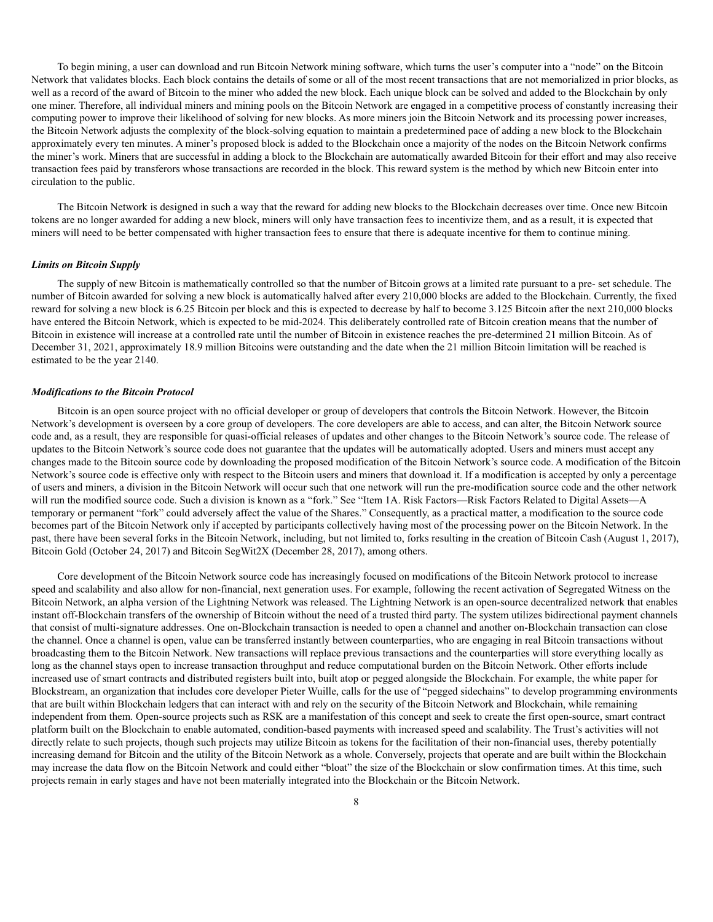To begin mining, a user can download and run Bitcoin Network mining software, which turns the user's computer into a "node" on the Bitcoin Network that validates blocks. Each block contains the details of some or all of the most recent transactions that are not memorialized in prior blocks, as well as a record of the award of Bitcoin to the miner who added the new block. Each unique block can be solved and added to the Blockchain by only one miner. Therefore, all individual miners and mining pools on the Bitcoin Network are engaged in a competitive process of constantly increasing their computing power to improve their likelihood of solving for new blocks. As more miners join the Bitcoin Network and its processing power increases, the Bitcoin Network adjusts the complexity of the block-solving equation to maintain a predetermined pace of adding a new block to the Blockchain approximately every ten minutes. A miner's proposed block is added to the Blockchain once a majority of the nodes on the Bitcoin Network confirms the miner's work. Miners that are successful in adding a block to the Blockchain are automatically awarded Bitcoin for their effort and may also receive transaction fees paid by transferors whose transactions are recorded in the block. This reward system is the method by which new Bitcoin enter into circulation to the public.

The Bitcoin Network is designed in such a way that the reward for adding new blocks to the Blockchain decreases over time. Once new Bitcoin tokens are no longer awarded for adding a new block, miners will only have transaction fees to incentivize them, and as a result, it is expected that miners will need to be better compensated with higher transaction fees to ensure that there is adequate incentive for them to continue mining.

# *Limits on Bitcoin Supply*

The supply of new Bitcoin is mathematically controlled so that the number of Bitcoin grows at a limited rate pursuant to a pre- set schedule. The number of Bitcoin awarded for solving a new block is automatically halved after every 210,000 blocks are added to the Blockchain. Currently, the fixed reward for solving a new block is 6.25 Bitcoin per block and this is expected to decrease by half to become 3.125 Bitcoin after the next 210,000 blocks have entered the Bitcoin Network, which is expected to be mid-2024. This deliberately controlled rate of Bitcoin creation means that the number of Bitcoin in existence will increase at a controlled rate until the number of Bitcoin in existence reaches the pre-determined 21 million Bitcoin. As of December 31, 2021, approximately 18.9 million Bitcoins were outstanding and the date when the 21 million Bitcoin limitation will be reached is estimated to be the year 2140.

#### *Modifications to the Bitcoin Protocol*

Bitcoin is an open source project with no official developer or group of developers that controls the Bitcoin Network. However, the Bitcoin Network's development is overseen by a core group of developers. The core developers are able to access, and can alter, the Bitcoin Network source code and, as a result, they are responsible for quasi-official releases of updates and other changes to the Bitcoin Network's source code. The release of updates to the Bitcoin Network's source code does not guarantee that the updates will be automatically adopted. Users and miners must accept any changes made to the Bitcoin source code by downloading the proposed modification of the Bitcoin Network's source code. A modification of the Bitcoin Network's source code is effective only with respect to the Bitcoin users and miners that download it. If a modification is accepted by only a percentage of users and miners, a division in the Bitcoin Network will occur such that one network will run the pre-modification source code and the other network will run the modified source code. Such a division is known as a "fork." See "Item 1A. Risk Factors—Risk Factors Related to Digital Assets—A temporary or permanent "fork" could adversely affect the value of the Shares." Consequently, as a practical matter, a modification to the source code becomes part of the Bitcoin Network only if accepted by participants collectively having most of the processing power on the Bitcoin Network. In the past, there have been several forks in the Bitcoin Network, including, but not limited to, forks resulting in the creation of Bitcoin Cash (August 1, 2017), Bitcoin Gold (October 24, 2017) and Bitcoin SegWit2X (December 28, 2017), among others.

Core development of the Bitcoin Network source code has increasingly focused on modifications of the Bitcoin Network protocol to increase speed and scalability and also allow for non-financial, next generation uses. For example, following the recent activation of Segregated Witness on the Bitcoin Network, an alpha version of the Lightning Network was released. The Lightning Network is an open-source decentralized network that enables instant off-Blockchain transfers of the ownership of Bitcoin without the need of a trusted third party. The system utilizes bidirectional payment channels that consist of multi-signature addresses. One on-Blockchain transaction is needed to open a channel and another on-Blockchain transaction can close the channel. Once a channel is open, value can be transferred instantly between counterparties, who are engaging in real Bitcoin transactions without broadcasting them to the Bitcoin Network. New transactions will replace previous transactions and the counterparties will store everything locally as long as the channel stays open to increase transaction throughput and reduce computational burden on the Bitcoin Network. Other efforts include increased use of smart contracts and distributed registers built into, built atop or pegged alongside the Blockchain. For example, the white paper for Blockstream, an organization that includes core developer Pieter Wuille, calls for the use of "pegged sidechains" to develop programming environments that are built within Blockchain ledgers that can interact with and rely on the security of the Bitcoin Network and Blockchain, while remaining independent from them. Open-source projects such as RSK are a manifestation of this concept and seek to create the first open-source, smart contract platform built on the Blockchain to enable automated, condition-based payments with increased speed and scalability. The Trust's activities will not directly relate to such projects, though such projects may utilize Bitcoin as tokens for the facilitation of their non-financial uses, thereby potentially increasing demand for Bitcoin and the utility of the Bitcoin Network as a whole. Conversely, projects that operate and are built within the Blockchain may increase the data flow on the Bitcoin Network and could either "bloat" the size of the Blockchain or slow confirmation times. At this time, such projects remain in early stages and have not been materially integrated into the Blockchain or the Bitcoin Network.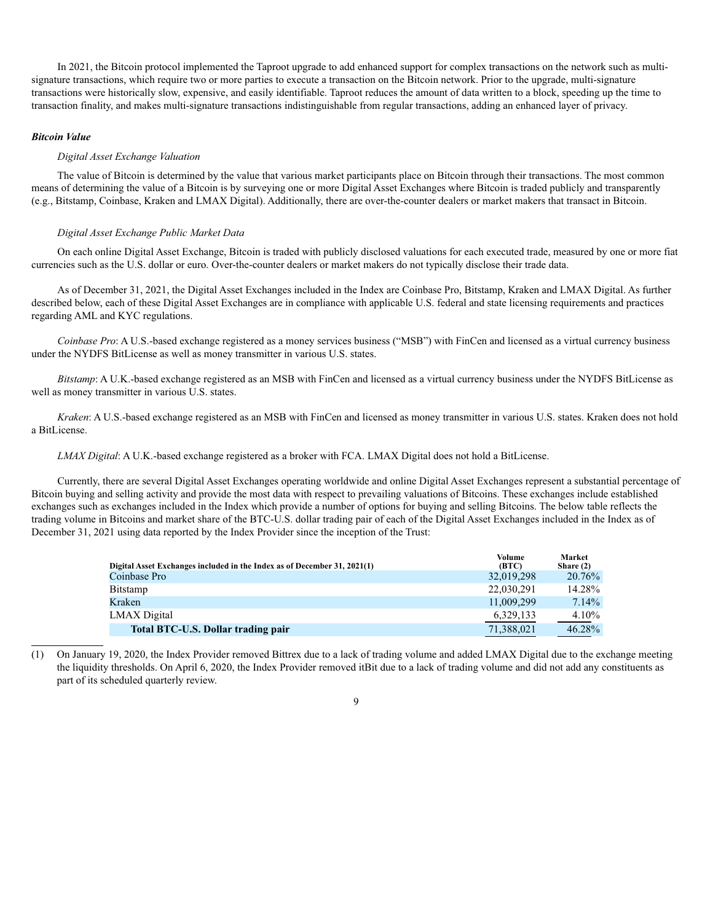In 2021, the Bitcoin protocol implemented the Taproot upgrade to add enhanced support for complex transactions on the network such as multisignature transactions, which require two or more parties to execute a transaction on the Bitcoin network. Prior to the upgrade, multi-signature transactions were historically slow, expensive, and easily identifiable. Taproot reduces the amount of data written to a block, speeding up the time to transaction finality, and makes multi-signature transactions indistinguishable from regular transactions, adding an enhanced layer of privacy.

# *Bitcoin Value*

# *Digital Asset Exchange Valuation*

The value of Bitcoin is determined by the value that various market participants place on Bitcoin through their transactions. The most common means of determining the value of a Bitcoin is by surveying one or more Digital Asset Exchanges where Bitcoin is traded publicly and transparently (e.g., Bitstamp, Coinbase, Kraken and LMAX Digital). Additionally, there are over-the-counter dealers or market makers that transact in Bitcoin.

# *Digital Asset Exchange Public Market Data*

On each online Digital Asset Exchange, Bitcoin is traded with publicly disclosed valuations for each executed trade, measured by one or more fiat currencies such as the U.S. dollar or euro. Over-the-counter dealers or market makers do not typically disclose their trade data.

As of December 31, 2021, the Digital Asset Exchanges included in the Index are Coinbase Pro, Bitstamp, Kraken and LMAX Digital. As further described below, each of these Digital Asset Exchanges are in compliance with applicable U.S. federal and state licensing requirements and practices regarding AML and KYC regulations.

*Coinbase Pro*: A U.S.-based exchange registered as a money services business ("MSB") with FinCen and licensed as a virtual currency business under the NYDFS BitLicense as well as money transmitter in various U.S. states.

*Bitstamp*: A U.K.-based exchange registered as an MSB with FinCen and licensed as a virtual currency business under the NYDFS BitLicense as well as money transmitter in various U.S. states.

*Kraken*: A U.S.-based exchange registered as an MSB with FinCen and licensed as money transmitter in various U.S. states. Kraken does not hold a BitLicense.

*LMAX Digital*: A U.K.-based exchange registered as a broker with FCA. LMAX Digital does not hold a BitLicense.

Currently, there are several Digital Asset Exchanges operating worldwide and online Digital Asset Exchanges represent a substantial percentage of Bitcoin buying and selling activity and provide the most data with respect to prevailing valuations of Bitcoins. These exchanges include established exchanges such as exchanges included in the Index which provide a number of options for buying and selling Bitcoins. The below table reflects the trading volume in Bitcoins and market share of the BTC-U.S. dollar trading pair of each of the Digital Asset Exchanges included in the Index as of December 31, 2021 using data reported by the Index Provider since the inception of the Trust:

| Digital Asset Exchanges included in the Index as of December 31, 2021(1) | Volume<br>(BTC) | Market<br>Share $(2)$ |
|--------------------------------------------------------------------------|-----------------|-----------------------|
| Coinbase Pro                                                             | 32,019.298      | 20.76%                |
| Bitstamp                                                                 | 22,030,291      | 14.28%                |
| Kraken                                                                   | 11,009,299      | $7.14\%$              |
| LMAX Digital                                                             | 6,329,133       | $4.10\%$              |
| Total BTC-U.S. Dollar trading pair                                       | 71.388.021      | 46.28%                |

(1) On January 19, 2020, the Index Provider removed Bittrex due to a lack of trading volume and added LMAX Digital due to the exchange meeting the liquidity thresholds. On April 6, 2020, the Index Provider removed itBit due to a lack of trading volume and did not add any constituents as part of its scheduled quarterly review.

# 9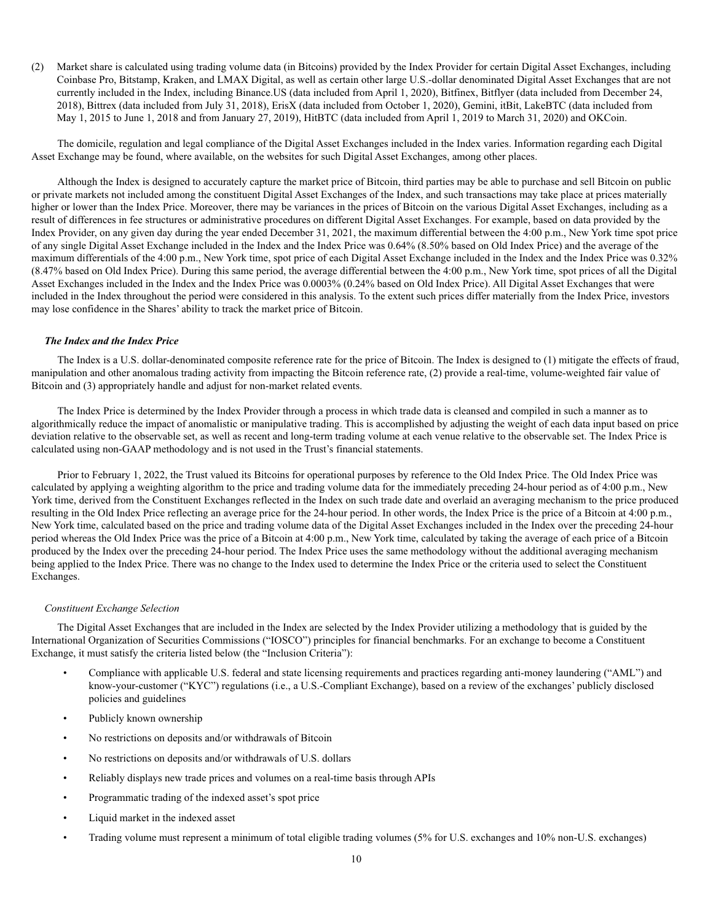(2) Market share is calculated using trading volume data (in Bitcoins) provided by the Index Provider for certain Digital Asset Exchanges, including Coinbase Pro, Bitstamp, Kraken, and LMAX Digital, as well as certain other large U.S.-dollar denominated Digital Asset Exchanges that are not currently included in the Index, including Binance.US (data included from April 1, 2020), Bitfinex, Bitflyer (data included from December 24, 2018), Bittrex (data included from July 31, 2018), ErisX (data included from October 1, 2020), Gemini, itBit, LakeBTC (data included from May 1, 2015 to June 1, 2018 and from January 27, 2019), HitBTC (data included from April 1, 2019 to March 31, 2020) and OKCoin.

The domicile, regulation and legal compliance of the Digital Asset Exchanges included in the Index varies. Information regarding each Digital Asset Exchange may be found, where available, on the websites for such Digital Asset Exchanges, among other places.

Although the Index is designed to accurately capture the market price of Bitcoin, third parties may be able to purchase and sell Bitcoin on public or private markets not included among the constituent Digital Asset Exchanges of the Index, and such transactions may take place at prices materially higher or lower than the Index Price. Moreover, there may be variances in the prices of Bitcoin on the various Digital Asset Exchanges, including as a result of differences in fee structures or administrative procedures on different Digital Asset Exchanges. For example, based on data provided by the Index Provider, on any given day during the year ended December 31, 2021, the maximum differential between the 4:00 p.m., New York time spot price of any single Digital Asset Exchange included in the Index and the Index Price was 0.64% (8.50% based on Old Index Price) and the average of the maximum differentials of the 4:00 p.m., New York time, spot price of each Digital Asset Exchange included in the Index and the Index Price was 0.32% (8.47% based on Old Index Price). During this same period, the average differential between the 4:00 p.m., New York time, spot prices of all the Digital Asset Exchanges included in the Index and the Index Price was 0.0003% (0.24% based on Old Index Price). All Digital Asset Exchanges that were included in the Index throughout the period were considered in this analysis. To the extent such prices differ materially from the Index Price, investors may lose confidence in the Shares' ability to track the market price of Bitcoin.

# *The Index and the Index Price*

The Index is a U.S. dollar-denominated composite reference rate for the price of Bitcoin. The Index is designed to (1) mitigate the effects of fraud, manipulation and other anomalous trading activity from impacting the Bitcoin reference rate, (2) provide a real-time, volume-weighted fair value of Bitcoin and (3) appropriately handle and adjust for non-market related events.

The Index Price is determined by the Index Provider through a process in which trade data is cleansed and compiled in such a manner as to algorithmically reduce the impact of anomalistic or manipulative trading. This is accomplished by adjusting the weight of each data input based on price deviation relative to the observable set, as well as recent and long-term trading volume at each venue relative to the observable set. The Index Price is calculated using non-GAAP methodology and is not used in the Trust's financial statements.

Prior to February 1, 2022, the Trust valued its Bitcoins for operational purposes by reference to the Old Index Price. The Old Index Price was calculated by applying a weighting algorithm to the price and trading volume data for the immediately preceding 24-hour period as of 4:00 p.m., New York time, derived from the Constituent Exchanges reflected in the Index on such trade date and overlaid an averaging mechanism to the price produced resulting in the Old Index Price reflecting an average price for the 24-hour period. In other words, the Index Price is the price of a Bitcoin at 4:00 p.m., New York time, calculated based on the price and trading volume data of the Digital Asset Exchanges included in the Index over the preceding 24-hour period whereas the Old Index Price was the price of a Bitcoin at 4:00 p.m., New York time, calculated by taking the average of each price of a Bitcoin produced by the Index over the preceding 24-hour period. The Index Price uses the same methodology without the additional averaging mechanism being applied to the Index Price. There was no change to the Index used to determine the Index Price or the criteria used to select the Constituent Exchanges.

# *Constituent Exchange Selection*

The Digital Asset Exchanges that are included in the Index are selected by the Index Provider utilizing a methodology that is guided by the International Organization of Securities Commissions ("IOSCO") principles for financial benchmarks. For an exchange to become a Constituent Exchange, it must satisfy the criteria listed below (the "Inclusion Criteria"):

- Compliance with applicable U.S. federal and state licensing requirements and practices regarding anti-money laundering ("AML") and know-your-customer ("KYC") regulations (i.e., a U.S.-Compliant Exchange), based on a review of the exchanges' publicly disclosed policies and guidelines
- Publicly known ownership
- No restrictions on deposits and/or withdrawals of Bitcoin
- No restrictions on deposits and/or withdrawals of U.S. dollars
- Reliably displays new trade prices and volumes on a real-time basis through APIs
- Programmatic trading of the indexed asset's spot price
- Liquid market in the indexed asset
- Trading volume must represent a minimum of total eligible trading volumes (5% for U.S. exchanges and 10% non-U.S. exchanges)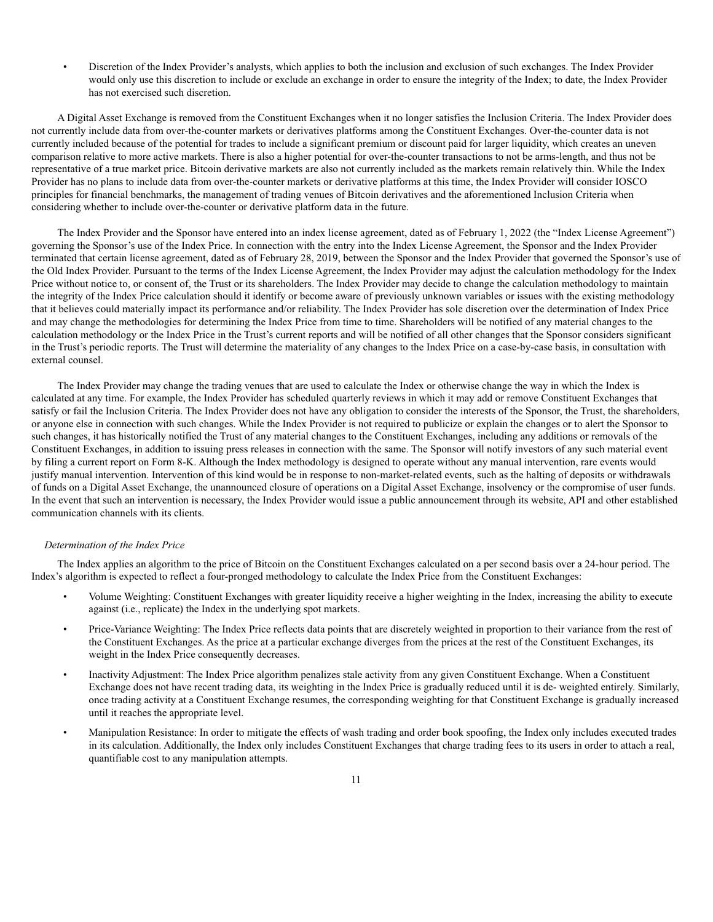• Discretion of the Index Provider's analysts, which applies to both the inclusion and exclusion of such exchanges. The Index Provider would only use this discretion to include or exclude an exchange in order to ensure the integrity of the Index; to date, the Index Provider has not exercised such discretion.

A Digital Asset Exchange is removed from the Constituent Exchanges when it no longer satisfies the Inclusion Criteria. The Index Provider does not currently include data from over-the-counter markets or derivatives platforms among the Constituent Exchanges. Over-the-counter data is not currently included because of the potential for trades to include a significant premium or discount paid for larger liquidity, which creates an uneven comparison relative to more active markets. There is also a higher potential for over-the-counter transactions to not be arms-length, and thus not be representative of a true market price. Bitcoin derivative markets are also not currently included as the markets remain relatively thin. While the Index Provider has no plans to include data from over-the-counter markets or derivative platforms at this time, the Index Provider will consider IOSCO principles for financial benchmarks, the management of trading venues of Bitcoin derivatives and the aforementioned Inclusion Criteria when considering whether to include over-the-counter or derivative platform data in the future.

The Index Provider and the Sponsor have entered into an index license agreement, dated as of February 1, 2022 (the "Index License Agreement") governing the Sponsor's use of the Index Price. In connection with the entry into the Index License Agreement, the Sponsor and the Index Provider terminated that certain license agreement, dated as of February 28, 2019, between the Sponsor and the Index Provider that governed the Sponsor's use of the Old Index Provider. Pursuant to the terms of the Index License Agreement, the Index Provider may adjust the calculation methodology for the Index Price without notice to, or consent of, the Trust or its shareholders. The Index Provider may decide to change the calculation methodology to maintain the integrity of the Index Price calculation should it identify or become aware of previously unknown variables or issues with the existing methodology that it believes could materially impact its performance and/or reliability. The Index Provider has sole discretion over the determination of Index Price and may change the methodologies for determining the Index Price from time to time. Shareholders will be notified of any material changes to the calculation methodology or the Index Price in the Trust's current reports and will be notified of all other changes that the Sponsor considers significant in the Trust's periodic reports. The Trust will determine the materiality of any changes to the Index Price on a case-by-case basis, in consultation with external counsel.

The Index Provider may change the trading venues that are used to calculate the Index or otherwise change the way in which the Index is calculated at any time. For example, the Index Provider has scheduled quarterly reviews in which it may add or remove Constituent Exchanges that satisfy or fail the Inclusion Criteria. The Index Provider does not have any obligation to consider the interests of the Sponsor, the Trust, the shareholders, or anyone else in connection with such changes. While the Index Provider is not required to publicize or explain the changes or to alert the Sponsor to such changes, it has historically notified the Trust of any material changes to the Constituent Exchanges, including any additions or removals of the Constituent Exchanges, in addition to issuing press releases in connection with the same. The Sponsor will notify investors of any such material event by filing a current report on Form 8-K. Although the Index methodology is designed to operate without any manual intervention, rare events would justify manual intervention. Intervention of this kind would be in response to non-market-related events, such as the halting of deposits or withdrawals of funds on a Digital Asset Exchange, the unannounced closure of operations on a Digital Asset Exchange, insolvency or the compromise of user funds. In the event that such an intervention is necessary, the Index Provider would issue a public announcement through its website, API and other established communication channels with its clients.

# *Determination of the Index Price*

The Index applies an algorithm to the price of Bitcoin on the Constituent Exchanges calculated on a per second basis over a 24-hour period. The Index's algorithm is expected to reflect a four-pronged methodology to calculate the Index Price from the Constituent Exchanges:

- Volume Weighting: Constituent Exchanges with greater liquidity receive a higher weighting in the Index, increasing the ability to execute against (i.e., replicate) the Index in the underlying spot markets.
- Price-Variance Weighting: The Index Price reflects data points that are discretely weighted in proportion to their variance from the rest of the Constituent Exchanges. As the price at a particular exchange diverges from the prices at the rest of the Constituent Exchanges, its weight in the Index Price consequently decreases.
- Inactivity Adjustment: The Index Price algorithm penalizes stale activity from any given Constituent Exchange. When a Constituent Exchange does not have recent trading data, its weighting in the Index Price is gradually reduced until it is de- weighted entirely. Similarly, once trading activity at a Constituent Exchange resumes, the corresponding weighting for that Constituent Exchange is gradually increased until it reaches the appropriate level.
- Manipulation Resistance: In order to mitigate the effects of wash trading and order book spoofing, the Index only includes executed trades in its calculation. Additionally, the Index only includes Constituent Exchanges that charge trading fees to its users in order to attach a real, quantifiable cost to any manipulation attempts.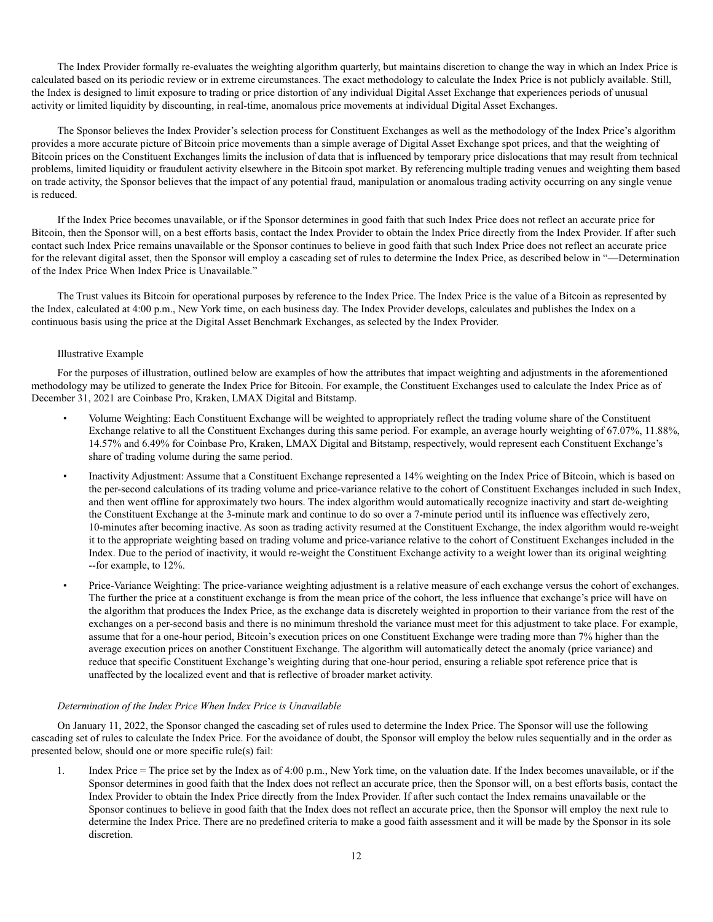The Index Provider formally re-evaluates the weighting algorithm quarterly, but maintains discretion to change the way in which an Index Price is calculated based on its periodic review or in extreme circumstances. The exact methodology to calculate the Index Price is not publicly available. Still, the Index is designed to limit exposure to trading or price distortion of any individual Digital Asset Exchange that experiences periods of unusual activity or limited liquidity by discounting, in real-time, anomalous price movements at individual Digital Asset Exchanges.

The Sponsor believes the Index Provider's selection process for Constituent Exchanges as well as the methodology of the Index Price's algorithm provides a more accurate picture of Bitcoin price movements than a simple average of Digital Asset Exchange spot prices, and that the weighting of Bitcoin prices on the Constituent Exchanges limits the inclusion of data that is influenced by temporary price dislocations that may result from technical problems, limited liquidity or fraudulent activity elsewhere in the Bitcoin spot market. By referencing multiple trading venues and weighting them based on trade activity, the Sponsor believes that the impact of any potential fraud, manipulation or anomalous trading activity occurring on any single venue is reduced.

If the Index Price becomes unavailable, or if the Sponsor determines in good faith that such Index Price does not reflect an accurate price for Bitcoin, then the Sponsor will, on a best efforts basis, contact the Index Provider to obtain the Index Price directly from the Index Provider. If after such contact such Index Price remains unavailable or the Sponsor continues to believe in good faith that such Index Price does not reflect an accurate price for the relevant digital asset, then the Sponsor will employ a cascading set of rules to determine the Index Price, as described below in "—Determination of the Index Price When Index Price is Unavailable."

The Trust values its Bitcoin for operational purposes by reference to the Index Price. The Index Price is the value of a Bitcoin as represented by the Index, calculated at 4:00 p.m., New York time, on each business day. The Index Provider develops, calculates and publishes the Index on a continuous basis using the price at the Digital Asset Benchmark Exchanges, as selected by the Index Provider.

# Illustrative Example

For the purposes of illustration, outlined below are examples of how the attributes that impact weighting and adjustments in the aforementioned methodology may be utilized to generate the Index Price for Bitcoin. For example, the Constituent Exchanges used to calculate the Index Price as of December 31, 2021 are Coinbase Pro, Kraken, LMAX Digital and Bitstamp.

- Volume Weighting: Each Constituent Exchange will be weighted to appropriately reflect the trading volume share of the Constituent Exchange relative to all the Constituent Exchanges during this same period. For example, an average hourly weighting of 67.07%, 11.88%, 14.57% and 6.49% for Coinbase Pro, Kraken, LMAX Digital and Bitstamp, respectively, would represent each Constituent Exchange's share of trading volume during the same period.
- Inactivity Adjustment: Assume that a Constituent Exchange represented a 14% weighting on the Index Price of Bitcoin, which is based on the per-second calculations of its trading volume and price-variance relative to the cohort of Constituent Exchanges included in such Index, and then went offline for approximately two hours. The index algorithm would automatically recognize inactivity and start de-weighting the Constituent Exchange at the 3-minute mark and continue to do so over a 7-minute period until its influence was effectively zero, 10-minutes after becoming inactive. As soon as trading activity resumed at the Constituent Exchange, the index algorithm would re-weight it to the appropriate weighting based on trading volume and price-variance relative to the cohort of Constituent Exchanges included in the Index. Due to the period of inactivity, it would re-weight the Constituent Exchange activity to a weight lower than its original weighting --for example, to 12%.
- Price-Variance Weighting: The price-variance weighting adjustment is a relative measure of each exchange versus the cohort of exchanges. The further the price at a constituent exchange is from the mean price of the cohort, the less influence that exchange's price will have on the algorithm that produces the Index Price, as the exchange data is discretely weighted in proportion to their variance from the rest of the exchanges on a per-second basis and there is no minimum threshold the variance must meet for this adjustment to take place. For example, assume that for a one-hour period, Bitcoin's execution prices on one Constituent Exchange were trading more than 7% higher than the average execution prices on another Constituent Exchange. The algorithm will automatically detect the anomaly (price variance) and reduce that specific Constituent Exchange's weighting during that one-hour period, ensuring a reliable spot reference price that is unaffected by the localized event and that is reflective of broader market activity.

# *Determination of the Index Price When Index Price is Unavailable*

On January 11, 2022, the Sponsor changed the cascading set of rules used to determine the Index Price. The Sponsor will use the following cascading set of rules to calculate the Index Price. For the avoidance of doubt, the Sponsor will employ the below rules sequentially and in the order as presented below, should one or more specific rule(s) fail:

1. Index Price = The price set by the Index as of 4:00 p.m., New York time, on the valuation date. If the Index becomes unavailable, or if the Sponsor determines in good faith that the Index does not reflect an accurate price, then the Sponsor will, on a best efforts basis, contact the Index Provider to obtain the Index Price directly from the Index Provider. If after such contact the Index remains unavailable or the Sponsor continues to believe in good faith that the Index does not reflect an accurate price, then the Sponsor will employ the next rule to determine the Index Price. There are no predefined criteria to make a good faith assessment and it will be made by the Sponsor in its sole discretion.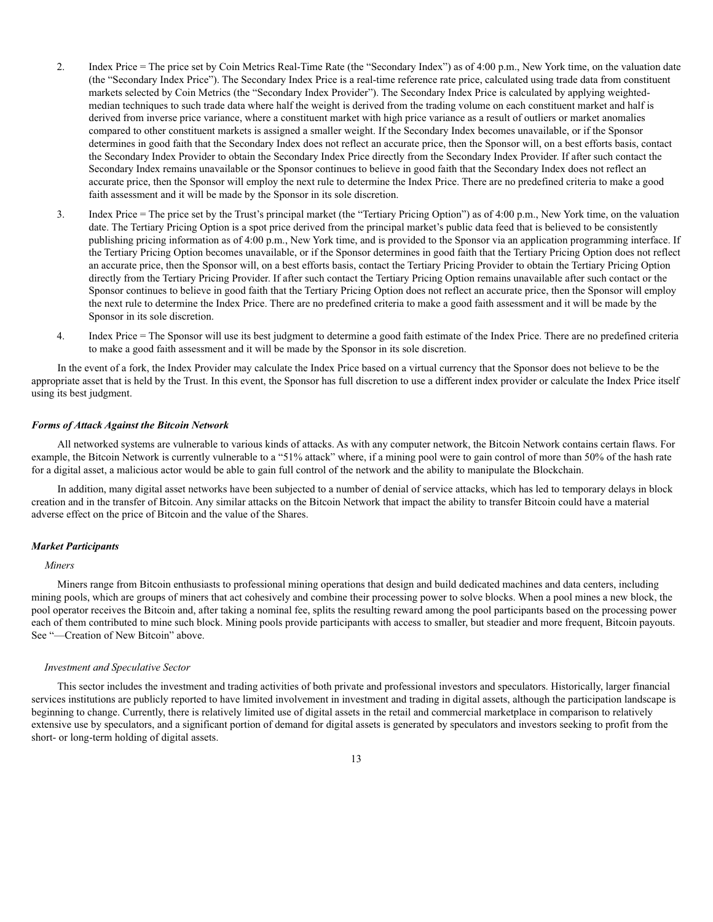- 2. Index Price = The price set by Coin Metrics Real-Time Rate (the "Secondary Index") as of 4:00 p.m., New York time, on the valuation date (the "Secondary Index Price"). The Secondary Index Price is a real-time reference rate price, calculated using trade data from constituent markets selected by Coin Metrics (the "Secondary Index Provider"). The Secondary Index Price is calculated by applying weightedmedian techniques to such trade data where half the weight is derived from the trading volume on each constituent market and half is derived from inverse price variance, where a constituent market with high price variance as a result of outliers or market anomalies compared to other constituent markets is assigned a smaller weight. If the Secondary Index becomes unavailable, or if the Sponsor determines in good faith that the Secondary Index does not reflect an accurate price, then the Sponsor will, on a best efforts basis, contact the Secondary Index Provider to obtain the Secondary Index Price directly from the Secondary Index Provider. If after such contact the Secondary Index remains unavailable or the Sponsor continues to believe in good faith that the Secondary Index does not reflect an accurate price, then the Sponsor will employ the next rule to determine the Index Price. There are no predefined criteria to make a good faith assessment and it will be made by the Sponsor in its sole discretion.
- 3. Index Price = The price set by the Trust's principal market (the "Tertiary Pricing Option") as of 4:00 p.m., New York time, on the valuation date. The Tertiary Pricing Option is a spot price derived from the principal market's public data feed that is believed to be consistently publishing pricing information as of 4:00 p.m., New York time, and is provided to the Sponsor via an application programming interface. If the Tertiary Pricing Option becomes unavailable, or if the Sponsor determines in good faith that the Tertiary Pricing Option does not reflect an accurate price, then the Sponsor will, on a best efforts basis, contact the Tertiary Pricing Provider to obtain the Tertiary Pricing Option directly from the Tertiary Pricing Provider. If after such contact the Tertiary Pricing Option remains unavailable after such contact or the Sponsor continues to believe in good faith that the Tertiary Pricing Option does not reflect an accurate price, then the Sponsor will employ the next rule to determine the Index Price. There are no predefined criteria to make a good faith assessment and it will be made by the Sponsor in its sole discretion.
- 4. Index Price = The Sponsor will use its best judgment to determine a good faith estimate of the Index Price. There are no predefined criteria to make a good faith assessment and it will be made by the Sponsor in its sole discretion.

In the event of a fork, the Index Provider may calculate the Index Price based on a virtual currency that the Sponsor does not believe to be the appropriate asset that is held by the Trust. In this event, the Sponsor has full discretion to use a different index provider or calculate the Index Price itself using its best judgment.

# *Forms of Attack Against the Bitcoin Network*

All networked systems are vulnerable to various kinds of attacks. As with any computer network, the Bitcoin Network contains certain flaws. For example, the Bitcoin Network is currently vulnerable to a "51% attack" where, if a mining pool were to gain control of more than 50% of the hash rate for a digital asset, a malicious actor would be able to gain full control of the network and the ability to manipulate the Blockchain.

In addition, many digital asset networks have been subjected to a number of denial of service attacks, which has led to temporary delays in block creation and in the transfer of Bitcoin. Any similar attacks on the Bitcoin Network that impact the ability to transfer Bitcoin could have a material adverse effect on the price of Bitcoin and the value of the Shares.

#### *Market Participants*

# *Miners*

Miners range from Bitcoin enthusiasts to professional mining operations that design and build dedicated machines and data centers, including mining pools, which are groups of miners that act cohesively and combine their processing power to solve blocks. When a pool mines a new block, the pool operator receives the Bitcoin and, after taking a nominal fee, splits the resulting reward among the pool participants based on the processing power each of them contributed to mine such block. Mining pools provide participants with access to smaller, but steadier and more frequent, Bitcoin payouts. See "—Creation of New Bitcoin" above.

# *Investment and Speculative Sector*

This sector includes the investment and trading activities of both private and professional investors and speculators. Historically, larger financial services institutions are publicly reported to have limited involvement in investment and trading in digital assets, although the participation landscape is beginning to change. Currently, there is relatively limited use of digital assets in the retail and commercial marketplace in comparison to relatively extensive use by speculators, and a significant portion of demand for digital assets is generated by speculators and investors seeking to profit from the short- or long-term holding of digital assets.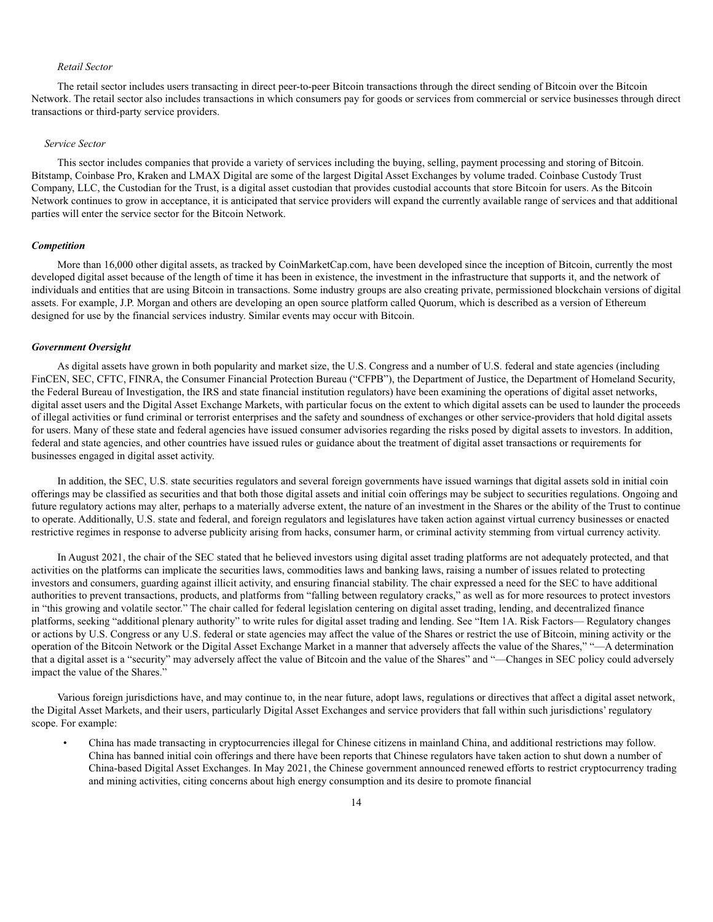#### *Retail Sector*

The retail sector includes users transacting in direct peer-to-peer Bitcoin transactions through the direct sending of Bitcoin over the Bitcoin Network. The retail sector also includes transactions in which consumers pay for goods or services from commercial or service businesses through direct transactions or third-party service providers.

# *Service Sector*

This sector includes companies that provide a variety of services including the buying, selling, payment processing and storing of Bitcoin. Bitstamp, Coinbase Pro, Kraken and LMAX Digital are some of the largest Digital Asset Exchanges by volume traded. Coinbase Custody Trust Company, LLC, the Custodian for the Trust, is a digital asset custodian that provides custodial accounts that store Bitcoin for users. As the Bitcoin Network continues to grow in acceptance, it is anticipated that service providers will expand the currently available range of services and that additional parties will enter the service sector for the Bitcoin Network.

#### *Competition*

More than 16,000 other digital assets, as tracked by CoinMarketCap.com, have been developed since the inception of Bitcoin, currently the most developed digital asset because of the length of time it has been in existence, the investment in the infrastructure that supports it, and the network of individuals and entities that are using Bitcoin in transactions. Some industry groups are also creating private, permissioned blockchain versions of digital assets. For example, J.P. Morgan and others are developing an open source platform called Quorum, which is described as a version of Ethereum designed for use by the financial services industry. Similar events may occur with Bitcoin.

# *Government Oversight*

As digital assets have grown in both popularity and market size, the U.S. Congress and a number of U.S. federal and state agencies (including FinCEN, SEC, CFTC, FINRA, the Consumer Financial Protection Bureau ("CFPB"), the Department of Justice, the Department of Homeland Security, the Federal Bureau of Investigation, the IRS and state financial institution regulators) have been examining the operations of digital asset networks, digital asset users and the Digital Asset Exchange Markets, with particular focus on the extent to which digital assets can be used to launder the proceeds of illegal activities or fund criminal or terrorist enterprises and the safety and soundness of exchanges or other service-providers that hold digital assets for users. Many of these state and federal agencies have issued consumer advisories regarding the risks posed by digital assets to investors. In addition, federal and state agencies, and other countries have issued rules or guidance about the treatment of digital asset transactions or requirements for businesses engaged in digital asset activity.

In addition, the SEC, U.S. state securities regulators and several foreign governments have issued warnings that digital assets sold in initial coin offerings may be classified as securities and that both those digital assets and initial coin offerings may be subject to securities regulations. Ongoing and future regulatory actions may alter, perhaps to a materially adverse extent, the nature of an investment in the Shares or the ability of the Trust to continue to operate. Additionally, U.S. state and federal, and foreign regulators and legislatures have taken action against virtual currency businesses or enacted restrictive regimes in response to adverse publicity arising from hacks, consumer harm, or criminal activity stemming from virtual currency activity.

In August 2021, the chair of the SEC stated that he believed investors using digital asset trading platforms are not adequately protected, and that activities on the platforms can implicate the securities laws, commodities laws and banking laws, raising a number of issues related to protecting investors and consumers, guarding against illicit activity, and ensuring financial stability. The chair expressed a need for the SEC to have additional authorities to prevent transactions, products, and platforms from "falling between regulatory cracks," as well as for more resources to protect investors in "this growing and volatile sector." The chair called for federal legislation centering on digital asset trading, lending, and decentralized finance platforms, seeking "additional plenary authority" to write rules for digital asset trading and lending. See "Item 1A. Risk Factors— Regulatory changes or actions by U.S. Congress or any U.S. federal or state agencies may affect the value of the Shares or restrict the use of Bitcoin, mining activity or the operation of the Bitcoin Network or the Digital Asset Exchange Market in a manner that adversely affects the value of the Shares," "—A determination that a digital asset is a "security" may adversely affect the value of Bitcoin and the value of the Shares" and "—Changes in SEC policy could adversely impact the value of the Shares."

Various foreign jurisdictions have, and may continue to, in the near future, adopt laws, regulations or directives that affect a digital asset network, the Digital Asset Markets, and their users, particularly Digital Asset Exchanges and service providers that fall within such jurisdictions' regulatory scope. For example:

• China has made transacting in cryptocurrencies illegal for Chinese citizens in mainland China, and additional restrictions may follow. China has banned initial coin offerings and there have been reports that Chinese regulators have taken action to shut down a number of China-based Digital Asset Exchanges. In May 2021, the Chinese government announced renewed efforts to restrict cryptocurrency trading and mining activities, citing concerns about high energy consumption and its desire to promote financial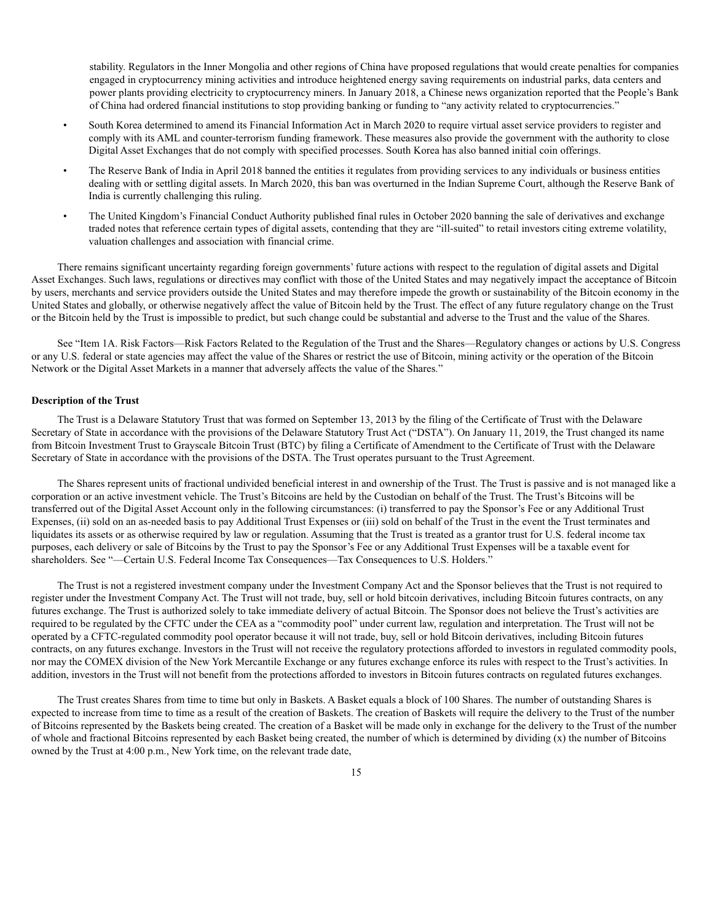stability. Regulators in the Inner Mongolia and other regions of China have proposed regulations that would create penalties for companies engaged in cryptocurrency mining activities and introduce heightened energy saving requirements on industrial parks, data centers and power plants providing electricity to cryptocurrency miners. In January 2018, a Chinese news organization reported that the People's Bank of China had ordered financial institutions to stop providing banking or funding to "any activity related to cryptocurrencies."

- South Korea determined to amend its Financial Information Act in March 2020 to require virtual asset service providers to register and comply with its AML and counter-terrorism funding framework. These measures also provide the government with the authority to close Digital Asset Exchanges that do not comply with specified processes. South Korea has also banned initial coin offerings.
- The Reserve Bank of India in April 2018 banned the entities it regulates from providing services to any individuals or business entities dealing with or settling digital assets. In March 2020, this ban was overturned in the Indian Supreme Court, although the Reserve Bank of India is currently challenging this ruling.
- The United Kingdom's Financial Conduct Authority published final rules in October 2020 banning the sale of derivatives and exchange traded notes that reference certain types of digital assets, contending that they are "ill-suited" to retail investors citing extreme volatility, valuation challenges and association with financial crime.

There remains significant uncertainty regarding foreign governments' future actions with respect to the regulation of digital assets and Digital Asset Exchanges. Such laws, regulations or directives may conflict with those of the United States and may negatively impact the acceptance of Bitcoin by users, merchants and service providers outside the United States and may therefore impede the growth or sustainability of the Bitcoin economy in the United States and globally, or otherwise negatively affect the value of Bitcoin held by the Trust. The effect of any future regulatory change on the Trust or the Bitcoin held by the Trust is impossible to predict, but such change could be substantial and adverse to the Trust and the value of the Shares.

See "Item 1A. Risk Factors—Risk Factors Related to the Regulation of the Trust and the Shares—Regulatory changes or actions by U.S. Congress or any U.S. federal or state agencies may affect the value of the Shares or restrict the use of Bitcoin, mining activity or the operation of the Bitcoin Network or the Digital Asset Markets in a manner that adversely affects the value of the Shares."

# **Description of the Trust**

The Trust is a Delaware Statutory Trust that was formed on September 13, 2013 by the filing of the Certificate of Trust with the Delaware Secretary of State in accordance with the provisions of the Delaware Statutory Trust Act ("DSTA"). On January 11, 2019, the Trust changed its name from Bitcoin Investment Trust to Grayscale Bitcoin Trust (BTC) by filing a Certificate of Amendment to the Certificate of Trust with the Delaware Secretary of State in accordance with the provisions of the DSTA. The Trust operates pursuant to the Trust Agreement.

The Shares represent units of fractional undivided beneficial interest in and ownership of the Trust. The Trust is passive and is not managed like a corporation or an active investment vehicle. The Trust's Bitcoins are held by the Custodian on behalf of the Trust. The Trust's Bitcoins will be transferred out of the Digital Asset Account only in the following circumstances: (i) transferred to pay the Sponsor's Fee or any Additional Trust Expenses, (ii) sold on an as-needed basis to pay Additional Trust Expenses or (iii) sold on behalf of the Trust in the event the Trust terminates and liquidates its assets or as otherwise required by law or regulation. Assuming that the Trust is treated as a grantor trust for U.S. federal income tax purposes, each delivery or sale of Bitcoins by the Trust to pay the Sponsor's Fee or any Additional Trust Expenses will be a taxable event for shareholders. See "—Certain U.S. Federal Income Tax Consequences—Tax Consequences to U.S. Holders."

The Trust is not a registered investment company under the Investment Company Act and the Sponsor believes that the Trust is not required to register under the Investment Company Act. The Trust will not trade, buy, sell or hold bitcoin derivatives, including Bitcoin futures contracts, on any futures exchange. The Trust is authorized solely to take immediate delivery of actual Bitcoin. The Sponsor does not believe the Trust's activities are required to be regulated by the CFTC under the CEA as a "commodity pool" under current law, regulation and interpretation. The Trust will not be operated by a CFTC-regulated commodity pool operator because it will not trade, buy, sell or hold Bitcoin derivatives, including Bitcoin futures contracts, on any futures exchange. Investors in the Trust will not receive the regulatory protections afforded to investors in regulated commodity pools, nor may the COMEX division of the New York Mercantile Exchange or any futures exchange enforce its rules with respect to the Trust's activities. In addition, investors in the Trust will not benefit from the protections afforded to investors in Bitcoin futures contracts on regulated futures exchanges.

The Trust creates Shares from time to time but only in Baskets. A Basket equals a block of 100 Shares. The number of outstanding Shares is expected to increase from time to time as a result of the creation of Baskets. The creation of Baskets will require the delivery to the Trust of the number of Bitcoins represented by the Baskets being created. The creation of a Basket will be made only in exchange for the delivery to the Trust of the number of whole and fractional Bitcoins represented by each Basket being created, the number of which is determined by dividing (x) the number of Bitcoins owned by the Trust at 4:00 p.m., New York time, on the relevant trade date,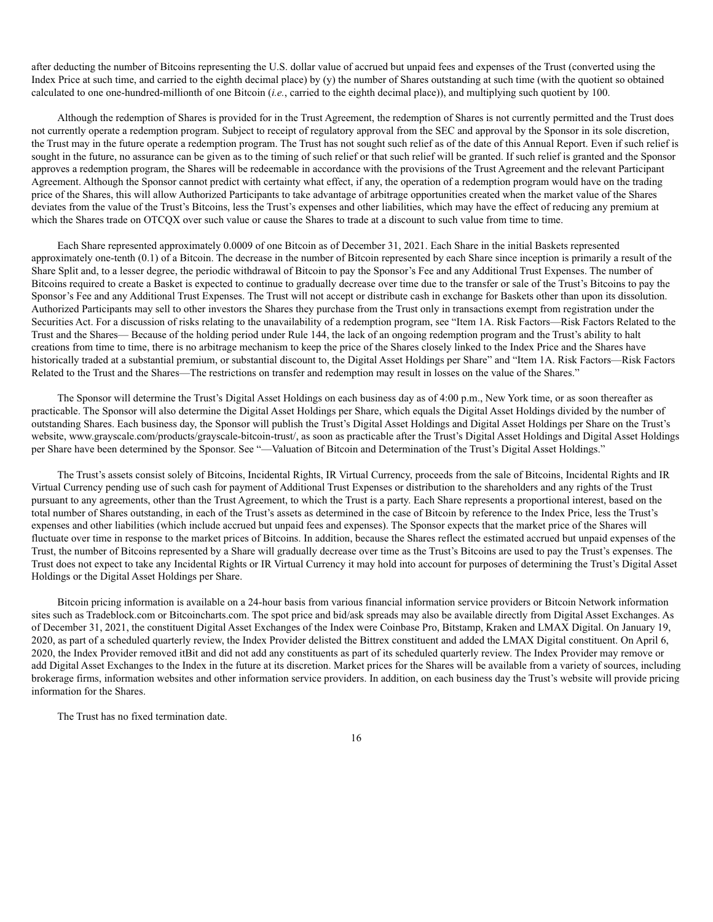after deducting the number of Bitcoins representing the U.S. dollar value of accrued but unpaid fees and expenses of the Trust (converted using the Index Price at such time, and carried to the eighth decimal place) by (y) the number of Shares outstanding at such time (with the quotient so obtained calculated to one one-hundred-millionth of one Bitcoin (*i.e.*, carried to the eighth decimal place)), and multiplying such quotient by 100.

Although the redemption of Shares is provided for in the Trust Agreement, the redemption of Shares is not currently permitted and the Trust does not currently operate a redemption program. Subject to receipt of regulatory approval from the SEC and approval by the Sponsor in its sole discretion, the Trust may in the future operate a redemption program. The Trust has not sought such relief as of the date of this Annual Report. Even if such relief is sought in the future, no assurance can be given as to the timing of such relief or that such relief will be granted. If such relief is granted and the Sponsor approves a redemption program, the Shares will be redeemable in accordance with the provisions of the Trust Agreement and the relevant Participant Agreement. Although the Sponsor cannot predict with certainty what effect, if any, the operation of a redemption program would have on the trading price of the Shares, this will allow Authorized Participants to take advantage of arbitrage opportunities created when the market value of the Shares deviates from the value of the Trust's Bitcoins, less the Trust's expenses and other liabilities, which may have the effect of reducing any premium at which the Shares trade on OTCQX over such value or cause the Shares to trade at a discount to such value from time to time.

Each Share represented approximately 0.0009 of one Bitcoin as of December 31, 2021. Each Share in the initial Baskets represented approximately one-tenth (0.1) of a Bitcoin. The decrease in the number of Bitcoin represented by each Share since inception is primarily a result of the Share Split and, to a lesser degree, the periodic withdrawal of Bitcoin to pay the Sponsor's Fee and any Additional Trust Expenses. The number of Bitcoins required to create a Basket is expected to continue to gradually decrease over time due to the transfer or sale of the Trust's Bitcoins to pay the Sponsor's Fee and any Additional Trust Expenses. The Trust will not accept or distribute cash in exchange for Baskets other than upon its dissolution. Authorized Participants may sell to other investors the Shares they purchase from the Trust only in transactions exempt from registration under the Securities Act. For a discussion of risks relating to the unavailability of a redemption program, see "Item 1A. Risk Factors—Risk Factors Related to the Trust and the Shares— Because of the holding period under Rule 144, the lack of an ongoing redemption program and the Trust's ability to halt creations from time to time, there is no arbitrage mechanism to keep the price of the Shares closely linked to the Index Price and the Shares have historically traded at a substantial premium, or substantial discount to, the Digital Asset Holdings per Share" and "Item 1A. Risk Factors—Risk Factors Related to the Trust and the Shares—The restrictions on transfer and redemption may result in losses on the value of the Shares."

The Sponsor will determine the Trust's Digital Asset Holdings on each business day as of 4:00 p.m., New York time, or as soon thereafter as practicable. The Sponsor will also determine the Digital Asset Holdings per Share, which equals the Digital Asset Holdings divided by the number of outstanding Shares. Each business day, the Sponsor will publish the Trust's Digital Asset Holdings and Digital Asset Holdings per Share on the Trust's website, www.grayscale.com/products/grayscale-bitcoin-trust/, as soon as practicable after the Trust's Digital Asset Holdings and Digital Asset Holdings per Share have been determined by the Sponsor. See "—Valuation of Bitcoin and Determination of the Trust's Digital Asset Holdings."

The Trust's assets consist solely of Bitcoins, Incidental Rights, IR Virtual Currency, proceeds from the sale of Bitcoins, Incidental Rights and IR Virtual Currency pending use of such cash for payment of Additional Trust Expenses or distribution to the shareholders and any rights of the Trust pursuant to any agreements, other than the Trust Agreement, to which the Trust is a party. Each Share represents a proportional interest, based on the total number of Shares outstanding, in each of the Trust's assets as determined in the case of Bitcoin by reference to the Index Price, less the Trust's expenses and other liabilities (which include accrued but unpaid fees and expenses). The Sponsor expects that the market price of the Shares will fluctuate over time in response to the market prices of Bitcoins. In addition, because the Shares reflect the estimated accrued but unpaid expenses of the Trust, the number of Bitcoins represented by a Share will gradually decrease over time as the Trust's Bitcoins are used to pay the Trust's expenses. The Trust does not expect to take any Incidental Rights or IR Virtual Currency it may hold into account for purposes of determining the Trust's Digital Asset Holdings or the Digital Asset Holdings per Share.

Bitcoin pricing information is available on a 24-hour basis from various financial information service providers or Bitcoin Network information sites such as Tradeblock.com or Bitcoincharts.com. The spot price and bid/ask spreads may also be available directly from Digital Asset Exchanges. As of December 31, 2021, the constituent Digital Asset Exchanges of the Index were Coinbase Pro, Bitstamp, Kraken and LMAX Digital. On January 19, 2020, as part of a scheduled quarterly review, the Index Provider delisted the Bittrex constituent and added the LMAX Digital constituent. On April 6, 2020, the Index Provider removed itBit and did not add any constituents as part of its scheduled quarterly review. The Index Provider may remove or add Digital Asset Exchanges to the Index in the future at its discretion. Market prices for the Shares will be available from a variety of sources, including brokerage firms, information websites and other information service providers. In addition, on each business day the Trust's website will provide pricing information for the Shares.

The Trust has no fixed termination date.

16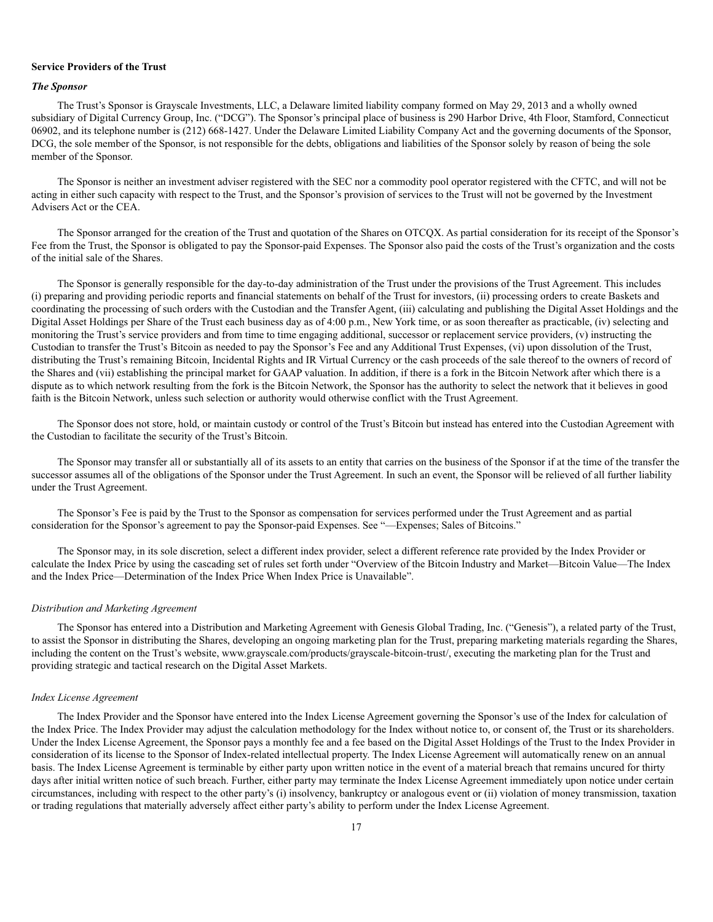#### **Service Providers of the Trust**

#### *The Sponsor*

The Trust's Sponsor is Grayscale Investments, LLC, a Delaware limited liability company formed on May 29, 2013 and a wholly owned subsidiary of Digital Currency Group, Inc. ("DCG"). The Sponsor's principal place of business is 290 Harbor Drive, 4th Floor, Stamford, Connecticut 06902, and its telephone number is (212) 668-1427. Under the Delaware Limited Liability Company Act and the governing documents of the Sponsor, DCG, the sole member of the Sponsor, is not responsible for the debts, obligations and liabilities of the Sponsor solely by reason of being the sole member of the Sponsor.

The Sponsor is neither an investment adviser registered with the SEC nor a commodity pool operator registered with the CFTC, and will not be acting in either such capacity with respect to the Trust, and the Sponsor's provision of services to the Trust will not be governed by the Investment Advisers Act or the CEA.

The Sponsor arranged for the creation of the Trust and quotation of the Shares on OTCQX. As partial consideration for its receipt of the Sponsor's Fee from the Trust, the Sponsor is obligated to pay the Sponsor-paid Expenses. The Sponsor also paid the costs of the Trust's organization and the costs of the initial sale of the Shares.

The Sponsor is generally responsible for the day-to-day administration of the Trust under the provisions of the Trust Agreement. This includes (i) preparing and providing periodic reports and financial statements on behalf of the Trust for investors, (ii) processing orders to create Baskets and coordinating the processing of such orders with the Custodian and the Transfer Agent, (iii) calculating and publishing the Digital Asset Holdings and the Digital Asset Holdings per Share of the Trust each business day as of 4:00 p.m., New York time, or as soon thereafter as practicable, (iv) selecting and monitoring the Trust's service providers and from time to time engaging additional, successor or replacement service providers, (v) instructing the Custodian to transfer the Trust's Bitcoin as needed to pay the Sponsor's Fee and any Additional Trust Expenses, (vi) upon dissolution of the Trust, distributing the Trust's remaining Bitcoin, Incidental Rights and IR Virtual Currency or the cash proceeds of the sale thereof to the owners of record of the Shares and (vii) establishing the principal market for GAAP valuation. In addition, if there is a fork in the Bitcoin Network after which there is a dispute as to which network resulting from the fork is the Bitcoin Network, the Sponsor has the authority to select the network that it believes in good faith is the Bitcoin Network, unless such selection or authority would otherwise conflict with the Trust Agreement.

The Sponsor does not store, hold, or maintain custody or control of the Trust's Bitcoin but instead has entered into the Custodian Agreement with the Custodian to facilitate the security of the Trust's Bitcoin.

The Sponsor may transfer all or substantially all of its assets to an entity that carries on the business of the Sponsor if at the time of the transfer the successor assumes all of the obligations of the Sponsor under the Trust Agreement. In such an event, the Sponsor will be relieved of all further liability under the Trust Agreement.

The Sponsor's Fee is paid by the Trust to the Sponsor as compensation for services performed under the Trust Agreement and as partial consideration for the Sponsor's agreement to pay the Sponsor-paid Expenses. See "—Expenses; Sales of Bitcoins."

The Sponsor may, in its sole discretion, select a different index provider, select a different reference rate provided by the Index Provider or calculate the Index Price by using the cascading set of rules set forth under "Overview of the Bitcoin Industry and Market—Bitcoin Value—The Index and the Index Price—Determination of the Index Price When Index Price is Unavailable".

# *Distribution and Marketing Agreement*

The Sponsor has entered into a Distribution and Marketing Agreement with Genesis Global Trading, Inc. ("Genesis"), a related party of the Trust, to assist the Sponsor in distributing the Shares, developing an ongoing marketing plan for the Trust, preparing marketing materials regarding the Shares, including the content on the Trust's website, www.grayscale.com/products/grayscale-bitcoin-trust/, executing the marketing plan for the Trust and providing strategic and tactical research on the Digital Asset Markets.

# *Index License Agreement*

The Index Provider and the Sponsor have entered into the Index License Agreement governing the Sponsor's use of the Index for calculation of the Index Price. The Index Provider may adjust the calculation methodology for the Index without notice to, or consent of, the Trust or its shareholders. Under the Index License Agreement, the Sponsor pays a monthly fee and a fee based on the Digital Asset Holdings of the Trust to the Index Provider in consideration of its license to the Sponsor of Index-related intellectual property. The Index License Agreement will automatically renew on an annual basis. The Index License Agreement is terminable by either party upon written notice in the event of a material breach that remains uncured for thirty days after initial written notice of such breach. Further, either party may terminate the Index License Agreement immediately upon notice under certain circumstances, including with respect to the other party's (i) insolvency, bankruptcy or analogous event or (ii) violation of money transmission, taxation or trading regulations that materially adversely affect either party's ability to perform under the Index License Agreement.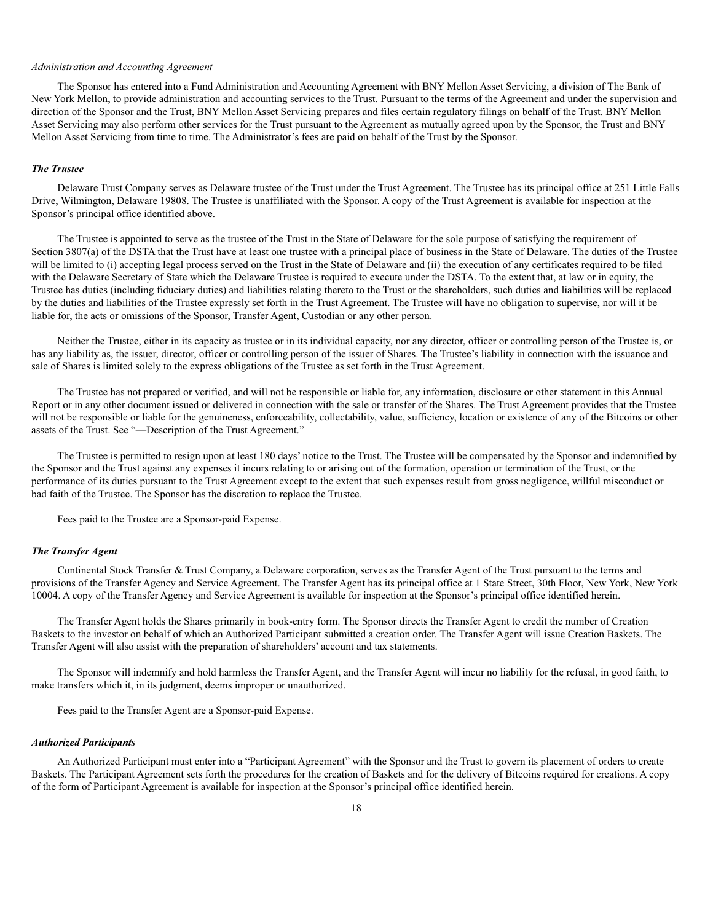#### *Administration and Accounting Agreement*

The Sponsor has entered into a Fund Administration and Accounting Agreement with BNY Mellon Asset Servicing, a division of The Bank of New York Mellon, to provide administration and accounting services to the Trust. Pursuant to the terms of the Agreement and under the supervision and direction of the Sponsor and the Trust, BNY Mellon Asset Servicing prepares and files certain regulatory filings on behalf of the Trust. BNY Mellon Asset Servicing may also perform other services for the Trust pursuant to the Agreement as mutually agreed upon by the Sponsor, the Trust and BNY Mellon Asset Servicing from time to time. The Administrator's fees are paid on behalf of the Trust by the Sponsor.

# *The Trustee*

Delaware Trust Company serves as Delaware trustee of the Trust under the Trust Agreement. The Trustee has its principal office at 251 Little Falls Drive, Wilmington, Delaware 19808. The Trustee is unaffiliated with the Sponsor. A copy of the Trust Agreement is available for inspection at the Sponsor's principal office identified above.

The Trustee is appointed to serve as the trustee of the Trust in the State of Delaware for the sole purpose of satisfying the requirement of Section 3807(a) of the DSTA that the Trust have at least one trustee with a principal place of business in the State of Delaware. The duties of the Trustee will be limited to (i) accepting legal process served on the Trust in the State of Delaware and (ii) the execution of any certificates required to be filed with the Delaware Secretary of State which the Delaware Trustee is required to execute under the DSTA. To the extent that, at law or in equity, the Trustee has duties (including fiduciary duties) and liabilities relating thereto to the Trust or the shareholders, such duties and liabilities will be replaced by the duties and liabilities of the Trustee expressly set forth in the Trust Agreement. The Trustee will have no obligation to supervise, nor will it be liable for, the acts or omissions of the Sponsor, Transfer Agent, Custodian or any other person.

Neither the Trustee, either in its capacity as trustee or in its individual capacity, nor any director, officer or controlling person of the Trustee is, or has any liability as, the issuer, director, officer or controlling person of the issuer of Shares. The Trustee's liability in connection with the issuance and sale of Shares is limited solely to the express obligations of the Trustee as set forth in the Trust Agreement.

The Trustee has not prepared or verified, and will not be responsible or liable for, any information, disclosure or other statement in this Annual Report or in any other document issued or delivered in connection with the sale or transfer of the Shares. The Trust Agreement provides that the Trustee will not be responsible or liable for the genuineness, enforceability, collectability, value, sufficiency, location or existence of any of the Bitcoins or other assets of the Trust. See "—Description of the Trust Agreement."

The Trustee is permitted to resign upon at least 180 days' notice to the Trust. The Trustee will be compensated by the Sponsor and indemnified by the Sponsor and the Trust against any expenses it incurs relating to or arising out of the formation, operation or termination of the Trust, or the performance of its duties pursuant to the Trust Agreement except to the extent that such expenses result from gross negligence, willful misconduct or bad faith of the Trustee. The Sponsor has the discretion to replace the Trustee.

Fees paid to the Trustee are a Sponsor-paid Expense.

# *The Transfer Agent*

Continental Stock Transfer & Trust Company, a Delaware corporation, serves as the Transfer Agent of the Trust pursuant to the terms and provisions of the Transfer Agency and Service Agreement. The Transfer Agent has its principal office at 1 State Street, 30th Floor, New York, New York 10004. A copy of the Transfer Agency and Service Agreement is available for inspection at the Sponsor's principal office identified herein.

The Transfer Agent holds the Shares primarily in book-entry form. The Sponsor directs the Transfer Agent to credit the number of Creation Baskets to the investor on behalf of which an Authorized Participant submitted a creation order. The Transfer Agent will issue Creation Baskets. The Transfer Agent will also assist with the preparation of shareholders' account and tax statements.

The Sponsor will indemnify and hold harmless the Transfer Agent, and the Transfer Agent will incur no liability for the refusal, in good faith, to make transfers which it, in its judgment, deems improper or unauthorized.

Fees paid to the Transfer Agent are a Sponsor-paid Expense.

#### *Authorized Participants*

An Authorized Participant must enter into a "Participant Agreement" with the Sponsor and the Trust to govern its placement of orders to create Baskets. The Participant Agreement sets forth the procedures for the creation of Baskets and for the delivery of Bitcoins required for creations. A copy of the form of Participant Agreement is available for inspection at the Sponsor's principal office identified herein.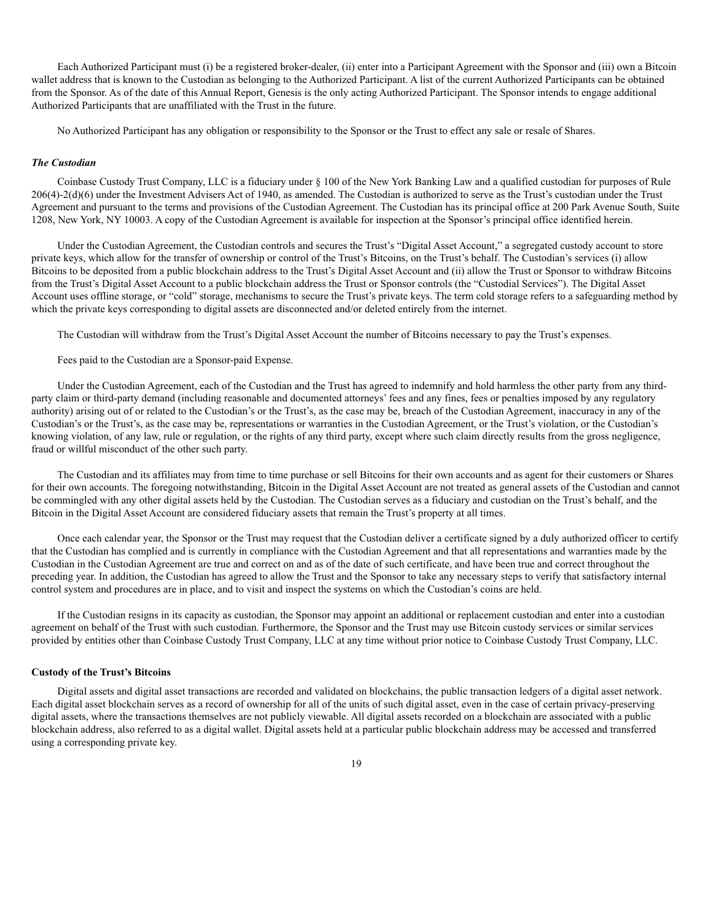Each Authorized Participant must (i) be a registered broker-dealer, (ii) enter into a Participant Agreement with the Sponsor and (iii) own a Bitcoin wallet address that is known to the Custodian as belonging to the Authorized Participant. A list of the current Authorized Participants can be obtained from the Sponsor. As of the date of this Annual Report, Genesis is the only acting Authorized Participant. The Sponsor intends to engage additional Authorized Participants that are unaffiliated with the Trust in the future.

No Authorized Participant has any obligation or responsibility to the Sponsor or the Trust to effect any sale or resale of Shares.

#### *The Custodian*

Coinbase Custody Trust Company, LLC is a fiduciary under § 100 of the New York Banking Law and a qualified custodian for purposes of Rule 206(4)-2(d)(6) under the Investment Advisers Act of 1940, as amended. The Custodian is authorized to serve as the Trust's custodian under the Trust Agreement and pursuant to the terms and provisions of the Custodian Agreement. The Custodian has its principal office at 200 Park Avenue South, Suite 1208, New York, NY 10003. A copy of the Custodian Agreement is available for inspection at the Sponsor's principal office identified herein.

Under the Custodian Agreement, the Custodian controls and secures the Trust's "Digital Asset Account," a segregated custody account to store private keys, which allow for the transfer of ownership or control of the Trust's Bitcoins, on the Trust's behalf. The Custodian's services (i) allow Bitcoins to be deposited from a public blockchain address to the Trust's Digital Asset Account and (ii) allow the Trust or Sponsor to withdraw Bitcoins from the Trust's Digital Asset Account to a public blockchain address the Trust or Sponsor controls (the "Custodial Services"). The Digital Asset Account uses offline storage, or "cold" storage, mechanisms to secure the Trust's private keys. The term cold storage refers to a safeguarding method by which the private keys corresponding to digital assets are disconnected and/or deleted entirely from the internet.

The Custodian will withdraw from the Trust's Digital Asset Account the number of Bitcoins necessary to pay the Trust's expenses.

Fees paid to the Custodian are a Sponsor-paid Expense.

Under the Custodian Agreement, each of the Custodian and the Trust has agreed to indemnify and hold harmless the other party from any thirdparty claim or third-party demand (including reasonable and documented attorneys' fees and any fines, fees or penalties imposed by any regulatory authority) arising out of or related to the Custodian's or the Trust's, as the case may be, breach of the Custodian Agreement, inaccuracy in any of the Custodian's or the Trust's, as the case may be, representations or warranties in the Custodian Agreement, or the Trust's violation, or the Custodian's knowing violation, of any law, rule or regulation, or the rights of any third party, except where such claim directly results from the gross negligence, fraud or willful misconduct of the other such party.

The Custodian and its affiliates may from time to time purchase or sell Bitcoins for their own accounts and as agent for their customers or Shares for their own accounts. The foregoing notwithstanding, Bitcoin in the Digital Asset Account are not treated as general assets of the Custodian and cannot be commingled with any other digital assets held by the Custodian. The Custodian serves as a fiduciary and custodian on the Trust's behalf, and the Bitcoin in the Digital Asset Account are considered fiduciary assets that remain the Trust's property at all times.

Once each calendar year, the Sponsor or the Trust may request that the Custodian deliver a certificate signed by a duly authorized officer to certify that the Custodian has complied and is currently in compliance with the Custodian Agreement and that all representations and warranties made by the Custodian in the Custodian Agreement are true and correct on and as of the date of such certificate, and have been true and correct throughout the preceding year. In addition, the Custodian has agreed to allow the Trust and the Sponsor to take any necessary steps to verify that satisfactory internal control system and procedures are in place, and to visit and inspect the systems on which the Custodian's coins are held.

If the Custodian resigns in its capacity as custodian, the Sponsor may appoint an additional or replacement custodian and enter into a custodian agreement on behalf of the Trust with such custodian. Furthermore, the Sponsor and the Trust may use Bitcoin custody services or similar services provided by entities other than Coinbase Custody Trust Company, LLC at any time without prior notice to Coinbase Custody Trust Company, LLC.

# **Custody of the Trust's Bitcoins**

Digital assets and digital asset transactions are recorded and validated on blockchains, the public transaction ledgers of a digital asset network. Each digital asset blockchain serves as a record of ownership for all of the units of such digital asset, even in the case of certain privacy-preserving digital assets, where the transactions themselves are not publicly viewable. All digital assets recorded on a blockchain are associated with a public blockchain address, also referred to as a digital wallet. Digital assets held at a particular public blockchain address may be accessed and transferred using a corresponding private key.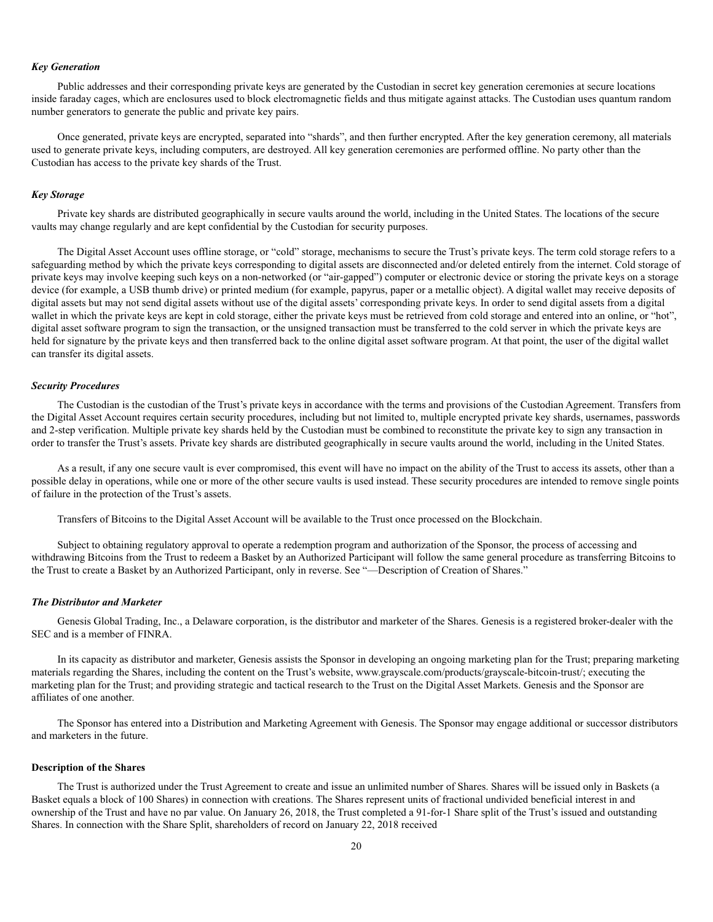#### *Key Generation*

Public addresses and their corresponding private keys are generated by the Custodian in secret key generation ceremonies at secure locations inside faraday cages, which are enclosures used to block electromagnetic fields and thus mitigate against attacks. The Custodian uses quantum random number generators to generate the public and private key pairs.

Once generated, private keys are encrypted, separated into "shards", and then further encrypted. After the key generation ceremony, all materials used to generate private keys, including computers, are destroyed. All key generation ceremonies are performed offline. No party other than the Custodian has access to the private key shards of the Trust.

#### *Key Storage*

Private key shards are distributed geographically in secure vaults around the world, including in the United States. The locations of the secure vaults may change regularly and are kept confidential by the Custodian for security purposes.

The Digital Asset Account uses offline storage, or "cold" storage, mechanisms to secure the Trust's private keys. The term cold storage refers to a safeguarding method by which the private keys corresponding to digital assets are disconnected and/or deleted entirely from the internet. Cold storage of private keys may involve keeping such keys on a non-networked (or "air-gapped") computer or electronic device or storing the private keys on a storage device (for example, a USB thumb drive) or printed medium (for example, papyrus, paper or a metallic object). A digital wallet may receive deposits of digital assets but may not send digital assets without use of the digital assets' corresponding private keys. In order to send digital assets from a digital wallet in which the private keys are kept in cold storage, either the private keys must be retrieved from cold storage and entered into an online, or "hot", digital asset software program to sign the transaction, or the unsigned transaction must be transferred to the cold server in which the private keys are held for signature by the private keys and then transferred back to the online digital asset software program. At that point, the user of the digital wallet can transfer its digital assets.

# *Security Procedures*

The Custodian is the custodian of the Trust's private keys in accordance with the terms and provisions of the Custodian Agreement. Transfers from the Digital Asset Account requires certain security procedures, including but not limited to, multiple encrypted private key shards, usernames, passwords and 2-step verification. Multiple private key shards held by the Custodian must be combined to reconstitute the private key to sign any transaction in order to transfer the Trust's assets. Private key shards are distributed geographically in secure vaults around the world, including in the United States.

As a result, if any one secure vault is ever compromised, this event will have no impact on the ability of the Trust to access its assets, other than a possible delay in operations, while one or more of the other secure vaults is used instead. These security procedures are intended to remove single points of failure in the protection of the Trust's assets.

Transfers of Bitcoins to the Digital Asset Account will be available to the Trust once processed on the Blockchain.

Subject to obtaining regulatory approval to operate a redemption program and authorization of the Sponsor, the process of accessing and withdrawing Bitcoins from the Trust to redeem a Basket by an Authorized Participant will follow the same general procedure as transferring Bitcoins to the Trust to create a Basket by an Authorized Participant, only in reverse. See "—Description of Creation of Shares."

# *The Distributor and Marketer*

Genesis Global Trading, Inc., a Delaware corporation, is the distributor and marketer of the Shares. Genesis is a registered broker-dealer with the SEC and is a member of FINRA.

In its capacity as distributor and marketer, Genesis assists the Sponsor in developing an ongoing marketing plan for the Trust; preparing marketing materials regarding the Shares, including the content on the Trust's website, www.grayscale.com/products/grayscale-bitcoin-trust/; executing the marketing plan for the Trust; and providing strategic and tactical research to the Trust on the Digital Asset Markets. Genesis and the Sponsor are affiliates of one another.

The Sponsor has entered into a Distribution and Marketing Agreement with Genesis. The Sponsor may engage additional or successor distributors and marketers in the future.

# **Description of the Shares**

The Trust is authorized under the Trust Agreement to create and issue an unlimited number of Shares. Shares will be issued only in Baskets (a Basket equals a block of 100 Shares) in connection with creations. The Shares represent units of fractional undivided beneficial interest in and ownership of the Trust and have no par value. On January 26, 2018, the Trust completed a 91-for-1 Share split of the Trust's issued and outstanding Shares. In connection with the Share Split, shareholders of record on January 22, 2018 received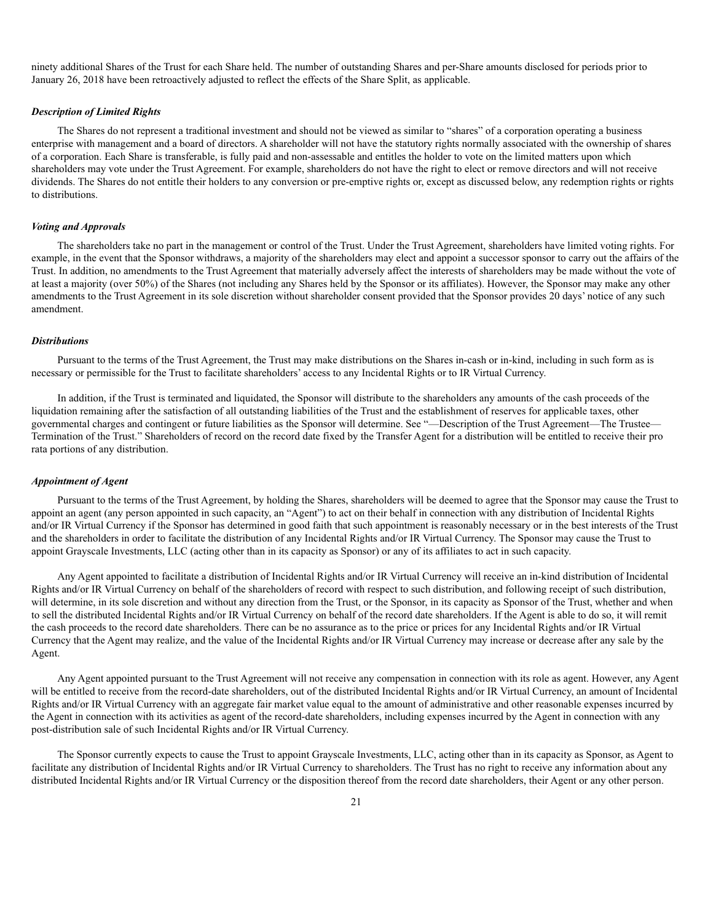ninety additional Shares of the Trust for each Share held. The number of outstanding Shares and per-Share amounts disclosed for periods prior to January 26, 2018 have been retroactively adjusted to reflect the effects of the Share Split, as applicable.

# *Description of Limited Rights*

The Shares do not represent a traditional investment and should not be viewed as similar to "shares" of a corporation operating a business enterprise with management and a board of directors. A shareholder will not have the statutory rights normally associated with the ownership of shares of a corporation. Each Share is transferable, is fully paid and non-assessable and entitles the holder to vote on the limited matters upon which shareholders may vote under the Trust Agreement. For example, shareholders do not have the right to elect or remove directors and will not receive dividends. The Shares do not entitle their holders to any conversion or pre-emptive rights or, except as discussed below, any redemption rights or rights to distributions.

#### *Voting and Approvals*

The shareholders take no part in the management or control of the Trust. Under the Trust Agreement, shareholders have limited voting rights. For example, in the event that the Sponsor withdraws, a majority of the shareholders may elect and appoint a successor sponsor to carry out the affairs of the Trust. In addition, no amendments to the Trust Agreement that materially adversely affect the interests of shareholders may be made without the vote of at least a majority (over 50%) of the Shares (not including any Shares held by the Sponsor or its affiliates). However, the Sponsor may make any other amendments to the Trust Agreement in its sole discretion without shareholder consent provided that the Sponsor provides 20 days' notice of any such amendment.

#### *Distributions*

Pursuant to the terms of the Trust Agreement, the Trust may make distributions on the Shares in-cash or in-kind, including in such form as is necessary or permissible for the Trust to facilitate shareholders' access to any Incidental Rights or to IR Virtual Currency.

In addition, if the Trust is terminated and liquidated, the Sponsor will distribute to the shareholders any amounts of the cash proceeds of the liquidation remaining after the satisfaction of all outstanding liabilities of the Trust and the establishment of reserves for applicable taxes, other governmental charges and contingent or future liabilities as the Sponsor will determine. See "—Description of the Trust Agreement—The Trustee— Termination of the Trust." Shareholders of record on the record date fixed by the Transfer Agent for a distribution will be entitled to receive their pro rata portions of any distribution.

# *Appointment of Agent*

Pursuant to the terms of the Trust Agreement, by holding the Shares, shareholders will be deemed to agree that the Sponsor may cause the Trust to appoint an agent (any person appointed in such capacity, an "Agent") to act on their behalf in connection with any distribution of Incidental Rights and/or IR Virtual Currency if the Sponsor has determined in good faith that such appointment is reasonably necessary or in the best interests of the Trust and the shareholders in order to facilitate the distribution of any Incidental Rights and/or IR Virtual Currency. The Sponsor may cause the Trust to appoint Grayscale Investments, LLC (acting other than in its capacity as Sponsor) or any of its affiliates to act in such capacity.

Any Agent appointed to facilitate a distribution of Incidental Rights and/or IR Virtual Currency will receive an in-kind distribution of Incidental Rights and/or IR Virtual Currency on behalf of the shareholders of record with respect to such distribution, and following receipt of such distribution, will determine, in its sole discretion and without any direction from the Trust, or the Sponsor, in its capacity as Sponsor of the Trust, whether and when to sell the distributed Incidental Rights and/or IR Virtual Currency on behalf of the record date shareholders. If the Agent is able to do so, it will remit the cash proceeds to the record date shareholders. There can be no assurance as to the price or prices for any Incidental Rights and/or IR Virtual Currency that the Agent may realize, and the value of the Incidental Rights and/or IR Virtual Currency may increase or decrease after any sale by the Agent.

Any Agent appointed pursuant to the Trust Agreement will not receive any compensation in connection with its role as agent. However, any Agent will be entitled to receive from the record-date shareholders, out of the distributed Incidental Rights and/or IR Virtual Currency, an amount of Incidental Rights and/or IR Virtual Currency with an aggregate fair market value equal to the amount of administrative and other reasonable expenses incurred by the Agent in connection with its activities as agent of the record-date shareholders, including expenses incurred by the Agent in connection with any post-distribution sale of such Incidental Rights and/or IR Virtual Currency.

The Sponsor currently expects to cause the Trust to appoint Grayscale Investments, LLC, acting other than in its capacity as Sponsor, as Agent to facilitate any distribution of Incidental Rights and/or IR Virtual Currency to shareholders. The Trust has no right to receive any information about any distributed Incidental Rights and/or IR Virtual Currency or the disposition thereof from the record date shareholders, their Agent or any other person.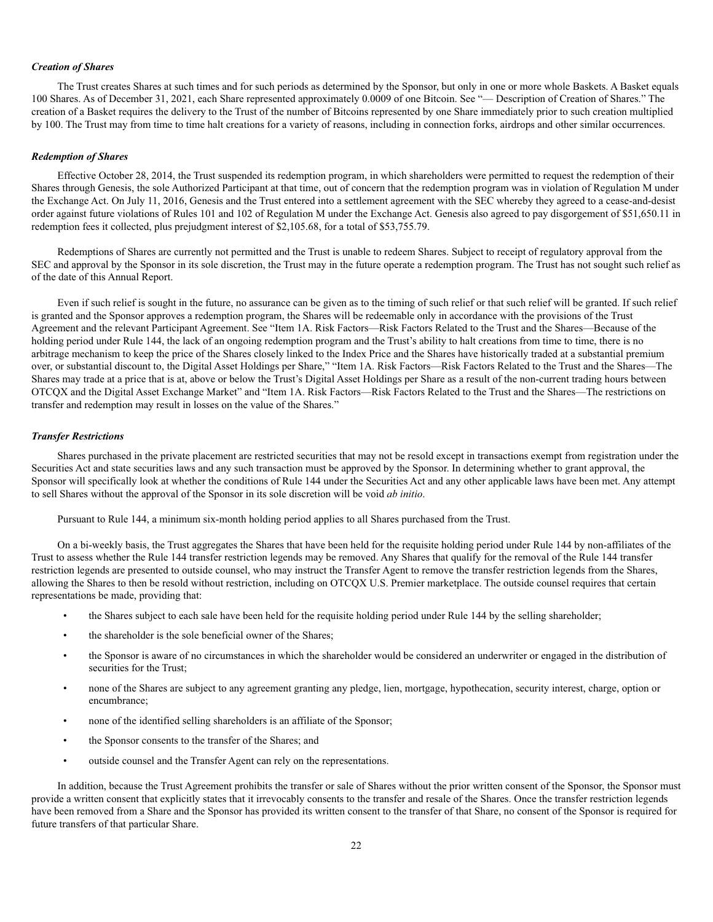#### *Creation of Shares*

The Trust creates Shares at such times and for such periods as determined by the Sponsor, but only in one or more whole Baskets. A Basket equals 100 Shares. As of December 31, 2021, each Share represented approximately 0.0009 of one Bitcoin. See "— Description of Creation of Shares." The creation of a Basket requires the delivery to the Trust of the number of Bitcoins represented by one Share immediately prior to such creation multiplied by 100. The Trust may from time to time halt creations for a variety of reasons, including in connection forks, airdrops and other similar occurrences.

# *Redemption of Shares*

Effective October 28, 2014, the Trust suspended its redemption program, in which shareholders were permitted to request the redemption of their Shares through Genesis, the sole Authorized Participant at that time, out of concern that the redemption program was in violation of Regulation M under the Exchange Act. On July 11, 2016, Genesis and the Trust entered into a settlement agreement with the SEC whereby they agreed to a cease-and-desist order against future violations of Rules 101 and 102 of Regulation M under the Exchange Act. Genesis also agreed to pay disgorgement of \$51,650.11 in redemption fees it collected, plus prejudgment interest of \$2,105.68, for a total of \$53,755.79.

Redemptions of Shares are currently not permitted and the Trust is unable to redeem Shares. Subject to receipt of regulatory approval from the SEC and approval by the Sponsor in its sole discretion, the Trust may in the future operate a redemption program. The Trust has not sought such relief as of the date of this Annual Report.

Even if such relief is sought in the future, no assurance can be given as to the timing of such relief or that such relief will be granted. If such relief is granted and the Sponsor approves a redemption program, the Shares will be redeemable only in accordance with the provisions of the Trust Agreement and the relevant Participant Agreement. See "Item 1A. Risk Factors—Risk Factors Related to the Trust and the Shares—Because of the holding period under Rule 144, the lack of an ongoing redemption program and the Trust's ability to halt creations from time to time, there is no arbitrage mechanism to keep the price of the Shares closely linked to the Index Price and the Shares have historically traded at a substantial premium over, or substantial discount to, the Digital Asset Holdings per Share," "Item 1A. Risk Factors—Risk Factors Related to the Trust and the Shares—The Shares may trade at a price that is at, above or below the Trust's Digital Asset Holdings per Share as a result of the non-current trading hours between OTCQX and the Digital Asset Exchange Market" and "Item 1A. Risk Factors—Risk Factors Related to the Trust and the Shares—The restrictions on transfer and redemption may result in losses on the value of the Shares."

# *Transfer Restrictions*

Shares purchased in the private placement are restricted securities that may not be resold except in transactions exempt from registration under the Securities Act and state securities laws and any such transaction must be approved by the Sponsor. In determining whether to grant approval, the Sponsor will specifically look at whether the conditions of Rule 144 under the Securities Act and any other applicable laws have been met. Any attempt to sell Shares without the approval of the Sponsor in its sole discretion will be void *ab initio*.

Pursuant to Rule 144, a minimum six-month holding period applies to all Shares purchased from the Trust.

On a bi-weekly basis, the Trust aggregates the Shares that have been held for the requisite holding period under Rule 144 by non-affiliates of the Trust to assess whether the Rule 144 transfer restriction legends may be removed. Any Shares that qualify for the removal of the Rule 144 transfer restriction legends are presented to outside counsel, who may instruct the Transfer Agent to remove the transfer restriction legends from the Shares, allowing the Shares to then be resold without restriction, including on OTCQX U.S. Premier marketplace. The outside counsel requires that certain representations be made, providing that:

- the Shares subject to each sale have been held for the requisite holding period under Rule 144 by the selling shareholder;
- the shareholder is the sole beneficial owner of the Shares;
- the Sponsor is aware of no circumstances in which the shareholder would be considered an underwriter or engaged in the distribution of securities for the Trust;
- none of the Shares are subject to any agreement granting any pledge, lien, mortgage, hypothecation, security interest, charge, option or encumbrance;
- none of the identified selling shareholders is an affiliate of the Sponsor;
- the Sponsor consents to the transfer of the Shares; and
- outside counsel and the Transfer Agent can rely on the representations.

In addition, because the Trust Agreement prohibits the transfer or sale of Shares without the prior written consent of the Sponsor, the Sponsor must provide a written consent that explicitly states that it irrevocably consents to the transfer and resale of the Shares. Once the transfer restriction legends have been removed from a Share and the Sponsor has provided its written consent to the transfer of that Share, no consent of the Sponsor is required for future transfers of that particular Share.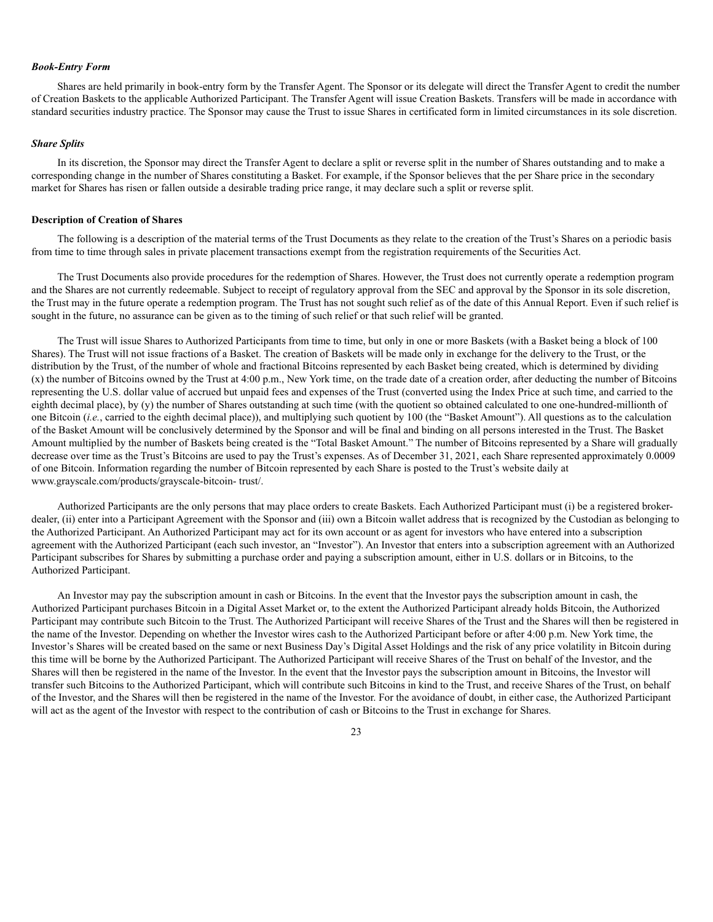#### *Book-Entry Form*

Shares are held primarily in book-entry form by the Transfer Agent. The Sponsor or its delegate will direct the Transfer Agent to credit the number of Creation Baskets to the applicable Authorized Participant. The Transfer Agent will issue Creation Baskets. Transfers will be made in accordance with standard securities industry practice. The Sponsor may cause the Trust to issue Shares in certificated form in limited circumstances in its sole discretion.

# *Share Splits*

In its discretion, the Sponsor may direct the Transfer Agent to declare a split or reverse split in the number of Shares outstanding and to make a corresponding change in the number of Shares constituting a Basket. For example, if the Sponsor believes that the per Share price in the secondary market for Shares has risen or fallen outside a desirable trading price range, it may declare such a split or reverse split.

# **Description of Creation of Shares**

The following is a description of the material terms of the Trust Documents as they relate to the creation of the Trust's Shares on a periodic basis from time to time through sales in private placement transactions exempt from the registration requirements of the Securities Act.

The Trust Documents also provide procedures for the redemption of Shares. However, the Trust does not currently operate a redemption program and the Shares are not currently redeemable. Subject to receipt of regulatory approval from the SEC and approval by the Sponsor in its sole discretion, the Trust may in the future operate a redemption program. The Trust has not sought such relief as of the date of this Annual Report. Even if such relief is sought in the future, no assurance can be given as to the timing of such relief or that such relief will be granted.

The Trust will issue Shares to Authorized Participants from time to time, but only in one or more Baskets (with a Basket being a block of 100 Shares). The Trust will not issue fractions of a Basket. The creation of Baskets will be made only in exchange for the delivery to the Trust, or the distribution by the Trust, of the number of whole and fractional Bitcoins represented by each Basket being created, which is determined by dividing (x) the number of Bitcoins owned by the Trust at 4:00 p.m., New York time, on the trade date of a creation order, after deducting the number of Bitcoins representing the U.S. dollar value of accrued but unpaid fees and expenses of the Trust (converted using the Index Price at such time, and carried to the eighth decimal place), by (y) the number of Shares outstanding at such time (with the quotient so obtained calculated to one one-hundred-millionth of one Bitcoin (*i.e.*, carried to the eighth decimal place)), and multiplying such quotient by 100 (the "Basket Amount"). All questions as to the calculation of the Basket Amount will be conclusively determined by the Sponsor and will be final and binding on all persons interested in the Trust. The Basket Amount multiplied by the number of Baskets being created is the "Total Basket Amount." The number of Bitcoins represented by a Share will gradually decrease over time as the Trust's Bitcoins are used to pay the Trust's expenses. As of December 31, 2021, each Share represented approximately 0.0009 of one Bitcoin. Information regarding the number of Bitcoin represented by each Share is posted to the Trust's website daily at www.grayscale.com/products/grayscale-bitcoin- trust/.

Authorized Participants are the only persons that may place orders to create Baskets. Each Authorized Participant must (i) be a registered brokerdealer, (ii) enter into a Participant Agreement with the Sponsor and (iii) own a Bitcoin wallet address that is recognized by the Custodian as belonging to the Authorized Participant. An Authorized Participant may act for its own account or as agent for investors who have entered into a subscription agreement with the Authorized Participant (each such investor, an "Investor"). An Investor that enters into a subscription agreement with an Authorized Participant subscribes for Shares by submitting a purchase order and paying a subscription amount, either in U.S. dollars or in Bitcoins, to the Authorized Participant.

An Investor may pay the subscription amount in cash or Bitcoins. In the event that the Investor pays the subscription amount in cash, the Authorized Participant purchases Bitcoin in a Digital Asset Market or, to the extent the Authorized Participant already holds Bitcoin, the Authorized Participant may contribute such Bitcoin to the Trust. The Authorized Participant will receive Shares of the Trust and the Shares will then be registered in the name of the Investor. Depending on whether the Investor wires cash to the Authorized Participant before or after 4:00 p.m. New York time, the Investor's Shares will be created based on the same or next Business Day's Digital Asset Holdings and the risk of any price volatility in Bitcoin during this time will be borne by the Authorized Participant. The Authorized Participant will receive Shares of the Trust on behalf of the Investor, and the Shares will then be registered in the name of the Investor. In the event that the Investor pays the subscription amount in Bitcoins, the Investor will transfer such Bitcoins to the Authorized Participant, which will contribute such Bitcoins in kind to the Trust, and receive Shares of the Trust, on behalf of the Investor, and the Shares will then be registered in the name of the Investor. For the avoidance of doubt, in either case, the Authorized Participant will act as the agent of the Investor with respect to the contribution of cash or Bitcoins to the Trust in exchange for Shares.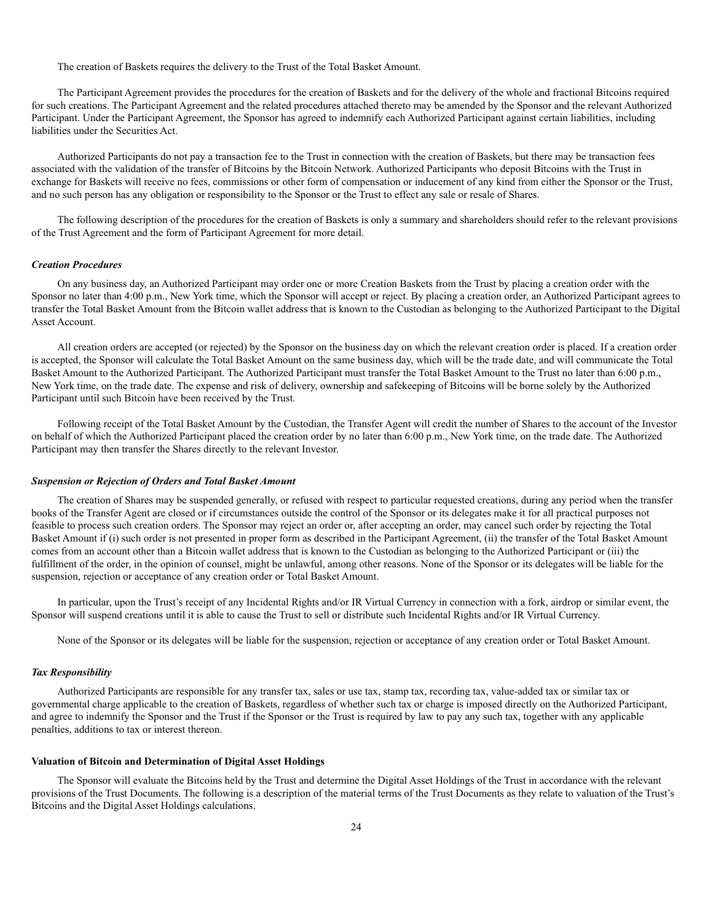The creation of Baskets requires the delivery to the Trust of the Total Basket Amount.

The Participant Agreement provides the procedures for the creation of Baskets and for the delivery of the whole and fractional Bitcoins required for such creations. The Participant Agreement and the related procedures attached thereto may be amended by the Sponsor and the relevant Authorized Participant. Under the Participant Agreement, the Sponsor has agreed to indemnify each Authorized Participant against certain liabilities, including liabilities under the Securities Act.

Authorized Participants do not pay a transaction fee to the Trust in connection with the creation of Baskets, but there may be transaction fees associated with the validation of the transfer of Bitcoins by the Bitcoin Network. Authorized Participants who deposit Bitcoins with the Trust in exchange for Baskets will receive no fees, commissions or other form of compensation or inducement of any kind from either the Sponsor or the Trust, and no such person has any obligation or responsibility to the Sponsor or the Trust to effect any sale or resale of Shares.

The following description of the procedures for the creation of Baskets is only a summary and shareholders should refer to the relevant provisions of the Trust Agreement and the form of Participant Agreement for more detail.

#### *Creation Procedures*

On any business day, an Authorized Participant may order one or more Creation Baskets from the Trust by placing a creation order with the Sponsor no later than 4:00 p.m., New York time, which the Sponsor will accept or reject. By placing a creation order, an Authorized Participant agrees to transfer the Total Basket Amount from the Bitcoin wallet address that is known to the Custodian as belonging to the Authorized Participant to the Digital Asset Account.

All creation orders are accepted (or rejected) by the Sponsor on the business day on which the relevant creation order is placed. If a creation order is accepted, the Sponsor will calculate the Total Basket Amount on the same business day, which will be the trade date, and will communicate the Total Basket Amount to the Authorized Participant. The Authorized Participant must transfer the Total Basket Amount to the Trust no later than 6:00 p.m., New York time, on the trade date. The expense and risk of delivery, ownership and safekeeping of Bitcoins will be borne solely by the Authorized Participant until such Bitcoin have been received by the Trust.

Following receipt of the Total Basket Amount by the Custodian, the Transfer Agent will credit the number of Shares to the account of the Investor on behalf of which the Authorized Participant placed the creation order by no later than 6:00 p.m., New York time, on the trade date. The Authorized Participant may then transfer the Shares directly to the relevant Investor.

# *Suspension or Rejection of Orders and Total Basket Amount*

The creation of Shares may be suspended generally, or refused with respect to particular requested creations, during any period when the transfer books of the Transfer Agent are closed or if circumstances outside the control of the Sponsor or its delegates make it for all practical purposes not feasible to process such creation orders. The Sponsor may reject an order or, after accepting an order, may cancel such order by rejecting the Total Basket Amount if (i) such order is not presented in proper form as described in the Participant Agreement, (ii) the transfer of the Total Basket Amount comes from an account other than a Bitcoin wallet address that is known to the Custodian as belonging to the Authorized Participant or (iii) the fulfillment of the order, in the opinion of counsel, might be unlawful, among other reasons. None of the Sponsor or its delegates will be liable for the suspension, rejection or acceptance of any creation order or Total Basket Amount.

In particular, upon the Trust's receipt of any Incidental Rights and/or IR Virtual Currency in connection with a fork, airdrop or similar event, the Sponsor will suspend creations until it is able to cause the Trust to sell or distribute such Incidental Rights and/or IR Virtual Currency.

None of the Sponsor or its delegates will be liable for the suspension, rejection or acceptance of any creation order or Total Basket Amount.

# *Tax Responsibility*

Authorized Participants are responsible for any transfer tax, sales or use tax, stamp tax, recording tax, value-added tax or similar tax or governmental charge applicable to the creation of Baskets, regardless of whether such tax or charge is imposed directly on the Authorized Participant, and agree to indemnify the Sponsor and the Trust if the Sponsor or the Trust is required by law to pay any such tax, together with any applicable penalties, additions to tax or interest thereon.

# **Valuation of Bitcoin and Determination of Digital Asset Holdings**

The Sponsor will evaluate the Bitcoins held by the Trust and determine the Digital Asset Holdings of the Trust in accordance with the relevant provisions of the Trust Documents. The following is a description of the material terms of the Trust Documents as they relate to valuation of the Trust's Bitcoins and the Digital Asset Holdings calculations.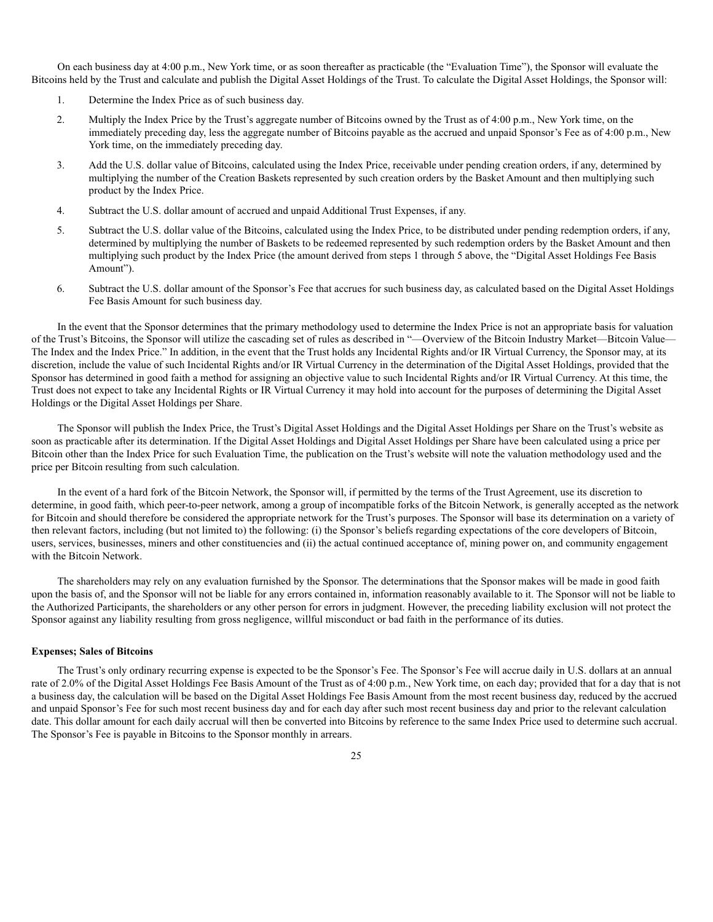On each business day at 4:00 p.m., New York time, or as soon thereafter as practicable (the "Evaluation Time"), the Sponsor will evaluate the Bitcoins held by the Trust and calculate and publish the Digital Asset Holdings of the Trust. To calculate the Digital Asset Holdings, the Sponsor will:

- 1. Determine the Index Price as of such business day.
- 2. Multiply the Index Price by the Trust's aggregate number of Bitcoins owned by the Trust as of 4:00 p.m., New York time, on the immediately preceding day, less the aggregate number of Bitcoins payable as the accrued and unpaid Sponsor's Fee as of 4:00 p.m., New York time, on the immediately preceding day.
- 3. Add the U.S. dollar value of Bitcoins, calculated using the Index Price, receivable under pending creation orders, if any, determined by multiplying the number of the Creation Baskets represented by such creation orders by the Basket Amount and then multiplying such product by the Index Price.
- 4. Subtract the U.S. dollar amount of accrued and unpaid Additional Trust Expenses, if any.
- 5. Subtract the U.S. dollar value of the Bitcoins, calculated using the Index Price, to be distributed under pending redemption orders, if any, determined by multiplying the number of Baskets to be redeemed represented by such redemption orders by the Basket Amount and then multiplying such product by the Index Price (the amount derived from steps 1 through 5 above, the "Digital Asset Holdings Fee Basis Amount").
- 6. Subtract the U.S. dollar amount of the Sponsor's Fee that accrues for such business day, as calculated based on the Digital Asset Holdings Fee Basis Amount for such business day.

In the event that the Sponsor determines that the primary methodology used to determine the Index Price is not an appropriate basis for valuation of the Trust's Bitcoins, the Sponsor will utilize the cascading set of rules as described in "—Overview of the Bitcoin Industry Market—Bitcoin Value— The Index and the Index Price." In addition, in the event that the Trust holds any Incidental Rights and/or IR Virtual Currency, the Sponsor may, at its discretion, include the value of such Incidental Rights and/or IR Virtual Currency in the determination of the Digital Asset Holdings, provided that the Sponsor has determined in good faith a method for assigning an objective value to such Incidental Rights and/or IR Virtual Currency. At this time, the Trust does not expect to take any Incidental Rights or IR Virtual Currency it may hold into account for the purposes of determining the Digital Asset Holdings or the Digital Asset Holdings per Share.

The Sponsor will publish the Index Price, the Trust's Digital Asset Holdings and the Digital Asset Holdings per Share on the Trust's website as soon as practicable after its determination. If the Digital Asset Holdings and Digital Asset Holdings per Share have been calculated using a price per Bitcoin other than the Index Price for such Evaluation Time, the publication on the Trust's website will note the valuation methodology used and the price per Bitcoin resulting from such calculation.

In the event of a hard fork of the Bitcoin Network, the Sponsor will, if permitted by the terms of the Trust Agreement, use its discretion to determine, in good faith, which peer-to-peer network, among a group of incompatible forks of the Bitcoin Network, is generally accepted as the network for Bitcoin and should therefore be considered the appropriate network for the Trust's purposes. The Sponsor will base its determination on a variety of then relevant factors, including (but not limited to) the following: (i) the Sponsor's beliefs regarding expectations of the core developers of Bitcoin, users, services, businesses, miners and other constituencies and (ii) the actual continued acceptance of, mining power on, and community engagement with the Bitcoin Network.

The shareholders may rely on any evaluation furnished by the Sponsor. The determinations that the Sponsor makes will be made in good faith upon the basis of, and the Sponsor will not be liable for any errors contained in, information reasonably available to it. The Sponsor will not be liable to the Authorized Participants, the shareholders or any other person for errors in judgment. However, the preceding liability exclusion will not protect the Sponsor against any liability resulting from gross negligence, willful misconduct or bad faith in the performance of its duties.

# **Expenses; Sales of Bitcoins**

The Trust's only ordinary recurring expense is expected to be the Sponsor's Fee. The Sponsor's Fee will accrue daily in U.S. dollars at an annual rate of 2.0% of the Digital Asset Holdings Fee Basis Amount of the Trust as of 4:00 p.m., New York time, on each day; provided that for a day that is not a business day, the calculation will be based on the Digital Asset Holdings Fee Basis Amount from the most recent business day, reduced by the accrued and unpaid Sponsor's Fee for such most recent business day and for each day after such most recent business day and prior to the relevant calculation date. This dollar amount for each daily accrual will then be converted into Bitcoins by reference to the same Index Price used to determine such accrual. The Sponsor's Fee is payable in Bitcoins to the Sponsor monthly in arrears.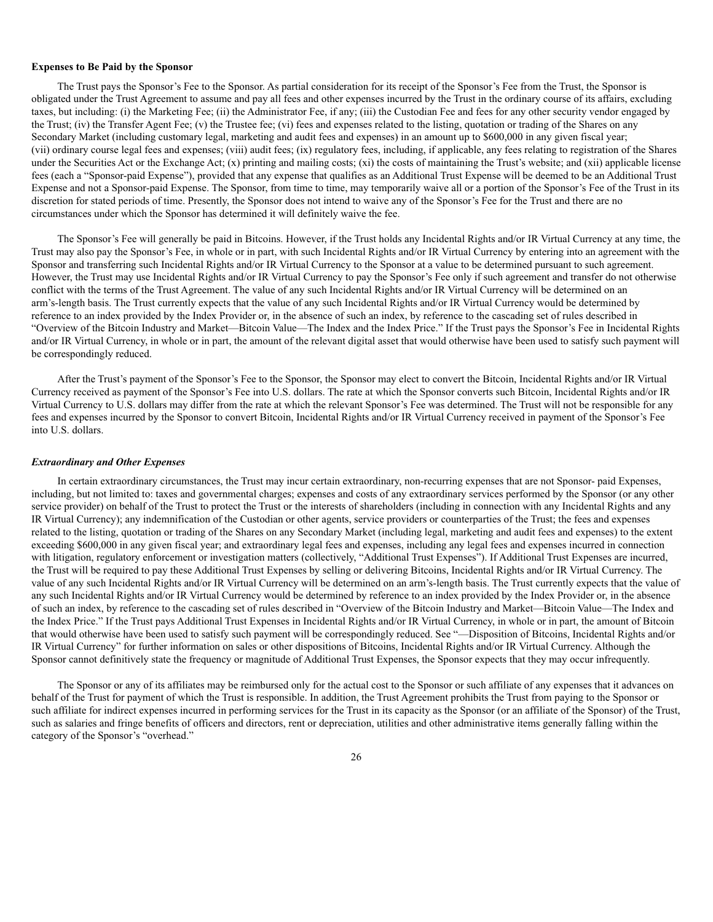#### **Expenses to Be Paid by the Sponsor**

The Trust pays the Sponsor's Fee to the Sponsor. As partial consideration for its receipt of the Sponsor's Fee from the Trust, the Sponsor is obligated under the Trust Agreement to assume and pay all fees and other expenses incurred by the Trust in the ordinary course of its affairs, excluding taxes, but including: (i) the Marketing Fee; (ii) the Administrator Fee, if any; (iii) the Custodian Fee and fees for any other security vendor engaged by the Trust; (iv) the Transfer Agent Fee; (v) the Trustee fee; (vi) fees and expenses related to the listing, quotation or trading of the Shares on any Secondary Market (including customary legal, marketing and audit fees and expenses) in an amount up to \$600,000 in any given fiscal year; (vii) ordinary course legal fees and expenses; (viii) audit fees; (ix) regulatory fees, including, if applicable, any fees relating to registration of the Shares under the Securities Act or the Exchange Act; (x) printing and mailing costs; (xi) the costs of maintaining the Trust's website; and (xii) applicable license fees (each a "Sponsor-paid Expense"), provided that any expense that qualifies as an Additional Trust Expense will be deemed to be an Additional Trust Expense and not a Sponsor-paid Expense. The Sponsor, from time to time, may temporarily waive all or a portion of the Sponsor's Fee of the Trust in its discretion for stated periods of time. Presently, the Sponsor does not intend to waive any of the Sponsor's Fee for the Trust and there are no circumstances under which the Sponsor has determined it will definitely waive the fee.

The Sponsor's Fee will generally be paid in Bitcoins. However, if the Trust holds any Incidental Rights and/or IR Virtual Currency at any time, the Trust may also pay the Sponsor's Fee, in whole or in part, with such Incidental Rights and/or IR Virtual Currency by entering into an agreement with the Sponsor and transferring such Incidental Rights and/or IR Virtual Currency to the Sponsor at a value to be determined pursuant to such agreement. However, the Trust may use Incidental Rights and/or IR Virtual Currency to pay the Sponsor's Fee only if such agreement and transfer do not otherwise conflict with the terms of the Trust Agreement. The value of any such Incidental Rights and/or IR Virtual Currency will be determined on an arm's-length basis. The Trust currently expects that the value of any such Incidental Rights and/or IR Virtual Currency would be determined by reference to an index provided by the Index Provider or, in the absence of such an index, by reference to the cascading set of rules described in "Overview of the Bitcoin Industry and Market—Bitcoin Value—The Index and the Index Price." If the Trust pays the Sponsor's Fee in Incidental Rights and/or IR Virtual Currency, in whole or in part, the amount of the relevant digital asset that would otherwise have been used to satisfy such payment will be correspondingly reduced.

After the Trust's payment of the Sponsor's Fee to the Sponsor, the Sponsor may elect to convert the Bitcoin, Incidental Rights and/or IR Virtual Currency received as payment of the Sponsor's Fee into U.S. dollars. The rate at which the Sponsor converts such Bitcoin, Incidental Rights and/or IR Virtual Currency to U.S. dollars may differ from the rate at which the relevant Sponsor's Fee was determined. The Trust will not be responsible for any fees and expenses incurred by the Sponsor to convert Bitcoin, Incidental Rights and/or IR Virtual Currency received in payment of the Sponsor's Fee into U.S. dollars.

# *Extraordinary and Other Expenses*

In certain extraordinary circumstances, the Trust may incur certain extraordinary, non-recurring expenses that are not Sponsor- paid Expenses, including, but not limited to: taxes and governmental charges; expenses and costs of any extraordinary services performed by the Sponsor (or any other service provider) on behalf of the Trust to protect the Trust or the interests of shareholders (including in connection with any Incidental Rights and any IR Virtual Currency); any indemnification of the Custodian or other agents, service providers or counterparties of the Trust; the fees and expenses related to the listing, quotation or trading of the Shares on any Secondary Market (including legal, marketing and audit fees and expenses) to the extent exceeding \$600,000 in any given fiscal year; and extraordinary legal fees and expenses, including any legal fees and expenses incurred in connection with litigation, regulatory enforcement or investigation matters (collectively, "Additional Trust Expenses"). If Additional Trust Expenses are incurred, the Trust will be required to pay these Additional Trust Expenses by selling or delivering Bitcoins, Incidental Rights and/or IR Virtual Currency. The value of any such Incidental Rights and/or IR Virtual Currency will be determined on an arm's-length basis. The Trust currently expects that the value of any such Incidental Rights and/or IR Virtual Currency would be determined by reference to an index provided by the Index Provider or, in the absence of such an index, by reference to the cascading set of rules described in "Overview of the Bitcoin Industry and Market—Bitcoin Value—The Index and the Index Price." If the Trust pays Additional Trust Expenses in Incidental Rights and/or IR Virtual Currency, in whole or in part, the amount of Bitcoin that would otherwise have been used to satisfy such payment will be correspondingly reduced. See "—Disposition of Bitcoins, Incidental Rights and/or IR Virtual Currency" for further information on sales or other dispositions of Bitcoins, Incidental Rights and/or IR Virtual Currency. Although the Sponsor cannot definitively state the frequency or magnitude of Additional Trust Expenses, the Sponsor expects that they may occur infrequently.

The Sponsor or any of its affiliates may be reimbursed only for the actual cost to the Sponsor or such affiliate of any expenses that it advances on behalf of the Trust for payment of which the Trust is responsible. In addition, the Trust Agreement prohibits the Trust from paying to the Sponsor or such affiliate for indirect expenses incurred in performing services for the Trust in its capacity as the Sponsor (or an affiliate of the Sponsor) of the Trust, such as salaries and fringe benefits of officers and directors, rent or depreciation, utilities and other administrative items generally falling within the category of the Sponsor's "overhead."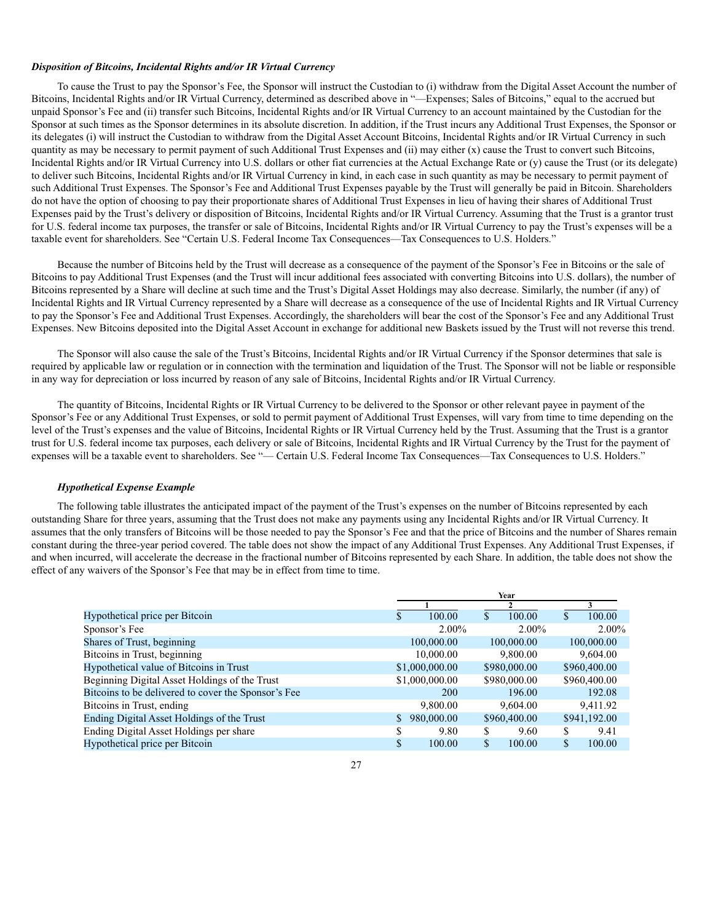#### *Disposition of Bitcoins, Incidental Rights and/or IR Virtual Currency*

To cause the Trust to pay the Sponsor's Fee, the Sponsor will instruct the Custodian to (i) withdraw from the Digital Asset Account the number of Bitcoins, Incidental Rights and/or IR Virtual Currency, determined as described above in "—Expenses; Sales of Bitcoins," equal to the accrued but unpaid Sponsor's Fee and (ii) transfer such Bitcoins, Incidental Rights and/or IR Virtual Currency to an account maintained by the Custodian for the Sponsor at such times as the Sponsor determines in its absolute discretion. In addition, if the Trust incurs any Additional Trust Expenses, the Sponsor or its delegates (i) will instruct the Custodian to withdraw from the Digital Asset Account Bitcoins, Incidental Rights and/or IR Virtual Currency in such quantity as may be necessary to permit payment of such Additional Trust Expenses and (ii) may either (x) cause the Trust to convert such Bitcoins, Incidental Rights and/or IR Virtual Currency into U.S. dollars or other fiat currencies at the Actual Exchange Rate or (y) cause the Trust (or its delegate) to deliver such Bitcoins, Incidental Rights and/or IR Virtual Currency in kind, in each case in such quantity as may be necessary to permit payment of such Additional Trust Expenses. The Sponsor's Fee and Additional Trust Expenses payable by the Trust will generally be paid in Bitcoin. Shareholders do not have the option of choosing to pay their proportionate shares of Additional Trust Expenses in lieu of having their shares of Additional Trust Expenses paid by the Trust's delivery or disposition of Bitcoins, Incidental Rights and/or IR Virtual Currency. Assuming that the Trust is a grantor trust for U.S. federal income tax purposes, the transfer or sale of Bitcoins, Incidental Rights and/or IR Virtual Currency to pay the Trust's expenses will be a taxable event for shareholders. See "Certain U.S. Federal Income Tax Consequences—Tax Consequences to U.S. Holders."

Because the number of Bitcoins held by the Trust will decrease as a consequence of the payment of the Sponsor's Fee in Bitcoins or the sale of Bitcoins to pay Additional Trust Expenses (and the Trust will incur additional fees associated with converting Bitcoins into U.S. dollars), the number of Bitcoins represented by a Share will decline at such time and the Trust's Digital Asset Holdings may also decrease. Similarly, the number (if any) of Incidental Rights and IR Virtual Currency represented by a Share will decrease as a consequence of the use of Incidental Rights and IR Virtual Currency to pay the Sponsor's Fee and Additional Trust Expenses. Accordingly, the shareholders will bear the cost of the Sponsor's Fee and any Additional Trust Expenses. New Bitcoins deposited into the Digital Asset Account in exchange for additional new Baskets issued by the Trust will not reverse this trend.

The Sponsor will also cause the sale of the Trust's Bitcoins, Incidental Rights and/or IR Virtual Currency if the Sponsor determines that sale is required by applicable law or regulation or in connection with the termination and liquidation of the Trust. The Sponsor will not be liable or responsible in any way for depreciation or loss incurred by reason of any sale of Bitcoins, Incidental Rights and/or IR Virtual Currency.

The quantity of Bitcoins, Incidental Rights or IR Virtual Currency to be delivered to the Sponsor or other relevant payee in payment of the Sponsor's Fee or any Additional Trust Expenses, or sold to permit payment of Additional Trust Expenses, will vary from time to time depending on the level of the Trust's expenses and the value of Bitcoins, Incidental Rights or IR Virtual Currency held by the Trust. Assuming that the Trust is a grantor trust for U.S. federal income tax purposes, each delivery or sale of Bitcoins, Incidental Rights and IR Virtual Currency by the Trust for the payment of expenses will be a taxable event to shareholders. See "— Certain U.S. Federal Income Tax Consequences—Tax Consequences to U.S. Holders."

# *Hypothetical Expense Example*

The following table illustrates the anticipated impact of the payment of the Trust's expenses on the number of Bitcoins represented by each outstanding Share for three years, assuming that the Trust does not make any payments using any Incidental Rights and/or IR Virtual Currency. It assumes that the only transfers of Bitcoins will be those needed to pay the Sponsor's Fee and that the price of Bitcoins and the number of Shares remain constant during the three-year period covered. The table does not show the impact of any Additional Trust Expenses. Any Additional Trust Expenses, if and when incurred, will accelerate the decrease in the fractional number of Bitcoins represented by each Share. In addition, the table does not show the effect of any waivers of the Sponsor's Fee that may be in effect from time to time.

|                                                     | Year |                |    |              |               |              |
|-----------------------------------------------------|------|----------------|----|--------------|---------------|--------------|
|                                                     |      |                |    |              |               |              |
| Hypothetical price per Bitcoin                      | S    | 100.00         | S  | 100.00       | \$            | 100.00       |
| Sponsor's Fee                                       |      | $2.00\%$       |    | $2.00\%$     |               | $2.00\%$     |
| Shares of Trust, beginning                          |      | 100,000.00     |    | 100,000.00   |               | 100,000.00   |
| Bitcoins in Trust, beginning                        |      | 10,000.00      |    | 9,800.00     |               | 9,604.00     |
| Hypothetical value of Bitcoins in Trust             |      | \$1,000,000.00 |    | \$980,000.00 |               | \$960,400.00 |
| Beginning Digital Asset Holdings of the Trust       |      | \$1,000,000.00 |    | \$980,000.00 |               | \$960,400.00 |
| Bitcoins to be delivered to cover the Sponsor's Fee |      | 200            |    | 196.00       |               | 192.08       |
| Bitcoins in Trust, ending                           |      | 9,800.00       |    | 9,604.00     |               | 9,411.92     |
| Ending Digital Asset Holdings of the Trust          | \$   | 980,000.00     |    | \$960,400.00 |               | \$941,192.00 |
| Ending Digital Asset Holdings per share             | \$   | 9.80           | \$ | 9.60         | \$            | 9.41         |
| Hypothetical price per Bitcoin                      | \$   | 100.00         | \$ | 100.00       | $\mathcal{S}$ | 100.00       |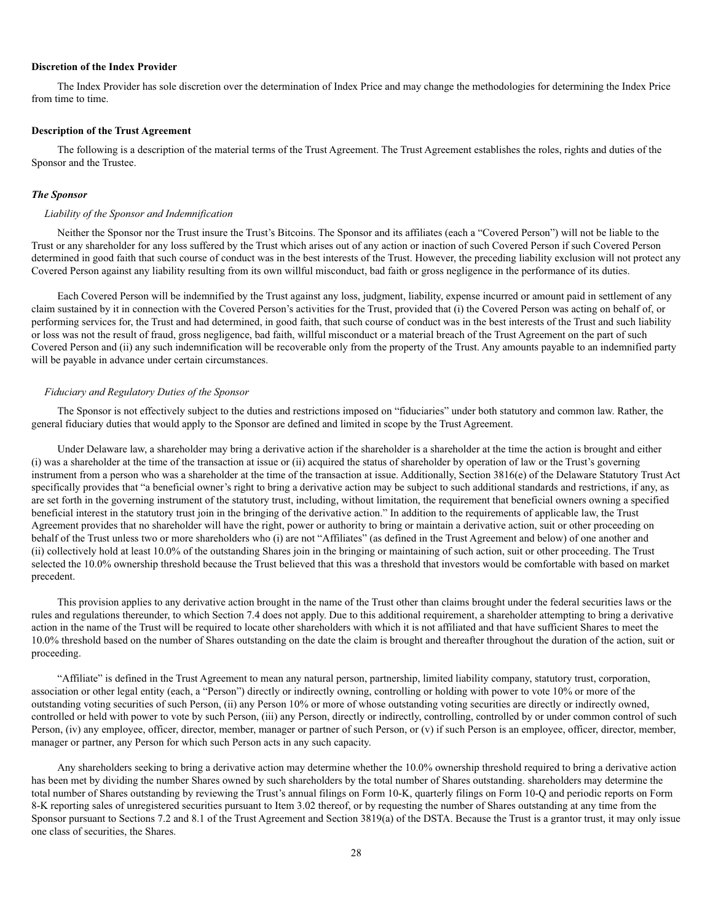#### **Discretion of the Index Provider**

The Index Provider has sole discretion over the determination of Index Price and may change the methodologies for determining the Index Price from time to time.

#### **Description of the Trust Agreement**

The following is a description of the material terms of the Trust Agreement. The Trust Agreement establishes the roles, rights and duties of the Sponsor and the Trustee.

#### *The Sponsor*

#### *Liability of the Sponsor and Indemnification*

Neither the Sponsor nor the Trust insure the Trust's Bitcoins. The Sponsor and its affiliates (each a "Covered Person") will not be liable to the Trust or any shareholder for any loss suffered by the Trust which arises out of any action or inaction of such Covered Person if such Covered Person determined in good faith that such course of conduct was in the best interests of the Trust. However, the preceding liability exclusion will not protect any Covered Person against any liability resulting from its own willful misconduct, bad faith or gross negligence in the performance of its duties.

Each Covered Person will be indemnified by the Trust against any loss, judgment, liability, expense incurred or amount paid in settlement of any claim sustained by it in connection with the Covered Person's activities for the Trust, provided that (i) the Covered Person was acting on behalf of, or performing services for, the Trust and had determined, in good faith, that such course of conduct was in the best interests of the Trust and such liability or loss was not the result of fraud, gross negligence, bad faith, willful misconduct or a material breach of the Trust Agreement on the part of such Covered Person and (ii) any such indemnification will be recoverable only from the property of the Trust. Any amounts payable to an indemnified party will be payable in advance under certain circumstances.

# *Fiduciary and Regulatory Duties of the Sponsor*

The Sponsor is not effectively subject to the duties and restrictions imposed on "fiduciaries" under both statutory and common law. Rather, the general fiduciary duties that would apply to the Sponsor are defined and limited in scope by the Trust Agreement.

Under Delaware law, a shareholder may bring a derivative action if the shareholder is a shareholder at the time the action is brought and either (i) was a shareholder at the time of the transaction at issue or (ii) acquired the status of shareholder by operation of law or the Trust's governing instrument from a person who was a shareholder at the time of the transaction at issue. Additionally, Section 3816(e) of the Delaware Statutory Trust Act specifically provides that "a beneficial owner's right to bring a derivative action may be subject to such additional standards and restrictions, if any, as are set forth in the governing instrument of the statutory trust, including, without limitation, the requirement that beneficial owners owning a specified beneficial interest in the statutory trust join in the bringing of the derivative action." In addition to the requirements of applicable law, the Trust Agreement provides that no shareholder will have the right, power or authority to bring or maintain a derivative action, suit or other proceeding on behalf of the Trust unless two or more shareholders who (i) are not "Affiliates" (as defined in the Trust Agreement and below) of one another and (ii) collectively hold at least 10.0% of the outstanding Shares join in the bringing or maintaining of such action, suit or other proceeding. The Trust selected the 10.0% ownership threshold because the Trust believed that this was a threshold that investors would be comfortable with based on market precedent.

This provision applies to any derivative action brought in the name of the Trust other than claims brought under the federal securities laws or the rules and regulations thereunder, to which Section 7.4 does not apply. Due to this additional requirement, a shareholder attempting to bring a derivative action in the name of the Trust will be required to locate other shareholders with which it is not affiliated and that have sufficient Shares to meet the 10.0% threshold based on the number of Shares outstanding on the date the claim is brought and thereafter throughout the duration of the action, suit or proceeding.

"Affiliate" is defined in the Trust Agreement to mean any natural person, partnership, limited liability company, statutory trust, corporation, association or other legal entity (each, a "Person") directly or indirectly owning, controlling or holding with power to vote 10% or more of the outstanding voting securities of such Person, (ii) any Person 10% or more of whose outstanding voting securities are directly or indirectly owned, controlled or held with power to vote by such Person, (iii) any Person, directly or indirectly, controlling, controlled by or under common control of such Person, (iv) any employee, officer, director, member, manager or partner of such Person, or (v) if such Person is an employee, officer, director, member, manager or partner, any Person for which such Person acts in any such capacity.

Any shareholders seeking to bring a derivative action may determine whether the 10.0% ownership threshold required to bring a derivative action has been met by dividing the number Shares owned by such shareholders by the total number of Shares outstanding. shareholders may determine the total number of Shares outstanding by reviewing the Trust's annual filings on Form 10-K, quarterly filings on Form 10-Q and periodic reports on Form 8-K reporting sales of unregistered securities pursuant to Item 3.02 thereof, or by requesting the number of Shares outstanding at any time from the Sponsor pursuant to Sections 7.2 and 8.1 of the Trust Agreement and Section 3819(a) of the DSTA. Because the Trust is a grantor trust, it may only issue one class of securities, the Shares.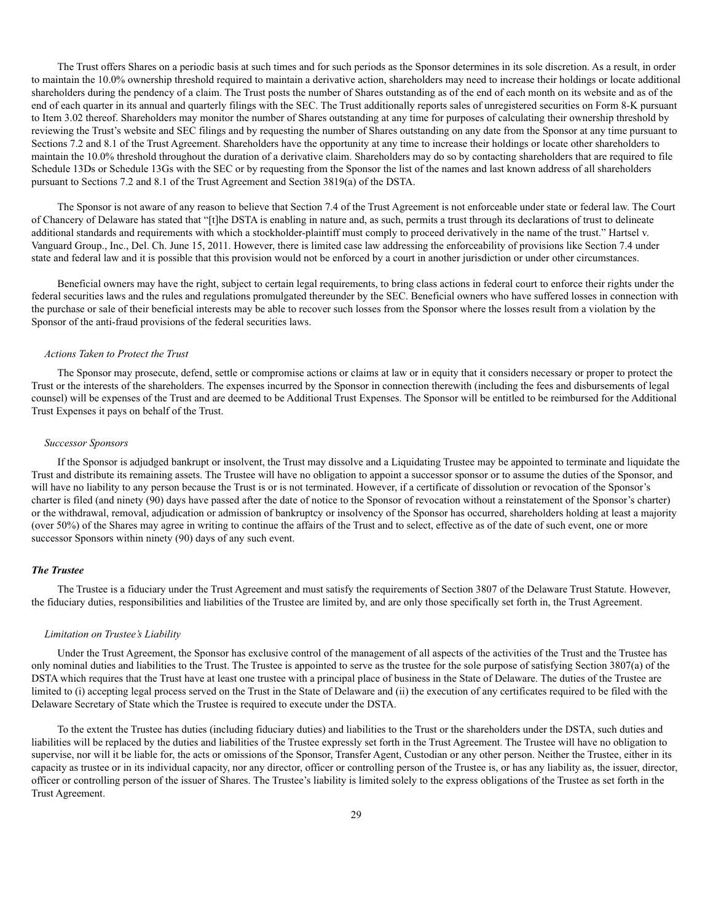The Trust offers Shares on a periodic basis at such times and for such periods as the Sponsor determines in its sole discretion. As a result, in order to maintain the 10.0% ownership threshold required to maintain a derivative action, shareholders may need to increase their holdings or locate additional shareholders during the pendency of a claim. The Trust posts the number of Shares outstanding as of the end of each month on its website and as of the end of each quarter in its annual and quarterly filings with the SEC. The Trust additionally reports sales of unregistered securities on Form 8-K pursuant to Item 3.02 thereof. Shareholders may monitor the number of Shares outstanding at any time for purposes of calculating their ownership threshold by reviewing the Trust's website and SEC filings and by requesting the number of Shares outstanding on any date from the Sponsor at any time pursuant to Sections 7.2 and 8.1 of the Trust Agreement. Shareholders have the opportunity at any time to increase their holdings or locate other shareholders to maintain the 10.0% threshold throughout the duration of a derivative claim. Shareholders may do so by contacting shareholders that are required to file Schedule 13Ds or Schedule 13Gs with the SEC or by requesting from the Sponsor the list of the names and last known address of all shareholders pursuant to Sections 7.2 and 8.1 of the Trust Agreement and Section 3819(a) of the DSTA.

The Sponsor is not aware of any reason to believe that Section 7.4 of the Trust Agreement is not enforceable under state or federal law. The Court of Chancery of Delaware has stated that "[t]he DSTA is enabling in nature and, as such, permits a trust through its declarations of trust to delineate additional standards and requirements with which a stockholder-plaintiff must comply to proceed derivatively in the name of the trust." Hartsel v. Vanguard Group., Inc., Del. Ch. June 15, 2011. However, there is limited case law addressing the enforceability of provisions like Section 7.4 under state and federal law and it is possible that this provision would not be enforced by a court in another jurisdiction or under other circumstances.

Beneficial owners may have the right, subject to certain legal requirements, to bring class actions in federal court to enforce their rights under the federal securities laws and the rules and regulations promulgated thereunder by the SEC. Beneficial owners who have suffered losses in connection with the purchase or sale of their beneficial interests may be able to recover such losses from the Sponsor where the losses result from a violation by the Sponsor of the anti-fraud provisions of the federal securities laws.

# *Actions Taken to Protect the Trust*

The Sponsor may prosecute, defend, settle or compromise actions or claims at law or in equity that it considers necessary or proper to protect the Trust or the interests of the shareholders. The expenses incurred by the Sponsor in connection therewith (including the fees and disbursements of legal counsel) will be expenses of the Trust and are deemed to be Additional Trust Expenses. The Sponsor will be entitled to be reimbursed for the Additional Trust Expenses it pays on behalf of the Trust.

# *Successor Sponsors*

If the Sponsor is adjudged bankrupt or insolvent, the Trust may dissolve and a Liquidating Trustee may be appointed to terminate and liquidate the Trust and distribute its remaining assets. The Trustee will have no obligation to appoint a successor sponsor or to assume the duties of the Sponsor, and will have no liability to any person because the Trust is or is not terminated. However, if a certificate of dissolution or revocation of the Sponsor's charter is filed (and ninety (90) days have passed after the date of notice to the Sponsor of revocation without a reinstatement of the Sponsor's charter) or the withdrawal, removal, adjudication or admission of bankruptcy or insolvency of the Sponsor has occurred, shareholders holding at least a majority (over 50%) of the Shares may agree in writing to continue the affairs of the Trust and to select, effective as of the date of such event, one or more successor Sponsors within ninety (90) days of any such event.

# *The Trustee*

The Trustee is a fiduciary under the Trust Agreement and must satisfy the requirements of Section 3807 of the Delaware Trust Statute. However, the fiduciary duties, responsibilities and liabilities of the Trustee are limited by, and are only those specifically set forth in, the Trust Agreement.

# *Limitation on Trustee's Liability*

Under the Trust Agreement, the Sponsor has exclusive control of the management of all aspects of the activities of the Trust and the Trustee has only nominal duties and liabilities to the Trust. The Trustee is appointed to serve as the trustee for the sole purpose of satisfying Section 3807(a) of the DSTA which requires that the Trust have at least one trustee with a principal place of business in the State of Delaware. The duties of the Trustee are limited to (i) accepting legal process served on the Trust in the State of Delaware and (ii) the execution of any certificates required to be filed with the Delaware Secretary of State which the Trustee is required to execute under the DSTA.

To the extent the Trustee has duties (including fiduciary duties) and liabilities to the Trust or the shareholders under the DSTA, such duties and liabilities will be replaced by the duties and liabilities of the Trustee expressly set forth in the Trust Agreement. The Trustee will have no obligation to supervise, nor will it be liable for, the acts or omissions of the Sponsor, Transfer Agent, Custodian or any other person. Neither the Trustee, either in its capacity as trustee or in its individual capacity, nor any director, officer or controlling person of the Trustee is, or has any liability as, the issuer, director, officer or controlling person of the issuer of Shares. The Trustee's liability is limited solely to the express obligations of the Trustee as set forth in the Trust Agreement.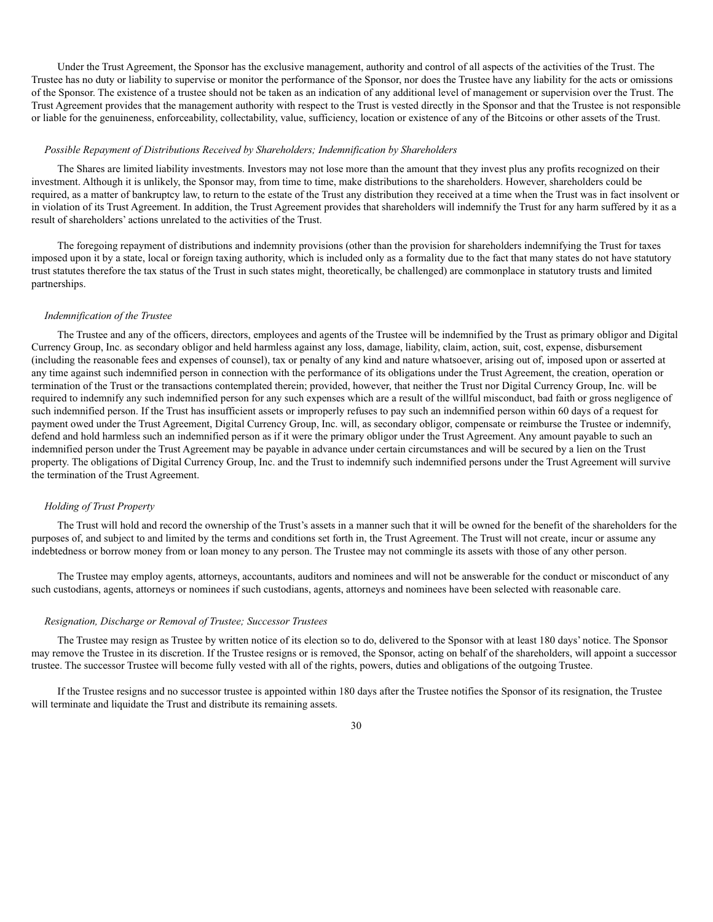Under the Trust Agreement, the Sponsor has the exclusive management, authority and control of all aspects of the activities of the Trust. The Trustee has no duty or liability to supervise or monitor the performance of the Sponsor, nor does the Trustee have any liability for the acts or omissions of the Sponsor. The existence of a trustee should not be taken as an indication of any additional level of management or supervision over the Trust. The Trust Agreement provides that the management authority with respect to the Trust is vested directly in the Sponsor and that the Trustee is not responsible or liable for the genuineness, enforceability, collectability, value, sufficiency, location or existence of any of the Bitcoins or other assets of the Trust.

# *Possible Repayment of Distributions Received by Shareholders; Indemnification by Shareholders*

The Shares are limited liability investments. Investors may not lose more than the amount that they invest plus any profits recognized on their investment. Although it is unlikely, the Sponsor may, from time to time, make distributions to the shareholders. However, shareholders could be required, as a matter of bankruptcy law, to return to the estate of the Trust any distribution they received at a time when the Trust was in fact insolvent or in violation of its Trust Agreement. In addition, the Trust Agreement provides that shareholders will indemnify the Trust for any harm suffered by it as a result of shareholders' actions unrelated to the activities of the Trust.

The foregoing repayment of distributions and indemnity provisions (other than the provision for shareholders indemnifying the Trust for taxes imposed upon it by a state, local or foreign taxing authority, which is included only as a formality due to the fact that many states do not have statutory trust statutes therefore the tax status of the Trust in such states might, theoretically, be challenged) are commonplace in statutory trusts and limited partnerships.

# *Indemnification of the Trustee*

The Trustee and any of the officers, directors, employees and agents of the Trustee will be indemnified by the Trust as primary obligor and Digital Currency Group, Inc. as secondary obligor and held harmless against any loss, damage, liability, claim, action, suit, cost, expense, disbursement (including the reasonable fees and expenses of counsel), tax or penalty of any kind and nature whatsoever, arising out of, imposed upon or asserted at any time against such indemnified person in connection with the performance of its obligations under the Trust Agreement, the creation, operation or termination of the Trust or the transactions contemplated therein; provided, however, that neither the Trust nor Digital Currency Group, Inc. will be required to indemnify any such indemnified person for any such expenses which are a result of the willful misconduct, bad faith or gross negligence of such indemnified person. If the Trust has insufficient assets or improperly refuses to pay such an indemnified person within 60 days of a request for payment owed under the Trust Agreement, Digital Currency Group, Inc. will, as secondary obligor, compensate or reimburse the Trustee or indemnify, defend and hold harmless such an indemnified person as if it were the primary obligor under the Trust Agreement. Any amount payable to such an indemnified person under the Trust Agreement may be payable in advance under certain circumstances and will be secured by a lien on the Trust property. The obligations of Digital Currency Group, Inc. and the Trust to indemnify such indemnified persons under the Trust Agreement will survive the termination of the Trust Agreement.

#### *Holding of Trust Property*

The Trust will hold and record the ownership of the Trust's assets in a manner such that it will be owned for the benefit of the shareholders for the purposes of, and subject to and limited by the terms and conditions set forth in, the Trust Agreement. The Trust will not create, incur or assume any indebtedness or borrow money from or loan money to any person. The Trustee may not commingle its assets with those of any other person.

The Trustee may employ agents, attorneys, accountants, auditors and nominees and will not be answerable for the conduct or misconduct of any such custodians, agents, attorneys or nominees if such custodians, agents, attorneys and nominees have been selected with reasonable care.

# *Resignation, Discharge or Removal of Trustee; Successor Trustees*

The Trustee may resign as Trustee by written notice of its election so to do, delivered to the Sponsor with at least 180 days' notice. The Sponsor may remove the Trustee in its discretion. If the Trustee resigns or is removed, the Sponsor, acting on behalf of the shareholders, will appoint a successor trustee. The successor Trustee will become fully vested with all of the rights, powers, duties and obligations of the outgoing Trustee.

If the Trustee resigns and no successor trustee is appointed within 180 days after the Trustee notifies the Sponsor of its resignation, the Trustee will terminate and liquidate the Trust and distribute its remaining assets.

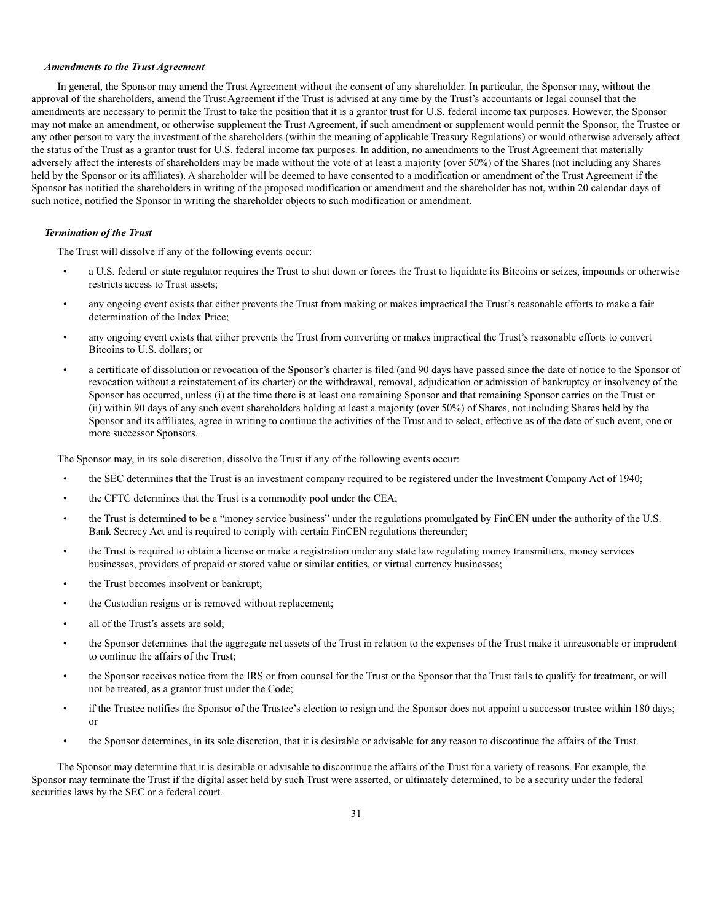#### *Amendments to the Trust Agreement*

In general, the Sponsor may amend the Trust Agreement without the consent of any shareholder. In particular, the Sponsor may, without the approval of the shareholders, amend the Trust Agreement if the Trust is advised at any time by the Trust's accountants or legal counsel that the amendments are necessary to permit the Trust to take the position that it is a grantor trust for U.S. federal income tax purposes. However, the Sponsor may not make an amendment, or otherwise supplement the Trust Agreement, if such amendment or supplement would permit the Sponsor, the Trustee or any other person to vary the investment of the shareholders (within the meaning of applicable Treasury Regulations) or would otherwise adversely affect the status of the Trust as a grantor trust for U.S. federal income tax purposes. In addition, no amendments to the Trust Agreement that materially adversely affect the interests of shareholders may be made without the vote of at least a majority (over 50%) of the Shares (not including any Shares held by the Sponsor or its affiliates). A shareholder will be deemed to have consented to a modification or amendment of the Trust Agreement if the Sponsor has notified the shareholders in writing of the proposed modification or amendment and the shareholder has not, within 20 calendar days of such notice, notified the Sponsor in writing the shareholder objects to such modification or amendment.

#### *Termination of the Trust*

The Trust will dissolve if any of the following events occur:

- a U.S. federal or state regulator requires the Trust to shut down or forces the Trust to liquidate its Bitcoins or seizes, impounds or otherwise restricts access to Trust assets;
- any ongoing event exists that either prevents the Trust from making or makes impractical the Trust's reasonable efforts to make a fair determination of the Index Price;
- any ongoing event exists that either prevents the Trust from converting or makes impractical the Trust's reasonable efforts to convert Bitcoins to U.S. dollars; or
- a certificate of dissolution or revocation of the Sponsor's charter is filed (and 90 days have passed since the date of notice to the Sponsor of revocation without a reinstatement of its charter) or the withdrawal, removal, adjudication or admission of bankruptcy or insolvency of the Sponsor has occurred, unless (i) at the time there is at least one remaining Sponsor and that remaining Sponsor carries on the Trust or (ii) within 90 days of any such event shareholders holding at least a majority (over 50%) of Shares, not including Shares held by the Sponsor and its affiliates, agree in writing to continue the activities of the Trust and to select, effective as of the date of such event, one or more successor Sponsors.

The Sponsor may, in its sole discretion, dissolve the Trust if any of the following events occur:

- the SEC determines that the Trust is an investment company required to be registered under the Investment Company Act of 1940;
- the CFTC determines that the Trust is a commodity pool under the CEA;
- the Trust is determined to be a "money service business" under the regulations promulgated by FinCEN under the authority of the U.S. Bank Secrecy Act and is required to comply with certain FinCEN regulations thereunder;
- the Trust is required to obtain a license or make a registration under any state law regulating money transmitters, money services businesses, providers of prepaid or stored value or similar entities, or virtual currency businesses;
- the Trust becomes insolvent or bankrupt;
- the Custodian resigns or is removed without replacement;
- all of the Trust's assets are sold;
- the Sponsor determines that the aggregate net assets of the Trust in relation to the expenses of the Trust make it unreasonable or imprudent to continue the affairs of the Trust;
- the Sponsor receives notice from the IRS or from counsel for the Trust or the Sponsor that the Trust fails to qualify for treatment, or will not be treated, as a grantor trust under the Code;
- if the Trustee notifies the Sponsor of the Trustee's election to resign and the Sponsor does not appoint a successor trustee within 180 days; or
- the Sponsor determines, in its sole discretion, that it is desirable or advisable for any reason to discontinue the affairs of the Trust.

The Sponsor may determine that it is desirable or advisable to discontinue the affairs of the Trust for a variety of reasons. For example, the Sponsor may terminate the Trust if the digital asset held by such Trust were asserted, or ultimately determined, to be a security under the federal securities laws by the SEC or a federal court.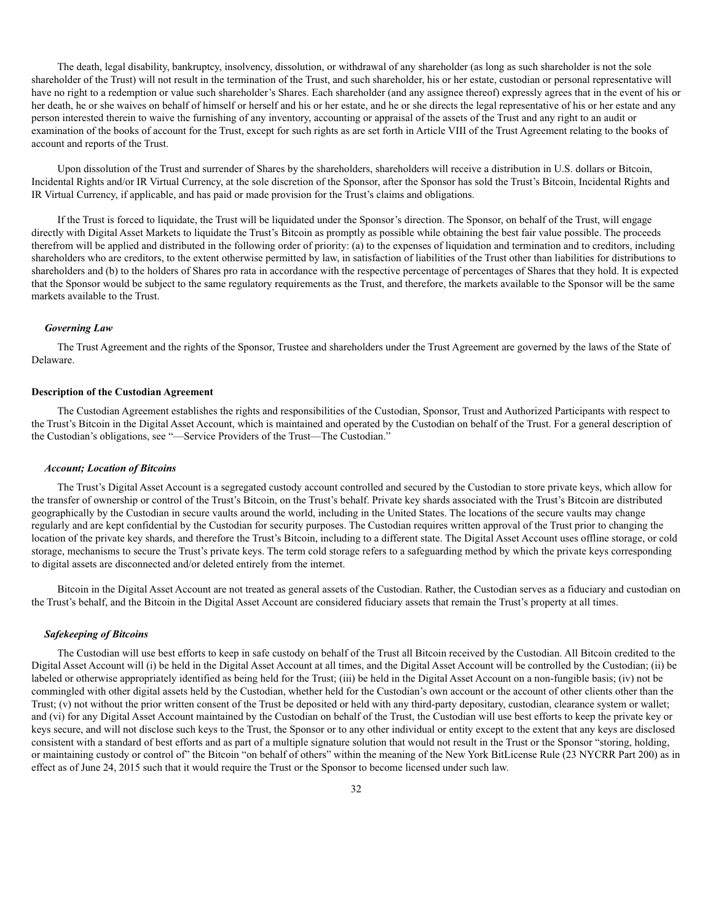The death, legal disability, bankruptcy, insolvency, dissolution, or withdrawal of any shareholder (as long as such shareholder is not the sole shareholder of the Trust) will not result in the termination of the Trust, and such shareholder, his or her estate, custodian or personal representative will have no right to a redemption or value such shareholder's Shares. Each shareholder (and any assignee thereof) expressly agrees that in the event of his or her death, he or she waives on behalf of himself or herself and his or her estate, and he or she directs the legal representative of his or her estate and any person interested therein to waive the furnishing of any inventory, accounting or appraisal of the assets of the Trust and any right to an audit or examination of the books of account for the Trust, except for such rights as are set forth in Article VIII of the Trust Agreement relating to the books of account and reports of the Trust.

Upon dissolution of the Trust and surrender of Shares by the shareholders, shareholders will receive a distribution in U.S. dollars or Bitcoin, Incidental Rights and/or IR Virtual Currency, at the sole discretion of the Sponsor, after the Sponsor has sold the Trust's Bitcoin, Incidental Rights and IR Virtual Currency, if applicable, and has paid or made provision for the Trust's claims and obligations.

If the Trust is forced to liquidate, the Trust will be liquidated under the Sponsor's direction. The Sponsor, on behalf of the Trust, will engage directly with Digital Asset Markets to liquidate the Trust's Bitcoin as promptly as possible while obtaining the best fair value possible. The proceeds therefrom will be applied and distributed in the following order of priority: (a) to the expenses of liquidation and termination and to creditors, including shareholders who are creditors, to the extent otherwise permitted by law, in satisfaction of liabilities of the Trust other than liabilities for distributions to shareholders and (b) to the holders of Shares pro rata in accordance with the respective percentage of percentages of Shares that they hold. It is expected that the Sponsor would be subject to the same regulatory requirements as the Trust, and therefore, the markets available to the Sponsor will be the same markets available to the Trust.

#### *Governing Law*

The Trust Agreement and the rights of the Sponsor, Trustee and shareholders under the Trust Agreement are governed by the laws of the State of Delaware.

### **Description of the Custodian Agreement**

The Custodian Agreement establishes the rights and responsibilities of the Custodian, Sponsor, Trust and Authorized Participants with respect to the Trust's Bitcoin in the Digital Asset Account, which is maintained and operated by the Custodian on behalf of the Trust. For a general description of the Custodian's obligations, see "—Service Providers of the Trust—The Custodian."

### *Account; Location of Bitcoins*

The Trust's Digital Asset Account is a segregated custody account controlled and secured by the Custodian to store private keys, which allow for the transfer of ownership or control of the Trust's Bitcoin, on the Trust's behalf. Private key shards associated with the Trust's Bitcoin are distributed geographically by the Custodian in secure vaults around the world, including in the United States. The locations of the secure vaults may change regularly and are kept confidential by the Custodian for security purposes. The Custodian requires written approval of the Trust prior to changing the location of the private key shards, and therefore the Trust's Bitcoin, including to a different state. The Digital Asset Account uses offline storage, or cold storage, mechanisms to secure the Trust's private keys. The term cold storage refers to a safeguarding method by which the private keys corresponding to digital assets are disconnected and/or deleted entirely from the internet.

Bitcoin in the Digital Asset Account are not treated as general assets of the Custodian. Rather, the Custodian serves as a fiduciary and custodian on the Trust's behalf, and the Bitcoin in the Digital Asset Account are considered fiduciary assets that remain the Trust's property at all times.

## *Safekeeping of Bitcoins*

The Custodian will use best efforts to keep in safe custody on behalf of the Trust all Bitcoin received by the Custodian. All Bitcoin credited to the Digital Asset Account will (i) be held in the Digital Asset Account at all times, and the Digital Asset Account will be controlled by the Custodian; (ii) be labeled or otherwise appropriately identified as being held for the Trust; (iii) be held in the Digital Asset Account on a non-fungible basis; (iv) not be commingled with other digital assets held by the Custodian, whether held for the Custodian's own account or the account of other clients other than the Trust; (v) not without the prior written consent of the Trust be deposited or held with any third-party depositary, custodian, clearance system or wallet; and (vi) for any Digital Asset Account maintained by the Custodian on behalf of the Trust, the Custodian will use best efforts to keep the private key or keys secure, and will not disclose such keys to the Trust, the Sponsor or to any other individual or entity except to the extent that any keys are disclosed consistent with a standard of best efforts and as part of a multiple signature solution that would not result in the Trust or the Sponsor "storing, holding, or maintaining custody or control of" the Bitcoin "on behalf of others" within the meaning of the New York BitLicense Rule (23 NYCRR Part 200) as in effect as of June 24, 2015 such that it would require the Trust or the Sponsor to become licensed under such law.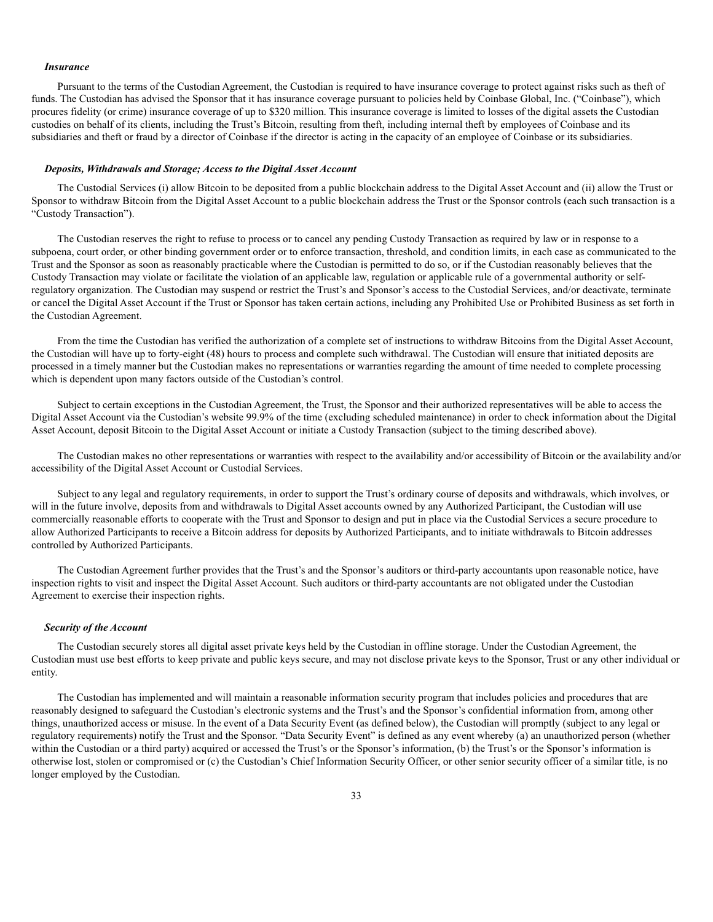#### *Insurance*

Pursuant to the terms of the Custodian Agreement, the Custodian is required to have insurance coverage to protect against risks such as theft of funds. The Custodian has advised the Sponsor that it has insurance coverage pursuant to policies held by Coinbase Global, Inc. ("Coinbase"), which procures fidelity (or crime) insurance coverage of up to \$320 million. This insurance coverage is limited to losses of the digital assets the Custodian custodies on behalf of its clients, including the Trust's Bitcoin, resulting from theft, including internal theft by employees of Coinbase and its subsidiaries and theft or fraud by a director of Coinbase if the director is acting in the capacity of an employee of Coinbase or its subsidiaries.

### *Deposits, Withdrawals and Storage; Access to the Digital Asset Account*

The Custodial Services (i) allow Bitcoin to be deposited from a public blockchain address to the Digital Asset Account and (ii) allow the Trust or Sponsor to withdraw Bitcoin from the Digital Asset Account to a public blockchain address the Trust or the Sponsor controls (each such transaction is a "Custody Transaction").

The Custodian reserves the right to refuse to process or to cancel any pending Custody Transaction as required by law or in response to a subpoena, court order, or other binding government order or to enforce transaction, threshold, and condition limits, in each case as communicated to the Trust and the Sponsor as soon as reasonably practicable where the Custodian is permitted to do so, or if the Custodian reasonably believes that the Custody Transaction may violate or facilitate the violation of an applicable law, regulation or applicable rule of a governmental authority or selfregulatory organization. The Custodian may suspend or restrict the Trust's and Sponsor's access to the Custodial Services, and/or deactivate, terminate or cancel the Digital Asset Account if the Trust or Sponsor has taken certain actions, including any Prohibited Use or Prohibited Business as set forth in the Custodian Agreement.

From the time the Custodian has verified the authorization of a complete set of instructions to withdraw Bitcoins from the Digital Asset Account, the Custodian will have up to forty-eight (48) hours to process and complete such withdrawal. The Custodian will ensure that initiated deposits are processed in a timely manner but the Custodian makes no representations or warranties regarding the amount of time needed to complete processing which is dependent upon many factors outside of the Custodian's control.

Subject to certain exceptions in the Custodian Agreement, the Trust, the Sponsor and their authorized representatives will be able to access the Digital Asset Account via the Custodian's website 99.9% of the time (excluding scheduled maintenance) in order to check information about the Digital Asset Account, deposit Bitcoin to the Digital Asset Account or initiate a Custody Transaction (subject to the timing described above).

The Custodian makes no other representations or warranties with respect to the availability and/or accessibility of Bitcoin or the availability and/or accessibility of the Digital Asset Account or Custodial Services.

Subject to any legal and regulatory requirements, in order to support the Trust's ordinary course of deposits and withdrawals, which involves, or will in the future involve, deposits from and withdrawals to Digital Asset accounts owned by any Authorized Participant, the Custodian will use commercially reasonable efforts to cooperate with the Trust and Sponsor to design and put in place via the Custodial Services a secure procedure to allow Authorized Participants to receive a Bitcoin address for deposits by Authorized Participants, and to initiate withdrawals to Bitcoin addresses controlled by Authorized Participants.

The Custodian Agreement further provides that the Trust's and the Sponsor's auditors or third-party accountants upon reasonable notice, have inspection rights to visit and inspect the Digital Asset Account. Such auditors or third-party accountants are not obligated under the Custodian Agreement to exercise their inspection rights.

## *Security of the Account*

The Custodian securely stores all digital asset private keys held by the Custodian in offline storage. Under the Custodian Agreement, the Custodian must use best efforts to keep private and public keys secure, and may not disclose private keys to the Sponsor, Trust or any other individual or entity.

The Custodian has implemented and will maintain a reasonable information security program that includes policies and procedures that are reasonably designed to safeguard the Custodian's electronic systems and the Trust's and the Sponsor's confidential information from, among other things, unauthorized access or misuse. In the event of a Data Security Event (as defined below), the Custodian will promptly (subject to any legal or regulatory requirements) notify the Trust and the Sponsor. "Data Security Event" is defined as any event whereby (a) an unauthorized person (whether within the Custodian or a third party) acquired or accessed the Trust's or the Sponsor's information, (b) the Trust's or the Sponsor's information is otherwise lost, stolen or compromised or (c) the Custodian's Chief Information Security Officer, or other senior security officer of a similar title, is no longer employed by the Custodian.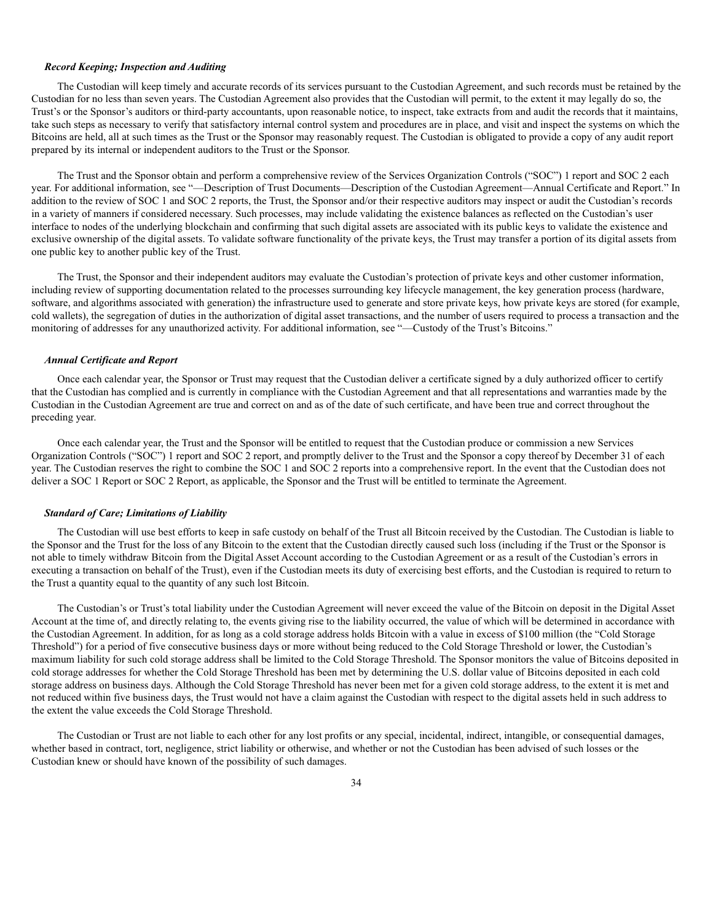#### *Record Keeping; Inspection and Auditing*

The Custodian will keep timely and accurate records of its services pursuant to the Custodian Agreement, and such records must be retained by the Custodian for no less than seven years. The Custodian Agreement also provides that the Custodian will permit, to the extent it may legally do so, the Trust's or the Sponsor's auditors or third-party accountants, upon reasonable notice, to inspect, take extracts from and audit the records that it maintains, take such steps as necessary to verify that satisfactory internal control system and procedures are in place, and visit and inspect the systems on which the Bitcoins are held, all at such times as the Trust or the Sponsor may reasonably request. The Custodian is obligated to provide a copy of any audit report prepared by its internal or independent auditors to the Trust or the Sponsor.

The Trust and the Sponsor obtain and perform a comprehensive review of the Services Organization Controls ("SOC") 1 report and SOC 2 each year. For additional information, see "—Description of Trust Documents—Description of the Custodian Agreement—Annual Certificate and Report." In addition to the review of SOC 1 and SOC 2 reports, the Trust, the Sponsor and/or their respective auditors may inspect or audit the Custodian's records in a variety of manners if considered necessary. Such processes, may include validating the existence balances as reflected on the Custodian's user interface to nodes of the underlying blockchain and confirming that such digital assets are associated with its public keys to validate the existence and exclusive ownership of the digital assets. To validate software functionality of the private keys, the Trust may transfer a portion of its digital assets from one public key to another public key of the Trust.

The Trust, the Sponsor and their independent auditors may evaluate the Custodian's protection of private keys and other customer information, including review of supporting documentation related to the processes surrounding key lifecycle management, the key generation process (hardware, software, and algorithms associated with generation) the infrastructure used to generate and store private keys, how private keys are stored (for example, cold wallets), the segregation of duties in the authorization of digital asset transactions, and the number of users required to process a transaction and the monitoring of addresses for any unauthorized activity. For additional information, see "—Custody of the Trust's Bitcoins."

### *Annual Certificate and Report*

Once each calendar year, the Sponsor or Trust may request that the Custodian deliver a certificate signed by a duly authorized officer to certify that the Custodian has complied and is currently in compliance with the Custodian Agreement and that all representations and warranties made by the Custodian in the Custodian Agreement are true and correct on and as of the date of such certificate, and have been true and correct throughout the preceding year.

Once each calendar year, the Trust and the Sponsor will be entitled to request that the Custodian produce or commission a new Services Organization Controls ("SOC") 1 report and SOC 2 report, and promptly deliver to the Trust and the Sponsor a copy thereof by December 31 of each year. The Custodian reserves the right to combine the SOC 1 and SOC 2 reports into a comprehensive report. In the event that the Custodian does not deliver a SOC 1 Report or SOC 2 Report, as applicable, the Sponsor and the Trust will be entitled to terminate the Agreement.

### *Standard of Care; Limitations of Liability*

The Custodian will use best efforts to keep in safe custody on behalf of the Trust all Bitcoin received by the Custodian. The Custodian is liable to the Sponsor and the Trust for the loss of any Bitcoin to the extent that the Custodian directly caused such loss (including if the Trust or the Sponsor is not able to timely withdraw Bitcoin from the Digital Asset Account according to the Custodian Agreement or as a result of the Custodian's errors in executing a transaction on behalf of the Trust), even if the Custodian meets its duty of exercising best efforts, and the Custodian is required to return to the Trust a quantity equal to the quantity of any such lost Bitcoin.

The Custodian's or Trust's total liability under the Custodian Agreement will never exceed the value of the Bitcoin on deposit in the Digital Asset Account at the time of, and directly relating to, the events giving rise to the liability occurred, the value of which will be determined in accordance with the Custodian Agreement. In addition, for as long as a cold storage address holds Bitcoin with a value in excess of \$100 million (the "Cold Storage Threshold") for a period of five consecutive business days or more without being reduced to the Cold Storage Threshold or lower, the Custodian's maximum liability for such cold storage address shall be limited to the Cold Storage Threshold. The Sponsor monitors the value of Bitcoins deposited in cold storage addresses for whether the Cold Storage Threshold has been met by determining the U.S. dollar value of Bitcoins deposited in each cold storage address on business days. Although the Cold Storage Threshold has never been met for a given cold storage address, to the extent it is met and not reduced within five business days, the Trust would not have a claim against the Custodian with respect to the digital assets held in such address to the extent the value exceeds the Cold Storage Threshold.

The Custodian or Trust are not liable to each other for any lost profits or any special, incidental, indirect, intangible, or consequential damages, whether based in contract, tort, negligence, strict liability or otherwise, and whether or not the Custodian has been advised of such losses or the Custodian knew or should have known of the possibility of such damages.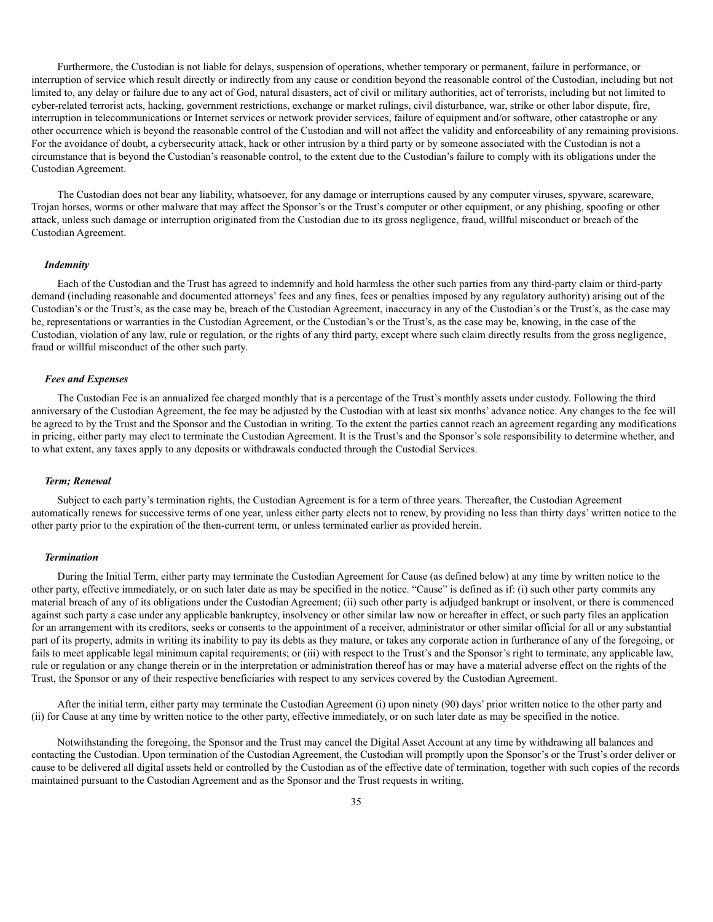Furthermore, the Custodian is not liable for delays, suspension of operations, whether temporary or permanent, failure in performance, or interruption of service which result directly or indirectly from any cause or condition beyond the reasonable control of the Custodian, including but not limited to, any delay or failure due to any act of God, natural disasters, act of civil or military authorities, act of terrorists, including but not limited to cyber-related terrorist acts, hacking, government restrictions, exchange or market rulings, civil disturbance, war, strike or other labor dispute, fire, interruption in telecommunications or Internet services or network provider services, failure of equipment and/or software, other catastrophe or any other occurrence which is beyond the reasonable control of the Custodian and will not affect the validity and enforceability of any remaining provisions. For the avoidance of doubt, a cybersecurity attack, hack or other intrusion by a third party or by someone associated with the Custodian is not a circumstance that is beyond the Custodian's reasonable control, to the extent due to the Custodian's failure to comply with its obligations under the Custodian Agreement.

The Custodian does not bear any liability, whatsoever, for any damage or interruptions caused by any computer viruses, spyware, scareware, Trojan horses, worms or other malware that may affect the Sponsor's or the Trust's computer or other equipment, or any phishing, spoofing or other attack, unless such damage or interruption originated from the Custodian due to its gross negligence, fraud, willful misconduct or breach of the Custodian Agreement.

### *Indemnity*

Each of the Custodian and the Trust has agreed to indemnify and hold harmless the other such parties from any third-party claim or third-party demand (including reasonable and documented attorneys' fees and any fines, fees or penalties imposed by any regulatory authority) arising out of the Custodian's or the Trust's, as the case may be, breach of the Custodian Agreement, inaccuracy in any of the Custodian's or the Trust's, as the case may be, representations or warranties in the Custodian Agreement, or the Custodian's or the Trust's, as the case may be, knowing, in the case of the Custodian, violation of any law, rule or regulation, or the rights of any third party, except where such claim directly results from the gross negligence, fraud or willful misconduct of the other such party.

### *Fees and Expenses*

The Custodian Fee is an annualized fee charged monthly that is a percentage of the Trust's monthly assets under custody. Following the third anniversary of the Custodian Agreement, the fee may be adjusted by the Custodian with at least six months' advance notice. Any changes to the fee will be agreed to by the Trust and the Sponsor and the Custodian in writing. To the extent the parties cannot reach an agreement regarding any modifications in pricing, either party may elect to terminate the Custodian Agreement. It is the Trust's and the Sponsor's sole responsibility to determine whether, and to what extent, any taxes apply to any deposits or withdrawals conducted through the Custodial Services.

### *Term; Renewal*

Subject to each party's termination rights, the Custodian Agreement is for a term of three years. Thereafter, the Custodian Agreement automatically renews for successive terms of one year, unless either party elects not to renew, by providing no less than thirty days' written notice to the other party prior to the expiration of the then-current term, or unless terminated earlier as provided herein.

#### *Termination*

During the Initial Term, either party may terminate the Custodian Agreement for Cause (as defined below) at any time by written notice to the other party, effective immediately, or on such later date as may be specified in the notice. "Cause" is defined as if: (i) such other party commits any material breach of any of its obligations under the Custodian Agreement; (ii) such other party is adjudged bankrupt or insolvent, or there is commenced against such party a case under any applicable bankruptcy, insolvency or other similar law now or hereafter in effect, or such party files an application for an arrangement with its creditors, seeks or consents to the appointment of a receiver, administrator or other similar official for all or any substantial part of its property, admits in writing its inability to pay its debts as they mature, or takes any corporate action in furtherance of any of the foregoing, or fails to meet applicable legal minimum capital requirements; or (iii) with respect to the Trust's and the Sponsor's right to terminate, any applicable law, rule or regulation or any change therein or in the interpretation or administration thereof has or may have a material adverse effect on the rights of the Trust, the Sponsor or any of their respective beneficiaries with respect to any services covered by the Custodian Agreement.

After the initial term, either party may terminate the Custodian Agreement (i) upon ninety (90) days' prior written notice to the other party and (ii) for Cause at any time by written notice to the other party, effective immediately, or on such later date as may be specified in the notice.

Notwithstanding the foregoing, the Sponsor and the Trust may cancel the Digital Asset Account at any time by withdrawing all balances and contacting the Custodian. Upon termination of the Custodian Agreement, the Custodian will promptly upon the Sponsor's or the Trust's order deliver or cause to be delivered all digital assets held or controlled by the Custodian as of the effective date of termination, together with such copies of the records maintained pursuant to the Custodian Agreement and as the Sponsor and the Trust requests in writing.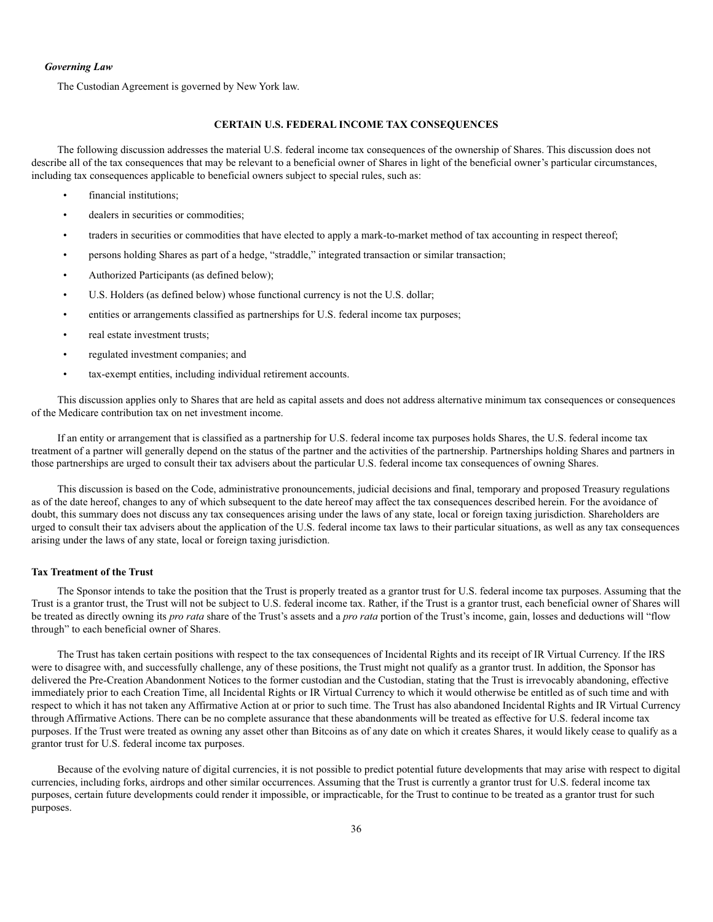### *Governing Law*

The Custodian Agreement is governed by New York law.

# **CERTAIN U.S. FEDERAL INCOME TAX CONSEQUENCES**

The following discussion addresses the material U.S. federal income tax consequences of the ownership of Shares. This discussion does not describe all of the tax consequences that may be relevant to a beneficial owner of Shares in light of the beneficial owner's particular circumstances, including tax consequences applicable to beneficial owners subject to special rules, such as:

- financial institutions;
- dealers in securities or commodities;
- traders in securities or commodities that have elected to apply a mark-to-market method of tax accounting in respect thereof;
- persons holding Shares as part of a hedge, "straddle," integrated transaction or similar transaction;
- Authorized Participants (as defined below);
- U.S. Holders (as defined below) whose functional currency is not the U.S. dollar;
- entities or arrangements classified as partnerships for U.S. federal income tax purposes;
- real estate investment trusts;
- regulated investment companies; and
- tax-exempt entities, including individual retirement accounts.

This discussion applies only to Shares that are held as capital assets and does not address alternative minimum tax consequences or consequences of the Medicare contribution tax on net investment income.

If an entity or arrangement that is classified as a partnership for U.S. federal income tax purposes holds Shares, the U.S. federal income tax treatment of a partner will generally depend on the status of the partner and the activities of the partnership. Partnerships holding Shares and partners in those partnerships are urged to consult their tax advisers about the particular U.S. federal income tax consequences of owning Shares.

This discussion is based on the Code, administrative pronouncements, judicial decisions and final, temporary and proposed Treasury regulations as of the date hereof, changes to any of which subsequent to the date hereof may affect the tax consequences described herein. For the avoidance of doubt, this summary does not discuss any tax consequences arising under the laws of any state, local or foreign taxing jurisdiction. Shareholders are urged to consult their tax advisers about the application of the U.S. federal income tax laws to their particular situations, as well as any tax consequences arising under the laws of any state, local or foreign taxing jurisdiction.

### **Tax Treatment of the Trust**

The Sponsor intends to take the position that the Trust is properly treated as a grantor trust for U.S. federal income tax purposes. Assuming that the Trust is a grantor trust, the Trust will not be subject to U.S. federal income tax. Rather, if the Trust is a grantor trust, each beneficial owner of Shares will be treated as directly owning its *pro rata* share of the Trust's assets and a *pro rata* portion of the Trust's income, gain, losses and deductions will "flow through" to each beneficial owner of Shares.

The Trust has taken certain positions with respect to the tax consequences of Incidental Rights and its receipt of IR Virtual Currency. If the IRS were to disagree with, and successfully challenge, any of these positions, the Trust might not qualify as a grantor trust. In addition, the Sponsor has delivered the Pre-Creation Abandonment Notices to the former custodian and the Custodian, stating that the Trust is irrevocably abandoning, effective immediately prior to each Creation Time, all Incidental Rights or IR Virtual Currency to which it would otherwise be entitled as of such time and with respect to which it has not taken any Affirmative Action at or prior to such time. The Trust has also abandoned Incidental Rights and IR Virtual Currency through Affirmative Actions. There can be no complete assurance that these abandonments will be treated as effective for U.S. federal income tax purposes. If the Trust were treated as owning any asset other than Bitcoins as of any date on which it creates Shares, it would likely cease to qualify as a grantor trust for U.S. federal income tax purposes.

Because of the evolving nature of digital currencies, it is not possible to predict potential future developments that may arise with respect to digital currencies, including forks, airdrops and other similar occurrences. Assuming that the Trust is currently a grantor trust for U.S. federal income tax purposes, certain future developments could render it impossible, or impracticable, for the Trust to continue to be treated as a grantor trust for such purposes.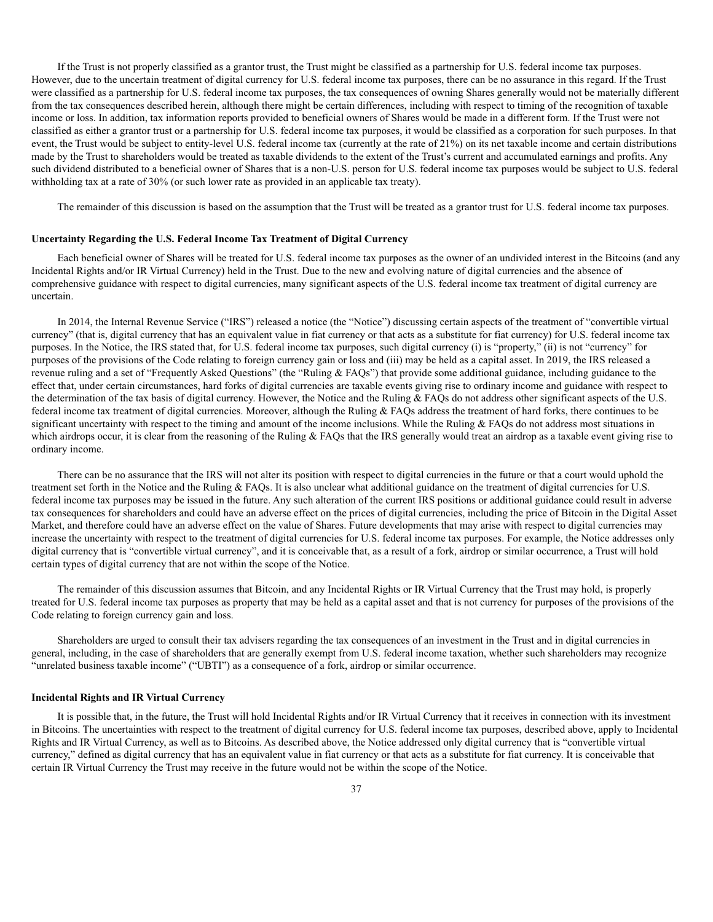If the Trust is not properly classified as a grantor trust, the Trust might be classified as a partnership for U.S. federal income tax purposes. However, due to the uncertain treatment of digital currency for U.S. federal income tax purposes, there can be no assurance in this regard. If the Trust were classified as a partnership for U.S. federal income tax purposes, the tax consequences of owning Shares generally would not be materially different from the tax consequences described herein, although there might be certain differences, including with respect to timing of the recognition of taxable income or loss. In addition, tax information reports provided to beneficial owners of Shares would be made in a different form. If the Trust were not classified as either a grantor trust or a partnership for U.S. federal income tax purposes, it would be classified as a corporation for such purposes. In that event, the Trust would be subject to entity-level U.S. federal income tax (currently at the rate of 21%) on its net taxable income and certain distributions made by the Trust to shareholders would be treated as taxable dividends to the extent of the Trust's current and accumulated earnings and profits. Any such dividend distributed to a beneficial owner of Shares that is a non-U.S. person for U.S. federal income tax purposes would be subject to U.S. federal withholding tax at a rate of 30% (or such lower rate as provided in an applicable tax treaty).

The remainder of this discussion is based on the assumption that the Trust will be treated as a grantor trust for U.S. federal income tax purposes.

### **Uncertainty Regarding the U.S. Federal Income Tax Treatment of Digital Currency**

Each beneficial owner of Shares will be treated for U.S. federal income tax purposes as the owner of an undivided interest in the Bitcoins (and any Incidental Rights and/or IR Virtual Currency) held in the Trust. Due to the new and evolving nature of digital currencies and the absence of comprehensive guidance with respect to digital currencies, many significant aspects of the U.S. federal income tax treatment of digital currency are uncertain.

In 2014, the Internal Revenue Service ("IRS") released a notice (the "Notice") discussing certain aspects of the treatment of "convertible virtual currency" (that is, digital currency that has an equivalent value in fiat currency or that acts as a substitute for fiat currency) for U.S. federal income tax purposes. In the Notice, the IRS stated that, for U.S. federal income tax purposes, such digital currency (i) is "property," (ii) is not "currency" for purposes of the provisions of the Code relating to foreign currency gain or loss and (iii) may be held as a capital asset. In 2019, the IRS released a revenue ruling and a set of "Frequently Asked Questions" (the "Ruling & FAQs") that provide some additional guidance, including guidance to the effect that, under certain circumstances, hard forks of digital currencies are taxable events giving rise to ordinary income and guidance with respect to the determination of the tax basis of digital currency. However, the Notice and the Ruling & FAQs do not address other significant aspects of the U.S. federal income tax treatment of digital currencies. Moreover, although the Ruling & FAQs address the treatment of hard forks, there continues to be significant uncertainty with respect to the timing and amount of the income inclusions. While the Ruling & FAQs do not address most situations in which airdrops occur, it is clear from the reasoning of the Ruling & FAQs that the IRS generally would treat an airdrop as a taxable event giving rise to ordinary income.

There can be no assurance that the IRS will not alter its position with respect to digital currencies in the future or that a court would uphold the treatment set forth in the Notice and the Ruling & FAQs. It is also unclear what additional guidance on the treatment of digital currencies for U.S. federal income tax purposes may be issued in the future. Any such alteration of the current IRS positions or additional guidance could result in adverse tax consequences for shareholders and could have an adverse effect on the prices of digital currencies, including the price of Bitcoin in the Digital Asset Market, and therefore could have an adverse effect on the value of Shares. Future developments that may arise with respect to digital currencies may increase the uncertainty with respect to the treatment of digital currencies for U.S. federal income tax purposes. For example, the Notice addresses only digital currency that is "convertible virtual currency", and it is conceivable that, as a result of a fork, airdrop or similar occurrence, a Trust will hold certain types of digital currency that are not within the scope of the Notice.

The remainder of this discussion assumes that Bitcoin, and any Incidental Rights or IR Virtual Currency that the Trust may hold, is properly treated for U.S. federal income tax purposes as property that may be held as a capital asset and that is not currency for purposes of the provisions of the Code relating to foreign currency gain and loss.

Shareholders are urged to consult their tax advisers regarding the tax consequences of an investment in the Trust and in digital currencies in general, including, in the case of shareholders that are generally exempt from U.S. federal income taxation, whether such shareholders may recognize "unrelated business taxable income" ("UBTI") as a consequence of a fork, airdrop or similar occurrence.

## **Incidental Rights and IR Virtual Currency**

It is possible that, in the future, the Trust will hold Incidental Rights and/or IR Virtual Currency that it receives in connection with its investment in Bitcoins. The uncertainties with respect to the treatment of digital currency for U.S. federal income tax purposes, described above, apply to Incidental Rights and IR Virtual Currency, as well as to Bitcoins. As described above, the Notice addressed only digital currency that is "convertible virtual currency," defined as digital currency that has an equivalent value in fiat currency or that acts as a substitute for fiat currency. It is conceivable that certain IR Virtual Currency the Trust may receive in the future would not be within the scope of the Notice.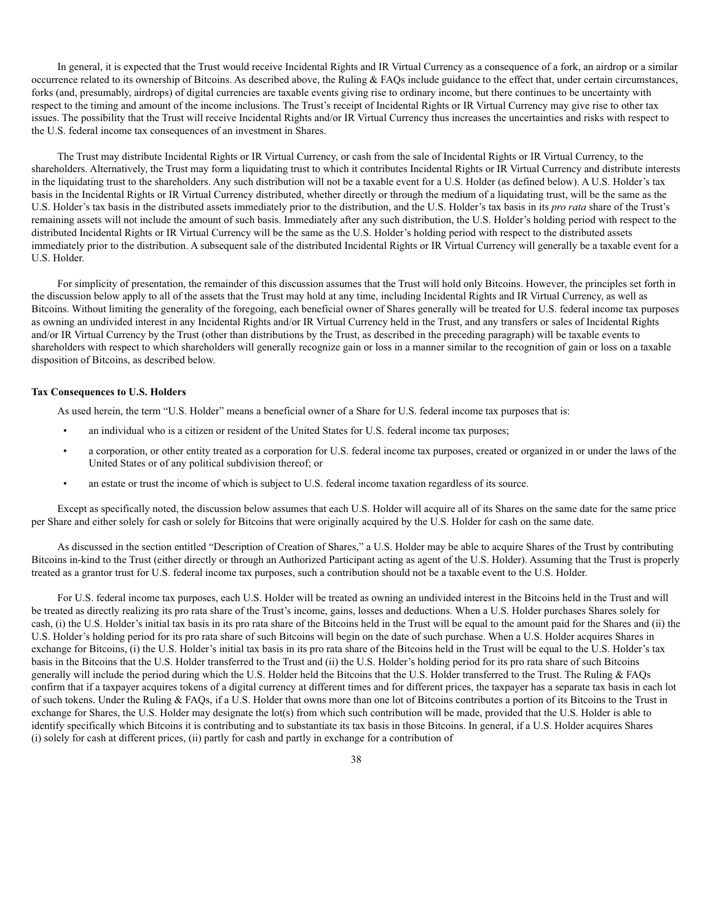In general, it is expected that the Trust would receive Incidental Rights and IR Virtual Currency as a consequence of a fork, an airdrop or a similar occurrence related to its ownership of Bitcoins. As described above, the Ruling & FAQs include guidance to the effect that, under certain circumstances, forks (and, presumably, airdrops) of digital currencies are taxable events giving rise to ordinary income, but there continues to be uncertainty with respect to the timing and amount of the income inclusions. The Trust's receipt of Incidental Rights or IR Virtual Currency may give rise to other tax issues. The possibility that the Trust will receive Incidental Rights and/or IR Virtual Currency thus increases the uncertainties and risks with respect to the U.S. federal income tax consequences of an investment in Shares.

The Trust may distribute Incidental Rights or IR Virtual Currency, or cash from the sale of Incidental Rights or IR Virtual Currency, to the shareholders. Alternatively, the Trust may form a liquidating trust to which it contributes Incidental Rights or IR Virtual Currency and distribute interests in the liquidating trust to the shareholders. Any such distribution will not be a taxable event for a U.S. Holder (as defined below). A U.S. Holder's tax basis in the Incidental Rights or IR Virtual Currency distributed, whether directly or through the medium of a liquidating trust, will be the same as the U.S. Holder's tax basis in the distributed assets immediately prior to the distribution, and the U.S. Holder's tax basis in its *pro rata* share of the Trust's remaining assets will not include the amount of such basis. Immediately after any such distribution, the U.S. Holder's holding period with respect to the distributed Incidental Rights or IR Virtual Currency will be the same as the U.S. Holder's holding period with respect to the distributed assets immediately prior to the distribution. A subsequent sale of the distributed Incidental Rights or IR Virtual Currency will generally be a taxable event for a U.S. Holder.

For simplicity of presentation, the remainder of this discussion assumes that the Trust will hold only Bitcoins. However, the principles set forth in the discussion below apply to all of the assets that the Trust may hold at any time, including Incidental Rights and IR Virtual Currency, as well as Bitcoins. Without limiting the generality of the foregoing, each beneficial owner of Shares generally will be treated for U.S. federal income tax purposes as owning an undivided interest in any Incidental Rights and/or IR Virtual Currency held in the Trust, and any transfers or sales of Incidental Rights and/or IR Virtual Currency by the Trust (other than distributions by the Trust, as described in the preceding paragraph) will be taxable events to shareholders with respect to which shareholders will generally recognize gain or loss in a manner similar to the recognition of gain or loss on a taxable disposition of Bitcoins, as described below.

### **Tax Consequences to U.S. Holders**

As used herein, the term "U.S. Holder" means a beneficial owner of a Share for U.S. federal income tax purposes that is:

- an individual who is a citizen or resident of the United States for U.S. federal income tax purposes;
- a corporation, or other entity treated as a corporation for U.S. federal income tax purposes, created or organized in or under the laws of the United States or of any political subdivision thereof; or
- an estate or trust the income of which is subject to U.S. federal income taxation regardless of its source.

Except as specifically noted, the discussion below assumes that each U.S. Holder will acquire all of its Shares on the same date for the same price per Share and either solely for cash or solely for Bitcoins that were originally acquired by the U.S. Holder for cash on the same date.

As discussed in the section entitled "Description of Creation of Shares," a U.S. Holder may be able to acquire Shares of the Trust by contributing Bitcoins in-kind to the Trust (either directly or through an Authorized Participant acting as agent of the U.S. Holder). Assuming that the Trust is properly treated as a grantor trust for U.S. federal income tax purposes, such a contribution should not be a taxable event to the U.S. Holder.

For U.S. federal income tax purposes, each U.S. Holder will be treated as owning an undivided interest in the Bitcoins held in the Trust and will be treated as directly realizing its pro rata share of the Trust's income, gains, losses and deductions. When a U.S. Holder purchases Shares solely for cash, (i) the U.S. Holder's initial tax basis in its pro rata share of the Bitcoins held in the Trust will be equal to the amount paid for the Shares and (ii) the U.S. Holder's holding period for its pro rata share of such Bitcoins will begin on the date of such purchase. When a U.S. Holder acquires Shares in exchange for Bitcoins, (i) the U.S. Holder's initial tax basis in its pro rata share of the Bitcoins held in the Trust will be equal to the U.S. Holder's tax basis in the Bitcoins that the U.S. Holder transferred to the Trust and (ii) the U.S. Holder's holding period for its pro rata share of such Bitcoins generally will include the period during which the U.S. Holder held the Bitcoins that the U.S. Holder transferred to the Trust. The Ruling & FAQs confirm that if a taxpayer acquires tokens of a digital currency at different times and for different prices, the taxpayer has a separate tax basis in each lot of such tokens. Under the Ruling & FAQs, if a U.S. Holder that owns more than one lot of Bitcoins contributes a portion of its Bitcoins to the Trust in exchange for Shares, the U.S. Holder may designate the lot(s) from which such contribution will be made, provided that the U.S. Holder is able to identify specifically which Bitcoins it is contributing and to substantiate its tax basis in those Bitcoins. In general, if a U.S. Holder acquires Shares (i) solely for cash at different prices, (ii) partly for cash and partly in exchange for a contribution of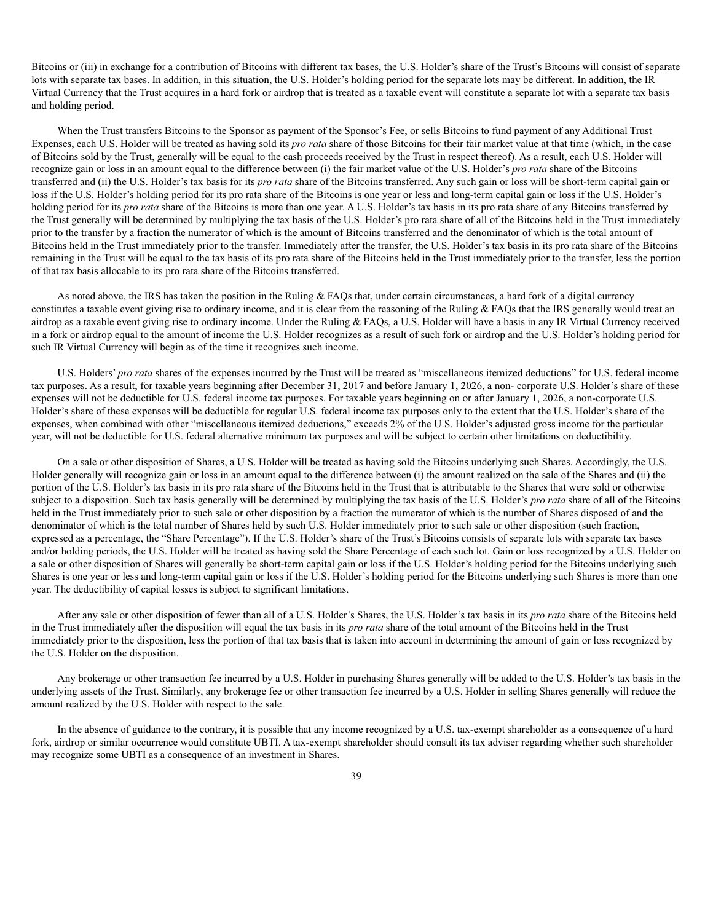Bitcoins or (iii) in exchange for a contribution of Bitcoins with different tax bases, the U.S. Holder's share of the Trust's Bitcoins will consist of separate lots with separate tax bases. In addition, in this situation, the U.S. Holder's holding period for the separate lots may be different. In addition, the IR Virtual Currency that the Trust acquires in a hard fork or airdrop that is treated as a taxable event will constitute a separate lot with a separate tax basis and holding period.

When the Trust transfers Bitcoins to the Sponsor as payment of the Sponsor's Fee, or sells Bitcoins to fund payment of any Additional Trust Expenses, each U.S. Holder will be treated as having sold its *pro rata* share of those Bitcoins for their fair market value at that time (which, in the case of Bitcoins sold by the Trust, generally will be equal to the cash proceeds received by the Trust in respect thereof). As a result, each U.S. Holder will recognize gain or loss in an amount equal to the difference between (i) the fair market value of the U.S. Holder's *pro rata* share of the Bitcoins transferred and (ii) the U.S. Holder's tax basis for its *pro rata* share of the Bitcoins transferred. Any such gain or loss will be short-term capital gain or loss if the U.S. Holder's holding period for its pro rata share of the Bitcoins is one year or less and long-term capital gain or loss if the U.S. Holder's holding period for its *pro rata* share of the Bitcoins is more than one year. A U.S. Holder's tax basis in its pro rata share of any Bitcoins transferred by the Trust generally will be determined by multiplying the tax basis of the U.S. Holder's pro rata share of all of the Bitcoins held in the Trust immediately prior to the transfer by a fraction the numerator of which is the amount of Bitcoins transferred and the denominator of which is the total amount of Bitcoins held in the Trust immediately prior to the transfer. Immediately after the transfer, the U.S. Holder's tax basis in its pro rata share of the Bitcoins remaining in the Trust will be equal to the tax basis of its pro rata share of the Bitcoins held in the Trust immediately prior to the transfer, less the portion of that tax basis allocable to its pro rata share of the Bitcoins transferred.

As noted above, the IRS has taken the position in the Ruling & FAQs that, under certain circumstances, a hard fork of a digital currency constitutes a taxable event giving rise to ordinary income, and it is clear from the reasoning of the Ruling & FAQs that the IRS generally would treat an airdrop as a taxable event giving rise to ordinary income. Under the Ruling & FAQs, a U.S. Holder will have a basis in any IR Virtual Currency received in a fork or airdrop equal to the amount of income the U.S. Holder recognizes as a result of such fork or airdrop and the U.S. Holder's holding period for such IR Virtual Currency will begin as of the time it recognizes such income.

U.S. Holders' *pro rata* shares of the expenses incurred by the Trust will be treated as "miscellaneous itemized deductions" for U.S. federal income tax purposes. As a result, for taxable years beginning after December 31, 2017 and before January 1, 2026, a non- corporate U.S. Holder's share of these expenses will not be deductible for U.S. federal income tax purposes. For taxable years beginning on or after January 1, 2026, a non-corporate U.S. Holder's share of these expenses will be deductible for regular U.S. federal income tax purposes only to the extent that the U.S. Holder's share of the expenses, when combined with other "miscellaneous itemized deductions," exceeds 2% of the U.S. Holder's adjusted gross income for the particular year, will not be deductible for U.S. federal alternative minimum tax purposes and will be subject to certain other limitations on deductibility.

On a sale or other disposition of Shares, a U.S. Holder will be treated as having sold the Bitcoins underlying such Shares. Accordingly, the U.S. Holder generally will recognize gain or loss in an amount equal to the difference between (i) the amount realized on the sale of the Shares and (ii) the portion of the U.S. Holder's tax basis in its pro rata share of the Bitcoins held in the Trust that is attributable to the Shares that were sold or otherwise subject to a disposition. Such tax basis generally will be determined by multiplying the tax basis of the U.S. Holder's *pro rata* share of all of the Bitcoins held in the Trust immediately prior to such sale or other disposition by a fraction the numerator of which is the number of Shares disposed of and the denominator of which is the total number of Shares held by such U.S. Holder immediately prior to such sale or other disposition (such fraction, expressed as a percentage, the "Share Percentage"). If the U.S. Holder's share of the Trust's Bitcoins consists of separate lots with separate tax bases and/or holding periods, the U.S. Holder will be treated as having sold the Share Percentage of each such lot. Gain or loss recognized by a U.S. Holder on a sale or other disposition of Shares will generally be short-term capital gain or loss if the U.S. Holder's holding period for the Bitcoins underlying such Shares is one year or less and long-term capital gain or loss if the U.S. Holder's holding period for the Bitcoins underlying such Shares is more than one year. The deductibility of capital losses is subject to significant limitations.

After any sale or other disposition of fewer than all of a U.S. Holder's Shares, the U.S. Holder's tax basis in its *pro rata* share of the Bitcoins held in the Trust immediately after the disposition will equal the tax basis in its *pro rata* share of the total amount of the Bitcoins held in the Trust immediately prior to the disposition, less the portion of that tax basis that is taken into account in determining the amount of gain or loss recognized by the U.S. Holder on the disposition.

Any brokerage or other transaction fee incurred by a U.S. Holder in purchasing Shares generally will be added to the U.S. Holder's tax basis in the underlying assets of the Trust. Similarly, any brokerage fee or other transaction fee incurred by a U.S. Holder in selling Shares generally will reduce the amount realized by the U.S. Holder with respect to the sale.

In the absence of guidance to the contrary, it is possible that any income recognized by a U.S. tax-exempt shareholder as a consequence of a hard fork, airdrop or similar occurrence would constitute UBTI. A tax-exempt shareholder should consult its tax adviser regarding whether such shareholder may recognize some UBTI as a consequence of an investment in Shares.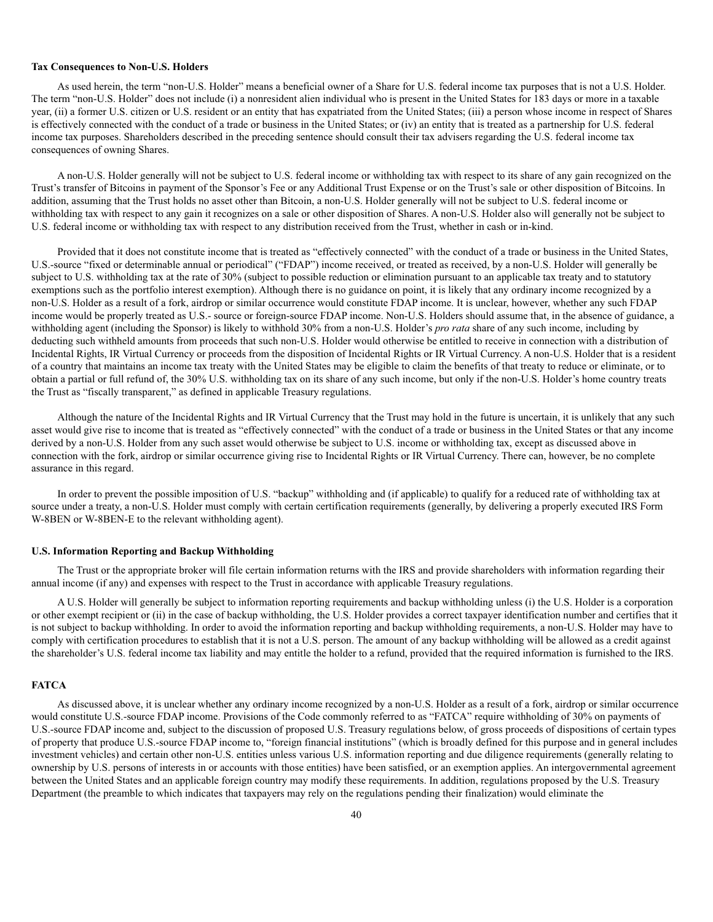#### **Tax Consequences to Non-U.S. Holders**

As used herein, the term "non-U.S. Holder" means a beneficial owner of a Share for U.S. federal income tax purposes that is not a U.S. Holder. The term "non-U.S. Holder" does not include (i) a nonresident alien individual who is present in the United States for 183 days or more in a taxable year, (ii) a former U.S. citizen or U.S. resident or an entity that has expatriated from the United States; (iii) a person whose income in respect of Shares is effectively connected with the conduct of a trade or business in the United States; or (iv) an entity that is treated as a partnership for U.S. federal income tax purposes. Shareholders described in the preceding sentence should consult their tax advisers regarding the U.S. federal income tax consequences of owning Shares.

A non-U.S. Holder generally will not be subject to U.S. federal income or withholding tax with respect to its share of any gain recognized on the Trust's transfer of Bitcoins in payment of the Sponsor's Fee or any Additional Trust Expense or on the Trust's sale or other disposition of Bitcoins. In addition, assuming that the Trust holds no asset other than Bitcoin, a non-U.S. Holder generally will not be subject to U.S. federal income or withholding tax with respect to any gain it recognizes on a sale or other disposition of Shares. A non-U.S. Holder also will generally not be subject to U.S. federal income or withholding tax with respect to any distribution received from the Trust, whether in cash or in-kind.

Provided that it does not constitute income that is treated as "effectively connected" with the conduct of a trade or business in the United States, U.S.-source "fixed or determinable annual or periodical" ("FDAP") income received, or treated as received, by a non-U.S. Holder will generally be subject to U.S. withholding tax at the rate of 30% (subject to possible reduction or elimination pursuant to an applicable tax treaty and to statutory exemptions such as the portfolio interest exemption). Although there is no guidance on point, it is likely that any ordinary income recognized by a non-U.S. Holder as a result of a fork, airdrop or similar occurrence would constitute FDAP income. It is unclear, however, whether any such FDAP income would be properly treated as U.S.- source or foreign-source FDAP income. Non-U.S. Holders should assume that, in the absence of guidance, a withholding agent (including the Sponsor) is likely to withhold 30% from a non-U.S. Holder's *pro rata* share of any such income, including by deducting such withheld amounts from proceeds that such non-U.S. Holder would otherwise be entitled to receive in connection with a distribution of Incidental Rights, IR Virtual Currency or proceeds from the disposition of Incidental Rights or IR Virtual Currency. A non-U.S. Holder that is a resident of a country that maintains an income tax treaty with the United States may be eligible to claim the benefits of that treaty to reduce or eliminate, or to obtain a partial or full refund of, the 30% U.S. withholding tax on its share of any such income, but only if the non-U.S. Holder's home country treats the Trust as "fiscally transparent," as defined in applicable Treasury regulations.

Although the nature of the Incidental Rights and IR Virtual Currency that the Trust may hold in the future is uncertain, it is unlikely that any such asset would give rise to income that is treated as "effectively connected" with the conduct of a trade or business in the United States or that any income derived by a non-U.S. Holder from any such asset would otherwise be subject to U.S. income or withholding tax, except as discussed above in connection with the fork, airdrop or similar occurrence giving rise to Incidental Rights or IR Virtual Currency. There can, however, be no complete assurance in this regard.

In order to prevent the possible imposition of U.S. "backup" withholding and (if applicable) to qualify for a reduced rate of withholding tax at source under a treaty, a non-U.S. Holder must comply with certain certification requirements (generally, by delivering a properly executed IRS Form W-8BEN or W-8BEN-E to the relevant withholding agent).

### **U.S. Information Reporting and Backup Withholding**

The Trust or the appropriate broker will file certain information returns with the IRS and provide shareholders with information regarding their annual income (if any) and expenses with respect to the Trust in accordance with applicable Treasury regulations.

A U.S. Holder will generally be subject to information reporting requirements and backup withholding unless (i) the U.S. Holder is a corporation or other exempt recipient or (ii) in the case of backup withholding, the U.S. Holder provides a correct taxpayer identification number and certifies that it is not subject to backup withholding. In order to avoid the information reporting and backup withholding requirements, a non-U.S. Holder may have to comply with certification procedures to establish that it is not a U.S. person. The amount of any backup withholding will be allowed as a credit against the shareholder's U.S. federal income tax liability and may entitle the holder to a refund, provided that the required information is furnished to the IRS.

## **FATCA**

As discussed above, it is unclear whether any ordinary income recognized by a non-U.S. Holder as a result of a fork, airdrop or similar occurrence would constitute U.S.-source FDAP income. Provisions of the Code commonly referred to as "FATCA" require withholding of 30% on payments of U.S.-source FDAP income and, subject to the discussion of proposed U.S. Treasury regulations below, of gross proceeds of dispositions of certain types of property that produce U.S.-source FDAP income to, "foreign financial institutions" (which is broadly defined for this purpose and in general includes investment vehicles) and certain other non-U.S. entities unless various U.S. information reporting and due diligence requirements (generally relating to ownership by U.S. persons of interests in or accounts with those entities) have been satisfied, or an exemption applies. An intergovernmental agreement between the United States and an applicable foreign country may modify these requirements. In addition, regulations proposed by the U.S. Treasury Department (the preamble to which indicates that taxpayers may rely on the regulations pending their finalization) would eliminate the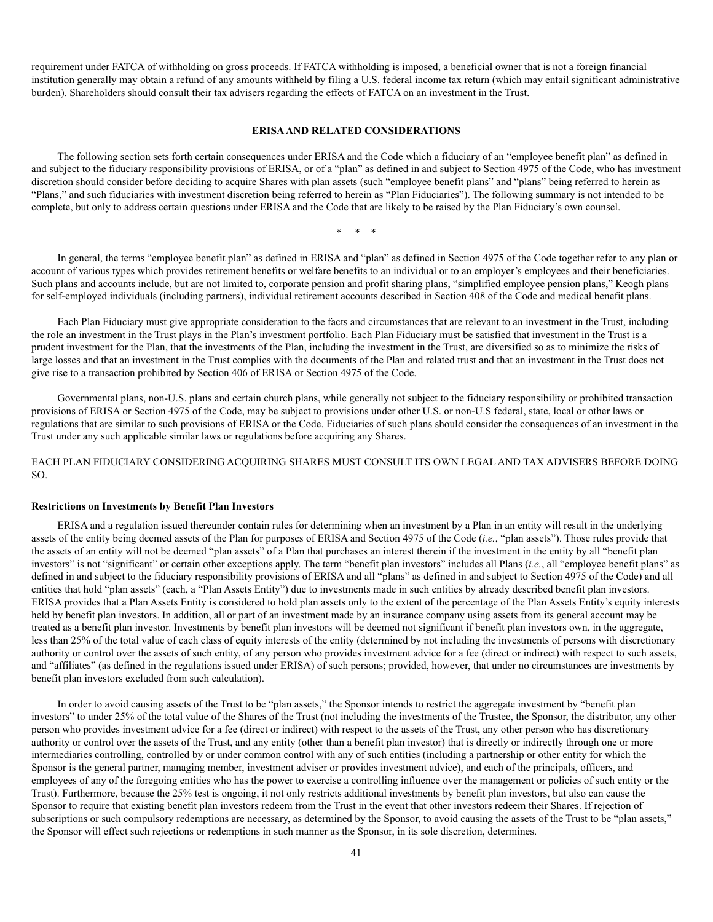requirement under FATCA of withholding on gross proceeds. If FATCA withholding is imposed, a beneficial owner that is not a foreign financial institution generally may obtain a refund of any amounts withheld by filing a U.S. federal income tax return (which may entail significant administrative burden). Shareholders should consult their tax advisers regarding the effects of FATCA on an investment in the Trust.

## **ERISA AND RELATED CONSIDERATIONS**

The following section sets forth certain consequences under ERISA and the Code which a fiduciary of an "employee benefit plan" as defined in and subject to the fiduciary responsibility provisions of ERISA, or of a "plan" as defined in and subject to Section 4975 of the Code, who has investment discretion should consider before deciding to acquire Shares with plan assets (such "employee benefit plans" and "plans" being referred to herein as "Plans," and such fiduciaries with investment discretion being referred to herein as "Plan Fiduciaries"). The following summary is not intended to be complete, but only to address certain questions under ERISA and the Code that are likely to be raised by the Plan Fiduciary's own counsel.

\* \* \*

In general, the terms "employee benefit plan" as defined in ERISA and "plan" as defined in Section 4975 of the Code together refer to any plan or account of various types which provides retirement benefits or welfare benefits to an individual or to an employer's employees and their beneficiaries. Such plans and accounts include, but are not limited to, corporate pension and profit sharing plans, "simplified employee pension plans," Keogh plans for self-employed individuals (including partners), individual retirement accounts described in Section 408 of the Code and medical benefit plans.

Each Plan Fiduciary must give appropriate consideration to the facts and circumstances that are relevant to an investment in the Trust, including the role an investment in the Trust plays in the Plan's investment portfolio. Each Plan Fiduciary must be satisfied that investment in the Trust is a prudent investment for the Plan, that the investments of the Plan, including the investment in the Trust, are diversified so as to minimize the risks of large losses and that an investment in the Trust complies with the documents of the Plan and related trust and that an investment in the Trust does not give rise to a transaction prohibited by Section 406 of ERISA or Section 4975 of the Code.

Governmental plans, non-U.S. plans and certain church plans, while generally not subject to the fiduciary responsibility or prohibited transaction provisions of ERISA or Section 4975 of the Code, may be subject to provisions under other U.S. or non-U.S federal, state, local or other laws or regulations that are similar to such provisions of ERISA or the Code. Fiduciaries of such plans should consider the consequences of an investment in the Trust under any such applicable similar laws or regulations before acquiring any Shares.

EACH PLAN FIDUCIARY CONSIDERING ACQUIRING SHARES MUST CONSULT ITS OWN LEGAL AND TAX ADVISERS BEFORE DOING SO.

## **Restrictions on Investments by Benefit Plan Investors**

ERISA and a regulation issued thereunder contain rules for determining when an investment by a Plan in an entity will result in the underlying assets of the entity being deemed assets of the Plan for purposes of ERISA and Section 4975 of the Code (*i.e.*, "plan assets"). Those rules provide that the assets of an entity will not be deemed "plan assets" of a Plan that purchases an interest therein if the investment in the entity by all "benefit plan investors" is not "significant" or certain other exceptions apply. The term "benefit plan investors" includes all Plans (*i.e.*, all "employee benefit plans" as defined in and subject to the fiduciary responsibility provisions of ERISA and all "plans" as defined in and subject to Section 4975 of the Code) and all entities that hold "plan assets" (each, a "Plan Assets Entity") due to investments made in such entities by already described benefit plan investors. ERISA provides that a Plan Assets Entity is considered to hold plan assets only to the extent of the percentage of the Plan Assets Entity's equity interests held by benefit plan investors. In addition, all or part of an investment made by an insurance company using assets from its general account may be treated as a benefit plan investor. Investments by benefit plan investors will be deemed not significant if benefit plan investors own, in the aggregate, less than 25% of the total value of each class of equity interests of the entity (determined by not including the investments of persons with discretionary authority or control over the assets of such entity, of any person who provides investment advice for a fee (direct or indirect) with respect to such assets, and "affiliates" (as defined in the regulations issued under ERISA) of such persons; provided, however, that under no circumstances are investments by benefit plan investors excluded from such calculation).

In order to avoid causing assets of the Trust to be "plan assets," the Sponsor intends to restrict the aggregate investment by "benefit plan investors" to under 25% of the total value of the Shares of the Trust (not including the investments of the Trustee, the Sponsor, the distributor, any other person who provides investment advice for a fee (direct or indirect) with respect to the assets of the Trust, any other person who has discretionary authority or control over the assets of the Trust, and any entity (other than a benefit plan investor) that is directly or indirectly through one or more intermediaries controlling, controlled by or under common control with any of such entities (including a partnership or other entity for which the Sponsor is the general partner, managing member, investment adviser or provides investment advice), and each of the principals, officers, and employees of any of the foregoing entities who has the power to exercise a controlling influence over the management or policies of such entity or the Trust). Furthermore, because the 25% test is ongoing, it not only restricts additional investments by benefit plan investors, but also can cause the Sponsor to require that existing benefit plan investors redeem from the Trust in the event that other investors redeem their Shares. If rejection of subscriptions or such compulsory redemptions are necessary, as determined by the Sponsor, to avoid causing the assets of the Trust to be "plan assets," the Sponsor will effect such rejections or redemptions in such manner as the Sponsor, in its sole discretion, determines.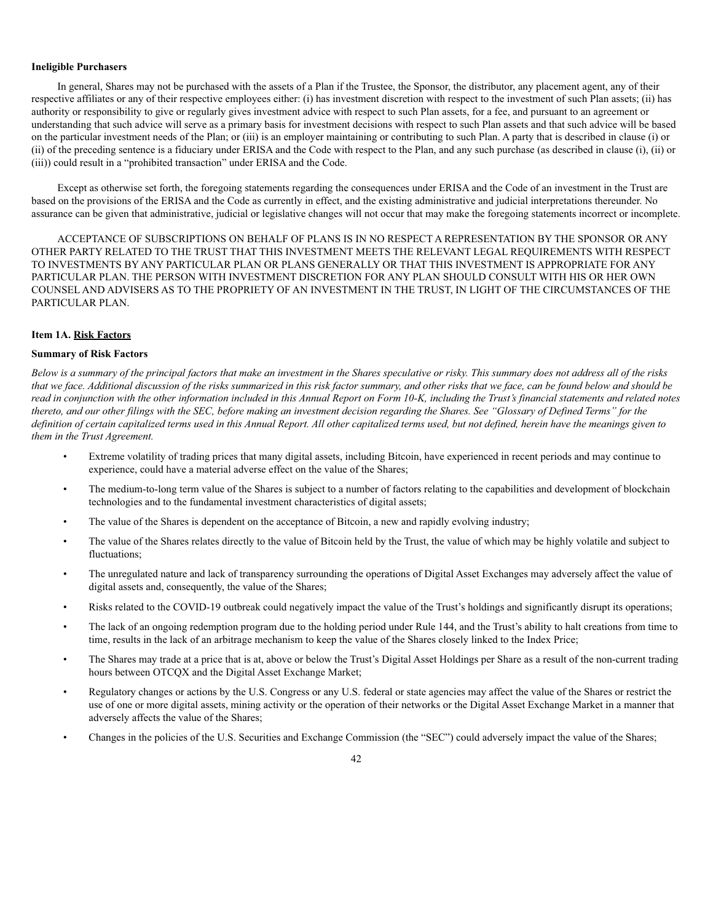#### **Ineligible Purchasers**

In general, Shares may not be purchased with the assets of a Plan if the Trustee, the Sponsor, the distributor, any placement agent, any of their respective affiliates or any of their respective employees either: (i) has investment discretion with respect to the investment of such Plan assets; (ii) has authority or responsibility to give or regularly gives investment advice with respect to such Plan assets, for a fee, and pursuant to an agreement or understanding that such advice will serve as a primary basis for investment decisions with respect to such Plan assets and that such advice will be based on the particular investment needs of the Plan; or (iii) is an employer maintaining or contributing to such Plan. A party that is described in clause (i) or (ii) of the preceding sentence is a fiduciary under ERISA and the Code with respect to the Plan, and any such purchase (as described in clause (i), (ii) or (iii)) could result in a "prohibited transaction" under ERISA and the Code.

Except as otherwise set forth, the foregoing statements regarding the consequences under ERISA and the Code of an investment in the Trust are based on the provisions of the ERISA and the Code as currently in effect, and the existing administrative and judicial interpretations thereunder. No assurance can be given that administrative, judicial or legislative changes will not occur that may make the foregoing statements incorrect or incomplete.

ACCEPTANCE OF SUBSCRIPTIONS ON BEHALF OF PLANS IS IN NO RESPECT A REPRESENTATION BY THE SPONSOR OR ANY OTHER PARTY RELATED TO THE TRUST THAT THIS INVESTMENT MEETS THE RELEVANT LEGAL REQUIREMENTS WITH RESPECT TO INVESTMENTS BY ANY PARTICULAR PLAN OR PLANS GENERALLY OR THAT THIS INVESTMENT IS APPROPRIATE FOR ANY PARTICULAR PLAN. THE PERSON WITH INVESTMENT DISCRETION FOR ANY PLAN SHOULD CONSULT WITH HIS OR HER OWN COUNSEL AND ADVISERS AS TO THE PROPRIETY OF AN INVESTMENT IN THE TRUST, IN LIGHT OF THE CIRCUMSTANCES OF THE PARTICULAR PLAN.

## **Item 1A. Risk Factors**

# **Summary of Risk Factors**

*Below is a summary of the principal factors that make an investment in the Shares speculative or risky. This summary does not address all of the risks that we face. Additional discussion of the risks summarized in this risk factor summary, and other risks that we face, can be found below and should be read in conjunction with the other information included in this Annual Report on Form 10-K, including the Trust's financial statements and related notes thereto, and our other filings with the SEC, before making an investment decision regarding the Shares. See "Glossary of Defined Terms" for the definition of certain capitalized terms used in this Annual Report. All other capitalized terms used, but not defined, herein have the meanings given to them in the Trust Agreement.*

- Extreme volatility of trading prices that many digital assets, including Bitcoin, have experienced in recent periods and may continue to experience, could have a material adverse effect on the value of the Shares;
- The medium-to-long term value of the Shares is subject to a number of factors relating to the capabilities and development of blockchain technologies and to the fundamental investment characteristics of digital assets;
- The value of the Shares is dependent on the acceptance of Bitcoin, a new and rapidly evolving industry;
- The value of the Shares relates directly to the value of Bitcoin held by the Trust, the value of which may be highly volatile and subject to fluctuations;
- The unregulated nature and lack of transparency surrounding the operations of Digital Asset Exchanges may adversely affect the value of digital assets and, consequently, the value of the Shares;
- Risks related to the COVID-19 outbreak could negatively impact the value of the Trust's holdings and significantly disrupt its operations;
- The lack of an ongoing redemption program due to the holding period under Rule 144, and the Trust's ability to halt creations from time to time, results in the lack of an arbitrage mechanism to keep the value of the Shares closely linked to the Index Price;
- The Shares may trade at a price that is at, above or below the Trust's Digital Asset Holdings per Share as a result of the non-current trading hours between OTCQX and the Digital Asset Exchange Market;
- Regulatory changes or actions by the U.S. Congress or any U.S. federal or state agencies may affect the value of the Shares or restrict the use of one or more digital assets, mining activity or the operation of their networks or the Digital Asset Exchange Market in a manner that adversely affects the value of the Shares;
- Changes in the policies of the U.S. Securities and Exchange Commission (the "SEC") could adversely impact the value of the Shares;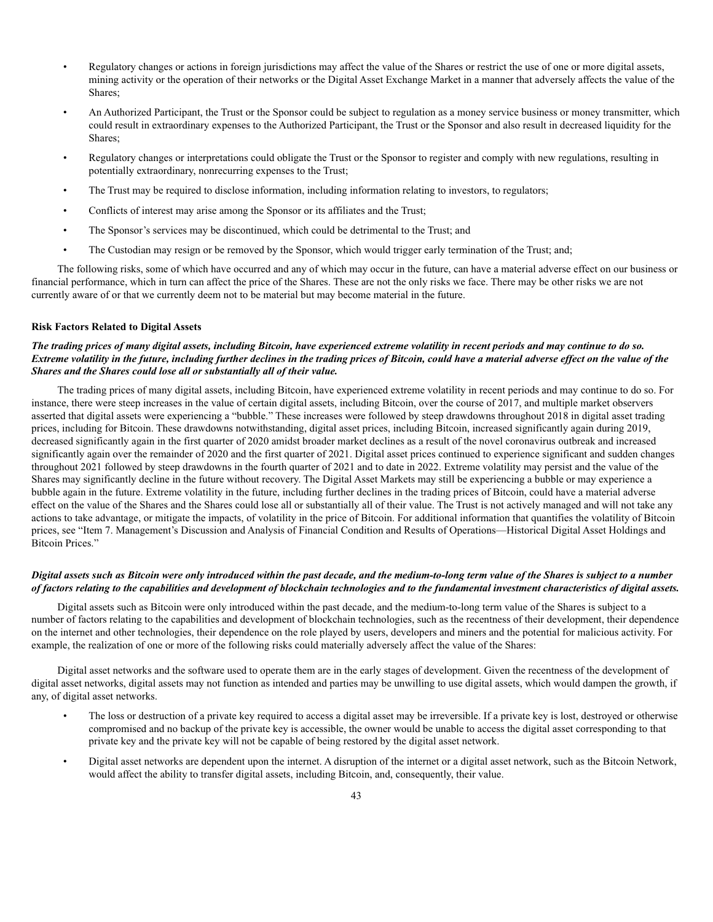- Regulatory changes or actions in foreign jurisdictions may affect the value of the Shares or restrict the use of one or more digital assets, mining activity or the operation of their networks or the Digital Asset Exchange Market in a manner that adversely affects the value of the Shares;
- An Authorized Participant, the Trust or the Sponsor could be subject to regulation as a money service business or money transmitter, which could result in extraordinary expenses to the Authorized Participant, the Trust or the Sponsor and also result in decreased liquidity for the Shares;
- Regulatory changes or interpretations could obligate the Trust or the Sponsor to register and comply with new regulations, resulting in potentially extraordinary, nonrecurring expenses to the Trust;
- The Trust may be required to disclose information, including information relating to investors, to regulators;
- Conflicts of interest may arise among the Sponsor or its affiliates and the Trust;
- The Sponsor's services may be discontinued, which could be detrimental to the Trust; and
- The Custodian may resign or be removed by the Sponsor, which would trigger early termination of the Trust; and;

The following risks, some of which have occurred and any of which may occur in the future, can have a material adverse effect on our business or financial performance, which in turn can affect the price of the Shares. These are not the only risks we face. There may be other risks we are not currently aware of or that we currently deem not to be material but may become material in the future.

### **Risk Factors Related to Digital Assets**

# *The trading prices of many digital assets, including Bitcoin, have experienced extreme volatility in recent periods and may continue to do so. Extreme volatility in the future, including further declines in the trading prices of Bitcoin, could have a material adverse effect on the value of the Shares and the Shares could lose all or substantially all of their value.*

The trading prices of many digital assets, including Bitcoin, have experienced extreme volatility in recent periods and may continue to do so. For instance, there were steep increases in the value of certain digital assets, including Bitcoin, over the course of 2017, and multiple market observers asserted that digital assets were experiencing a "bubble." These increases were followed by steep drawdowns throughout 2018 in digital asset trading prices, including for Bitcoin. These drawdowns notwithstanding, digital asset prices, including Bitcoin, increased significantly again during 2019, decreased significantly again in the first quarter of 2020 amidst broader market declines as a result of the novel coronavirus outbreak and increased significantly again over the remainder of 2020 and the first quarter of 2021. Digital asset prices continued to experience significant and sudden changes throughout 2021 followed by steep drawdowns in the fourth quarter of 2021 and to date in 2022. Extreme volatility may persist and the value of the Shares may significantly decline in the future without recovery. The Digital Asset Markets may still be experiencing a bubble or may experience a bubble again in the future. Extreme volatility in the future, including further declines in the trading prices of Bitcoin, could have a material adverse effect on the value of the Shares and the Shares could lose all or substantially all of their value. The Trust is not actively managed and will not take any actions to take advantage, or mitigate the impacts, of volatility in the price of Bitcoin. For additional information that quantifies the volatility of Bitcoin prices, see "Item 7. Management's Discussion and Analysis of Financial Condition and Results of Operations—Historical Digital Asset Holdings and Bitcoin Prices."

# *Digital assets such as Bitcoin were only introduced within the past decade, and the medium-to-long term value of the Shares is subject to a number of factors relating to the capabilities and development of blockchain technologies and to the fundamental investment characteristics of digital assets.*

Digital assets such as Bitcoin were only introduced within the past decade, and the medium-to-long term value of the Shares is subject to a number of factors relating to the capabilities and development of blockchain technologies, such as the recentness of their development, their dependence on the internet and other technologies, their dependence on the role played by users, developers and miners and the potential for malicious activity. For example, the realization of one or more of the following risks could materially adversely affect the value of the Shares:

Digital asset networks and the software used to operate them are in the early stages of development. Given the recentness of the development of digital asset networks, digital assets may not function as intended and parties may be unwilling to use digital assets, which would dampen the growth, if any, of digital asset networks.

- The loss or destruction of a private key required to access a digital asset may be irreversible. If a private key is lost, destroyed or otherwise compromised and no backup of the private key is accessible, the owner would be unable to access the digital asset corresponding to that private key and the private key will not be capable of being restored by the digital asset network.
- Digital asset networks are dependent upon the internet. A disruption of the internet or a digital asset network, such as the Bitcoin Network, would affect the ability to transfer digital assets, including Bitcoin, and, consequently, their value.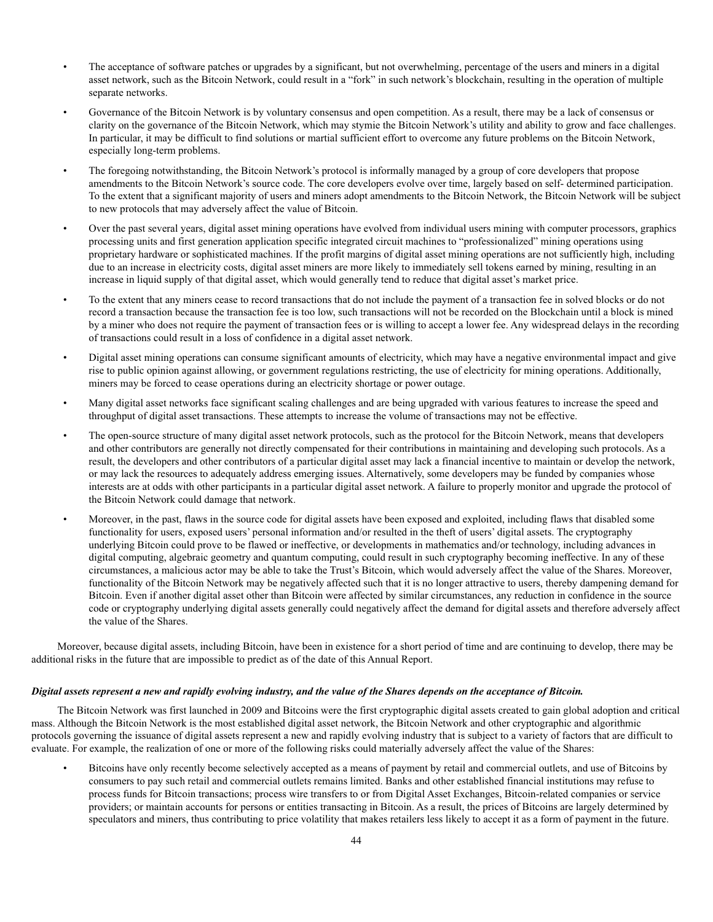- The acceptance of software patches or upgrades by a significant, but not overwhelming, percentage of the users and miners in a digital asset network, such as the Bitcoin Network, could result in a "fork" in such network's blockchain, resulting in the operation of multiple separate networks.
- Governance of the Bitcoin Network is by voluntary consensus and open competition. As a result, there may be a lack of consensus or clarity on the governance of the Bitcoin Network, which may stymie the Bitcoin Network's utility and ability to grow and face challenges. In particular, it may be difficult to find solutions or martial sufficient effort to overcome any future problems on the Bitcoin Network, especially long-term problems.
- The foregoing notwithstanding, the Bitcoin Network's protocol is informally managed by a group of core developers that propose amendments to the Bitcoin Network's source code. The core developers evolve over time, largely based on self- determined participation. To the extent that a significant majority of users and miners adopt amendments to the Bitcoin Network, the Bitcoin Network will be subject to new protocols that may adversely affect the value of Bitcoin.
- Over the past several years, digital asset mining operations have evolved from individual users mining with computer processors, graphics processing units and first generation application specific integrated circuit machines to "professionalized" mining operations using proprietary hardware or sophisticated machines. If the profit margins of digital asset mining operations are not sufficiently high, including due to an increase in electricity costs, digital asset miners are more likely to immediately sell tokens earned by mining, resulting in an increase in liquid supply of that digital asset, which would generally tend to reduce that digital asset's market price.
- To the extent that any miners cease to record transactions that do not include the payment of a transaction fee in solved blocks or do not record a transaction because the transaction fee is too low, such transactions will not be recorded on the Blockchain until a block is mined by a miner who does not require the payment of transaction fees or is willing to accept a lower fee. Any widespread delays in the recording of transactions could result in a loss of confidence in a digital asset network.
- Digital asset mining operations can consume significant amounts of electricity, which may have a negative environmental impact and give rise to public opinion against allowing, or government regulations restricting, the use of electricity for mining operations. Additionally, miners may be forced to cease operations during an electricity shortage or power outage.
- Many digital asset networks face significant scaling challenges and are being upgraded with various features to increase the speed and throughput of digital asset transactions. These attempts to increase the volume of transactions may not be effective.
- The open-source structure of many digital asset network protocols, such as the protocol for the Bitcoin Network, means that developers and other contributors are generally not directly compensated for their contributions in maintaining and developing such protocols. As a result, the developers and other contributors of a particular digital asset may lack a financial incentive to maintain or develop the network, or may lack the resources to adequately address emerging issues. Alternatively, some developers may be funded by companies whose interests are at odds with other participants in a particular digital asset network. A failure to properly monitor and upgrade the protocol of the Bitcoin Network could damage that network.
- Moreover, in the past, flaws in the source code for digital assets have been exposed and exploited, including flaws that disabled some functionality for users, exposed users' personal information and/or resulted in the theft of users' digital assets. The cryptography underlying Bitcoin could prove to be flawed or ineffective, or developments in mathematics and/or technology, including advances in digital computing, algebraic geometry and quantum computing, could result in such cryptography becoming ineffective. In any of these circumstances, a malicious actor may be able to take the Trust's Bitcoin, which would adversely affect the value of the Shares. Moreover, functionality of the Bitcoin Network may be negatively affected such that it is no longer attractive to users, thereby dampening demand for Bitcoin. Even if another digital asset other than Bitcoin were affected by similar circumstances, any reduction in confidence in the source code or cryptography underlying digital assets generally could negatively affect the demand for digital assets and therefore adversely affect the value of the Shares.

Moreover, because digital assets, including Bitcoin, have been in existence for a short period of time and are continuing to develop, there may be additional risks in the future that are impossible to predict as of the date of this Annual Report.

## *Digital assets represent a new and rapidly evolving industry, and the value of the Shares depends on the acceptance of Bitcoin.*

The Bitcoin Network was first launched in 2009 and Bitcoins were the first cryptographic digital assets created to gain global adoption and critical mass. Although the Bitcoin Network is the most established digital asset network, the Bitcoin Network and other cryptographic and algorithmic protocols governing the issuance of digital assets represent a new and rapidly evolving industry that is subject to a variety of factors that are difficult to evaluate. For example, the realization of one or more of the following risks could materially adversely affect the value of the Shares:

• Bitcoins have only recently become selectively accepted as a means of payment by retail and commercial outlets, and use of Bitcoins by consumers to pay such retail and commercial outlets remains limited. Banks and other established financial institutions may refuse to process funds for Bitcoin transactions; process wire transfers to or from Digital Asset Exchanges, Bitcoin-related companies or service providers; or maintain accounts for persons or entities transacting in Bitcoin. As a result, the prices of Bitcoins are largely determined by speculators and miners, thus contributing to price volatility that makes retailers less likely to accept it as a form of payment in the future.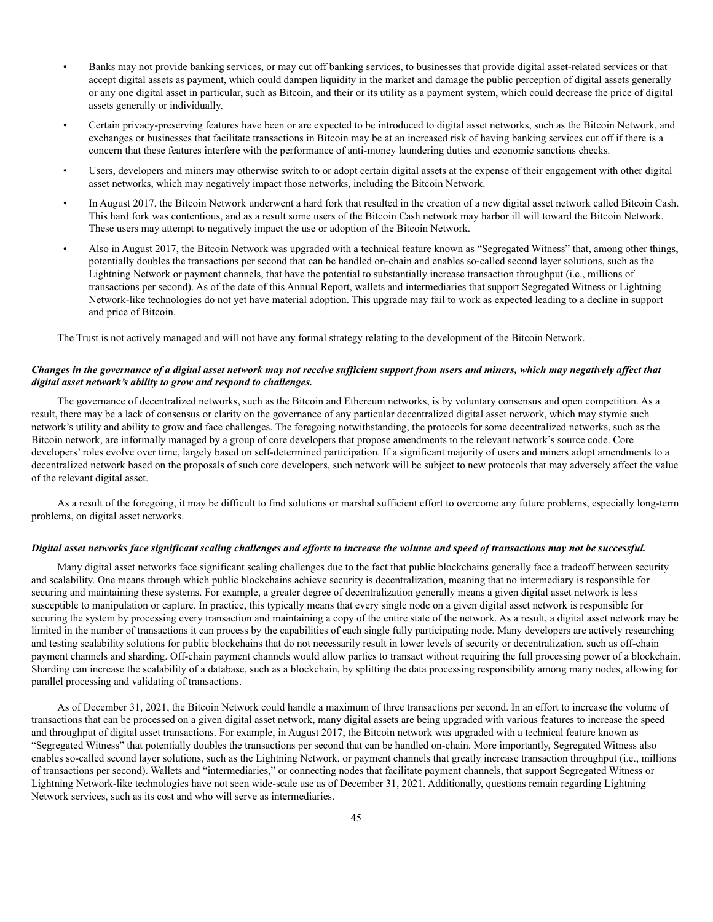- Banks may not provide banking services, or may cut off banking services, to businesses that provide digital asset-related services or that accept digital assets as payment, which could dampen liquidity in the market and damage the public perception of digital assets generally or any one digital asset in particular, such as Bitcoin, and their or its utility as a payment system, which could decrease the price of digital assets generally or individually.
- Certain privacy-preserving features have been or are expected to be introduced to digital asset networks, such as the Bitcoin Network, and exchanges or businesses that facilitate transactions in Bitcoin may be at an increased risk of having banking services cut off if there is a concern that these features interfere with the performance of anti-money laundering duties and economic sanctions checks.
- Users, developers and miners may otherwise switch to or adopt certain digital assets at the expense of their engagement with other digital asset networks, which may negatively impact those networks, including the Bitcoin Network.
- In August 2017, the Bitcoin Network underwent a hard fork that resulted in the creation of a new digital asset network called Bitcoin Cash. This hard fork was contentious, and as a result some users of the Bitcoin Cash network may harbor ill will toward the Bitcoin Network. These users may attempt to negatively impact the use or adoption of the Bitcoin Network.
- Also in August 2017, the Bitcoin Network was upgraded with a technical feature known as "Segregated Witness" that, among other things, potentially doubles the transactions per second that can be handled on-chain and enables so-called second layer solutions, such as the Lightning Network or payment channels, that have the potential to substantially increase transaction throughput (i.e., millions of transactions per second). As of the date of this Annual Report, wallets and intermediaries that support Segregated Witness or Lightning Network-like technologies do not yet have material adoption. This upgrade may fail to work as expected leading to a decline in support and price of Bitcoin.

The Trust is not actively managed and will not have any formal strategy relating to the development of the Bitcoin Network.

# *Changes in the governance of a digital asset network may not receive sufficient support from users and miners, which may negatively affect that digital asset network's ability to grow and respond to challenges.*

The governance of decentralized networks, such as the Bitcoin and Ethereum networks, is by voluntary consensus and open competition. As a result, there may be a lack of consensus or clarity on the governance of any particular decentralized digital asset network, which may stymie such network's utility and ability to grow and face challenges. The foregoing notwithstanding, the protocols for some decentralized networks, such as the Bitcoin network, are informally managed by a group of core developers that propose amendments to the relevant network's source code. Core developers' roles evolve over time, largely based on self-determined participation. If a significant majority of users and miners adopt amendments to a decentralized network based on the proposals of such core developers, such network will be subject to new protocols that may adversely affect the value of the relevant digital asset.

As a result of the foregoing, it may be difficult to find solutions or marshal sufficient effort to overcome any future problems, especially long-term problems, on digital asset networks.

#### *Digital asset networks face significant scaling challenges and efforts to increase the volume and speed of transactions may not be successful.*

Many digital asset networks face significant scaling challenges due to the fact that public blockchains generally face a tradeoff between security and scalability. One means through which public blockchains achieve security is decentralization, meaning that no intermediary is responsible for securing and maintaining these systems. For example, a greater degree of decentralization generally means a given digital asset network is less susceptible to manipulation or capture. In practice, this typically means that every single node on a given digital asset network is responsible for securing the system by processing every transaction and maintaining a copy of the entire state of the network. As a result, a digital asset network may be limited in the number of transactions it can process by the capabilities of each single fully participating node. Many developers are actively researching and testing scalability solutions for public blockchains that do not necessarily result in lower levels of security or decentralization, such as off-chain payment channels and sharding. Off-chain payment channels would allow parties to transact without requiring the full processing power of a blockchain. Sharding can increase the scalability of a database, such as a blockchain, by splitting the data processing responsibility among many nodes, allowing for parallel processing and validating of transactions.

As of December 31, 2021, the Bitcoin Network could handle a maximum of three transactions per second. In an effort to increase the volume of transactions that can be processed on a given digital asset network, many digital assets are being upgraded with various features to increase the speed and throughput of digital asset transactions. For example, in August 2017, the Bitcoin network was upgraded with a technical feature known as "Segregated Witness" that potentially doubles the transactions per second that can be handled on-chain. More importantly, Segregated Witness also enables so-called second layer solutions, such as the Lightning Network, or payment channels that greatly increase transaction throughput (i.e., millions of transactions per second). Wallets and "intermediaries," or connecting nodes that facilitate payment channels, that support Segregated Witness or Lightning Network-like technologies have not seen wide-scale use as of December 31, 2021. Additionally, questions remain regarding Lightning Network services, such as its cost and who will serve as intermediaries.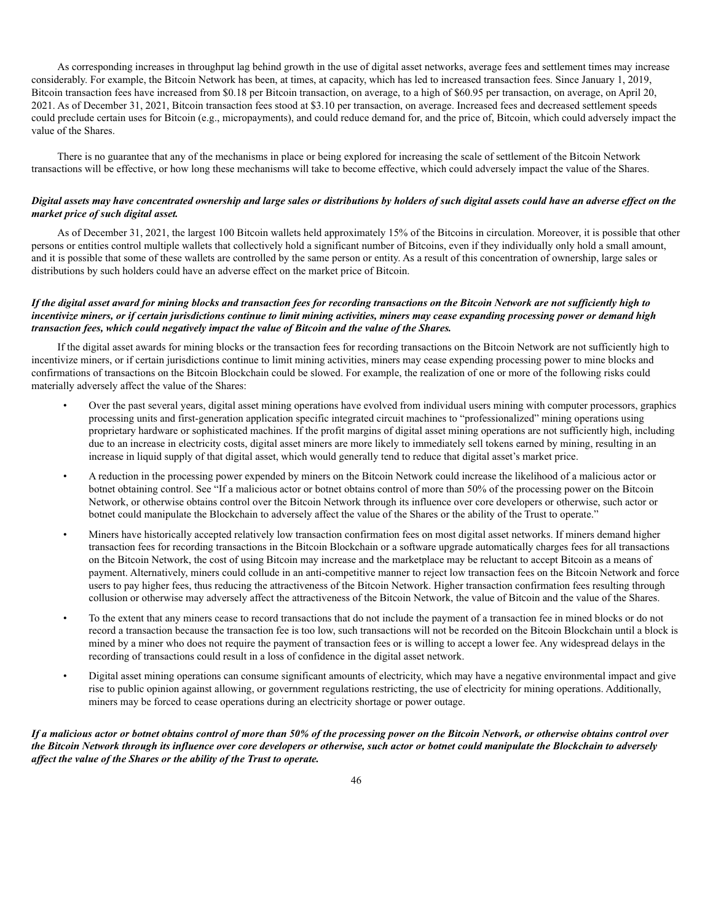As corresponding increases in throughput lag behind growth in the use of digital asset networks, average fees and settlement times may increase considerably. For example, the Bitcoin Network has been, at times, at capacity, which has led to increased transaction fees. Since January 1, 2019, Bitcoin transaction fees have increased from \$0.18 per Bitcoin transaction, on average, to a high of \$60.95 per transaction, on average, on April 20, 2021. As of December 31, 2021, Bitcoin transaction fees stood at \$3.10 per transaction, on average. Increased fees and decreased settlement speeds could preclude certain uses for Bitcoin (e.g., micropayments), and could reduce demand for, and the price of, Bitcoin, which could adversely impact the value of the Shares.

There is no guarantee that any of the mechanisms in place or being explored for increasing the scale of settlement of the Bitcoin Network transactions will be effective, or how long these mechanisms will take to become effective, which could adversely impact the value of the Shares.

# *Digital assets may have concentrated ownership and large sales or distributions by holders of such digital assets could have an adverse effect on the market price of such digital asset.*

As of December 31, 2021, the largest 100 Bitcoin wallets held approximately 15% of the Bitcoins in circulation. Moreover, it is possible that other persons or entities control multiple wallets that collectively hold a significant number of Bitcoins, even if they individually only hold a small amount, and it is possible that some of these wallets are controlled by the same person or entity. As a result of this concentration of ownership, large sales or distributions by such holders could have an adverse effect on the market price of Bitcoin.

# *If the digital asset award for mining blocks and transaction fees for recording transactions on the Bitcoin Network are not sufficiently high to incentivize miners, or if certain jurisdictions continue to limit mining activities, miners may cease expanding processing power or demand high transaction fees, which could negatively impact the value of Bitcoin and the value of the Shares.*

If the digital asset awards for mining blocks or the transaction fees for recording transactions on the Bitcoin Network are not sufficiently high to incentivize miners, or if certain jurisdictions continue to limit mining activities, miners may cease expending processing power to mine blocks and confirmations of transactions on the Bitcoin Blockchain could be slowed. For example, the realization of one or more of the following risks could materially adversely affect the value of the Shares:

- Over the past several years, digital asset mining operations have evolved from individual users mining with computer processors, graphics processing units and first-generation application specific integrated circuit machines to "professionalized" mining operations using proprietary hardware or sophisticated machines. If the profit margins of digital asset mining operations are not sufficiently high, including due to an increase in electricity costs, digital asset miners are more likely to immediately sell tokens earned by mining, resulting in an increase in liquid supply of that digital asset, which would generally tend to reduce that digital asset's market price.
- A reduction in the processing power expended by miners on the Bitcoin Network could increase the likelihood of a malicious actor or botnet obtaining control. See "If a malicious actor or botnet obtains control of more than 50% of the processing power on the Bitcoin Network, or otherwise obtains control over the Bitcoin Network through its influence over core developers or otherwise, such actor or botnet could manipulate the Blockchain to adversely affect the value of the Shares or the ability of the Trust to operate."
- Miners have historically accepted relatively low transaction confirmation fees on most digital asset networks. If miners demand higher transaction fees for recording transactions in the Bitcoin Blockchain or a software upgrade automatically charges fees for all transactions on the Bitcoin Network, the cost of using Bitcoin may increase and the marketplace may be reluctant to accept Bitcoin as a means of payment. Alternatively, miners could collude in an anti-competitive manner to reject low transaction fees on the Bitcoin Network and force users to pay higher fees, thus reducing the attractiveness of the Bitcoin Network. Higher transaction confirmation fees resulting through collusion or otherwise may adversely affect the attractiveness of the Bitcoin Network, the value of Bitcoin and the value of the Shares.
- To the extent that any miners cease to record transactions that do not include the payment of a transaction fee in mined blocks or do not record a transaction because the transaction fee is too low, such transactions will not be recorded on the Bitcoin Blockchain until a block is mined by a miner who does not require the payment of transaction fees or is willing to accept a lower fee. Any widespread delays in the recording of transactions could result in a loss of confidence in the digital asset network.
- Digital asset mining operations can consume significant amounts of electricity, which may have a negative environmental impact and give rise to public opinion against allowing, or government regulations restricting, the use of electricity for mining operations. Additionally, miners may be forced to cease operations during an electricity shortage or power outage.

*If a malicious actor or botnet obtains control of more than 50% of the processing power on the Bitcoin Network, or otherwise obtains control over the Bitcoin Network through its influence over core developers or otherwise, such actor or botnet could manipulate the Blockchain to adversely affect the value of the Shares or the ability of the Trust to operate.*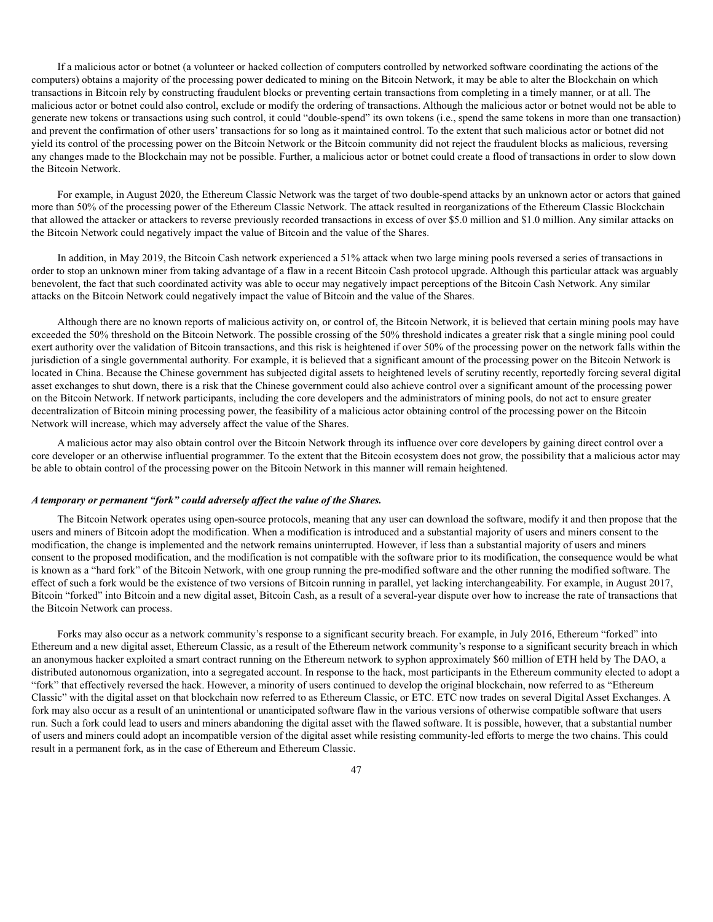If a malicious actor or botnet (a volunteer or hacked collection of computers controlled by networked software coordinating the actions of the computers) obtains a majority of the processing power dedicated to mining on the Bitcoin Network, it may be able to alter the Blockchain on which transactions in Bitcoin rely by constructing fraudulent blocks or preventing certain transactions from completing in a timely manner, or at all. The malicious actor or botnet could also control, exclude or modify the ordering of transactions. Although the malicious actor or botnet would not be able to generate new tokens or transactions using such control, it could "double-spend" its own tokens (i.e., spend the same tokens in more than one transaction) and prevent the confirmation of other users' transactions for so long as it maintained control. To the extent that such malicious actor or botnet did not yield its control of the processing power on the Bitcoin Network or the Bitcoin community did not reject the fraudulent blocks as malicious, reversing any changes made to the Blockchain may not be possible. Further, a malicious actor or botnet could create a flood of transactions in order to slow down the Bitcoin Network.

For example, in August 2020, the Ethereum Classic Network was the target of two double-spend attacks by an unknown actor or actors that gained more than 50% of the processing power of the Ethereum Classic Network. The attack resulted in reorganizations of the Ethereum Classic Blockchain that allowed the attacker or attackers to reverse previously recorded transactions in excess of over \$5.0 million and \$1.0 million. Any similar attacks on the Bitcoin Network could negatively impact the value of Bitcoin and the value of the Shares.

In addition, in May 2019, the Bitcoin Cash network experienced a 51% attack when two large mining pools reversed a series of transactions in order to stop an unknown miner from taking advantage of a flaw in a recent Bitcoin Cash protocol upgrade. Although this particular attack was arguably benevolent, the fact that such coordinated activity was able to occur may negatively impact perceptions of the Bitcoin Cash Network. Any similar attacks on the Bitcoin Network could negatively impact the value of Bitcoin and the value of the Shares.

Although there are no known reports of malicious activity on, or control of, the Bitcoin Network, it is believed that certain mining pools may have exceeded the 50% threshold on the Bitcoin Network. The possible crossing of the 50% threshold indicates a greater risk that a single mining pool could exert authority over the validation of Bitcoin transactions, and this risk is heightened if over 50% of the processing power on the network falls within the jurisdiction of a single governmental authority. For example, it is believed that a significant amount of the processing power on the Bitcoin Network is located in China. Because the Chinese government has subjected digital assets to heightened levels of scrutiny recently, reportedly forcing several digital asset exchanges to shut down, there is a risk that the Chinese government could also achieve control over a significant amount of the processing power on the Bitcoin Network. If network participants, including the core developers and the administrators of mining pools, do not act to ensure greater decentralization of Bitcoin mining processing power, the feasibility of a malicious actor obtaining control of the processing power on the Bitcoin Network will increase, which may adversely affect the value of the Shares.

A malicious actor may also obtain control over the Bitcoin Network through its influence over core developers by gaining direct control over a core developer or an otherwise influential programmer. To the extent that the Bitcoin ecosystem does not grow, the possibility that a malicious actor may be able to obtain control of the processing power on the Bitcoin Network in this manner will remain heightened.

### *A temporary or permanent "fork" could adversely affect the value of the Shares.*

The Bitcoin Network operates using open-source protocols, meaning that any user can download the software, modify it and then propose that the users and miners of Bitcoin adopt the modification. When a modification is introduced and a substantial majority of users and miners consent to the modification, the change is implemented and the network remains uninterrupted. However, if less than a substantial majority of users and miners consent to the proposed modification, and the modification is not compatible with the software prior to its modification, the consequence would be what is known as a "hard fork" of the Bitcoin Network, with one group running the pre-modified software and the other running the modified software. The effect of such a fork would be the existence of two versions of Bitcoin running in parallel, yet lacking interchangeability. For example, in August 2017, Bitcoin "forked" into Bitcoin and a new digital asset, Bitcoin Cash, as a result of a several-year dispute over how to increase the rate of transactions that the Bitcoin Network can process.

Forks may also occur as a network community's response to a significant security breach. For example, in July 2016, Ethereum "forked" into Ethereum and a new digital asset, Ethereum Classic, as a result of the Ethereum network community's response to a significant security breach in which an anonymous hacker exploited a smart contract running on the Ethereum network to syphon approximately \$60 million of ETH held by The DAO, a distributed autonomous organization, into a segregated account. In response to the hack, most participants in the Ethereum community elected to adopt a "fork" that effectively reversed the hack. However, a minority of users continued to develop the original blockchain, now referred to as "Ethereum Classic" with the digital asset on that blockchain now referred to as Ethereum Classic, or ETC. ETC now trades on several Digital Asset Exchanges. A fork may also occur as a result of an unintentional or unanticipated software flaw in the various versions of otherwise compatible software that users run. Such a fork could lead to users and miners abandoning the digital asset with the flawed software. It is possible, however, that a substantial number of users and miners could adopt an incompatible version of the digital asset while resisting community-led efforts to merge the two chains. This could result in a permanent fork, as in the case of Ethereum and Ethereum Classic.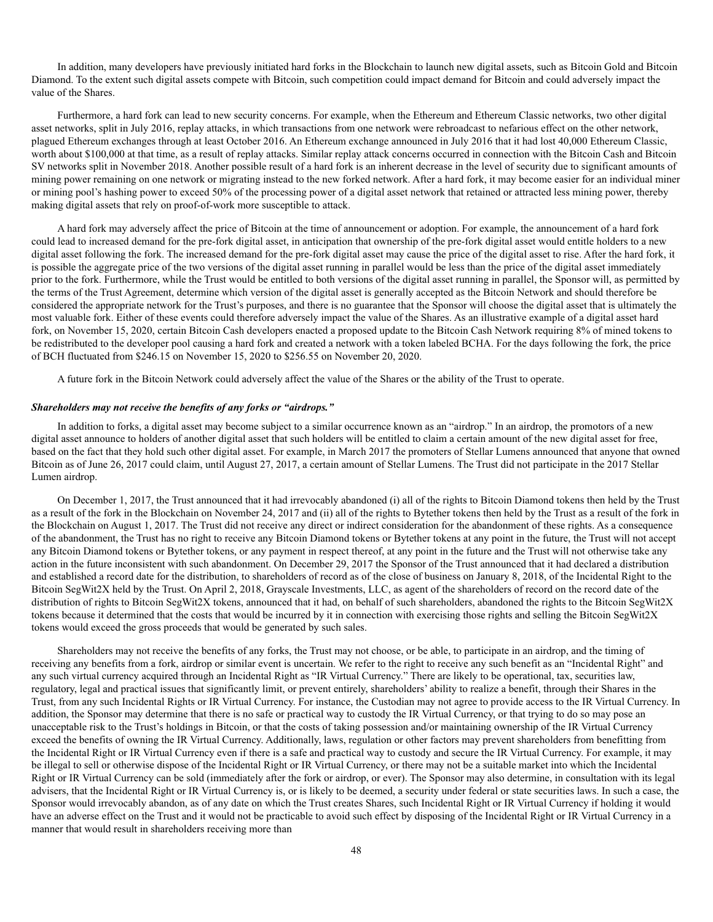In addition, many developers have previously initiated hard forks in the Blockchain to launch new digital assets, such as Bitcoin Gold and Bitcoin Diamond. To the extent such digital assets compete with Bitcoin, such competition could impact demand for Bitcoin and could adversely impact the value of the Shares.

Furthermore, a hard fork can lead to new security concerns. For example, when the Ethereum and Ethereum Classic networks, two other digital asset networks, split in July 2016, replay attacks, in which transactions from one network were rebroadcast to nefarious effect on the other network, plagued Ethereum exchanges through at least October 2016. An Ethereum exchange announced in July 2016 that it had lost 40,000 Ethereum Classic, worth about \$100,000 at that time, as a result of replay attacks. Similar replay attack concerns occurred in connection with the Bitcoin Cash and Bitcoin SV networks split in November 2018. Another possible result of a hard fork is an inherent decrease in the level of security due to significant amounts of mining power remaining on one network or migrating instead to the new forked network. After a hard fork, it may become easier for an individual miner or mining pool's hashing power to exceed 50% of the processing power of a digital asset network that retained or attracted less mining power, thereby making digital assets that rely on proof-of-work more susceptible to attack.

A hard fork may adversely affect the price of Bitcoin at the time of announcement or adoption. For example, the announcement of a hard fork could lead to increased demand for the pre-fork digital asset, in anticipation that ownership of the pre-fork digital asset would entitle holders to a new digital asset following the fork. The increased demand for the pre-fork digital asset may cause the price of the digital asset to rise. After the hard fork, it is possible the aggregate price of the two versions of the digital asset running in parallel would be less than the price of the digital asset immediately prior to the fork. Furthermore, while the Trust would be entitled to both versions of the digital asset running in parallel, the Sponsor will, as permitted by the terms of the Trust Agreement, determine which version of the digital asset is generally accepted as the Bitcoin Network and should therefore be considered the appropriate network for the Trust's purposes, and there is no guarantee that the Sponsor will choose the digital asset that is ultimately the most valuable fork. Either of these events could therefore adversely impact the value of the Shares. As an illustrative example of a digital asset hard fork, on November 15, 2020, certain Bitcoin Cash developers enacted a proposed update to the Bitcoin Cash Network requiring 8% of mined tokens to be redistributed to the developer pool causing a hard fork and created a network with a token labeled BCHA. For the days following the fork, the price of BCH fluctuated from \$246.15 on November 15, 2020 to \$256.55 on November 20, 2020.

A future fork in the Bitcoin Network could adversely affect the value of the Shares or the ability of the Trust to operate.

## *Shareholders may not receive the benefits of any forks or "airdrops."*

In addition to forks, a digital asset may become subject to a similar occurrence known as an "airdrop." In an airdrop, the promotors of a new digital asset announce to holders of another digital asset that such holders will be entitled to claim a certain amount of the new digital asset for free, based on the fact that they hold such other digital asset. For example, in March 2017 the promoters of Stellar Lumens announced that anyone that owned Bitcoin as of June 26, 2017 could claim, until August 27, 2017, a certain amount of Stellar Lumens. The Trust did not participate in the 2017 Stellar Lumen airdrop.

On December 1, 2017, the Trust announced that it had irrevocably abandoned (i) all of the rights to Bitcoin Diamond tokens then held by the Trust as a result of the fork in the Blockchain on November 24, 2017 and (ii) all of the rights to Bytether tokens then held by the Trust as a result of the fork in the Blockchain on August 1, 2017. The Trust did not receive any direct or indirect consideration for the abandonment of these rights. As a consequence of the abandonment, the Trust has no right to receive any Bitcoin Diamond tokens or Bytether tokens at any point in the future, the Trust will not accept any Bitcoin Diamond tokens or Bytether tokens, or any payment in respect thereof, at any point in the future and the Trust will not otherwise take any action in the future inconsistent with such abandonment. On December 29, 2017 the Sponsor of the Trust announced that it had declared a distribution and established a record date for the distribution, to shareholders of record as of the close of business on January 8, 2018, of the Incidental Right to the Bitcoin SegWit2X held by the Trust. On April 2, 2018, Grayscale Investments, LLC, as agent of the shareholders of record on the record date of the distribution of rights to Bitcoin SegWit2X tokens, announced that it had, on behalf of such shareholders, abandoned the rights to the Bitcoin SegWit2X tokens because it determined that the costs that would be incurred by it in connection with exercising those rights and selling the Bitcoin SegWit2X tokens would exceed the gross proceeds that would be generated by such sales.

Shareholders may not receive the benefits of any forks, the Trust may not choose, or be able, to participate in an airdrop, and the timing of receiving any benefits from a fork, airdrop or similar event is uncertain. We refer to the right to receive any such benefit as an "Incidental Right" and any such virtual currency acquired through an Incidental Right as "IR Virtual Currency." There are likely to be operational, tax, securities law, regulatory, legal and practical issues that significantly limit, or prevent entirely, shareholders' ability to realize a benefit, through their Shares in the Trust, from any such Incidental Rights or IR Virtual Currency. For instance, the Custodian may not agree to provide access to the IR Virtual Currency. In addition, the Sponsor may determine that there is no safe or practical way to custody the IR Virtual Currency, or that trying to do so may pose an unacceptable risk to the Trust's holdings in Bitcoin, or that the costs of taking possession and/or maintaining ownership of the IR Virtual Currency exceed the benefits of owning the IR Virtual Currency. Additionally, laws, regulation or other factors may prevent shareholders from benefitting from the Incidental Right or IR Virtual Currency even if there is a safe and practical way to custody and secure the IR Virtual Currency. For example, it may be illegal to sell or otherwise dispose of the Incidental Right or IR Virtual Currency, or there may not be a suitable market into which the Incidental Right or IR Virtual Currency can be sold (immediately after the fork or airdrop, or ever). The Sponsor may also determine, in consultation with its legal advisers, that the Incidental Right or IR Virtual Currency is, or is likely to be deemed, a security under federal or state securities laws. In such a case, the Sponsor would irrevocably abandon, as of any date on which the Trust creates Shares, such Incidental Right or IR Virtual Currency if holding it would have an adverse effect on the Trust and it would not be practicable to avoid such effect by disposing of the Incidental Right or IR Virtual Currency in a manner that would result in shareholders receiving more than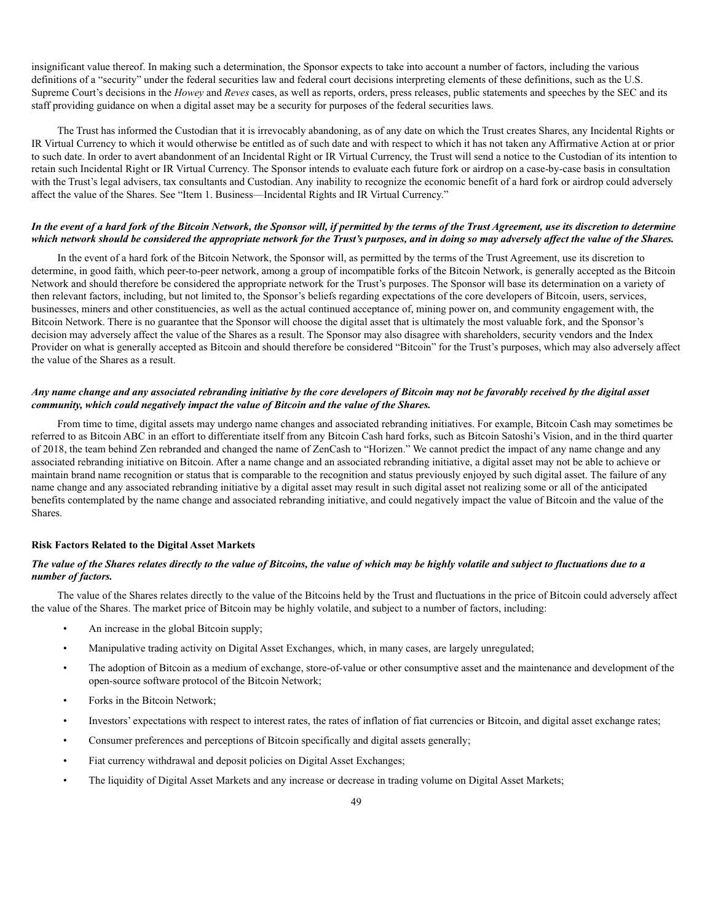insignificant value thereof. In making such a determination, the Sponsor expects to take into account a number of factors, including the various definitions of a "security" under the federal securities law and federal court decisions interpreting elements of these definitions, such as the U.S. Supreme Court's decisions in the *Howey* and *Reves* cases, as well as reports, orders, press releases, public statements and speeches by the SEC and its staff providing guidance on when a digital asset may be a security for purposes of the federal securities laws.

The Trust has informed the Custodian that it is irrevocably abandoning, as of any date on which the Trust creates Shares, any Incidental Rights or IR Virtual Currency to which it would otherwise be entitled as of such date and with respect to which it has not taken any Affirmative Action at or prior to such date. In order to avert abandonment of an Incidental Right or IR Virtual Currency, the Trust will send a notice to the Custodian of its intention to retain such Incidental Right or IR Virtual Currency. The Sponsor intends to evaluate each future fork or airdrop on a case-by-case basis in consultation with the Trust's legal advisers, tax consultants and Custodian. Any inability to recognize the economic benefit of a hard fork or airdrop could adversely affect the value of the Shares. See "Item 1. Business—Incidental Rights and IR Virtual Currency."

# *In the event of a hard fork of the Bitcoin Network, the Sponsor will, if permitted by the terms of the Trust Agreement, use its discretion to determine which network should be considered the appropriate network for the Trust's purposes, and in doing so may adversely affect the value of the Shares.*

In the event of a hard fork of the Bitcoin Network, the Sponsor will, as permitted by the terms of the Trust Agreement, use its discretion to determine, in good faith, which peer-to-peer network, among a group of incompatible forks of the Bitcoin Network, is generally accepted as the Bitcoin Network and should therefore be considered the appropriate network for the Trust's purposes. The Sponsor will base its determination on a variety of then relevant factors, including, but not limited to, the Sponsor's beliefs regarding expectations of the core developers of Bitcoin, users, services, businesses, miners and other constituencies, as well as the actual continued acceptance of, mining power on, and community engagement with, the Bitcoin Network. There is no guarantee that the Sponsor will choose the digital asset that is ultimately the most valuable fork, and the Sponsor's decision may adversely affect the value of the Shares as a result. The Sponsor may also disagree with shareholders, security vendors and the Index Provider on what is generally accepted as Bitcoin and should therefore be considered "Bitcoin" for the Trust's purposes, which may also adversely affect the value of the Shares as a result.

# *Any name change and any associated rebranding initiative by the core developers of Bitcoin may not be favorably received by the digital asset community, which could negatively impact the value of Bitcoin and the value of the Shares.*

From time to time, digital assets may undergo name changes and associated rebranding initiatives. For example, Bitcoin Cash may sometimes be referred to as Bitcoin ABC in an effort to differentiate itself from any Bitcoin Cash hard forks, such as Bitcoin Satoshi's Vision, and in the third quarter of 2018, the team behind Zen rebranded and changed the name of ZenCash to "Horizen." We cannot predict the impact of any name change and any associated rebranding initiative on Bitcoin. After a name change and an associated rebranding initiative, a digital asset may not be able to achieve or maintain brand name recognition or status that is comparable to the recognition and status previously enjoyed by such digital asset. The failure of any name change and any associated rebranding initiative by a digital asset may result in such digital asset not realizing some or all of the anticipated benefits contemplated by the name change and associated rebranding initiative, and could negatively impact the value of Bitcoin and the value of the Shares.

## **Risk Factors Related to the Digital Asset Markets**

# *The value of the Shares relates directly to the value of Bitcoins, the value of which may be highly volatile and subject to fluctuations due to a number of factors.*

The value of the Shares relates directly to the value of the Bitcoins held by the Trust and fluctuations in the price of Bitcoin could adversely affect the value of the Shares. The market price of Bitcoin may be highly volatile, and subject to a number of factors, including:

- An increase in the global Bitcoin supply;
- Manipulative trading activity on Digital Asset Exchanges, which, in many cases, are largely unregulated;
- The adoption of Bitcoin as a medium of exchange, store-of-value or other consumptive asset and the maintenance and development of the open-source software protocol of the Bitcoin Network;
- Forks in the Bitcoin Network;
- Investors' expectations with respect to interest rates, the rates of inflation of fiat currencies or Bitcoin, and digital asset exchange rates;
- Consumer preferences and perceptions of Bitcoin specifically and digital assets generally;
- Fiat currency withdrawal and deposit policies on Digital Asset Exchanges;
- The liquidity of Digital Asset Markets and any increase or decrease in trading volume on Digital Asset Markets;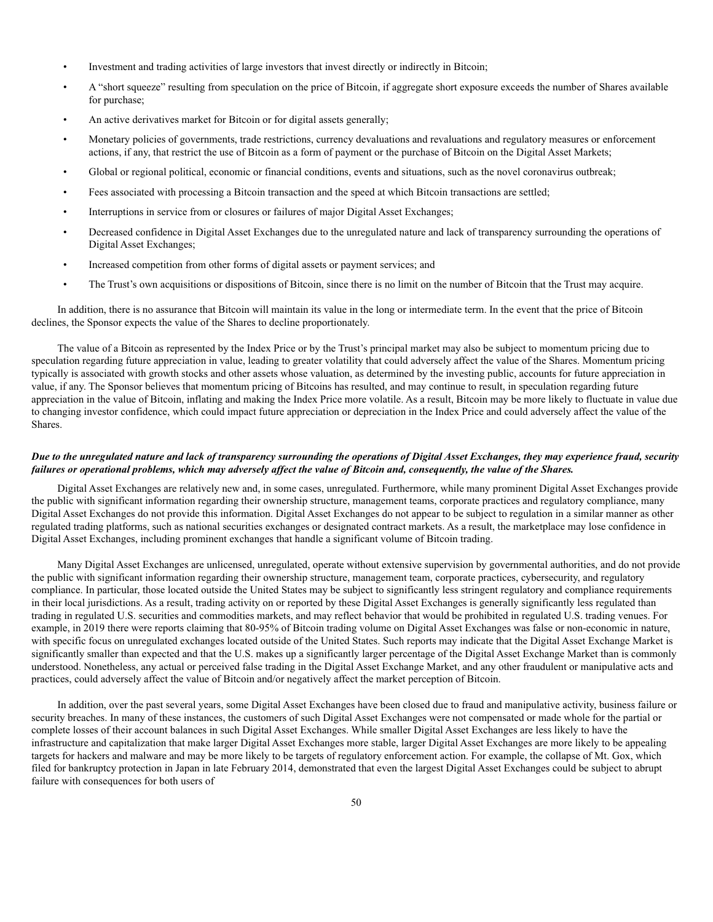- Investment and trading activities of large investors that invest directly or indirectly in Bitcoin;
- A "short squeeze" resulting from speculation on the price of Bitcoin, if aggregate short exposure exceeds the number of Shares available for purchase;
- An active derivatives market for Bitcoin or for digital assets generally;
- Monetary policies of governments, trade restrictions, currency devaluations and revaluations and regulatory measures or enforcement actions, if any, that restrict the use of Bitcoin as a form of payment or the purchase of Bitcoin on the Digital Asset Markets;
- Global or regional political, economic or financial conditions, events and situations, such as the novel coronavirus outbreak;
- Fees associated with processing a Bitcoin transaction and the speed at which Bitcoin transactions are settled;
- Interruptions in service from or closures or failures of major Digital Asset Exchanges;
- Decreased confidence in Digital Asset Exchanges due to the unregulated nature and lack of transparency surrounding the operations of Digital Asset Exchanges;
- Increased competition from other forms of digital assets or payment services; and
- The Trust's own acquisitions or dispositions of Bitcoin, since there is no limit on the number of Bitcoin that the Trust may acquire.

In addition, there is no assurance that Bitcoin will maintain its value in the long or intermediate term. In the event that the price of Bitcoin declines, the Sponsor expects the value of the Shares to decline proportionately.

The value of a Bitcoin as represented by the Index Price or by the Trust's principal market may also be subject to momentum pricing due to speculation regarding future appreciation in value, leading to greater volatility that could adversely affect the value of the Shares. Momentum pricing typically is associated with growth stocks and other assets whose valuation, as determined by the investing public, accounts for future appreciation in value, if any. The Sponsor believes that momentum pricing of Bitcoins has resulted, and may continue to result, in speculation regarding future appreciation in the value of Bitcoin, inflating and making the Index Price more volatile. As a result, Bitcoin may be more likely to fluctuate in value due to changing investor confidence, which could impact future appreciation or depreciation in the Index Price and could adversely affect the value of the Shares.

# *Due to the unregulated nature and lack of transparency surrounding the operations of Digital Asset Exchanges, they may experience fraud, security failures or operational problems, which may adversely affect the value of Bitcoin and, consequently, the value of the Shares.*

Digital Asset Exchanges are relatively new and, in some cases, unregulated. Furthermore, while many prominent Digital Asset Exchanges provide the public with significant information regarding their ownership structure, management teams, corporate practices and regulatory compliance, many Digital Asset Exchanges do not provide this information. Digital Asset Exchanges do not appear to be subject to regulation in a similar manner as other regulated trading platforms, such as national securities exchanges or designated contract markets. As a result, the marketplace may lose confidence in Digital Asset Exchanges, including prominent exchanges that handle a significant volume of Bitcoin trading.

Many Digital Asset Exchanges are unlicensed, unregulated, operate without extensive supervision by governmental authorities, and do not provide the public with significant information regarding their ownership structure, management team, corporate practices, cybersecurity, and regulatory compliance. In particular, those located outside the United States may be subject to significantly less stringent regulatory and compliance requirements in their local jurisdictions. As a result, trading activity on or reported by these Digital Asset Exchanges is generally significantly less regulated than trading in regulated U.S. securities and commodities markets, and may reflect behavior that would be prohibited in regulated U.S. trading venues. For example, in 2019 there were reports claiming that 80-95% of Bitcoin trading volume on Digital Asset Exchanges was false or non-economic in nature, with specific focus on unregulated exchanges located outside of the United States. Such reports may indicate that the Digital Asset Exchange Market is significantly smaller than expected and that the U.S. makes up a significantly larger percentage of the Digital Asset Exchange Market than is commonly understood. Nonetheless, any actual or perceived false trading in the Digital Asset Exchange Market, and any other fraudulent or manipulative acts and practices, could adversely affect the value of Bitcoin and/or negatively affect the market perception of Bitcoin.

In addition, over the past several years, some Digital Asset Exchanges have been closed due to fraud and manipulative activity, business failure or security breaches. In many of these instances, the customers of such Digital Asset Exchanges were not compensated or made whole for the partial or complete losses of their account balances in such Digital Asset Exchanges. While smaller Digital Asset Exchanges are less likely to have the infrastructure and capitalization that make larger Digital Asset Exchanges more stable, larger Digital Asset Exchanges are more likely to be appealing targets for hackers and malware and may be more likely to be targets of regulatory enforcement action. For example, the collapse of Mt. Gox, which filed for bankruptcy protection in Japan in late February 2014, demonstrated that even the largest Digital Asset Exchanges could be subject to abrupt failure with consequences for both users of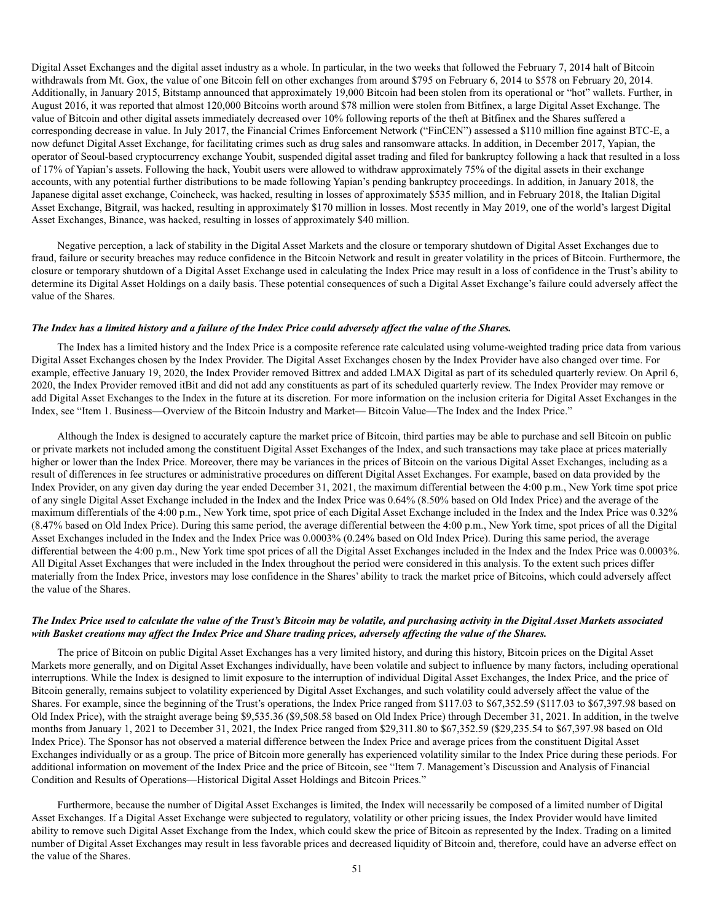Digital Asset Exchanges and the digital asset industry as a whole. In particular, in the two weeks that followed the February 7, 2014 halt of Bitcoin withdrawals from Mt. Gox, the value of one Bitcoin fell on other exchanges from around \$795 on February 6, 2014 to \$578 on February 20, 2014. Additionally, in January 2015, Bitstamp announced that approximately 19,000 Bitcoin had been stolen from its operational or "hot" wallets. Further, in August 2016, it was reported that almost 120,000 Bitcoins worth around \$78 million were stolen from Bitfinex, a large Digital Asset Exchange. The value of Bitcoin and other digital assets immediately decreased over 10% following reports of the theft at Bitfinex and the Shares suffered a corresponding decrease in value. In July 2017, the Financial Crimes Enforcement Network ("FinCEN") assessed a \$110 million fine against BTC-E, a now defunct Digital Asset Exchange, for facilitating crimes such as drug sales and ransomware attacks. In addition, in December 2017, Yapian, the operator of Seoul-based cryptocurrency exchange Youbit, suspended digital asset trading and filed for bankruptcy following a hack that resulted in a loss of 17% of Yapian's assets. Following the hack, Youbit users were allowed to withdraw approximately 75% of the digital assets in their exchange accounts, with any potential further distributions to be made following Yapian's pending bankruptcy proceedings. In addition, in January 2018, the Japanese digital asset exchange, Coincheck, was hacked, resulting in losses of approximately \$535 million, and in February 2018, the Italian Digital Asset Exchange, Bitgrail, was hacked, resulting in approximately \$170 million in losses. Most recently in May 2019, one of the world's largest Digital Asset Exchanges, Binance, was hacked, resulting in losses of approximately \$40 million.

Negative perception, a lack of stability in the Digital Asset Markets and the closure or temporary shutdown of Digital Asset Exchanges due to fraud, failure or security breaches may reduce confidence in the Bitcoin Network and result in greater volatility in the prices of Bitcoin. Furthermore, the closure or temporary shutdown of a Digital Asset Exchange used in calculating the Index Price may result in a loss of confidence in the Trust's ability to determine its Digital Asset Holdings on a daily basis. These potential consequences of such a Digital Asset Exchange's failure could adversely affect the value of the Shares.

## *The Index has a limited history and a failure of the Index Price could adversely affect the value of the Shares.*

The Index has a limited history and the Index Price is a composite reference rate calculated using volume-weighted trading price data from various Digital Asset Exchanges chosen by the Index Provider. The Digital Asset Exchanges chosen by the Index Provider have also changed over time. For example, effective January 19, 2020, the Index Provider removed Bittrex and added LMAX Digital as part of its scheduled quarterly review. On April 6, 2020, the Index Provider removed itBit and did not add any constituents as part of its scheduled quarterly review. The Index Provider may remove or add Digital Asset Exchanges to the Index in the future at its discretion. For more information on the inclusion criteria for Digital Asset Exchanges in the Index, see "Item 1. Business—Overview of the Bitcoin Industry and Market— Bitcoin Value—The Index and the Index Price."

Although the Index is designed to accurately capture the market price of Bitcoin, third parties may be able to purchase and sell Bitcoin on public or private markets not included among the constituent Digital Asset Exchanges of the Index, and such transactions may take place at prices materially higher or lower than the Index Price. Moreover, there may be variances in the prices of Bitcoin on the various Digital Asset Exchanges, including as a result of differences in fee structures or administrative procedures on different Digital Asset Exchanges. For example, based on data provided by the Index Provider, on any given day during the year ended December 31, 2021, the maximum differential between the 4:00 p.m., New York time spot price of any single Digital Asset Exchange included in the Index and the Index Price was 0.64% (8.50% based on Old Index Price) and the average of the maximum differentials of the 4:00 p.m., New York time, spot price of each Digital Asset Exchange included in the Index and the Index Price was 0.32% (8.47% based on Old Index Price). During this same period, the average differential between the 4:00 p.m., New York time, spot prices of all the Digital Asset Exchanges included in the Index and the Index Price was 0.0003% (0.24% based on Old Index Price). During this same period, the average differential between the 4:00 p.m., New York time spot prices of all the Digital Asset Exchanges included in the Index and the Index Price was 0.0003%. All Digital Asset Exchanges that were included in the Index throughout the period were considered in this analysis. To the extent such prices differ materially from the Index Price, investors may lose confidence in the Shares' ability to track the market price of Bitcoins, which could adversely affect the value of the Shares.

# *The Index Price used to calculate the value of the Trust's Bitcoin may be volatile, and purchasing activity in the Digital Asset Markets associated with Basket creations may affect the Index Price and Share trading prices, adversely affecting the value of the Shares.*

The price of Bitcoin on public Digital Asset Exchanges has a very limited history, and during this history, Bitcoin prices on the Digital Asset Markets more generally, and on Digital Asset Exchanges individually, have been volatile and subject to influence by many factors, including operational interruptions. While the Index is designed to limit exposure to the interruption of individual Digital Asset Exchanges, the Index Price, and the price of Bitcoin generally, remains subject to volatility experienced by Digital Asset Exchanges, and such volatility could adversely affect the value of the Shares. For example, since the beginning of the Trust's operations, the Index Price ranged from \$117.03 to \$67,352.59 (\$117.03 to \$67,397.98 based on Old Index Price), with the straight average being \$9,535.36 (\$9,508.58 based on Old Index Price) through December 31, 2021. In addition, in the twelve months from January 1, 2021 to December 31, 2021, the Index Price ranged from \$29,311.80 to \$67,352.59 (\$29,235.54 to \$67,397.98 based on Old Index Price). The Sponsor has not observed a material difference between the Index Price and average prices from the constituent Digital Asset Exchanges individually or as a group. The price of Bitcoin more generally has experienced volatility similar to the Index Price during these periods. For additional information on movement of the Index Price and the price of Bitcoin, see "Item 7. Management's Discussion and Analysis of Financial Condition and Results of Operations—Historical Digital Asset Holdings and Bitcoin Prices."

Furthermore, because the number of Digital Asset Exchanges is limited, the Index will necessarily be composed of a limited number of Digital Asset Exchanges. If a Digital Asset Exchange were subjected to regulatory, volatility or other pricing issues, the Index Provider would have limited ability to remove such Digital Asset Exchange from the Index, which could skew the price of Bitcoin as represented by the Index. Trading on a limited number of Digital Asset Exchanges may result in less favorable prices and decreased liquidity of Bitcoin and, therefore, could have an adverse effect on the value of the Shares.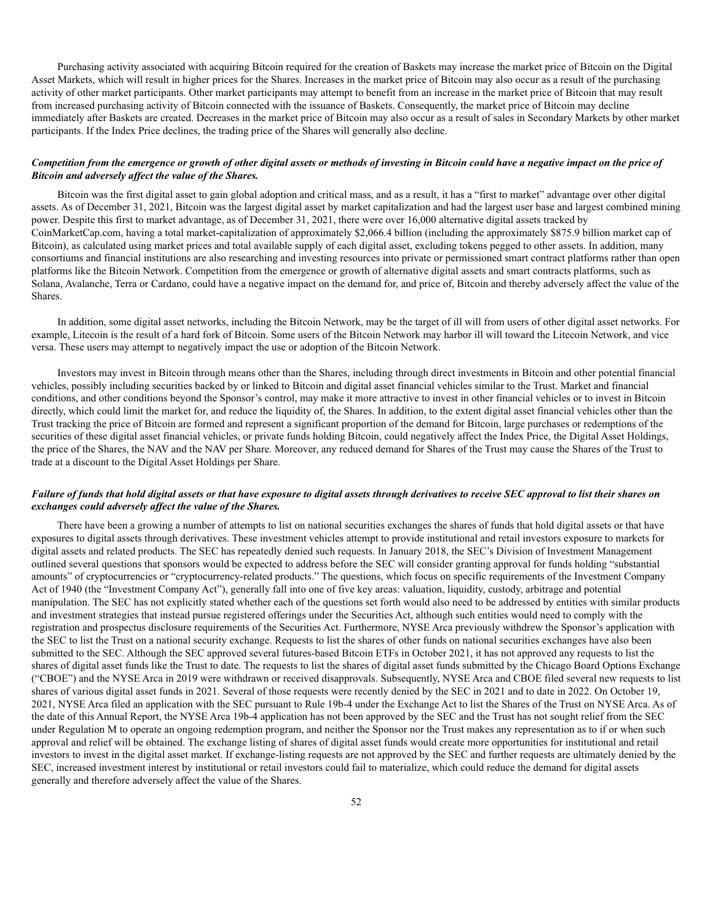Purchasing activity associated with acquiring Bitcoin required for the creation of Baskets may increase the market price of Bitcoin on the Digital Asset Markets, which will result in higher prices for the Shares. Increases in the market price of Bitcoin may also occur as a result of the purchasing activity of other market participants. Other market participants may attempt to benefit from an increase in the market price of Bitcoin that may result from increased purchasing activity of Bitcoin connected with the issuance of Baskets. Consequently, the market price of Bitcoin may decline immediately after Baskets are created. Decreases in the market price of Bitcoin may also occur as a result of sales in Secondary Markets by other market participants. If the Index Price declines, the trading price of the Shares will generally also decline.

# *Competition from the emergence or growth of other digital assets or methods of investing in Bitcoin could have a negative impact on the price of Bitcoin and adversely affect the value of the Shares.*

Bitcoin was the first digital asset to gain global adoption and critical mass, and as a result, it has a "first to market" advantage over other digital assets. As of December 31, 2021, Bitcoin was the largest digital asset by market capitalization and had the largest user base and largest combined mining power. Despite this first to market advantage, as of December 31, 2021, there were over 16,000 alternative digital assets tracked by CoinMarketCap.com, having a total market-capitalization of approximately \$2,066.4 billion (including the approximately \$875.9 billion market cap of Bitcoin), as calculated using market prices and total available supply of each digital asset, excluding tokens pegged to other assets. In addition, many consortiums and financial institutions are also researching and investing resources into private or permissioned smart contract platforms rather than open platforms like the Bitcoin Network. Competition from the emergence or growth of alternative digital assets and smart contracts platforms, such as Solana, Avalanche, Terra or Cardano, could have a negative impact on the demand for, and price of, Bitcoin and thereby adversely affect the value of the Shares.

In addition, some digital asset networks, including the Bitcoin Network, may be the target of ill will from users of other digital asset networks. For example, Litecoin is the result of a hard fork of Bitcoin. Some users of the Bitcoin Network may harbor ill will toward the Litecoin Network, and vice versa. These users may attempt to negatively impact the use or adoption of the Bitcoin Network.

Investors may invest in Bitcoin through means other than the Shares, including through direct investments in Bitcoin and other potential financial vehicles, possibly including securities backed by or linked to Bitcoin and digital asset financial vehicles similar to the Trust. Market and financial conditions, and other conditions beyond the Sponsor's control, may make it more attractive to invest in other financial vehicles or to invest in Bitcoin directly, which could limit the market for, and reduce the liquidity of, the Shares. In addition, to the extent digital asset financial vehicles other than the Trust tracking the price of Bitcoin are formed and represent a significant proportion of the demand for Bitcoin, large purchases or redemptions of the securities of these digital asset financial vehicles, or private funds holding Bitcoin, could negatively affect the Index Price, the Digital Asset Holdings, the price of the Shares, the NAV and the NAV per Share. Moreover, any reduced demand for Shares of the Trust may cause the Shares of the Trust to trade at a discount to the Digital Asset Holdings per Share.

## *Failure of funds that hold digital assets or that have exposure to digital assets through derivatives to receive SEC approval to list their shares on exchanges could adversely affect the value of the Shares.*

There have been a growing a number of attempts to list on national securities exchanges the shares of funds that hold digital assets or that have exposures to digital assets through derivatives. These investment vehicles attempt to provide institutional and retail investors exposure to markets for digital assets and related products. The SEC has repeatedly denied such requests. In January 2018, the SEC's Division of Investment Management outlined several questions that sponsors would be expected to address before the SEC will consider granting approval for funds holding "substantial amounts" of cryptocurrencies or "cryptocurrency-related products." The questions, which focus on specific requirements of the Investment Company Act of 1940 (the "Investment Company Act"), generally fall into one of five key areas: valuation, liquidity, custody, arbitrage and potential manipulation. The SEC has not explicitly stated whether each of the questions set forth would also need to be addressed by entities with similar products and investment strategies that instead pursue registered offerings under the Securities Act, although such entities would need to comply with the registration and prospectus disclosure requirements of the Securities Act. Furthermore, NYSE Arca previously withdrew the Sponsor's application with the SEC to list the Trust on a national security exchange. Requests to list the shares of other funds on national securities exchanges have also been submitted to the SEC. Although the SEC approved several futures-based Bitcoin ETFs in October 2021, it has not approved any requests to list the shares of digital asset funds like the Trust to date. The requests to list the shares of digital asset funds submitted by the Chicago Board Options Exchange ("CBOE") and the NYSE Arca in 2019 were withdrawn or received disapprovals. Subsequently, NYSE Arca and CBOE filed several new requests to list shares of various digital asset funds in 2021. Several of those requests were recently denied by the SEC in 2021 and to date in 2022. On October 19, 2021, NYSE Arca filed an application with the SEC pursuant to Rule 19b-4 under the Exchange Act to list the Shares of the Trust on NYSE Arca. As of the date of this Annual Report, the NYSE Arca 19b-4 application has not been approved by the SEC and the Trust has not sought relief from the SEC under Regulation M to operate an ongoing redemption program, and neither the Sponsor nor the Trust makes any representation as to if or when such approval and relief will be obtained. The exchange listing of shares of digital asset funds would create more opportunities for institutional and retail investors to invest in the digital asset market. If exchange-listing requests are not approved by the SEC and further requests are ultimately denied by the SEC, increased investment interest by institutional or retail investors could fail to materialize, which could reduce the demand for digital assets generally and therefore adversely affect the value of the Shares.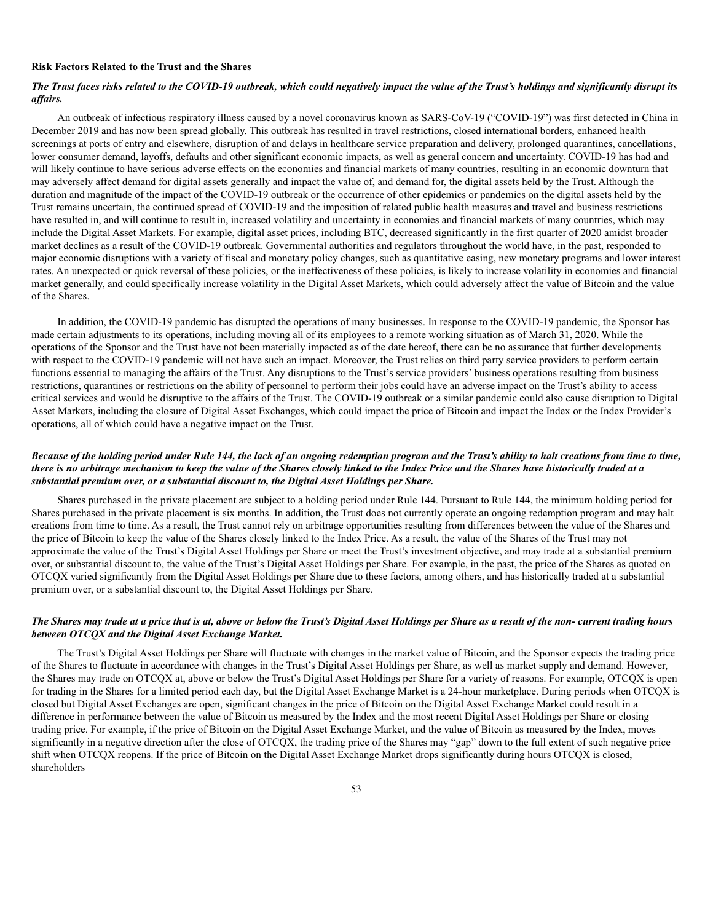#### **Risk Factors Related to the Trust and the Shares**

# *The Trust faces risks related to the COVID-19 outbreak, which could negatively impact the value of the Trust's holdings and significantly disrupt its affairs.*

An outbreak of infectious respiratory illness caused by a novel coronavirus known as SARS-CoV-19 ("COVID-19") was first detected in China in December 2019 and has now been spread globally. This outbreak has resulted in travel restrictions, closed international borders, enhanced health screenings at ports of entry and elsewhere, disruption of and delays in healthcare service preparation and delivery, prolonged quarantines, cancellations, lower consumer demand, layoffs, defaults and other significant economic impacts, as well as general concern and uncertainty. COVID-19 has had and will likely continue to have serious adverse effects on the economies and financial markets of many countries, resulting in an economic downturn that may adversely affect demand for digital assets generally and impact the value of, and demand for, the digital assets held by the Trust. Although the duration and magnitude of the impact of the COVID-19 outbreak or the occurrence of other epidemics or pandemics on the digital assets held by the Trust remains uncertain, the continued spread of COVID-19 and the imposition of related public health measures and travel and business restrictions have resulted in, and will continue to result in, increased volatility and uncertainty in economies and financial markets of many countries, which may include the Digital Asset Markets. For example, digital asset prices, including BTC, decreased significantly in the first quarter of 2020 amidst broader market declines as a result of the COVID-19 outbreak. Governmental authorities and regulators throughout the world have, in the past, responded to major economic disruptions with a variety of fiscal and monetary policy changes, such as quantitative easing, new monetary programs and lower interest rates. An unexpected or quick reversal of these policies, or the ineffectiveness of these policies, is likely to increase volatility in economies and financial market generally, and could specifically increase volatility in the Digital Asset Markets, which could adversely affect the value of Bitcoin and the value of the Shares.

In addition, the COVID-19 pandemic has disrupted the operations of many businesses. In response to the COVID-19 pandemic, the Sponsor has made certain adjustments to its operations, including moving all of its employees to a remote working situation as of March 31, 2020. While the operations of the Sponsor and the Trust have not been materially impacted as of the date hereof, there can be no assurance that further developments with respect to the COVID-19 pandemic will not have such an impact. Moreover, the Trust relies on third party service providers to perform certain functions essential to managing the affairs of the Trust. Any disruptions to the Trust's service providers' business operations resulting from business restrictions, quarantines or restrictions on the ability of personnel to perform their jobs could have an adverse impact on the Trust's ability to access critical services and would be disruptive to the affairs of the Trust. The COVID-19 outbreak or a similar pandemic could also cause disruption to Digital Asset Markets, including the closure of Digital Asset Exchanges, which could impact the price of Bitcoin and impact the Index or the Index Provider's operations, all of which could have a negative impact on the Trust.

# *Because of the holding period under Rule 144, the lack of an ongoing redemption program and the Trust's ability to halt creations from time to time, there is no arbitrage mechanism to keep the value of the Shares closely linked to the Index Price and the Shares have historically traded at a substantial premium over, or a substantial discount to, the Digital Asset Holdings per Share.*

Shares purchased in the private placement are subject to a holding period under Rule 144. Pursuant to Rule 144, the minimum holding period for Shares purchased in the private placement is six months. In addition, the Trust does not currently operate an ongoing redemption program and may halt creations from time to time. As a result, the Trust cannot rely on arbitrage opportunities resulting from differences between the value of the Shares and the price of Bitcoin to keep the value of the Shares closely linked to the Index Price. As a result, the value of the Shares of the Trust may not approximate the value of the Trust's Digital Asset Holdings per Share or meet the Trust's investment objective, and may trade at a substantial premium over, or substantial discount to, the value of the Trust's Digital Asset Holdings per Share. For example, in the past, the price of the Shares as quoted on OTCQX varied significantly from the Digital Asset Holdings per Share due to these factors, among others, and has historically traded at a substantial premium over, or a substantial discount to, the Digital Asset Holdings per Share.

# *The Shares may trade at a price that is at, above or below the Trust's Digital Asset Holdings per Share as a result of the non- current trading hours between OTCQX and the Digital Asset Exchange Market.*

The Trust's Digital Asset Holdings per Share will fluctuate with changes in the market value of Bitcoin, and the Sponsor expects the trading price of the Shares to fluctuate in accordance with changes in the Trust's Digital Asset Holdings per Share, as well as market supply and demand. However, the Shares may trade on OTCQX at, above or below the Trust's Digital Asset Holdings per Share for a variety of reasons. For example, OTCQX is open for trading in the Shares for a limited period each day, but the Digital Asset Exchange Market is a 24-hour marketplace. During periods when OTCQX is closed but Digital Asset Exchanges are open, significant changes in the price of Bitcoin on the Digital Asset Exchange Market could result in a difference in performance between the value of Bitcoin as measured by the Index and the most recent Digital Asset Holdings per Share or closing trading price. For example, if the price of Bitcoin on the Digital Asset Exchange Market, and the value of Bitcoin as measured by the Index, moves significantly in a negative direction after the close of OTCQX, the trading price of the Shares may "gap" down to the full extent of such negative price shift when OTCQX reopens. If the price of Bitcoin on the Digital Asset Exchange Market drops significantly during hours OTCQX is closed, shareholders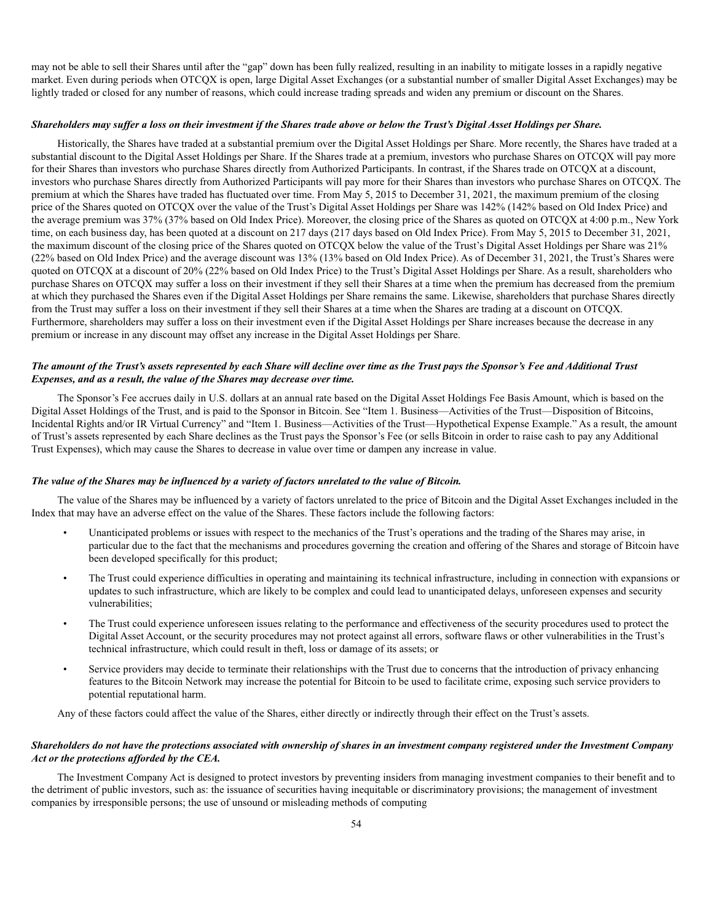may not be able to sell their Shares until after the "gap" down has been fully realized, resulting in an inability to mitigate losses in a rapidly negative market. Even during periods when OTCQX is open, large Digital Asset Exchanges (or a substantial number of smaller Digital Asset Exchanges) may be lightly traded or closed for any number of reasons, which could increase trading spreads and widen any premium or discount on the Shares.

#### *Shareholders may suffer a loss on their investment if the Shares trade above or below the Trust's Digital Asset Holdings per Share.*

Historically, the Shares have traded at a substantial premium over the Digital Asset Holdings per Share. More recently, the Shares have traded at a substantial discount to the Digital Asset Holdings per Share. If the Shares trade at a premium, investors who purchase Shares on OTCQX will pay more for their Shares than investors who purchase Shares directly from Authorized Participants. In contrast, if the Shares trade on OTCQX at a discount, investors who purchase Shares directly from Authorized Participants will pay more for their Shares than investors who purchase Shares on OTCQX. The premium at which the Shares have traded has fluctuated over time. From May 5, 2015 to December 31, 2021, the maximum premium of the closing price of the Shares quoted on OTCQX over the value of the Trust's Digital Asset Holdings per Share was 142% (142% based on Old Index Price) and the average premium was 37% (37% based on Old Index Price). Moreover, the closing price of the Shares as quoted on OTCQX at 4:00 p.m., New York time, on each business day, has been quoted at a discount on 217 days (217 days based on Old Index Price). From May 5, 2015 to December 31, 2021, the maximum discount of the closing price of the Shares quoted on OTCQX below the value of the Trust's Digital Asset Holdings per Share was 21% (22% based on Old Index Price) and the average discount was 13% (13% based on Old Index Price). As of December 31, 2021, the Trust's Shares were quoted on OTCQX at a discount of 20% (22% based on Old Index Price) to the Trust's Digital Asset Holdings per Share. As a result, shareholders who purchase Shares on OTCQX may suffer a loss on their investment if they sell their Shares at a time when the premium has decreased from the premium at which they purchased the Shares even if the Digital Asset Holdings per Share remains the same. Likewise, shareholders that purchase Shares directly from the Trust may suffer a loss on their investment if they sell their Shares at a time when the Shares are trading at a discount on OTCQX. Furthermore, shareholders may suffer a loss on their investment even if the Digital Asset Holdings per Share increases because the decrease in any premium or increase in any discount may offset any increase in the Digital Asset Holdings per Share.

## *The amount of the Trust's assets represented by each Share will decline over time as the Trust pays the Sponsor's Fee and Additional Trust Expenses, and as a result, the value of the Shares may decrease over time.*

The Sponsor's Fee accrues daily in U.S. dollars at an annual rate based on the Digital Asset Holdings Fee Basis Amount, which is based on the Digital Asset Holdings of the Trust, and is paid to the Sponsor in Bitcoin. See "Item 1. Business—Activities of the Trust—Disposition of Bitcoins, Incidental Rights and/or IR Virtual Currency" and "Item 1. Business—Activities of the Trust—Hypothetical Expense Example." As a result, the amount of Trust's assets represented by each Share declines as the Trust pays the Sponsor's Fee (or sells Bitcoin in order to raise cash to pay any Additional Trust Expenses), which may cause the Shares to decrease in value over time or dampen any increase in value.

### *The value of the Shares may be influenced by a variety of factors unrelated to the value of Bitcoin.*

The value of the Shares may be influenced by a variety of factors unrelated to the price of Bitcoin and the Digital Asset Exchanges included in the Index that may have an adverse effect on the value of the Shares. These factors include the following factors:

- Unanticipated problems or issues with respect to the mechanics of the Trust's operations and the trading of the Shares may arise, in particular due to the fact that the mechanisms and procedures governing the creation and offering of the Shares and storage of Bitcoin have been developed specifically for this product;
- The Trust could experience difficulties in operating and maintaining its technical infrastructure, including in connection with expansions or updates to such infrastructure, which are likely to be complex and could lead to unanticipated delays, unforeseen expenses and security vulnerabilities;
- The Trust could experience unforeseen issues relating to the performance and effectiveness of the security procedures used to protect the Digital Asset Account, or the security procedures may not protect against all errors, software flaws or other vulnerabilities in the Trust's technical infrastructure, which could result in theft, loss or damage of its assets; or
- Service providers may decide to terminate their relationships with the Trust due to concerns that the introduction of privacy enhancing features to the Bitcoin Network may increase the potential for Bitcoin to be used to facilitate crime, exposing such service providers to potential reputational harm.

Any of these factors could affect the value of the Shares, either directly or indirectly through their effect on the Trust's assets.

### *Shareholders do not have the protections associated with ownership of shares in an investment company registered under the Investment Company Act or the protections afforded by the CEA.*

The Investment Company Act is designed to protect investors by preventing insiders from managing investment companies to their benefit and to the detriment of public investors, such as: the issuance of securities having inequitable or discriminatory provisions; the management of investment companies by irresponsible persons; the use of unsound or misleading methods of computing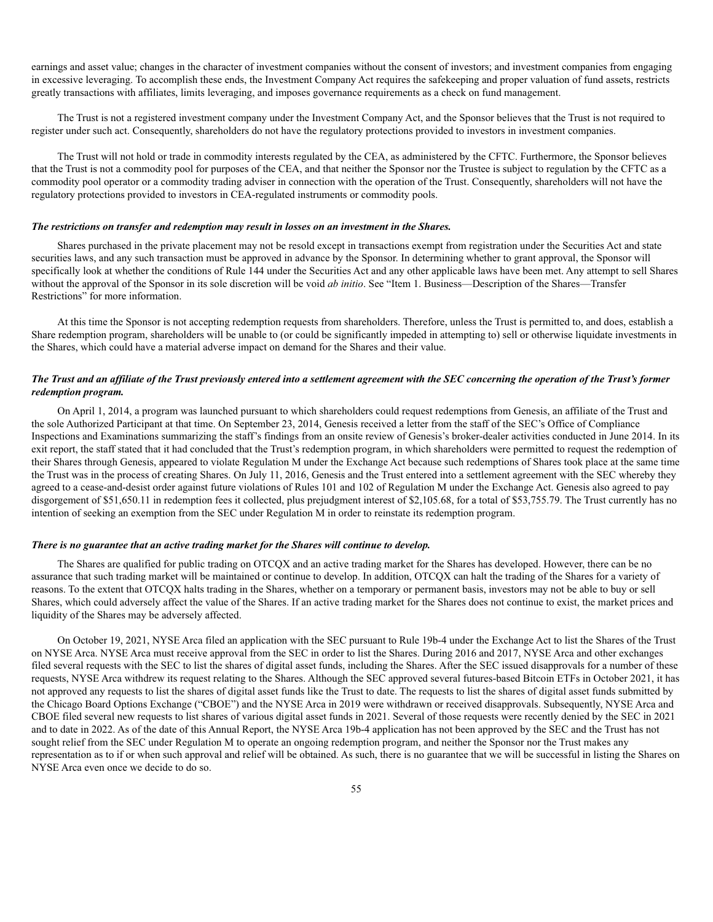earnings and asset value; changes in the character of investment companies without the consent of investors; and investment companies from engaging in excessive leveraging. To accomplish these ends, the Investment Company Act requires the safekeeping and proper valuation of fund assets, restricts greatly transactions with affiliates, limits leveraging, and imposes governance requirements as a check on fund management.

The Trust is not a registered investment company under the Investment Company Act, and the Sponsor believes that the Trust is not required to register under such act. Consequently, shareholders do not have the regulatory protections provided to investors in investment companies.

The Trust will not hold or trade in commodity interests regulated by the CEA, as administered by the CFTC. Furthermore, the Sponsor believes that the Trust is not a commodity pool for purposes of the CEA, and that neither the Sponsor nor the Trustee is subject to regulation by the CFTC as a commodity pool operator or a commodity trading adviser in connection with the operation of the Trust. Consequently, shareholders will not have the regulatory protections provided to investors in CEA-regulated instruments or commodity pools.

## *The restrictions on transfer and redemption may result in losses on an investment in the Shares.*

Shares purchased in the private placement may not be resold except in transactions exempt from registration under the Securities Act and state securities laws, and any such transaction must be approved in advance by the Sponsor. In determining whether to grant approval, the Sponsor will specifically look at whether the conditions of Rule 144 under the Securities Act and any other applicable laws have been met. Any attempt to sell Shares without the approval of the Sponsor in its sole discretion will be void *ab initio*. See "Item 1. Business—Description of the Shares—Transfer Restrictions" for more information.

At this time the Sponsor is not accepting redemption requests from shareholders. Therefore, unless the Trust is permitted to, and does, establish a Share redemption program, shareholders will be unable to (or could be significantly impeded in attempting to) sell or otherwise liquidate investments in the Shares, which could have a material adverse impact on demand for the Shares and their value.

# *The Trust and an affiliate of the Trust previously entered into a settlement agreement with the SEC concerning the operation of the Trust's former redemption program.*

On April 1, 2014, a program was launched pursuant to which shareholders could request redemptions from Genesis, an affiliate of the Trust and the sole Authorized Participant at that time. On September 23, 2014, Genesis received a letter from the staff of the SEC's Office of Compliance Inspections and Examinations summarizing the staff's findings from an onsite review of Genesis's broker-dealer activities conducted in June 2014. In its exit report, the staff stated that it had concluded that the Trust's redemption program, in which shareholders were permitted to request the redemption of their Shares through Genesis, appeared to violate Regulation M under the Exchange Act because such redemptions of Shares took place at the same time the Trust was in the process of creating Shares. On July 11, 2016, Genesis and the Trust entered into a settlement agreement with the SEC whereby they agreed to a cease-and-desist order against future violations of Rules 101 and 102 of Regulation M under the Exchange Act. Genesis also agreed to pay disgorgement of \$51,650.11 in redemption fees it collected, plus prejudgment interest of \$2,105.68, for a total of \$53,755.79. The Trust currently has no intention of seeking an exemption from the SEC under Regulation M in order to reinstate its redemption program.

# *There is no guarantee that an active trading market for the Shares will continue to develop.*

The Shares are qualified for public trading on OTCQX and an active trading market for the Shares has developed. However, there can be no assurance that such trading market will be maintained or continue to develop. In addition, OTCQX can halt the trading of the Shares for a variety of reasons. To the extent that OTCQX halts trading in the Shares, whether on a temporary or permanent basis, investors may not be able to buy or sell Shares, which could adversely affect the value of the Shares. If an active trading market for the Shares does not continue to exist, the market prices and liquidity of the Shares may be adversely affected.

On October 19, 2021, NYSE Arca filed an application with the SEC pursuant to Rule 19b-4 under the Exchange Act to list the Shares of the Trust on NYSE Arca. NYSE Arca must receive approval from the SEC in order to list the Shares. During 2016 and 2017, NYSE Arca and other exchanges filed several requests with the SEC to list the shares of digital asset funds, including the Shares. After the SEC issued disapprovals for a number of these requests, NYSE Arca withdrew its request relating to the Shares. Although the SEC approved several futures-based Bitcoin ETFs in October 2021, it has not approved any requests to list the shares of digital asset funds like the Trust to date. The requests to list the shares of digital asset funds submitted by the Chicago Board Options Exchange ("CBOE") and the NYSE Arca in 2019 were withdrawn or received disapprovals. Subsequently, NYSE Arca and CBOE filed several new requests to list shares of various digital asset funds in 2021. Several of those requests were recently denied by the SEC in 2021 and to date in 2022. As of the date of this Annual Report, the NYSE Arca 19b-4 application has not been approved by the SEC and the Trust has not sought relief from the SEC under Regulation M to operate an ongoing redemption program, and neither the Sponsor nor the Trust makes any representation as to if or when such approval and relief will be obtained. As such, there is no guarantee that we will be successful in listing the Shares on NYSE Arca even once we decide to do so.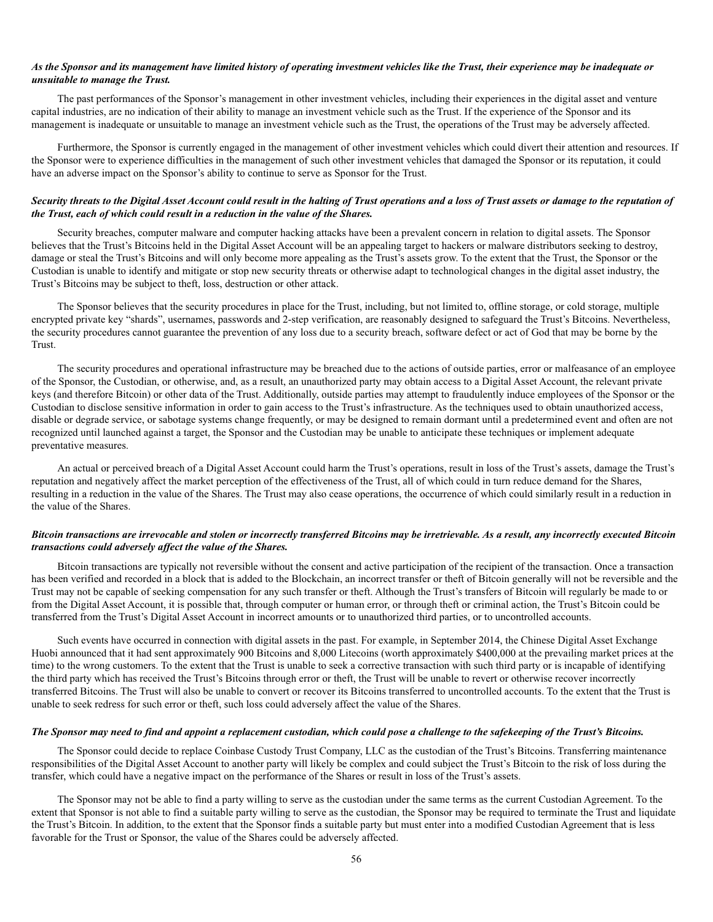## *As the Sponsor and its management have limited history of operating investment vehicles like the Trust, their experience may be inadequate or unsuitable to manage the Trust.*

The past performances of the Sponsor's management in other investment vehicles, including their experiences in the digital asset and venture capital industries, are no indication of their ability to manage an investment vehicle such as the Trust. If the experience of the Sponsor and its management is inadequate or unsuitable to manage an investment vehicle such as the Trust, the operations of the Trust may be adversely affected.

Furthermore, the Sponsor is currently engaged in the management of other investment vehicles which could divert their attention and resources. If the Sponsor were to experience difficulties in the management of such other investment vehicles that damaged the Sponsor or its reputation, it could have an adverse impact on the Sponsor's ability to continue to serve as Sponsor for the Trust.

# *Security threats to the Digital Asset Account could result in the halting of Trust operations and a loss of Trust assets or damage to the reputation of the Trust, each of which could result in a reduction in the value of the Shares.*

Security breaches, computer malware and computer hacking attacks have been a prevalent concern in relation to digital assets. The Sponsor believes that the Trust's Bitcoins held in the Digital Asset Account will be an appealing target to hackers or malware distributors seeking to destroy, damage or steal the Trust's Bitcoins and will only become more appealing as the Trust's assets grow. To the extent that the Trust, the Sponsor or the Custodian is unable to identify and mitigate or stop new security threats or otherwise adapt to technological changes in the digital asset industry, the Trust's Bitcoins may be subject to theft, loss, destruction or other attack.

The Sponsor believes that the security procedures in place for the Trust, including, but not limited to, offline storage, or cold storage, multiple encrypted private key "shards", usernames, passwords and 2-step verification, are reasonably designed to safeguard the Trust's Bitcoins. Nevertheless, the security procedures cannot guarantee the prevention of any loss due to a security breach, software defect or act of God that may be borne by the Trust.

The security procedures and operational infrastructure may be breached due to the actions of outside parties, error or malfeasance of an employee of the Sponsor, the Custodian, or otherwise, and, as a result, an unauthorized party may obtain access to a Digital Asset Account, the relevant private keys (and therefore Bitcoin) or other data of the Trust. Additionally, outside parties may attempt to fraudulently induce employees of the Sponsor or the Custodian to disclose sensitive information in order to gain access to the Trust's infrastructure. As the techniques used to obtain unauthorized access, disable or degrade service, or sabotage systems change frequently, or may be designed to remain dormant until a predetermined event and often are not recognized until launched against a target, the Sponsor and the Custodian may be unable to anticipate these techniques or implement adequate preventative measures.

An actual or perceived breach of a Digital Asset Account could harm the Trust's operations, result in loss of the Trust's assets, damage the Trust's reputation and negatively affect the market perception of the effectiveness of the Trust, all of which could in turn reduce demand for the Shares, resulting in a reduction in the value of the Shares. The Trust may also cease operations, the occurrence of which could similarly result in a reduction in the value of the Shares.

# *Bitcoin transactions are irrevocable and stolen or incorrectly transferred Bitcoins may be irretrievable. As a result, any incorrectly executed Bitcoin transactions could adversely affect the value of the Shares.*

Bitcoin transactions are typically not reversible without the consent and active participation of the recipient of the transaction. Once a transaction has been verified and recorded in a block that is added to the Blockchain, an incorrect transfer or theft of Bitcoin generally will not be reversible and the Trust may not be capable of seeking compensation for any such transfer or theft. Although the Trust's transfers of Bitcoin will regularly be made to or from the Digital Asset Account, it is possible that, through computer or human error, or through theft or criminal action, the Trust's Bitcoin could be transferred from the Trust's Digital Asset Account in incorrect amounts or to unauthorized third parties, or to uncontrolled accounts.

Such events have occurred in connection with digital assets in the past. For example, in September 2014, the Chinese Digital Asset Exchange Huobi announced that it had sent approximately 900 Bitcoins and 8,000 Litecoins (worth approximately \$400,000 at the prevailing market prices at the time) to the wrong customers. To the extent that the Trust is unable to seek a corrective transaction with such third party or is incapable of identifying the third party which has received the Trust's Bitcoins through error or theft, the Trust will be unable to revert or otherwise recover incorrectly transferred Bitcoins. The Trust will also be unable to convert or recover its Bitcoins transferred to uncontrolled accounts. To the extent that the Trust is unable to seek redress for such error or theft, such loss could adversely affect the value of the Shares.

## *The Sponsor may need to find and appoint a replacement custodian, which could pose a challenge to the safekeeping of the Trust's Bitcoins.*

The Sponsor could decide to replace Coinbase Custody Trust Company, LLC as the custodian of the Trust's Bitcoins. Transferring maintenance responsibilities of the Digital Asset Account to another party will likely be complex and could subject the Trust's Bitcoin to the risk of loss during the transfer, which could have a negative impact on the performance of the Shares or result in loss of the Trust's assets.

The Sponsor may not be able to find a party willing to serve as the custodian under the same terms as the current Custodian Agreement. To the extent that Sponsor is not able to find a suitable party willing to serve as the custodian, the Sponsor may be required to terminate the Trust and liquidate the Trust's Bitcoin. In addition, to the extent that the Sponsor finds a suitable party but must enter into a modified Custodian Agreement that is less favorable for the Trust or Sponsor, the value of the Shares could be adversely affected.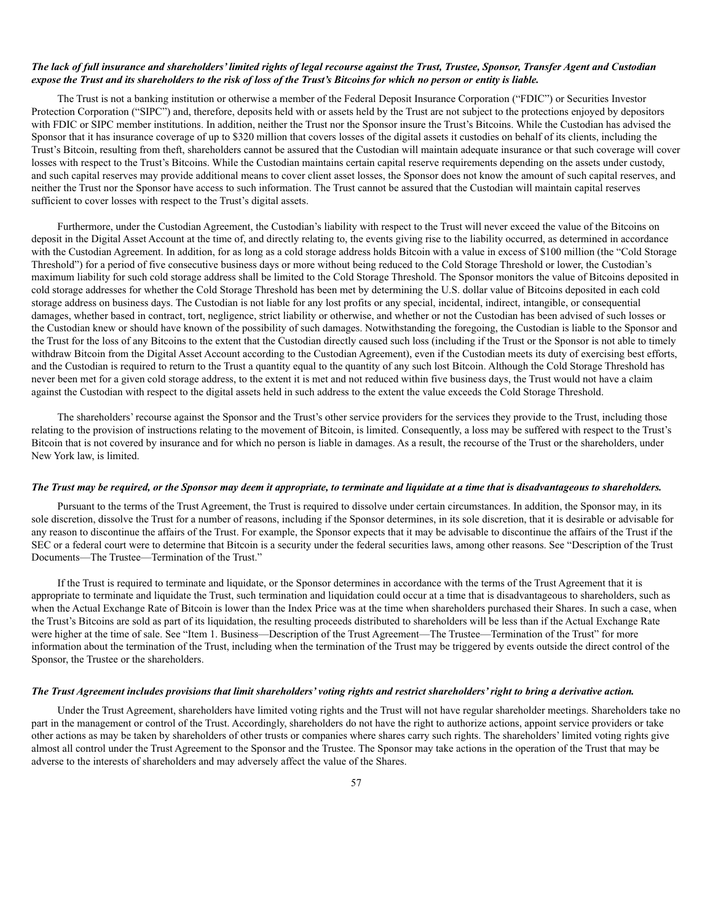## *The lack of full insurance and shareholders' limited rights of legal recourse against the Trust, Trustee, Sponsor, Transfer Agent and Custodian expose the Trust and its shareholders to the risk of loss of the Trust's Bitcoins for which no person or entity is liable.*

The Trust is not a banking institution or otherwise a member of the Federal Deposit Insurance Corporation ("FDIC") or Securities Investor Protection Corporation ("SIPC") and, therefore, deposits held with or assets held by the Trust are not subject to the protections enjoyed by depositors with FDIC or SIPC member institutions. In addition, neither the Trust nor the Sponsor insure the Trust's Bitcoins. While the Custodian has advised the Sponsor that it has insurance coverage of up to \$320 million that covers losses of the digital assets it custodies on behalf of its clients, including the Trust's Bitcoin, resulting from theft, shareholders cannot be assured that the Custodian will maintain adequate insurance or that such coverage will cover losses with respect to the Trust's Bitcoins. While the Custodian maintains certain capital reserve requirements depending on the assets under custody, and such capital reserves may provide additional means to cover client asset losses, the Sponsor does not know the amount of such capital reserves, and neither the Trust nor the Sponsor have access to such information. The Trust cannot be assured that the Custodian will maintain capital reserves sufficient to cover losses with respect to the Trust's digital assets.

Furthermore, under the Custodian Agreement, the Custodian's liability with respect to the Trust will never exceed the value of the Bitcoins on deposit in the Digital Asset Account at the time of, and directly relating to, the events giving rise to the liability occurred, as determined in accordance with the Custodian Agreement. In addition, for as long as a cold storage address holds Bitcoin with a value in excess of \$100 million (the "Cold Storage Threshold") for a period of five consecutive business days or more without being reduced to the Cold Storage Threshold or lower, the Custodian's maximum liability for such cold storage address shall be limited to the Cold Storage Threshold. The Sponsor monitors the value of Bitcoins deposited in cold storage addresses for whether the Cold Storage Threshold has been met by determining the U.S. dollar value of Bitcoins deposited in each cold storage address on business days. The Custodian is not liable for any lost profits or any special, incidental, indirect, intangible, or consequential damages, whether based in contract, tort, negligence, strict liability or otherwise, and whether or not the Custodian has been advised of such losses or the Custodian knew or should have known of the possibility of such damages. Notwithstanding the foregoing, the Custodian is liable to the Sponsor and the Trust for the loss of any Bitcoins to the extent that the Custodian directly caused such loss (including if the Trust or the Sponsor is not able to timely withdraw Bitcoin from the Digital Asset Account according to the Custodian Agreement), even if the Custodian meets its duty of exercising best efforts, and the Custodian is required to return to the Trust a quantity equal to the quantity of any such lost Bitcoin. Although the Cold Storage Threshold has never been met for a given cold storage address, to the extent it is met and not reduced within five business days, the Trust would not have a claim against the Custodian with respect to the digital assets held in such address to the extent the value exceeds the Cold Storage Threshold.

The shareholders' recourse against the Sponsor and the Trust's other service providers for the services they provide to the Trust, including those relating to the provision of instructions relating to the movement of Bitcoin, is limited. Consequently, a loss may be suffered with respect to the Trust's Bitcoin that is not covered by insurance and for which no person is liable in damages. As a result, the recourse of the Trust or the shareholders, under New York law, is limited.

### *The Trust may be required, or the Sponsor may deem it appropriate, to terminate and liquidate at a time that is disadvantageous to shareholders.*

Pursuant to the terms of the Trust Agreement, the Trust is required to dissolve under certain circumstances. In addition, the Sponsor may, in its sole discretion, dissolve the Trust for a number of reasons, including if the Sponsor determines, in its sole discretion, that it is desirable or advisable for any reason to discontinue the affairs of the Trust. For example, the Sponsor expects that it may be advisable to discontinue the affairs of the Trust if the SEC or a federal court were to determine that Bitcoin is a security under the federal securities laws, among other reasons. See "Description of the Trust Documents—The Trustee—Termination of the Trust."

If the Trust is required to terminate and liquidate, or the Sponsor determines in accordance with the terms of the Trust Agreement that it is appropriate to terminate and liquidate the Trust, such termination and liquidation could occur at a time that is disadvantageous to shareholders, such as when the Actual Exchange Rate of Bitcoin is lower than the Index Price was at the time when shareholders purchased their Shares. In such a case, when the Trust's Bitcoins are sold as part of its liquidation, the resulting proceeds distributed to shareholders will be less than if the Actual Exchange Rate were higher at the time of sale. See "Item 1. Business—Description of the Trust Agreement—The Trustee—Termination of the Trust" for more information about the termination of the Trust, including when the termination of the Trust may be triggered by events outside the direct control of the Sponsor, the Trustee or the shareholders.

### *The Trust Agreement includes provisions that limit shareholders' voting rights and restrict shareholders' right to bring a derivative action.*

Under the Trust Agreement, shareholders have limited voting rights and the Trust will not have regular shareholder meetings. Shareholders take no part in the management or control of the Trust. Accordingly, shareholders do not have the right to authorize actions, appoint service providers or take other actions as may be taken by shareholders of other trusts or companies where shares carry such rights. The shareholders' limited voting rights give almost all control under the Trust Agreement to the Sponsor and the Trustee. The Sponsor may take actions in the operation of the Trust that may be adverse to the interests of shareholders and may adversely affect the value of the Shares.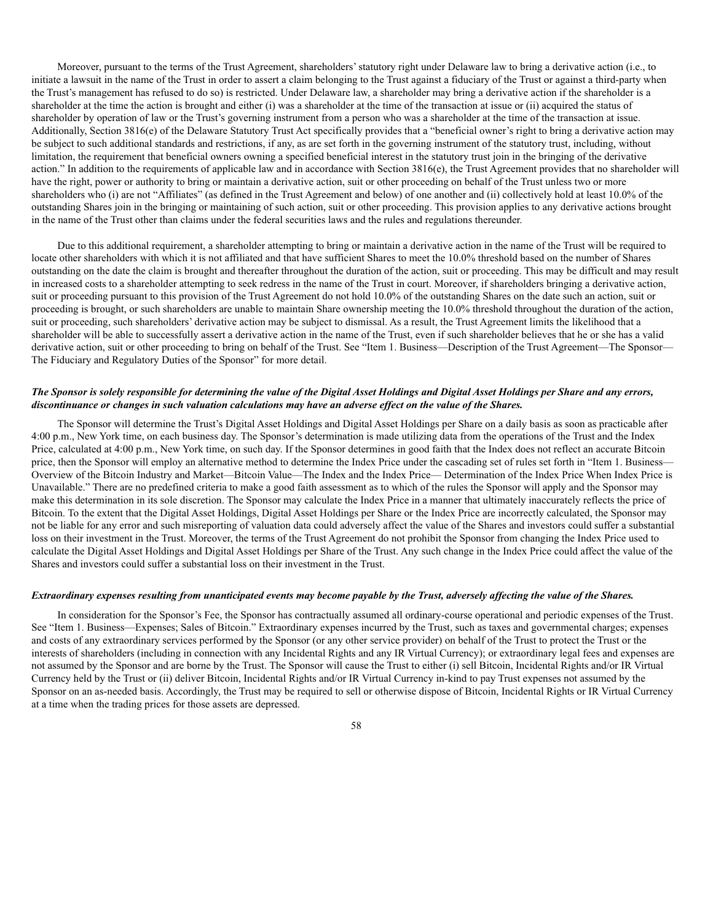Moreover, pursuant to the terms of the Trust Agreement, shareholders' statutory right under Delaware law to bring a derivative action (i.e., to initiate a lawsuit in the name of the Trust in order to assert a claim belonging to the Trust against a fiduciary of the Trust or against a third-party when the Trust's management has refused to do so) is restricted. Under Delaware law, a shareholder may bring a derivative action if the shareholder is a shareholder at the time the action is brought and either (i) was a shareholder at the time of the transaction at issue or (ii) acquired the status of shareholder by operation of law or the Trust's governing instrument from a person who was a shareholder at the time of the transaction at issue. Additionally, Section 3816(e) of the Delaware Statutory Trust Act specifically provides that a "beneficial owner's right to bring a derivative action may be subject to such additional standards and restrictions, if any, as are set forth in the governing instrument of the statutory trust, including, without limitation, the requirement that beneficial owners owning a specified beneficial interest in the statutory trust join in the bringing of the derivative action." In addition to the requirements of applicable law and in accordance with Section 3816(e), the Trust Agreement provides that no shareholder will have the right, power or authority to bring or maintain a derivative action, suit or other proceeding on behalf of the Trust unless two or more shareholders who (i) are not "Affiliates" (as defined in the Trust Agreement and below) of one another and (ii) collectively hold at least 10.0% of the outstanding Shares join in the bringing or maintaining of such action, suit or other proceeding. This provision applies to any derivative actions brought in the name of the Trust other than claims under the federal securities laws and the rules and regulations thereunder.

Due to this additional requirement, a shareholder attempting to bring or maintain a derivative action in the name of the Trust will be required to locate other shareholders with which it is not affiliated and that have sufficient Shares to meet the 10.0% threshold based on the number of Shares outstanding on the date the claim is brought and thereafter throughout the duration of the action, suit or proceeding. This may be difficult and may result in increased costs to a shareholder attempting to seek redress in the name of the Trust in court. Moreover, if shareholders bringing a derivative action, suit or proceeding pursuant to this provision of the Trust Agreement do not hold 10.0% of the outstanding Shares on the date such an action, suit or proceeding is brought, or such shareholders are unable to maintain Share ownership meeting the 10.0% threshold throughout the duration of the action, suit or proceeding, such shareholders' derivative action may be subject to dismissal. As a result, the Trust Agreement limits the likelihood that a shareholder will be able to successfully assert a derivative action in the name of the Trust, even if such shareholder believes that he or she has a valid derivative action, suit or other proceeding to bring on behalf of the Trust. See "Item 1. Business—Description of the Trust Agreement—The Sponsor— The Fiduciary and Regulatory Duties of the Sponsor" for more detail.

# *The Sponsor is solely responsible for determining the value of the Digital Asset Holdings and Digital Asset Holdings per Share and any errors, discontinuance or changes in such valuation calculations may have an adverse effect on the value of the Shares.*

The Sponsor will determine the Trust's Digital Asset Holdings and Digital Asset Holdings per Share on a daily basis as soon as practicable after 4:00 p.m., New York time, on each business day. The Sponsor's determination is made utilizing data from the operations of the Trust and the Index Price, calculated at 4:00 p.m., New York time, on such day. If the Sponsor determines in good faith that the Index does not reflect an accurate Bitcoin price, then the Sponsor will employ an alternative method to determine the Index Price under the cascading set of rules set forth in "Item 1. Business— Overview of the Bitcoin Industry and Market—Bitcoin Value—The Index and the Index Price— Determination of the Index Price When Index Price is Unavailable." There are no predefined criteria to make a good faith assessment as to which of the rules the Sponsor will apply and the Sponsor may make this determination in its sole discretion. The Sponsor may calculate the Index Price in a manner that ultimately inaccurately reflects the price of Bitcoin. To the extent that the Digital Asset Holdings, Digital Asset Holdings per Share or the Index Price are incorrectly calculated, the Sponsor may not be liable for any error and such misreporting of valuation data could adversely affect the value of the Shares and investors could suffer a substantial loss on their investment in the Trust. Moreover, the terms of the Trust Agreement do not prohibit the Sponsor from changing the Index Price used to calculate the Digital Asset Holdings and Digital Asset Holdings per Share of the Trust. Any such change in the Index Price could affect the value of the Shares and investors could suffer a substantial loss on their investment in the Trust.

## *Extraordinary expenses resulting from unanticipated events may become payable by the Trust, adversely affecting the value of the Shares.*

In consideration for the Sponsor's Fee, the Sponsor has contractually assumed all ordinary-course operational and periodic expenses of the Trust. See "Item 1. Business—Expenses; Sales of Bitcoin." Extraordinary expenses incurred by the Trust, such as taxes and governmental charges; expenses and costs of any extraordinary services performed by the Sponsor (or any other service provider) on behalf of the Trust to protect the Trust or the interests of shareholders (including in connection with any Incidental Rights and any IR Virtual Currency); or extraordinary legal fees and expenses are not assumed by the Sponsor and are borne by the Trust. The Sponsor will cause the Trust to either (i) sell Bitcoin, Incidental Rights and/or IR Virtual Currency held by the Trust or (ii) deliver Bitcoin, Incidental Rights and/or IR Virtual Currency in-kind to pay Trust expenses not assumed by the Sponsor on an as-needed basis. Accordingly, the Trust may be required to sell or otherwise dispose of Bitcoin, Incidental Rights or IR Virtual Currency at a time when the trading prices for those assets are depressed.

58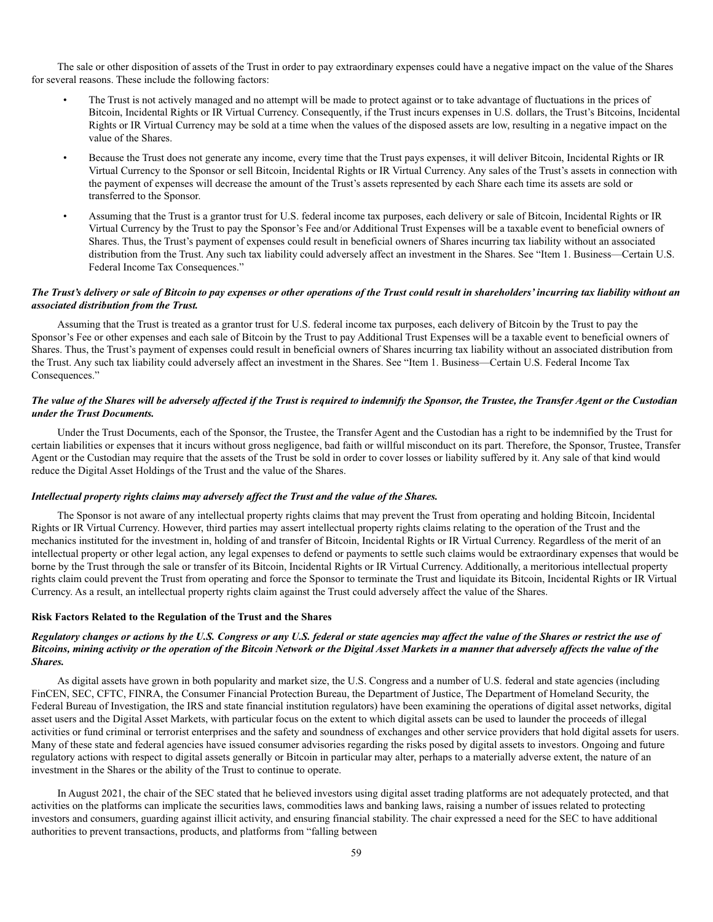The sale or other disposition of assets of the Trust in order to pay extraordinary expenses could have a negative impact on the value of the Shares for several reasons. These include the following factors:

- The Trust is not actively managed and no attempt will be made to protect against or to take advantage of fluctuations in the prices of Bitcoin, Incidental Rights or IR Virtual Currency. Consequently, if the Trust incurs expenses in U.S. dollars, the Trust's Bitcoins, Incidental Rights or IR Virtual Currency may be sold at a time when the values of the disposed assets are low, resulting in a negative impact on the value of the Shares.
- Because the Trust does not generate any income, every time that the Trust pays expenses, it will deliver Bitcoin, Incidental Rights or IR Virtual Currency to the Sponsor or sell Bitcoin, Incidental Rights or IR Virtual Currency. Any sales of the Trust's assets in connection with the payment of expenses will decrease the amount of the Trust's assets represented by each Share each time its assets are sold or transferred to the Sponsor.
- Assuming that the Trust is a grantor trust for U.S. federal income tax purposes, each delivery or sale of Bitcoin, Incidental Rights or IR Virtual Currency by the Trust to pay the Sponsor's Fee and/or Additional Trust Expenses will be a taxable event to beneficial owners of Shares. Thus, the Trust's payment of expenses could result in beneficial owners of Shares incurring tax liability without an associated distribution from the Trust. Any such tax liability could adversely affect an investment in the Shares. See "Item 1. Business—Certain U.S. Federal Income Tax Consequences."

# *The Trust's delivery or sale of Bitcoin to pay expenses or other operations of the Trust could result in shareholders' incurring tax liability without an associated distribution from the Trust.*

Assuming that the Trust is treated as a grantor trust for U.S. federal income tax purposes, each delivery of Bitcoin by the Trust to pay the Sponsor's Fee or other expenses and each sale of Bitcoin by the Trust to pay Additional Trust Expenses will be a taxable event to beneficial owners of Shares. Thus, the Trust's payment of expenses could result in beneficial owners of Shares incurring tax liability without an associated distribution from the Trust. Any such tax liability could adversely affect an investment in the Shares. See "Item 1. Business—Certain U.S. Federal Income Tax Consequences."

# *The value of the Shares will be adversely affected if the Trust is required to indemnify the Sponsor, the Trustee, the Transfer Agent or the Custodian under the Trust Documents.*

Under the Trust Documents, each of the Sponsor, the Trustee, the Transfer Agent and the Custodian has a right to be indemnified by the Trust for certain liabilities or expenses that it incurs without gross negligence, bad faith or willful misconduct on its part. Therefore, the Sponsor, Trustee, Transfer Agent or the Custodian may require that the assets of the Trust be sold in order to cover losses or liability suffered by it. Any sale of that kind would reduce the Digital Asset Holdings of the Trust and the value of the Shares.

## *Intellectual property rights claims may adversely affect the Trust and the value of the Shares.*

The Sponsor is not aware of any intellectual property rights claims that may prevent the Trust from operating and holding Bitcoin, Incidental Rights or IR Virtual Currency. However, third parties may assert intellectual property rights claims relating to the operation of the Trust and the mechanics instituted for the investment in, holding of and transfer of Bitcoin, Incidental Rights or IR Virtual Currency. Regardless of the merit of an intellectual property or other legal action, any legal expenses to defend or payments to settle such claims would be extraordinary expenses that would be borne by the Trust through the sale or transfer of its Bitcoin, Incidental Rights or IR Virtual Currency. Additionally, a meritorious intellectual property rights claim could prevent the Trust from operating and force the Sponsor to terminate the Trust and liquidate its Bitcoin, Incidental Rights or IR Virtual Currency. As a result, an intellectual property rights claim against the Trust could adversely affect the value of the Shares.

# **Risk Factors Related to the Regulation of the Trust and the Shares**

# *Regulatory changes or actions by the U.S. Congress or any U.S. federal or state agencies may affect the value of the Shares or restrict the use of Bitcoins, mining activity or the operation of the Bitcoin Network or the Digital Asset Markets in a manner that adversely affects the value of the Shares.*

As digital assets have grown in both popularity and market size, the U.S. Congress and a number of U.S. federal and state agencies (including FinCEN, SEC, CFTC, FINRA, the Consumer Financial Protection Bureau, the Department of Justice, The Department of Homeland Security, the Federal Bureau of Investigation, the IRS and state financial institution regulators) have been examining the operations of digital asset networks, digital asset users and the Digital Asset Markets, with particular focus on the extent to which digital assets can be used to launder the proceeds of illegal activities or fund criminal or terrorist enterprises and the safety and soundness of exchanges and other service providers that hold digital assets for users. Many of these state and federal agencies have issued consumer advisories regarding the risks posed by digital assets to investors. Ongoing and future regulatory actions with respect to digital assets generally or Bitcoin in particular may alter, perhaps to a materially adverse extent, the nature of an investment in the Shares or the ability of the Trust to continue to operate.

In August 2021, the chair of the SEC stated that he believed investors using digital asset trading platforms are not adequately protected, and that activities on the platforms can implicate the securities laws, commodities laws and banking laws, raising a number of issues related to protecting investors and consumers, guarding against illicit activity, and ensuring financial stability. The chair expressed a need for the SEC to have additional authorities to prevent transactions, products, and platforms from "falling between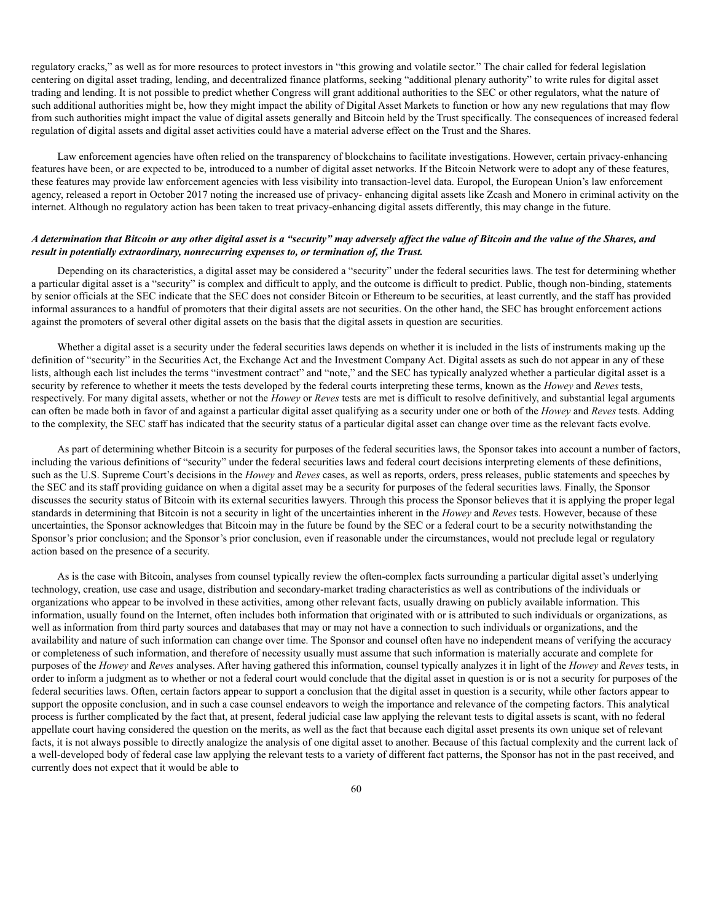regulatory cracks," as well as for more resources to protect investors in "this growing and volatile sector." The chair called for federal legislation centering on digital asset trading, lending, and decentralized finance platforms, seeking "additional plenary authority" to write rules for digital asset trading and lending. It is not possible to predict whether Congress will grant additional authorities to the SEC or other regulators, what the nature of such additional authorities might be, how they might impact the ability of Digital Asset Markets to function or how any new regulations that may flow from such authorities might impact the value of digital assets generally and Bitcoin held by the Trust specifically. The consequences of increased federal regulation of digital assets and digital asset activities could have a material adverse effect on the Trust and the Shares.

Law enforcement agencies have often relied on the transparency of blockchains to facilitate investigations. However, certain privacy-enhancing features have been, or are expected to be, introduced to a number of digital asset networks. If the Bitcoin Network were to adopt any of these features, these features may provide law enforcement agencies with less visibility into transaction-level data. Europol, the European Union's law enforcement agency, released a report in October 2017 noting the increased use of privacy- enhancing digital assets like Zcash and Monero in criminal activity on the internet. Although no regulatory action has been taken to treat privacy-enhancing digital assets differently, this may change in the future.

# *A determination that Bitcoin or any other digital asset is a "security" may adversely affect the value of Bitcoin and the value of the Shares, and result in potentially extraordinary, nonrecurring expenses to, or termination of, the Trust.*

Depending on its characteristics, a digital asset may be considered a "security" under the federal securities laws. The test for determining whether a particular digital asset is a "security" is complex and difficult to apply, and the outcome is difficult to predict. Public, though non-binding, statements by senior officials at the SEC indicate that the SEC does not consider Bitcoin or Ethereum to be securities, at least currently, and the staff has provided informal assurances to a handful of promoters that their digital assets are not securities. On the other hand, the SEC has brought enforcement actions against the promoters of several other digital assets on the basis that the digital assets in question are securities.

Whether a digital asset is a security under the federal securities laws depends on whether it is included in the lists of instruments making up the definition of "security" in the Securities Act, the Exchange Act and the Investment Company Act. Digital assets as such do not appear in any of these lists, although each list includes the terms "investment contract" and "note," and the SEC has typically analyzed whether a particular digital asset is a security by reference to whether it meets the tests developed by the federal courts interpreting these terms, known as the *Howey* and *Reves* tests, respectively. For many digital assets, whether or not the *Howey* or *Reves* tests are met is difficult to resolve definitively, and substantial legal arguments can often be made both in favor of and against a particular digital asset qualifying as a security under one or both of the *Howey* and *Reves* tests. Adding to the complexity, the SEC staff has indicated that the security status of a particular digital asset can change over time as the relevant facts evolve.

As part of determining whether Bitcoin is a security for purposes of the federal securities laws, the Sponsor takes into account a number of factors, including the various definitions of "security" under the federal securities laws and federal court decisions interpreting elements of these definitions, such as the U.S. Supreme Court's decisions in the *Howey* and *Reves* cases, as well as reports, orders, press releases, public statements and speeches by the SEC and its staff providing guidance on when a digital asset may be a security for purposes of the federal securities laws. Finally, the Sponsor discusses the security status of Bitcoin with its external securities lawyers. Through this process the Sponsor believes that it is applying the proper legal standards in determining that Bitcoin is not a security in light of the uncertainties inherent in the *Howey* and *Reves* tests. However, because of these uncertainties, the Sponsor acknowledges that Bitcoin may in the future be found by the SEC or a federal court to be a security notwithstanding the Sponsor's prior conclusion; and the Sponsor's prior conclusion, even if reasonable under the circumstances, would not preclude legal or regulatory action based on the presence of a security.

As is the case with Bitcoin, analyses from counsel typically review the often-complex facts surrounding a particular digital asset's underlying technology, creation, use case and usage, distribution and secondary-market trading characteristics as well as contributions of the individuals or organizations who appear to be involved in these activities, among other relevant facts, usually drawing on publicly available information. This information, usually found on the Internet, often includes both information that originated with or is attributed to such individuals or organizations, as well as information from third party sources and databases that may or may not have a connection to such individuals or organizations, and the availability and nature of such information can change over time. The Sponsor and counsel often have no independent means of verifying the accuracy or completeness of such information, and therefore of necessity usually must assume that such information is materially accurate and complete for purposes of the *Howey* and *Reves* analyses. After having gathered this information, counsel typically analyzes it in light of the *Howey* and *Reves* tests, in order to inform a judgment as to whether or not a federal court would conclude that the digital asset in question is or is not a security for purposes of the federal securities laws. Often, certain factors appear to support a conclusion that the digital asset in question is a security, while other factors appear to support the opposite conclusion, and in such a case counsel endeavors to weigh the importance and relevance of the competing factors. This analytical process is further complicated by the fact that, at present, federal judicial case law applying the relevant tests to digital assets is scant, with no federal appellate court having considered the question on the merits, as well as the fact that because each digital asset presents its own unique set of relevant facts, it is not always possible to directly analogize the analysis of one digital asset to another. Because of this factual complexity and the current lack of a well-developed body of federal case law applying the relevant tests to a variety of different fact patterns, the Sponsor has not in the past received, and currently does not expect that it would be able to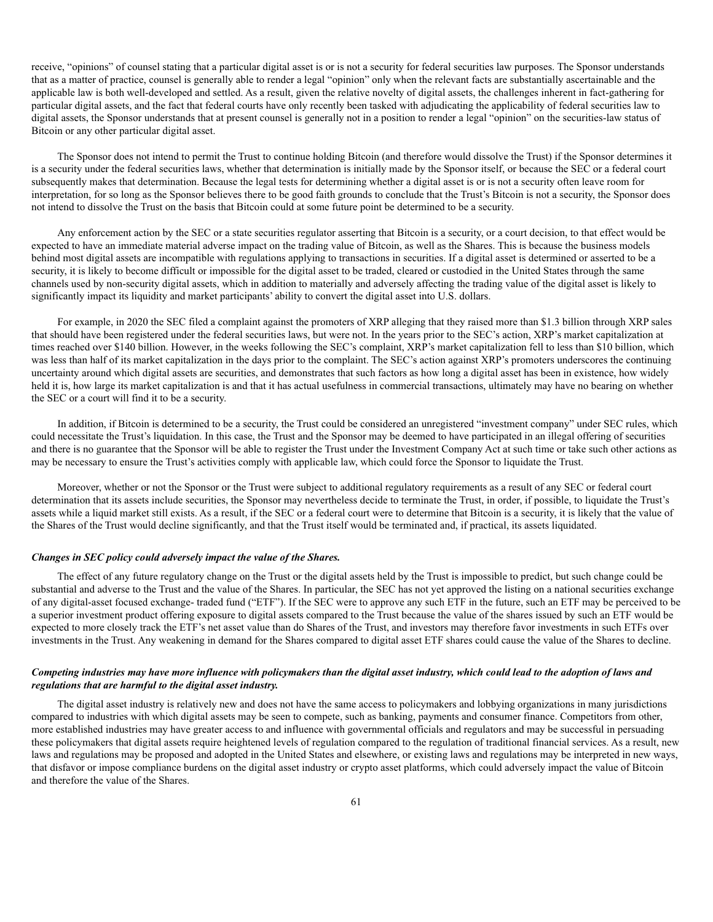receive, "opinions" of counsel stating that a particular digital asset is or is not a security for federal securities law purposes. The Sponsor understands that as a matter of practice, counsel is generally able to render a legal "opinion" only when the relevant facts are substantially ascertainable and the applicable law is both well-developed and settled. As a result, given the relative novelty of digital assets, the challenges inherent in fact-gathering for particular digital assets, and the fact that federal courts have only recently been tasked with adjudicating the applicability of federal securities law to digital assets, the Sponsor understands that at present counsel is generally not in a position to render a legal "opinion" on the securities-law status of Bitcoin or any other particular digital asset.

The Sponsor does not intend to permit the Trust to continue holding Bitcoin (and therefore would dissolve the Trust) if the Sponsor determines it is a security under the federal securities laws, whether that determination is initially made by the Sponsor itself, or because the SEC or a federal court subsequently makes that determination. Because the legal tests for determining whether a digital asset is or is not a security often leave room for interpretation, for so long as the Sponsor believes there to be good faith grounds to conclude that the Trust's Bitcoin is not a security, the Sponsor does not intend to dissolve the Trust on the basis that Bitcoin could at some future point be determined to be a security.

Any enforcement action by the SEC or a state securities regulator asserting that Bitcoin is a security, or a court decision, to that effect would be expected to have an immediate material adverse impact on the trading value of Bitcoin, as well as the Shares. This is because the business models behind most digital assets are incompatible with regulations applying to transactions in securities. If a digital asset is determined or asserted to be a security, it is likely to become difficult or impossible for the digital asset to be traded, cleared or custodied in the United States through the same channels used by non-security digital assets, which in addition to materially and adversely affecting the trading value of the digital asset is likely to significantly impact its liquidity and market participants' ability to convert the digital asset into U.S. dollars.

For example, in 2020 the SEC filed a complaint against the promoters of XRP alleging that they raised more than \$1.3 billion through XRP sales that should have been registered under the federal securities laws, but were not. In the years prior to the SEC's action, XRP's market capitalization at times reached over \$140 billion. However, in the weeks following the SEC's complaint, XRP's market capitalization fell to less than \$10 billion, which was less than half of its market capitalization in the days prior to the complaint. The SEC's action against XRP's promoters underscores the continuing uncertainty around which digital assets are securities, and demonstrates that such factors as how long a digital asset has been in existence, how widely held it is, how large its market capitalization is and that it has actual usefulness in commercial transactions, ultimately may have no bearing on whether the SEC or a court will find it to be a security.

In addition, if Bitcoin is determined to be a security, the Trust could be considered an unregistered "investment company" under SEC rules, which could necessitate the Trust's liquidation. In this case, the Trust and the Sponsor may be deemed to have participated in an illegal offering of securities and there is no guarantee that the Sponsor will be able to register the Trust under the Investment Company Act at such time or take such other actions as may be necessary to ensure the Trust's activities comply with applicable law, which could force the Sponsor to liquidate the Trust.

Moreover, whether or not the Sponsor or the Trust were subject to additional regulatory requirements as a result of any SEC or federal court determination that its assets include securities, the Sponsor may nevertheless decide to terminate the Trust, in order, if possible, to liquidate the Trust's assets while a liquid market still exists. As a result, if the SEC or a federal court were to determine that Bitcoin is a security, it is likely that the value of the Shares of the Trust would decline significantly, and that the Trust itself would be terminated and, if practical, its assets liquidated.

### *Changes in SEC policy could adversely impact the value of the Shares.*

The effect of any future regulatory change on the Trust or the digital assets held by the Trust is impossible to predict, but such change could be substantial and adverse to the Trust and the value of the Shares. In particular, the SEC has not yet approved the listing on a national securities exchange of any digital-asset focused exchange- traded fund ("ETF"). If the SEC were to approve any such ETF in the future, such an ETF may be perceived to be a superior investment product offering exposure to digital assets compared to the Trust because the value of the shares issued by such an ETF would be expected to more closely track the ETF's net asset value than do Shares of the Trust, and investors may therefore favor investments in such ETFs over investments in the Trust. Any weakening in demand for the Shares compared to digital asset ETF shares could cause the value of the Shares to decline.

## *Competing industries may have more influence with policymakers than the digital asset industry, which could lead to the adoption of laws and regulations that are harmful to the digital asset industry.*

The digital asset industry is relatively new and does not have the same access to policymakers and lobbying organizations in many jurisdictions compared to industries with which digital assets may be seen to compete, such as banking, payments and consumer finance. Competitors from other, more established industries may have greater access to and influence with governmental officials and regulators and may be successful in persuading these policymakers that digital assets require heightened levels of regulation compared to the regulation of traditional financial services. As a result, new laws and regulations may be proposed and adopted in the United States and elsewhere, or existing laws and regulations may be interpreted in new ways, that disfavor or impose compliance burdens on the digital asset industry or crypto asset platforms, which could adversely impact the value of Bitcoin and therefore the value of the Shares.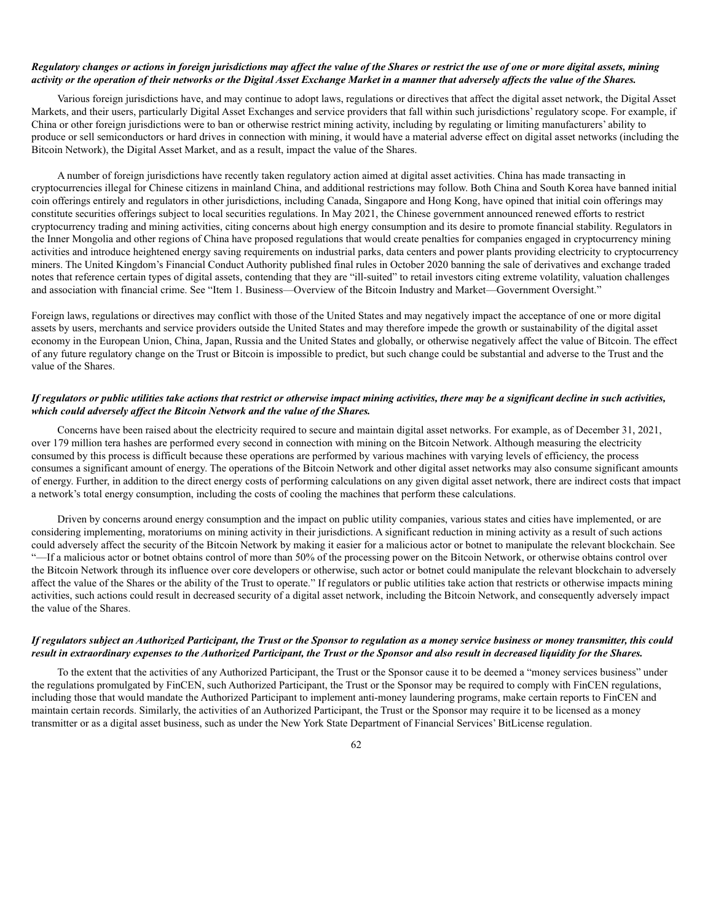### *Regulatory changes or actions in foreign jurisdictions may affect the value of the Shares or restrict the use of one or more digital assets, mining activity or the operation of their networks or the Digital Asset Exchange Market in a manner that adversely affects the value of the Shares.*

Various foreign jurisdictions have, and may continue to adopt laws, regulations or directives that affect the digital asset network, the Digital Asset Markets, and their users, particularly Digital Asset Exchanges and service providers that fall within such jurisdictions' regulatory scope. For example, if China or other foreign jurisdictions were to ban or otherwise restrict mining activity, including by regulating or limiting manufacturers' ability to produce or sell semiconductors or hard drives in connection with mining, it would have a material adverse effect on digital asset networks (including the Bitcoin Network), the Digital Asset Market, and as a result, impact the value of the Shares.

A number of foreign jurisdictions have recently taken regulatory action aimed at digital asset activities. China has made transacting in cryptocurrencies illegal for Chinese citizens in mainland China, and additional restrictions may follow. Both China and South Korea have banned initial coin offerings entirely and regulators in other jurisdictions, including Canada, Singapore and Hong Kong, have opined that initial coin offerings may constitute securities offerings subject to local securities regulations. In May 2021, the Chinese government announced renewed efforts to restrict cryptocurrency trading and mining activities, citing concerns about high energy consumption and its desire to promote financial stability. Regulators in the Inner Mongolia and other regions of China have proposed regulations that would create penalties for companies engaged in cryptocurrency mining activities and introduce heightened energy saving requirements on industrial parks, data centers and power plants providing electricity to cryptocurrency miners. The United Kingdom's Financial Conduct Authority published final rules in October 2020 banning the sale of derivatives and exchange traded notes that reference certain types of digital assets, contending that they are "ill-suited" to retail investors citing extreme volatility, valuation challenges and association with financial crime. See "Item 1. Business—Overview of the Bitcoin Industry and Market—Government Oversight."

Foreign laws, regulations or directives may conflict with those of the United States and may negatively impact the acceptance of one or more digital assets by users, merchants and service providers outside the United States and may therefore impede the growth or sustainability of the digital asset economy in the European Union, China, Japan, Russia and the United States and globally, or otherwise negatively affect the value of Bitcoin. The effect of any future regulatory change on the Trust or Bitcoin is impossible to predict, but such change could be substantial and adverse to the Trust and the value of the Shares.

# *If regulators or public utilities take actions that restrict or otherwise impact mining activities, there may be a significant decline in such activities, which could adversely affect the Bitcoin Network and the value of the Shares.*

Concerns have been raised about the electricity required to secure and maintain digital asset networks. For example, as of December 31, 2021, over 179 million tera hashes are performed every second in connection with mining on the Bitcoin Network. Although measuring the electricity consumed by this process is difficult because these operations are performed by various machines with varying levels of efficiency, the process consumes a significant amount of energy. The operations of the Bitcoin Network and other digital asset networks may also consume significant amounts of energy. Further, in addition to the direct energy costs of performing calculations on any given digital asset network, there are indirect costs that impact a network's total energy consumption, including the costs of cooling the machines that perform these calculations.

Driven by concerns around energy consumption and the impact on public utility companies, various states and cities have implemented, or are considering implementing, moratoriums on mining activity in their jurisdictions. A significant reduction in mining activity as a result of such actions could adversely affect the security of the Bitcoin Network by making it easier for a malicious actor or botnet to manipulate the relevant blockchain. See "—If a malicious actor or botnet obtains control of more than 50% of the processing power on the Bitcoin Network, or otherwise obtains control over the Bitcoin Network through its influence over core developers or otherwise, such actor or botnet could manipulate the relevant blockchain to adversely affect the value of the Shares or the ability of the Trust to operate." If regulators or public utilities take action that restricts or otherwise impacts mining activities, such actions could result in decreased security of a digital asset network, including the Bitcoin Network, and consequently adversely impact the value of the Shares.

# *If regulators subject an Authorized Participant, the Trust or the Sponsor to regulation as a money service business or money transmitter, this could result in extraordinary expenses to the Authorized Participant, the Trust or the Sponsor and also result in decreased liquidity for the Shares.*

To the extent that the activities of any Authorized Participant, the Trust or the Sponsor cause it to be deemed a "money services business" under the regulations promulgated by FinCEN, such Authorized Participant, the Trust or the Sponsor may be required to comply with FinCEN regulations, including those that would mandate the Authorized Participant to implement anti-money laundering programs, make certain reports to FinCEN and maintain certain records. Similarly, the activities of an Authorized Participant, the Trust or the Sponsor may require it to be licensed as a money transmitter or as a digital asset business, such as under the New York State Department of Financial Services' BitLicense regulation.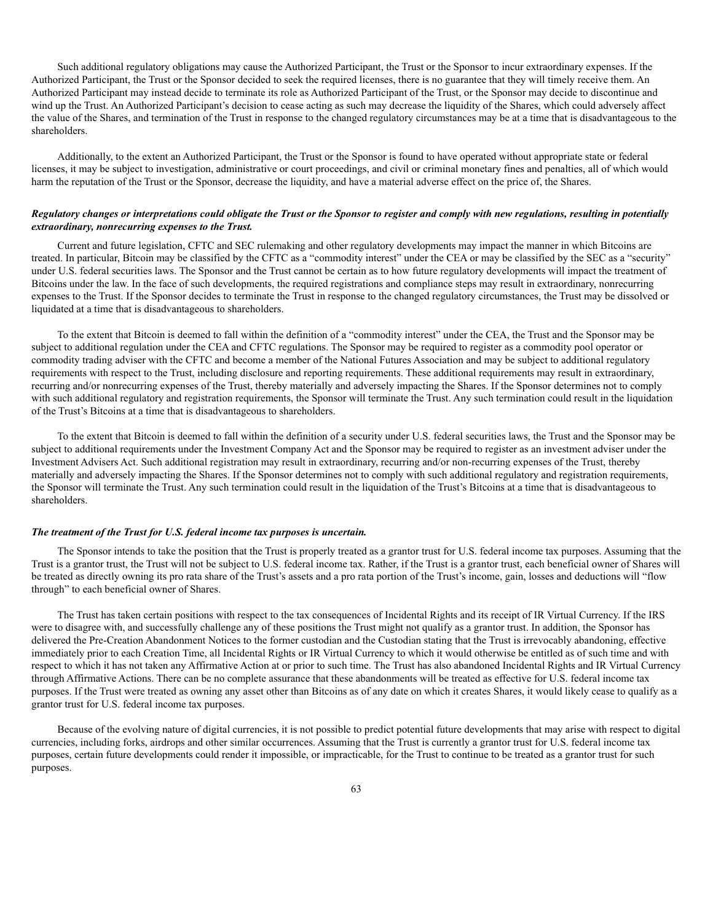Such additional regulatory obligations may cause the Authorized Participant, the Trust or the Sponsor to incur extraordinary expenses. If the Authorized Participant, the Trust or the Sponsor decided to seek the required licenses, there is no guarantee that they will timely receive them. An Authorized Participant may instead decide to terminate its role as Authorized Participant of the Trust, or the Sponsor may decide to discontinue and wind up the Trust. An Authorized Participant's decision to cease acting as such may decrease the liquidity of the Shares, which could adversely affect the value of the Shares, and termination of the Trust in response to the changed regulatory circumstances may be at a time that is disadvantageous to the shareholders.

Additionally, to the extent an Authorized Participant, the Trust or the Sponsor is found to have operated without appropriate state or federal licenses, it may be subject to investigation, administrative or court proceedings, and civil or criminal monetary fines and penalties, all of which would harm the reputation of the Trust or the Sponsor, decrease the liquidity, and have a material adverse effect on the price of, the Shares.

## *Regulatory changes or interpretations could obligate the Trust or the Sponsor to register and comply with new regulations, resulting in potentially extraordinary, nonrecurring expenses to the Trust.*

Current and future legislation, CFTC and SEC rulemaking and other regulatory developments may impact the manner in which Bitcoins are treated. In particular, Bitcoin may be classified by the CFTC as a "commodity interest" under the CEA or may be classified by the SEC as a "security" under U.S. federal securities laws. The Sponsor and the Trust cannot be certain as to how future regulatory developments will impact the treatment of Bitcoins under the law. In the face of such developments, the required registrations and compliance steps may result in extraordinary, nonrecurring expenses to the Trust. If the Sponsor decides to terminate the Trust in response to the changed regulatory circumstances, the Trust may be dissolved or liquidated at a time that is disadvantageous to shareholders.

To the extent that Bitcoin is deemed to fall within the definition of a "commodity interest" under the CEA, the Trust and the Sponsor may be subject to additional regulation under the CEA and CFTC regulations. The Sponsor may be required to register as a commodity pool operator or commodity trading adviser with the CFTC and become a member of the National Futures Association and may be subject to additional regulatory requirements with respect to the Trust, including disclosure and reporting requirements. These additional requirements may result in extraordinary, recurring and/or nonrecurring expenses of the Trust, thereby materially and adversely impacting the Shares. If the Sponsor determines not to comply with such additional regulatory and registration requirements, the Sponsor will terminate the Trust. Any such termination could result in the liquidation of the Trust's Bitcoins at a time that is disadvantageous to shareholders.

To the extent that Bitcoin is deemed to fall within the definition of a security under U.S. federal securities laws, the Trust and the Sponsor may be subject to additional requirements under the Investment Company Act and the Sponsor may be required to register as an investment adviser under the Investment Advisers Act. Such additional registration may result in extraordinary, recurring and/or non-recurring expenses of the Trust, thereby materially and adversely impacting the Shares. If the Sponsor determines not to comply with such additional regulatory and registration requirements, the Sponsor will terminate the Trust. Any such termination could result in the liquidation of the Trust's Bitcoins at a time that is disadvantageous to shareholders.

# *The treatment of the Trust for U.S. federal income tax purposes is uncertain.*

The Sponsor intends to take the position that the Trust is properly treated as a grantor trust for U.S. federal income tax purposes. Assuming that the Trust is a grantor trust, the Trust will not be subject to U.S. federal income tax. Rather, if the Trust is a grantor trust, each beneficial owner of Shares will be treated as directly owning its pro rata share of the Trust's assets and a pro rata portion of the Trust's income, gain, losses and deductions will "flow through" to each beneficial owner of Shares.

The Trust has taken certain positions with respect to the tax consequences of Incidental Rights and its receipt of IR Virtual Currency. If the IRS were to disagree with, and successfully challenge any of these positions the Trust might not qualify as a grantor trust. In addition, the Sponsor has delivered the Pre-Creation Abandonment Notices to the former custodian and the Custodian stating that the Trust is irrevocably abandoning, effective immediately prior to each Creation Time, all Incidental Rights or IR Virtual Currency to which it would otherwise be entitled as of such time and with respect to which it has not taken any Affirmative Action at or prior to such time. The Trust has also abandoned Incidental Rights and IR Virtual Currency through Affirmative Actions. There can be no complete assurance that these abandonments will be treated as effective for U.S. federal income tax purposes. If the Trust were treated as owning any asset other than Bitcoins as of any date on which it creates Shares, it would likely cease to qualify as a grantor trust for U.S. federal income tax purposes.

Because of the evolving nature of digital currencies, it is not possible to predict potential future developments that may arise with respect to digital currencies, including forks, airdrops and other similar occurrences. Assuming that the Trust is currently a grantor trust for U.S. federal income tax purposes, certain future developments could render it impossible, or impracticable, for the Trust to continue to be treated as a grantor trust for such purposes.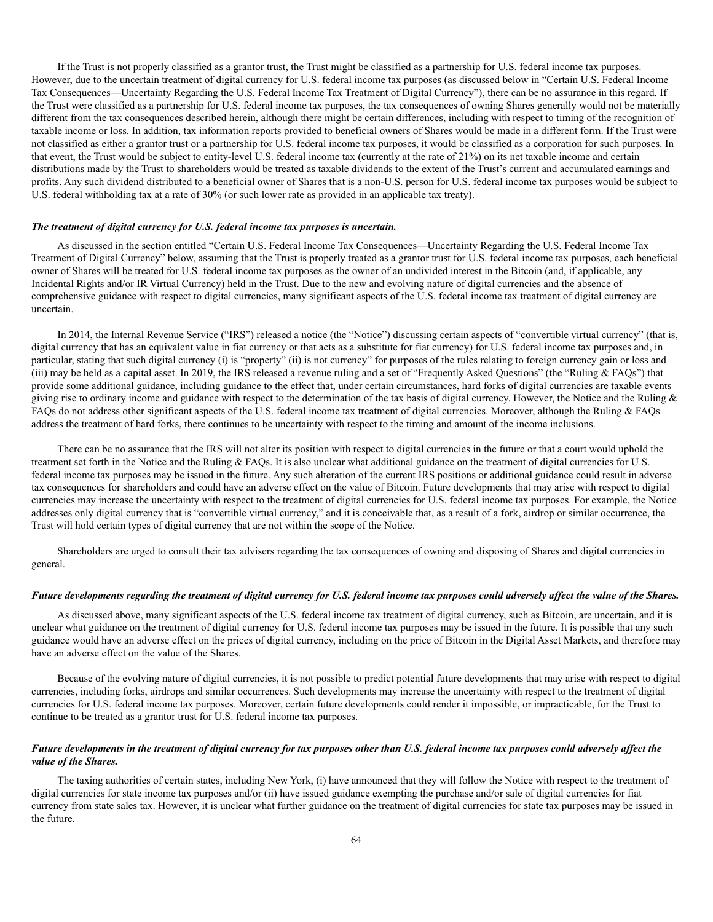If the Trust is not properly classified as a grantor trust, the Trust might be classified as a partnership for U.S. federal income tax purposes. However, due to the uncertain treatment of digital currency for U.S. federal income tax purposes (as discussed below in "Certain U.S. Federal Income Tax Consequences—Uncertainty Regarding the U.S. Federal Income Tax Treatment of Digital Currency"), there can be no assurance in this regard. If the Trust were classified as a partnership for U.S. federal income tax purposes, the tax consequences of owning Shares generally would not be materially different from the tax consequences described herein, although there might be certain differences, including with respect to timing of the recognition of taxable income or loss. In addition, tax information reports provided to beneficial owners of Shares would be made in a different form. If the Trust were not classified as either a grantor trust or a partnership for U.S. federal income tax purposes, it would be classified as a corporation for such purposes. In that event, the Trust would be subject to entity-level U.S. federal income tax (currently at the rate of 21%) on its net taxable income and certain distributions made by the Trust to shareholders would be treated as taxable dividends to the extent of the Trust's current and accumulated earnings and profits. Any such dividend distributed to a beneficial owner of Shares that is a non-U.S. person for U.S. federal income tax purposes would be subject to U.S. federal withholding tax at a rate of 30% (or such lower rate as provided in an applicable tax treaty).

### *The treatment of digital currency for U.S. federal income tax purposes is uncertain.*

As discussed in the section entitled "Certain U.S. Federal Income Tax Consequences—Uncertainty Regarding the U.S. Federal Income Tax Treatment of Digital Currency" below, assuming that the Trust is properly treated as a grantor trust for U.S. federal income tax purposes, each beneficial owner of Shares will be treated for U.S. federal income tax purposes as the owner of an undivided interest in the Bitcoin (and, if applicable, any Incidental Rights and/or IR Virtual Currency) held in the Trust. Due to the new and evolving nature of digital currencies and the absence of comprehensive guidance with respect to digital currencies, many significant aspects of the U.S. federal income tax treatment of digital currency are uncertain.

In 2014, the Internal Revenue Service ("IRS") released a notice (the "Notice") discussing certain aspects of "convertible virtual currency" (that is, digital currency that has an equivalent value in fiat currency or that acts as a substitute for fiat currency) for U.S. federal income tax purposes and, in particular, stating that such digital currency (i) is "property" (ii) is not currency" for purposes of the rules relating to foreign currency gain or loss and (iii) may be held as a capital asset. In 2019, the IRS released a revenue ruling and a set of "Frequently Asked Questions" (the "Ruling & FAQs") that provide some additional guidance, including guidance to the effect that, under certain circumstances, hard forks of digital currencies are taxable events giving rise to ordinary income and guidance with respect to the determination of the tax basis of digital currency. However, the Notice and the Ruling  $\&$ FAQs do not address other significant aspects of the U.S. federal income tax treatment of digital currencies. Moreover, although the Ruling & FAQs address the treatment of hard forks, there continues to be uncertainty with respect to the timing and amount of the income inclusions.

There can be no assurance that the IRS will not alter its position with respect to digital currencies in the future or that a court would uphold the treatment set forth in the Notice and the Ruling & FAQs. It is also unclear what additional guidance on the treatment of digital currencies for U.S. federal income tax purposes may be issued in the future. Any such alteration of the current IRS positions or additional guidance could result in adverse tax consequences for shareholders and could have an adverse effect on the value of Bitcoin. Future developments that may arise with respect to digital currencies may increase the uncertainty with respect to the treatment of digital currencies for U.S. federal income tax purposes. For example, the Notice addresses only digital currency that is "convertible virtual currency," and it is conceivable that, as a result of a fork, airdrop or similar occurrence, the Trust will hold certain types of digital currency that are not within the scope of the Notice.

Shareholders are urged to consult their tax advisers regarding the tax consequences of owning and disposing of Shares and digital currencies in general.

### *Future developments regarding the treatment of digital currency for U.S. federal income tax purposes could adversely affect the value of the Shares.*

As discussed above, many significant aspects of the U.S. federal income tax treatment of digital currency, such as Bitcoin, are uncertain, and it is unclear what guidance on the treatment of digital currency for U.S. federal income tax purposes may be issued in the future. It is possible that any such guidance would have an adverse effect on the prices of digital currency, including on the price of Bitcoin in the Digital Asset Markets, and therefore may have an adverse effect on the value of the Shares.

Because of the evolving nature of digital currencies, it is not possible to predict potential future developments that may arise with respect to digital currencies, including forks, airdrops and similar occurrences. Such developments may increase the uncertainty with respect to the treatment of digital currencies for U.S. federal income tax purposes. Moreover, certain future developments could render it impossible, or impracticable, for the Trust to continue to be treated as a grantor trust for U.S. federal income tax purposes.

# *Future developments in the treatment of digital currency for tax purposes other than U.S. federal income tax purposes could adversely affect the value of the Shares.*

The taxing authorities of certain states, including New York, (i) have announced that they will follow the Notice with respect to the treatment of digital currencies for state income tax purposes and/or (ii) have issued guidance exempting the purchase and/or sale of digital currencies for fiat currency from state sales tax. However, it is unclear what further guidance on the treatment of digital currencies for state tax purposes may be issued in the future.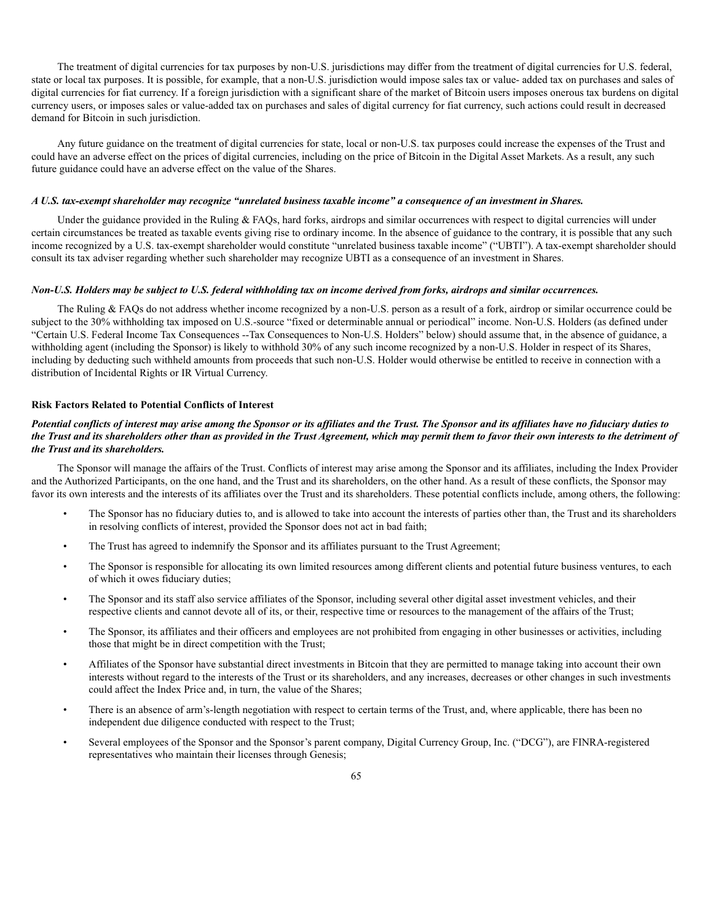The treatment of digital currencies for tax purposes by non-U.S. jurisdictions may differ from the treatment of digital currencies for U.S. federal, state or local tax purposes. It is possible, for example, that a non-U.S. jurisdiction would impose sales tax or value- added tax on purchases and sales of digital currencies for fiat currency. If a foreign jurisdiction with a significant share of the market of Bitcoin users imposes onerous tax burdens on digital currency users, or imposes sales or value-added tax on purchases and sales of digital currency for fiat currency, such actions could result in decreased demand for Bitcoin in such jurisdiction.

Any future guidance on the treatment of digital currencies for state, local or non-U.S. tax purposes could increase the expenses of the Trust and could have an adverse effect on the prices of digital currencies, including on the price of Bitcoin in the Digital Asset Markets. As a result, any such future guidance could have an adverse effect on the value of the Shares.

### *A U.S. tax-exempt shareholder may recognize "unrelated business taxable income" a consequence of an investment in Shares.*

Under the guidance provided in the Ruling & FAQs, hard forks, airdrops and similar occurrences with respect to digital currencies will under certain circumstances be treated as taxable events giving rise to ordinary income. In the absence of guidance to the contrary, it is possible that any such income recognized by a U.S. tax-exempt shareholder would constitute "unrelated business taxable income" ("UBTI"). A tax-exempt shareholder should consult its tax adviser regarding whether such shareholder may recognize UBTI as a consequence of an investment in Shares.

## *Non-U.S. Holders may be subject to U.S. federal withholding tax on income derived from forks, airdrops and similar occurrences.*

The Ruling & FAQs do not address whether income recognized by a non-U.S. person as a result of a fork, airdrop or similar occurrence could be subject to the 30% withholding tax imposed on U.S.-source "fixed or determinable annual or periodical" income. Non-U.S. Holders (as defined under "Certain U.S. Federal Income Tax Consequences --Tax Consequences to Non-U.S. Holders" below) should assume that, in the absence of guidance, a withholding agent (including the Sponsor) is likely to withhold 30% of any such income recognized by a non-U.S. Holder in respect of its Shares, including by deducting such withheld amounts from proceeds that such non-U.S. Holder would otherwise be entitled to receive in connection with a distribution of Incidental Rights or IR Virtual Currency.

### **Risk Factors Related to Potential Conflicts of Interest**

# *Potential conflicts of interest may arise among the Sponsor or its affiliates and the Trust. The Sponsor and its affiliates have no fiduciary duties to the Trust and its shareholders other than as provided in the Trust Agreement, which may permit them to favor their own interests to the detriment of the Trust and its shareholders.*

The Sponsor will manage the affairs of the Trust. Conflicts of interest may arise among the Sponsor and its affiliates, including the Index Provider and the Authorized Participants, on the one hand, and the Trust and its shareholders, on the other hand. As a result of these conflicts, the Sponsor may favor its own interests and the interests of its affiliates over the Trust and its shareholders. These potential conflicts include, among others, the following:

- The Sponsor has no fiduciary duties to, and is allowed to take into account the interests of parties other than, the Trust and its shareholders in resolving conflicts of interest, provided the Sponsor does not act in bad faith;
- The Trust has agreed to indemnify the Sponsor and its affiliates pursuant to the Trust Agreement;
- The Sponsor is responsible for allocating its own limited resources among different clients and potential future business ventures, to each of which it owes fiduciary duties;
- The Sponsor and its staff also service affiliates of the Sponsor, including several other digital asset investment vehicles, and their respective clients and cannot devote all of its, or their, respective time or resources to the management of the affairs of the Trust;
- The Sponsor, its affiliates and their officers and employees are not prohibited from engaging in other businesses or activities, including those that might be in direct competition with the Trust;
- Affiliates of the Sponsor have substantial direct investments in Bitcoin that they are permitted to manage taking into account their own interests without regard to the interests of the Trust or its shareholders, and any increases, decreases or other changes in such investments could affect the Index Price and, in turn, the value of the Shares;
- There is an absence of arm's-length negotiation with respect to certain terms of the Trust, and, where applicable, there has been no independent due diligence conducted with respect to the Trust;
- Several employees of the Sponsor and the Sponsor's parent company, Digital Currency Group, Inc. ("DCG"), are FINRA-registered representatives who maintain their licenses through Genesis;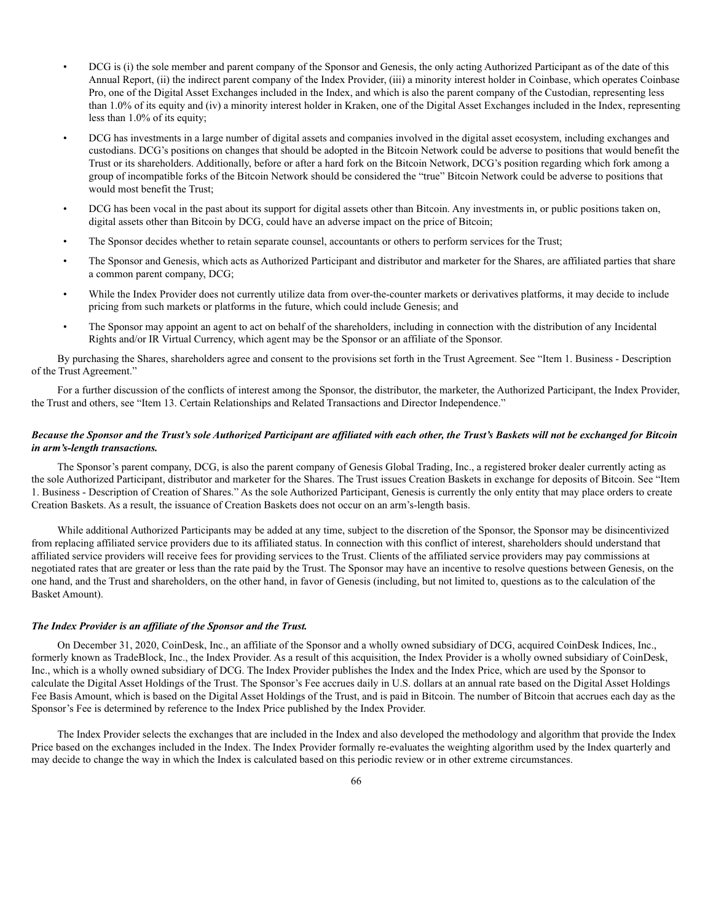- DCG is (i) the sole member and parent company of the Sponsor and Genesis, the only acting Authorized Participant as of the date of this Annual Report, (ii) the indirect parent company of the Index Provider, (iii) a minority interest holder in Coinbase, which operates Coinbase Pro, one of the Digital Asset Exchanges included in the Index, and which is also the parent company of the Custodian, representing less than 1.0% of its equity and (iv) a minority interest holder in Kraken, one of the Digital Asset Exchanges included in the Index, representing less than 1.0% of its equity;
- DCG has investments in a large number of digital assets and companies involved in the digital asset ecosystem, including exchanges and custodians. DCG's positions on changes that should be adopted in the Bitcoin Network could be adverse to positions that would benefit the Trust or its shareholders. Additionally, before or after a hard fork on the Bitcoin Network, DCG's position regarding which fork among a group of incompatible forks of the Bitcoin Network should be considered the "true" Bitcoin Network could be adverse to positions that would most benefit the Trust;
- DCG has been vocal in the past about its support for digital assets other than Bitcoin. Any investments in, or public positions taken on, digital assets other than Bitcoin by DCG, could have an adverse impact on the price of Bitcoin;
- The Sponsor decides whether to retain separate counsel, accountants or others to perform services for the Trust;
- The Sponsor and Genesis, which acts as Authorized Participant and distributor and marketer for the Shares, are affiliated parties that share a common parent company, DCG;
- While the Index Provider does not currently utilize data from over-the-counter markets or derivatives platforms, it may decide to include pricing from such markets or platforms in the future, which could include Genesis; and
- The Sponsor may appoint an agent to act on behalf of the shareholders, including in connection with the distribution of any Incidental Rights and/or IR Virtual Currency, which agent may be the Sponsor or an affiliate of the Sponsor.

By purchasing the Shares, shareholders agree and consent to the provisions set forth in the Trust Agreement. See "Item 1. Business - Description of the Trust Agreement."

For a further discussion of the conflicts of interest among the Sponsor, the distributor, the marketer, the Authorized Participant, the Index Provider, the Trust and others, see "Item 13. Certain Relationships and Related Transactions and Director Independence."

# *Because the Sponsor and the Trust's sole Authorized Participant are affiliated with each other, the Trust's Baskets will not be exchanged for Bitcoin in arm's-length transactions.*

The Sponsor's parent company, DCG, is also the parent company of Genesis Global Trading, Inc., a registered broker dealer currently acting as the sole Authorized Participant, distributor and marketer for the Shares. The Trust issues Creation Baskets in exchange for deposits of Bitcoin. See "Item 1. Business - Description of Creation of Shares." As the sole Authorized Participant, Genesis is currently the only entity that may place orders to create Creation Baskets. As a result, the issuance of Creation Baskets does not occur on an arm's-length basis.

While additional Authorized Participants may be added at any time, subject to the discretion of the Sponsor, the Sponsor may be disincentivized from replacing affiliated service providers due to its affiliated status. In connection with this conflict of interest, shareholders should understand that affiliated service providers will receive fees for providing services to the Trust. Clients of the affiliated service providers may pay commissions at negotiated rates that are greater or less than the rate paid by the Trust. The Sponsor may have an incentive to resolve questions between Genesis, on the one hand, and the Trust and shareholders, on the other hand, in favor of Genesis (including, but not limited to, questions as to the calculation of the Basket Amount).

## *The Index Provider is an affiliate of the Sponsor and the Trust.*

On December 31, 2020, CoinDesk, Inc., an affiliate of the Sponsor and a wholly owned subsidiary of DCG, acquired CoinDesk Indices, Inc., formerly known as TradeBlock, Inc., the Index Provider. As a result of this acquisition, the Index Provider is a wholly owned subsidiary of CoinDesk, Inc., which is a wholly owned subsidiary of DCG. The Index Provider publishes the Index and the Index Price, which are used by the Sponsor to calculate the Digital Asset Holdings of the Trust. The Sponsor's Fee accrues daily in U.S. dollars at an annual rate based on the Digital Asset Holdings Fee Basis Amount, which is based on the Digital Asset Holdings of the Trust, and is paid in Bitcoin. The number of Bitcoin that accrues each day as the Sponsor's Fee is determined by reference to the Index Price published by the Index Provider.

The Index Provider selects the exchanges that are included in the Index and also developed the methodology and algorithm that provide the Index Price based on the exchanges included in the Index. The Index Provider formally re-evaluates the weighting algorithm used by the Index quarterly and may decide to change the way in which the Index is calculated based on this periodic review or in other extreme circumstances.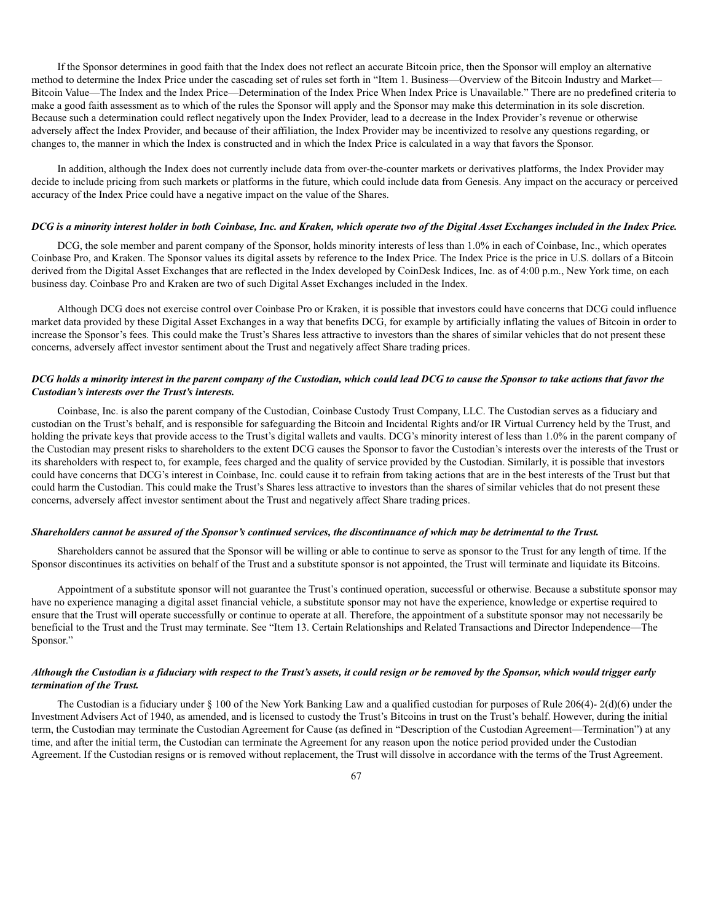If the Sponsor determines in good faith that the Index does not reflect an accurate Bitcoin price, then the Sponsor will employ an alternative method to determine the Index Price under the cascading set of rules set forth in "Item 1. Business—Overview of the Bitcoin Industry and Market— Bitcoin Value—The Index and the Index Price—Determination of the Index Price When Index Price is Unavailable." There are no predefined criteria to make a good faith assessment as to which of the rules the Sponsor will apply and the Sponsor may make this determination in its sole discretion. Because such a determination could reflect negatively upon the Index Provider, lead to a decrease in the Index Provider's revenue or otherwise adversely affect the Index Provider, and because of their affiliation, the Index Provider may be incentivized to resolve any questions regarding, or changes to, the manner in which the Index is constructed and in which the Index Price is calculated in a way that favors the Sponsor.

In addition, although the Index does not currently include data from over-the-counter markets or derivatives platforms, the Index Provider may decide to include pricing from such markets or platforms in the future, which could include data from Genesis. Any impact on the accuracy or perceived accuracy of the Index Price could have a negative impact on the value of the Shares.

### *DCG is a minority interest holder in both Coinbase, Inc. and Kraken, which operate two of the Digital Asset Exchanges included in the Index Price.*

DCG, the sole member and parent company of the Sponsor, holds minority interests of less than 1.0% in each of Coinbase, Inc., which operates Coinbase Pro, and Kraken. The Sponsor values its digital assets by reference to the Index Price. The Index Price is the price in U.S. dollars of a Bitcoin derived from the Digital Asset Exchanges that are reflected in the Index developed by CoinDesk Indices, Inc. as of 4:00 p.m., New York time, on each business day. Coinbase Pro and Kraken are two of such Digital Asset Exchanges included in the Index.

Although DCG does not exercise control over Coinbase Pro or Kraken, it is possible that investors could have concerns that DCG could influence market data provided by these Digital Asset Exchanges in a way that benefits DCG, for example by artificially inflating the values of Bitcoin in order to increase the Sponsor's fees. This could make the Trust's Shares less attractive to investors than the shares of similar vehicles that do not present these concerns, adversely affect investor sentiment about the Trust and negatively affect Share trading prices.

# *DCG holds a minority interest in the parent company of the Custodian, which could lead DCG to cause the Sponsor to take actions that favor the Custodian's interests over the Trust's interests.*

Coinbase, Inc. is also the parent company of the Custodian, Coinbase Custody Trust Company, LLC. The Custodian serves as a fiduciary and custodian on the Trust's behalf, and is responsible for safeguarding the Bitcoin and Incidental Rights and/or IR Virtual Currency held by the Trust, and holding the private keys that provide access to the Trust's digital wallets and vaults. DCG's minority interest of less than 1.0% in the parent company of the Custodian may present risks to shareholders to the extent DCG causes the Sponsor to favor the Custodian's interests over the interests of the Trust or its shareholders with respect to, for example, fees charged and the quality of service provided by the Custodian. Similarly, it is possible that investors could have concerns that DCG's interest in Coinbase, Inc. could cause it to refrain from taking actions that are in the best interests of the Trust but that could harm the Custodian. This could make the Trust's Shares less attractive to investors than the shares of similar vehicles that do not present these concerns, adversely affect investor sentiment about the Trust and negatively affect Share trading prices.

### *Shareholders cannot be assured of the Sponsor's continued services, the discontinuance of which may be detrimental to the Trust.*

Shareholders cannot be assured that the Sponsor will be willing or able to continue to serve as sponsor to the Trust for any length of time. If the Sponsor discontinues its activities on behalf of the Trust and a substitute sponsor is not appointed, the Trust will terminate and liquidate its Bitcoins.

Appointment of a substitute sponsor will not guarantee the Trust's continued operation, successful or otherwise. Because a substitute sponsor may have no experience managing a digital asset financial vehicle, a substitute sponsor may not have the experience, knowledge or expertise required to ensure that the Trust will operate successfully or continue to operate at all. Therefore, the appointment of a substitute sponsor may not necessarily be beneficial to the Trust and the Trust may terminate. See "Item 13. Certain Relationships and Related Transactions and Director Independence—The Sponsor."

## *Although the Custodian is a fiduciary with respect to the Trust's assets, it could resign or be removed by the Sponsor, which would trigger early termination of the Trust.*

The Custodian is a fiduciary under § 100 of the New York Banking Law and a qualified custodian for purposes of Rule 206(4)- 2(d)(6) under the Investment Advisers Act of 1940, as amended, and is licensed to custody the Trust's Bitcoins in trust on the Trust's behalf. However, during the initial term, the Custodian may terminate the Custodian Agreement for Cause (as defined in "Description of the Custodian Agreement—Termination") at any time, and after the initial term, the Custodian can terminate the Agreement for any reason upon the notice period provided under the Custodian Agreement. If the Custodian resigns or is removed without replacement, the Trust will dissolve in accordance with the terms of the Trust Agreement.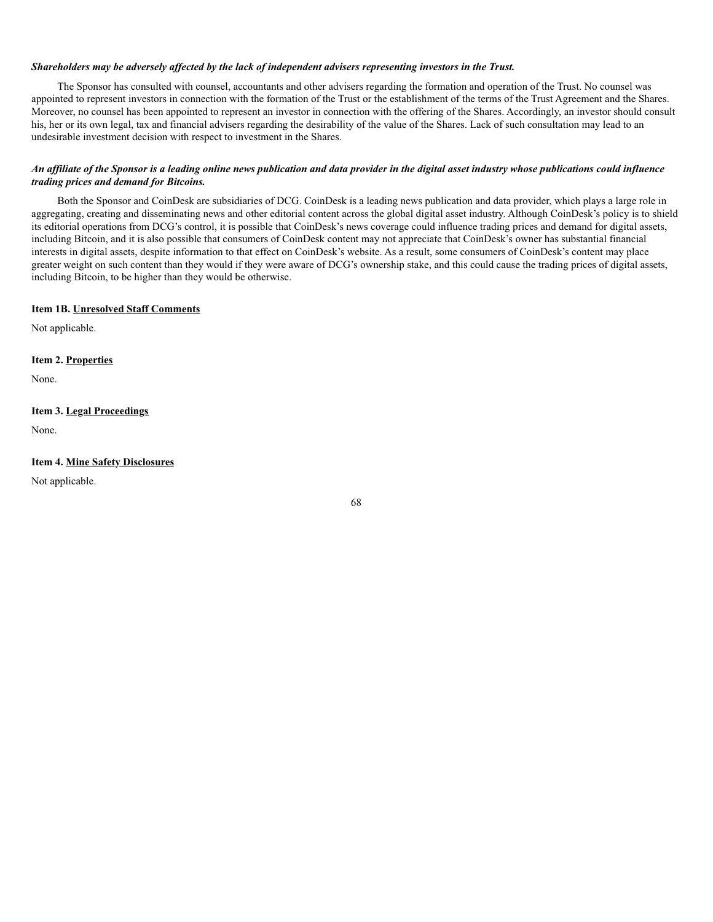## *Shareholders may be adversely affected by the lack of independent advisers representing investors in the Trust.*

The Sponsor has consulted with counsel, accountants and other advisers regarding the formation and operation of the Trust. No counsel was appointed to represent investors in connection with the formation of the Trust or the establishment of the terms of the Trust Agreement and the Shares. Moreover, no counsel has been appointed to represent an investor in connection with the offering of the Shares. Accordingly, an investor should consult his, her or its own legal, tax and financial advisers regarding the desirability of the value of the Shares. Lack of such consultation may lead to an undesirable investment decision with respect to investment in the Shares.

## *An affiliate of the Sponsor is a leading online news publication and data provider in the digital asset industry whose publications could influence trading prices and demand for Bitcoins.*

Both the Sponsor and CoinDesk are subsidiaries of DCG. CoinDesk is a leading news publication and data provider, which plays a large role in aggregating, creating and disseminating news and other editorial content across the global digital asset industry. Although CoinDesk's policy is to shield its editorial operations from DCG's control, it is possible that CoinDesk's news coverage could influence trading prices and demand for digital assets, including Bitcoin, and it is also possible that consumers of CoinDesk content may not appreciate that CoinDesk's owner has substantial financial interests in digital assets, despite information to that effect on CoinDesk's website. As a result, some consumers of CoinDesk's content may place greater weight on such content than they would if they were aware of DCG's ownership stake, and this could cause the trading prices of digital assets, including Bitcoin, to be higher than they would be otherwise.

# **Item 1B. Unresolved Staff Comments**

Not applicable.

## **Item 2. Properties**

None.

# **Item 3. Legal Proceedings**

None.

# **Item 4. Mine Safety Disclosures**

Not applicable.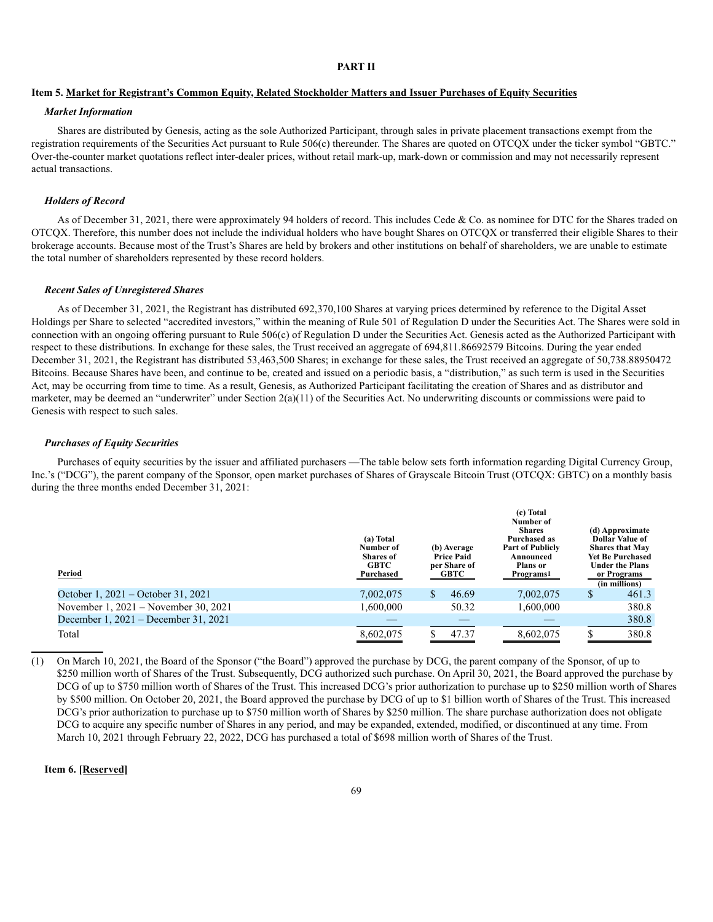#### **PART II**

#### **Item 5. Market for Registrant's Common Equity, Related Stockholder Matters and Issuer Purchases of Equity Securities**

#### *Market Information*

Shares are distributed by Genesis, acting as the sole Authorized Participant, through sales in private placement transactions exempt from the registration requirements of the Securities Act pursuant to Rule 506(c) thereunder. The Shares are quoted on OTCQX under the ticker symbol "GBTC." Over-the-counter market quotations reflect inter-dealer prices, without retail mark-up, mark-down or commission and may not necessarily represent actual transactions.

#### *Holders of Record*

As of December 31, 2021, there were approximately 94 holders of record. This includes Cede & Co. as nominee for DTC for the Shares traded on OTCQX. Therefore, this number does not include the individual holders who have bought Shares on OTCQX or transferred their eligible Shares to their brokerage accounts. Because most of the Trust's Shares are held by brokers and other institutions on behalf of shareholders, we are unable to estimate the total number of shareholders represented by these record holders.

### *Recent Sales of Unregistered Shares*

As of December 31, 2021, the Registrant has distributed 692,370,100 Shares at varying prices determined by reference to the Digital Asset Holdings per Share to selected "accredited investors," within the meaning of Rule 501 of Regulation D under the Securities Act. The Shares were sold in connection with an ongoing offering pursuant to Rule 506(c) of Regulation D under the Securities Act. Genesis acted as the Authorized Participant with respect to these distributions. In exchange for these sales, the Trust received an aggregate of 694,811.86692579 Bitcoins. During the year ended December 31, 2021, the Registrant has distributed 53,463,500 Shares; in exchange for these sales, the Trust received an aggregate of 50,738.88950472 Bitcoins. Because Shares have been, and continue to be, created and issued on a periodic basis, a "distribution," as such term is used in the Securities Act, may be occurring from time to time. As a result, Genesis, as Authorized Participant facilitating the creation of Shares and as distributor and marketer, may be deemed an "underwriter" under Section 2(a)(11) of the Securities Act. No underwriting discounts or commissions were paid to Genesis with respect to such sales.

#### *Purchases of Equity Securities*

Purchases of equity securities by the issuer and affiliated purchasers —The table below sets forth information regarding Digital Currency Group, Inc.'s ("DCG"), the parent company of the Sponsor, open market purchases of Shares of Grayscale Bitcoin Trust (OTCQX: GBTC) on a monthly basis during the three months ended December 31, 2021:

| (a) Total<br><b>Number of</b><br><b>Shares</b> of<br><b>GBTC</b><br>Purchased | (b) Average<br><b>Price Paid</b><br>per Share of<br>GBTC | (c) Total<br>Number of<br><b>Shares</b><br>Purchased as<br><b>Part of Publicly</b><br>Announced<br>Plans or<br>Programs1 | (d) Approximate<br>Dollar Value of<br><b>Shares that May</b><br><b>Yet Be Purchased</b><br><b>Under the Plans</b><br>or Programs<br>(in millions) |
|-------------------------------------------------------------------------------|----------------------------------------------------------|--------------------------------------------------------------------------------------------------------------------------|---------------------------------------------------------------------------------------------------------------------------------------------------|
| 7,002,075                                                                     | 46.69<br>\$                                              | 7,002,075                                                                                                                | 461.3<br>S                                                                                                                                        |
| 1.600.000                                                                     | 50.32                                                    | 1.600.000                                                                                                                | 380.8                                                                                                                                             |
|                                                                               |                                                          |                                                                                                                          | 380.8                                                                                                                                             |
| 8,602,075                                                                     | 47.37                                                    | 8,602,075                                                                                                                | 380.8                                                                                                                                             |
|                                                                               |                                                          |                                                                                                                          |                                                                                                                                                   |

(1) On March 10, 2021, the Board of the Sponsor ("the Board") approved the purchase by DCG, the parent company of the Sponsor, of up to \$250 million worth of Shares of the Trust. Subsequently, DCG authorized such purchase. On April 30, 2021, the Board approved the purchase by DCG of up to \$750 million worth of Shares of the Trust. This increased DCG's prior authorization to purchase up to \$250 million worth of Shares by \$500 million. On October 20, 2021, the Board approved the purchase by DCG of up to \$1 billion worth of Shares of the Trust. This increased DCG's prior authorization to purchase up to \$750 million worth of Shares by \$250 million. The share purchase authorization does not obligate DCG to acquire any specific number of Shares in any period, and may be expanded, extended, modified, or discontinued at any time. From March 10, 2021 through February 22, 2022, DCG has purchased a total of \$698 million worth of Shares of the Trust.

## **Item 6. [Reserved]**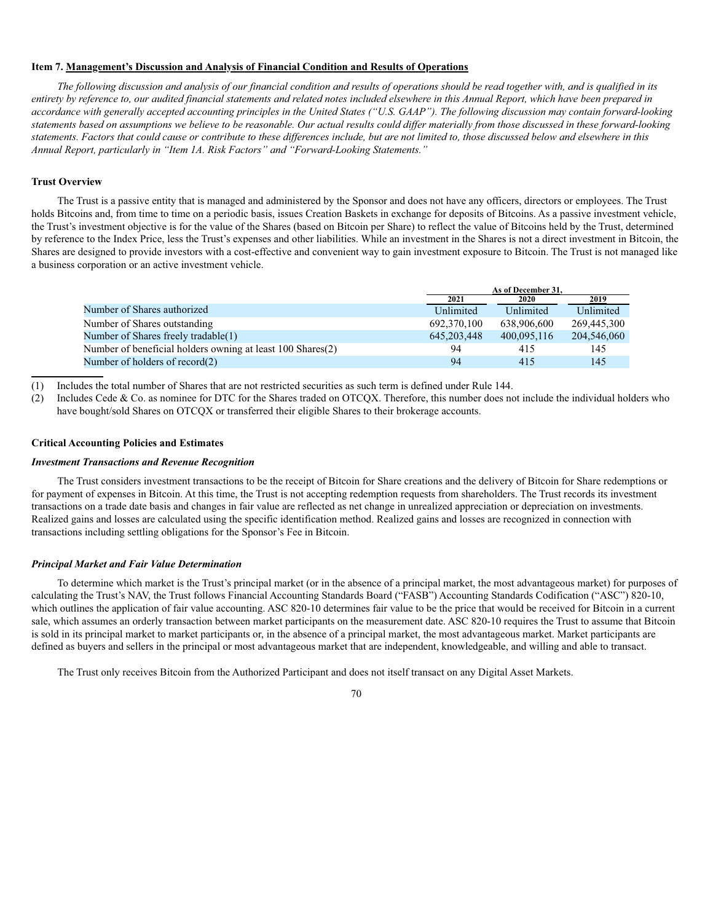#### **Item 7. Management's Discussion and Analysis of Financial Condition and Results of Operations**

*The following discussion and analysis of our financial condition and results of operations should be read together with, and is qualified in its entirety by reference to, our audited financial statements and related notes included elsewhere in this Annual Report, which have been prepared in accordance with generally accepted accounting principles in the United States ("U.S. GAAP"). The following discussion may contain forward-looking statements based on assumptions we believe to be reasonable. Our actual results could differ materially from those discussed in these forward-looking statements. Factors that could cause or contribute to these differences include, but are not limited to, those discussed below and elsewhere in this Annual Report, particularly in "Item 1A. Risk Factors" and "Forward-Looking Statements."*

## **Trust Overview**

The Trust is a passive entity that is managed and administered by the Sponsor and does not have any officers, directors or employees. The Trust holds Bitcoins and, from time to time on a periodic basis, issues Creation Baskets in exchange for deposits of Bitcoins. As a passive investment vehicle, the Trust's investment objective is for the value of the Shares (based on Bitcoin per Share) to reflect the value of Bitcoins held by the Trust, determined by reference to the Index Price, less the Trust's expenses and other liabilities. While an investment in the Shares is not a direct investment in Bitcoin, the Shares are designed to provide investors with a cost-effective and convenient way to gain investment exposure to Bitcoin. The Trust is not managed like a business corporation or an active investment vehicle.

|                                                            | As of December 31, |             |             |  |
|------------------------------------------------------------|--------------------|-------------|-------------|--|
|                                                            | 2021               | 2020        | 2019        |  |
| Number of Shares authorized                                | Unlimited          | Unlimited   | Unlimited   |  |
| Number of Shares outstanding                               | 692.370.100        | 638,906,600 | 269,445,300 |  |
| Number of Shares freely tradable(1)                        | 645, 203, 448      | 400,095,116 | 204,546,060 |  |
| Number of beneficial holders owning at least 100 Shares(2) | 94                 | 415         | 145         |  |
| Number of holders of record $(2)$                          | 94                 | 415         | 145         |  |

(1) Includes the total number of Shares that are not restricted securities as such term is defined under Rule 144.

(2) Includes Cede & Co. as nominee for DTC for the Shares traded on OTCQX. Therefore, this number does not include the individual holders who have bought/sold Shares on OTCQX or transferred their eligible Shares to their brokerage accounts.

### **Critical Accounting Policies and Estimates**

#### *Investment Transactions and Revenue Recognition*

The Trust considers investment transactions to be the receipt of Bitcoin for Share creations and the delivery of Bitcoin for Share redemptions or for payment of expenses in Bitcoin. At this time, the Trust is not accepting redemption requests from shareholders. The Trust records its investment transactions on a trade date basis and changes in fair value are reflected as net change in unrealized appreciation or depreciation on investments. Realized gains and losses are calculated using the specific identification method. Realized gains and losses are recognized in connection with transactions including settling obligations for the Sponsor's Fee in Bitcoin.

#### *Principal Market and Fair Value Determination*

To determine which market is the Trust's principal market (or in the absence of a principal market, the most advantageous market) for purposes of calculating the Trust's NAV, the Trust follows Financial Accounting Standards Board ("FASB") Accounting Standards Codification ("ASC") 820-10, which outlines the application of fair value accounting. ASC 820-10 determines fair value to be the price that would be received for Bitcoin in a current sale, which assumes an orderly transaction between market participants on the measurement date. ASC 820-10 requires the Trust to assume that Bitcoin is sold in its principal market to market participants or, in the absence of a principal market, the most advantageous market. Market participants are defined as buyers and sellers in the principal or most advantageous market that are independent, knowledgeable, and willing and able to transact.

The Trust only receives Bitcoin from the Authorized Participant and does not itself transact on any Digital Asset Markets.

70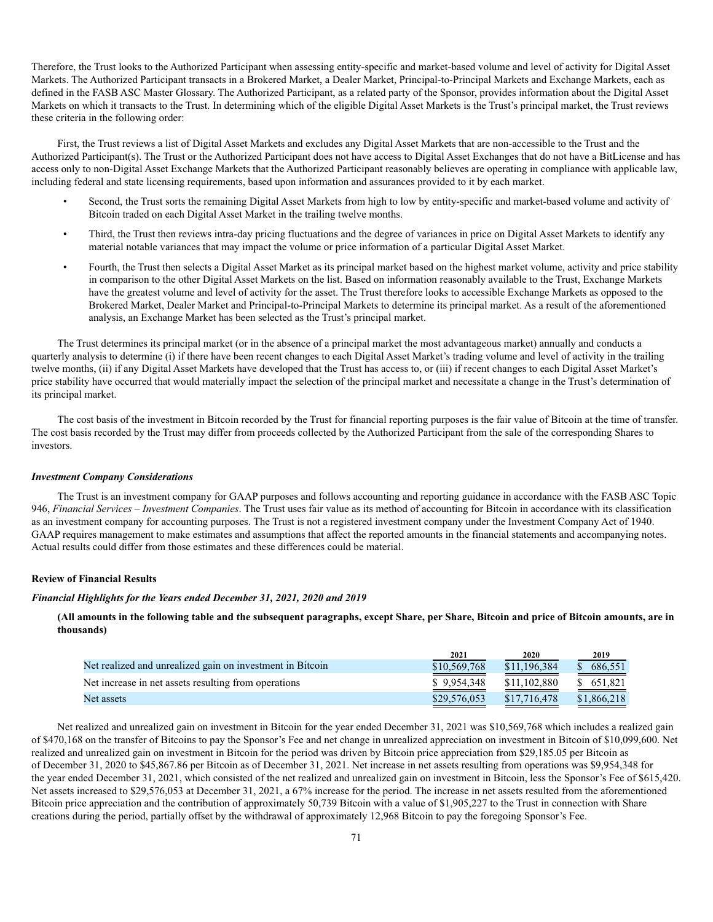Therefore, the Trust looks to the Authorized Participant when assessing entity-specific and market-based volume and level of activity for Digital Asset Markets. The Authorized Participant transacts in a Brokered Market, a Dealer Market, Principal-to-Principal Markets and Exchange Markets, each as defined in the FASB ASC Master Glossary. The Authorized Participant, as a related party of the Sponsor, provides information about the Digital Asset Markets on which it transacts to the Trust. In determining which of the eligible Digital Asset Markets is the Trust's principal market, the Trust reviews these criteria in the following order:

First, the Trust reviews a list of Digital Asset Markets and excludes any Digital Asset Markets that are non-accessible to the Trust and the Authorized Participant(s). The Trust or the Authorized Participant does not have access to Digital Asset Exchanges that do not have a BitLicense and has access only to non-Digital Asset Exchange Markets that the Authorized Participant reasonably believes are operating in compliance with applicable law, including federal and state licensing requirements, based upon information and assurances provided to it by each market.

- Second, the Trust sorts the remaining Digital Asset Markets from high to low by entity-specific and market-based volume and activity of Bitcoin traded on each Digital Asset Market in the trailing twelve months.
- Third, the Trust then reviews intra-day pricing fluctuations and the degree of variances in price on Digital Asset Markets to identify any material notable variances that may impact the volume or price information of a particular Digital Asset Market.
- Fourth, the Trust then selects a Digital Asset Market as its principal market based on the highest market volume, activity and price stability in comparison to the other Digital Asset Markets on the list. Based on information reasonably available to the Trust, Exchange Markets have the greatest volume and level of activity for the asset. The Trust therefore looks to accessible Exchange Markets as opposed to the Brokered Market, Dealer Market and Principal-to-Principal Markets to determine its principal market. As a result of the aforementioned analysis, an Exchange Market has been selected as the Trust's principal market.

The Trust determines its principal market (or in the absence of a principal market the most advantageous market) annually and conducts a quarterly analysis to determine (i) if there have been recent changes to each Digital Asset Market's trading volume and level of activity in the trailing twelve months, (ii) if any Digital Asset Markets have developed that the Trust has access to, or (iii) if recent changes to each Digital Asset Market's price stability have occurred that would materially impact the selection of the principal market and necessitate a change in the Trust's determination of its principal market.

The cost basis of the investment in Bitcoin recorded by the Trust for financial reporting purposes is the fair value of Bitcoin at the time of transfer. The cost basis recorded by the Trust may differ from proceeds collected by the Authorized Participant from the sale of the corresponding Shares to investors.

#### *Investment Company Considerations*

The Trust is an investment company for GAAP purposes and follows accounting and reporting guidance in accordance with the FASB ASC Topic 946, *Financial Services – Investment Companies*. The Trust uses fair value as its method of accounting for Bitcoin in accordance with its classification as an investment company for accounting purposes. The Trust is not a registered investment company under the Investment Company Act of 1940. GAAP requires management to make estimates and assumptions that affect the reported amounts in the financial statements and accompanying notes. Actual results could differ from those estimates and these differences could be material.

## **Review of Financial Results**

#### *Financial Highlights for the Years ended December 31, 2021, 2020 and 2019*

**(All amounts in the following table and the subsequent paragraphs, except Share, per Share, Bitcoin and price of Bitcoin amounts, are in thousands)**

|                                                           | 2021         | 2020         | 2019                                                    |
|-----------------------------------------------------------|--------------|--------------|---------------------------------------------------------|
| Net realized and unrealized gain on investment in Bitcoin | \$10,569,768 | \$11,196,384 | \$686,551<br>and the state of the state of the state of |
| Net increase in net assets resulting from operations      | \$9.954.348  | \$11.102.880 | \$ 651.821                                              |
| Net assets                                                | \$29.576.053 | \$17.716.478 | \$1,866,218                                             |

Net realized and unrealized gain on investment in Bitcoin for the year ended December 31, 2021 was \$10,569,768 which includes a realized gain of \$470,168 on the transfer of Bitcoins to pay the Sponsor's Fee and net change in unrealized appreciation on investment in Bitcoin of \$10,099,600. Net realized and unrealized gain on investment in Bitcoin for the period was driven by Bitcoin price appreciation from \$29,185.05 per Bitcoin as of December 31, 2020 to \$45,867.86 per Bitcoin as of December 31, 2021. Net increase in net assets resulting from operations was \$9,954,348 for the year ended December 31, 2021, which consisted of the net realized and unrealized gain on investment in Bitcoin, less the Sponsor's Fee of \$615,420. Net assets increased to \$29,576,053 at December 31, 2021, a 67% increase for the period. The increase in net assets resulted from the aforementioned Bitcoin price appreciation and the contribution of approximately 50,739 Bitcoin with a value of \$1,905,227 to the Trust in connection with Share creations during the period, partially offset by the withdrawal of approximately 12,968 Bitcoin to pay the foregoing Sponsor's Fee.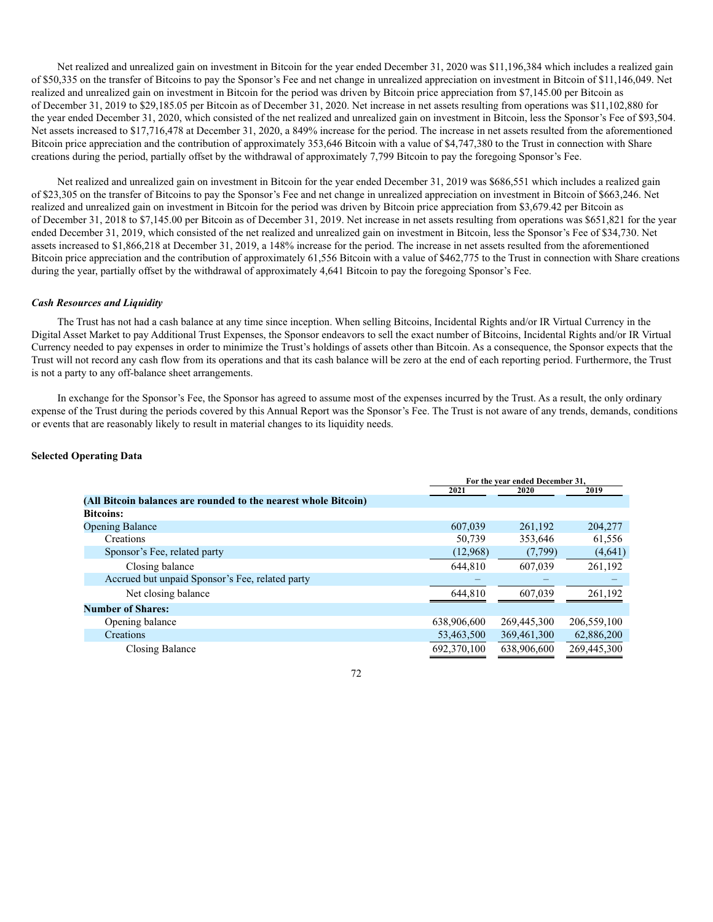Net realized and unrealized gain on investment in Bitcoin for the year ended December 31, 2020 was \$11,196,384 which includes a realized gain of \$50,335 on the transfer of Bitcoins to pay the Sponsor's Fee and net change in unrealized appreciation on investment in Bitcoin of \$11,146,049. Net realized and unrealized gain on investment in Bitcoin for the period was driven by Bitcoin price appreciation from \$7,145.00 per Bitcoin as of December 31, 2019 to \$29,185.05 per Bitcoin as of December 31, 2020. Net increase in net assets resulting from operations was \$11,102,880 for the year ended December 31, 2020, which consisted of the net realized and unrealized gain on investment in Bitcoin, less the Sponsor's Fee of \$93,504. Net assets increased to \$17,716,478 at December 31, 2020, a 849% increase for the period. The increase in net assets resulted from the aforementioned Bitcoin price appreciation and the contribution of approximately 353,646 Bitcoin with a value of \$4,747,380 to the Trust in connection with Share creations during the period, partially offset by the withdrawal of approximately 7,799 Bitcoin to pay the foregoing Sponsor's Fee.

Net realized and unrealized gain on investment in Bitcoin for the year ended December 31, 2019 was \$686,551 which includes a realized gain of \$23,305 on the transfer of Bitcoins to pay the Sponsor's Fee and net change in unrealized appreciation on investment in Bitcoin of \$663,246. Net realized and unrealized gain on investment in Bitcoin for the period was driven by Bitcoin price appreciation from \$3,679.42 per Bitcoin as of December 31, 2018 to \$7,145.00 per Bitcoin as of December 31, 2019. Net increase in net assets resulting from operations was \$651,821 for the year ended December 31, 2019, which consisted of the net realized and unrealized gain on investment in Bitcoin, less the Sponsor's Fee of \$34,730. Net assets increased to \$1,866,218 at December 31, 2019, a 148% increase for the period. The increase in net assets resulted from the aforementioned Bitcoin price appreciation and the contribution of approximately 61,556 Bitcoin with a value of \$462,775 to the Trust in connection with Share creations during the year, partially offset by the withdrawal of approximately 4,641 Bitcoin to pay the foregoing Sponsor's Fee.

#### *Cash Resources and Liquidity*

The Trust has not had a cash balance at any time since inception. When selling Bitcoins, Incidental Rights and/or IR Virtual Currency in the Digital Asset Market to pay Additional Trust Expenses, the Sponsor endeavors to sell the exact number of Bitcoins, Incidental Rights and/or IR Virtual Currency needed to pay expenses in order to minimize the Trust's holdings of assets other than Bitcoin. As a consequence, the Sponsor expects that the Trust will not record any cash flow from its operations and that its cash balance will be zero at the end of each reporting period. Furthermore, the Trust is not a party to any off-balance sheet arrangements.

In exchange for the Sponsor's Fee, the Sponsor has agreed to assume most of the expenses incurred by the Trust. As a result, the only ordinary expense of the Trust during the periods covered by this Annual Report was the Sponsor's Fee. The Trust is not aware of any trends, demands, conditions or events that are reasonably likely to result in material changes to its liquidity needs.

## **Selected Operating Data**

|                                                                 | For the year ended December 31, |             |             |  |
|-----------------------------------------------------------------|---------------------------------|-------------|-------------|--|
|                                                                 | 2021                            | 2020        | 2019        |  |
| (All Bitcoin balances are rounded to the nearest whole Bitcoin) |                                 |             |             |  |
| <b>Bitcoins:</b>                                                |                                 |             |             |  |
| <b>Opening Balance</b>                                          | 607,039                         | 261,192     | 204,277     |  |
| Creations                                                       | 50.739                          | 353.646     | 61,556      |  |
| Sponsor's Fee, related party                                    | (12,968)                        | (7,799)     | (4,641)     |  |
| Closing balance                                                 | 644.810                         | 607,039     | 261,192     |  |
| Accrued but unpaid Sponsor's Fee, related party                 |                                 |             |             |  |
| Net closing balance                                             | 644.810                         | 607,039     | 261,192     |  |
| <b>Number of Shares:</b>                                        |                                 |             |             |  |
| Opening balance                                                 | 638,906,600                     | 269,445,300 | 206,559,100 |  |
| Creations                                                       | 53,463,500                      | 369,461,300 | 62,886,200  |  |
| Closing Balance                                                 | 692,370,100                     | 638,906,600 | 269,445,300 |  |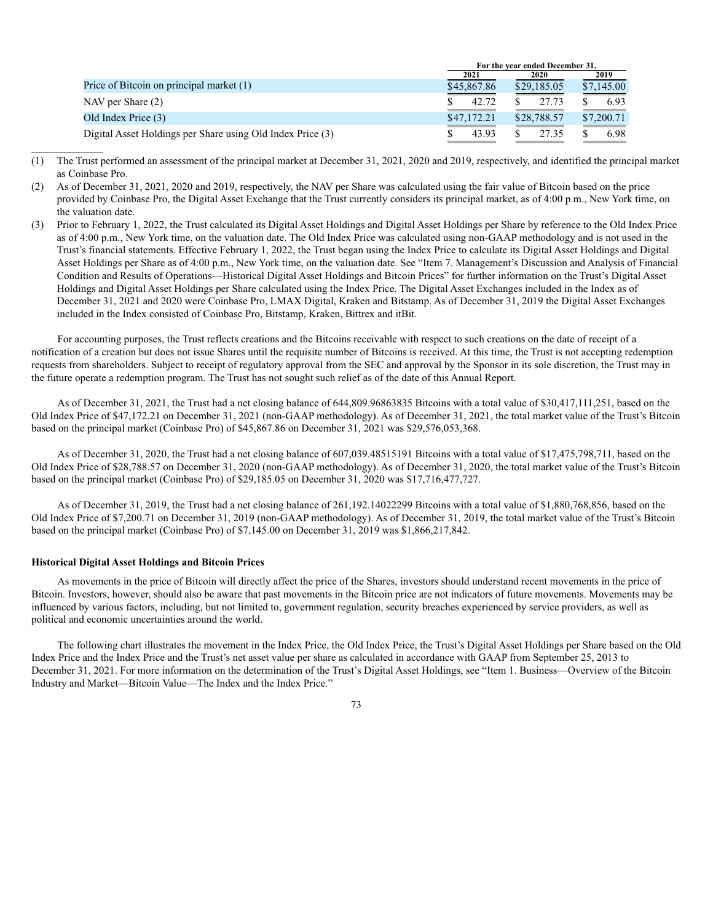|                                                            |             | For the year ended December 31. |            |  |  |  |
|------------------------------------------------------------|-------------|---------------------------------|------------|--|--|--|
|                                                            | 2021        | 2020                            | 2019       |  |  |  |
| Price of Bitcoin on principal market (1)                   | \$45,867.86 | \$29,185.05                     | \$7,145.00 |  |  |  |
| NAV per Share (2)                                          | 42.72       | 27.73                           | 6.93       |  |  |  |
| Old Index Price (3)                                        | \$47,172.21 | \$28,788.57                     | \$7,200.71 |  |  |  |
| Digital Asset Holdings per Share using Old Index Price (3) | 43.93       | 27.35                           | 6.98       |  |  |  |

<sup>(1)</sup> The Trust performed an assessment of the principal market at December 31, 2021, 2020 and 2019, respectively, and identified the principal market as Coinbase Pro.

- (2) As of December 31, 2021, 2020 and 2019, respectively, the NAV per Share was calculated using the fair value of Bitcoin based on the price provided by Coinbase Pro, the Digital Asset Exchange that the Trust currently considers its principal market, as of 4:00 p.m., New York time, on the valuation date.
- (3) Prior to February 1, 2022, the Trust calculated its Digital Asset Holdings and Digital Asset Holdings per Share by reference to the Old Index Price as of 4:00 p.m., New York time, on the valuation date. The Old Index Price was calculated using non-GAAP methodology and is not used in the Trust's financial statements. Effective February 1, 2022, the Trust began using the Index Price to calculate its Digital Asset Holdings and Digital Asset Holdings per Share as of 4:00 p.m., New York time, on the valuation date. See "Item 7. Management's Discussion and Analysis of Financial Condition and Results of Operations—Historical Digital Asset Holdings and Bitcoin Prices" for further information on the Trust's Digital Asset Holdings and Digital Asset Holdings per Share calculated using the Index Price. The Digital Asset Exchanges included in the Index as of December 31, 2021 and 2020 were Coinbase Pro, LMAX Digital, Kraken and Bitstamp. As of December 31, 2019 the Digital Asset Exchanges included in the Index consisted of Coinbase Pro, Bitstamp, Kraken, Bittrex and itBit.

For accounting purposes, the Trust reflects creations and the Bitcoins receivable with respect to such creations on the date of receipt of a notification of a creation but does not issue Shares until the requisite number of Bitcoins is received. At this time, the Trust is not accepting redemption requests from shareholders. Subject to receipt of regulatory approval from the SEC and approval by the Sponsor in its sole discretion, the Trust may in the future operate a redemption program. The Trust has not sought such relief as of the date of this Annual Report.

As of December 31, 2021, the Trust had a net closing balance of 644,809.96863835 Bitcoins with a total value of \$30,417,111,251, based on the Old Index Price of \$47,172.21 on December 31, 2021 (non-GAAP methodology). As of December 31, 2021, the total market value of the Trust's Bitcoin based on the principal market (Coinbase Pro) of \$45,867.86 on December 31, 2021 was \$29,576,053,368.

As of December 31, 2020, the Trust had a net closing balance of 607,039.48515191 Bitcoins with a total value of \$17,475,798,711, based on the Old Index Price of \$28,788.57 on December 31, 2020 (non-GAAP methodology). As of December 31, 2020, the total market value of the Trust's Bitcoin based on the principal market (Coinbase Pro) of \$29,185.05 on December 31, 2020 was \$17,716,477,727.

As of December 31, 2019, the Trust had a net closing balance of 261,192.14022299 Bitcoins with a total value of \$1,880,768,856, based on the Old Index Price of \$7,200.71 on December 31, 2019 (non-GAAP methodology). As of December 31, 2019, the total market value of the Trust's Bitcoin based on the principal market (Coinbase Pro) of \$7,145.00 on December 31, 2019 was \$1,866,217,842.

## **Historical Digital Asset Holdings and Bitcoin Prices**

As movements in the price of Bitcoin will directly affect the price of the Shares, investors should understand recent movements in the price of Bitcoin. Investors, however, should also be aware that past movements in the Bitcoin price are not indicators of future movements. Movements may be influenced by various factors, including, but not limited to, government regulation, security breaches experienced by service providers, as well as political and economic uncertainties around the world.

The following chart illustrates the movement in the Index Price, the Old Index Price, the Trust's Digital Asset Holdings per Share based on the Old Index Price and the Index Price and the Trust's net asset value per share as calculated in accordance with GAAP from September 25, 2013 to December 31, 2021. For more information on the determination of the Trust's Digital Asset Holdings, see "Item 1. Business—Overview of the Bitcoin Industry and Market—Bitcoin Value—The Index and the Index Price."

73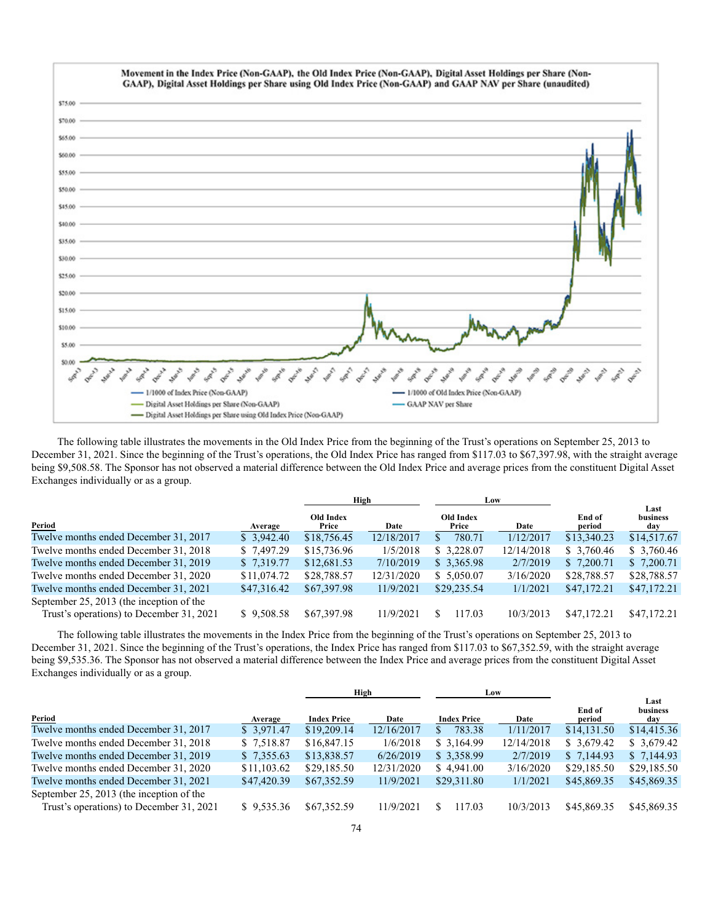

The following table illustrates the movements in the Old Index Price from the beginning of the Trust's operations on September 25, 2013 to December 31, 2021. Since the beginning of the Trust's operations, the Old Index Price has ranged from \$117.03 to \$67,397.98, with the straight average being \$9,508.58. The Sponsor has not observed a material difference between the Old Index Price and average prices from the constituent Digital Asset Exchanges individually or as a group.

|                                          |             | High               |            | Low                |            |                  |                                      |
|------------------------------------------|-------------|--------------------|------------|--------------------|------------|------------------|--------------------------------------|
| Period                                   | Average     | Old Index<br>Price | Date       | Old Index<br>Price | Date       | End of<br>period | Last<br>business<br>$\frac{day}{xy}$ |
| Twelve months ended December 31, 2017    | \$3,942,40  | \$18,756.45        | 12/18/2017 | 780.71             | 1/12/2017  | \$13,340.23      | \$14,517.67                          |
| Twelve months ended December 31, 2018    | \$7,497.29  | \$15,736.96        | 1/5/2018   | \$3,228.07         | 12/14/2018 | \$3,760.46       | \$3,760.46                           |
| Twelve months ended December 31, 2019    | \$7,319.77  | \$12,681.53        | 7/10/2019  | \$3,365.98         | 2/7/2019   | \$7,200.71       | \$7,200.71                           |
| Twelve months ended December 31, 2020    | \$11,074.72 | \$28,788.57        | 12/31/2020 | \$5.050.07         | 3/16/2020  | \$28,788.57      | \$28,788.57                          |
| Twelve months ended December 31, 2021    | \$47,316.42 | \$67,397.98        | 11/9/2021  | \$29,235.54        | 1/1/2021   | \$47,172.21      | \$47,172.21                          |
| September 25, 2013 (the inception of the |             |                    |            |                    |            |                  |                                      |
| Trust's operations) to December 31, 2021 | \$9,508.58  | \$67,397.98        | 11/9/2021  | 117.03             | 10/3/2013  | \$47,172.21      | \$47,172.21                          |

The following table illustrates the movements in the Index Price from the beginning of the Trust's operations on September 25, 2013 to December 31, 2021. Since the beginning of the Trust's operations, the Index Price has ranged from \$117.03 to \$67,352.59, with the straight average being \$9,535.36. The Sponsor has not observed a material difference between the Index Price and average prices from the constituent Digital Asset Exchanges individually or as a group.

|                                          |             | High               |            |                    | Low        |             |             |
|------------------------------------------|-------------|--------------------|------------|--------------------|------------|-------------|-------------|
|                                          |             |                    |            |                    |            |             | Last        |
|                                          |             |                    |            |                    |            | End of      | business    |
| Period                                   | Average     | <b>Index Price</b> | Date       | <b>Index Price</b> | Date       | period      | day         |
| Twelve months ended December 31, 2017    | \$3,971.47  | \$19,209.14        | 12/16/2017 | 783.38<br>S.       | 1/11/2017  | \$14,131.50 | \$14,415.36 |
| Twelve months ended December 31, 2018    | \$7,518.87  | \$16,847.15        | 1/6/2018   | \$ 3.164.99        | 12/14/2018 | \$3,679.42  | \$3,679.42  |
| Twelve months ended December 31, 2019    | \$7,355.63  | \$13,838.57        | 6/26/2019  | \$3,358.99         | 2/7/2019   | \$7,144.93  | \$7,144.93  |
| Twelve months ended December 31, 2020    | \$11,103.62 | \$29,185.50        | 12/31/2020 | \$4.941.00         | 3/16/2020  | \$29,185.50 | \$29,185.50 |
| Twelve months ended December 31, 2021    | \$47,420.39 | \$67,352.59        | 11/9/2021  | \$29,311.80        | 1/1/2021   | \$45,869.35 | \$45,869.35 |
| September 25, 2013 (the inception of the |             |                    |            |                    |            |             |             |
| Trust's operations) to December 31, 2021 | \$9,535.36  | \$67,352.59        | 11/9/2021  | 117.03             | 10/3/2013  | \$45,869.35 | \$45,869.35 |
|                                          |             |                    |            |                    |            |             |             |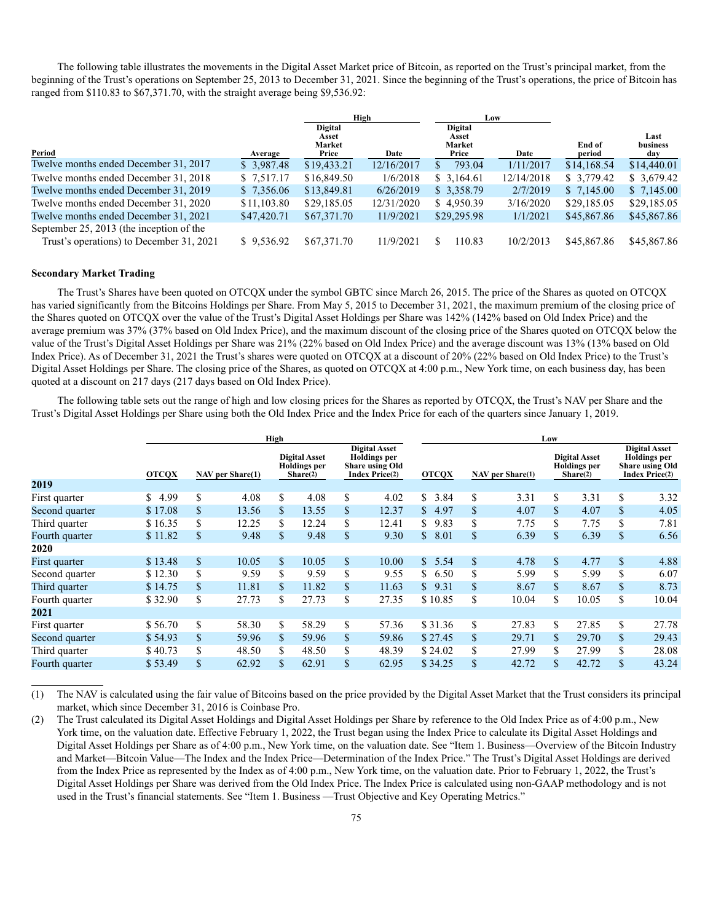The following table illustrates the movements in the Digital Asset Market price of Bitcoin, as reported on the Trust's principal market, from the beginning of the Trust's operations on September 25, 2013 to December 31, 2021. Since the beginning of the Trust's operations, the price of Bitcoin has ranged from \$110.83 to \$67,371.70, with the straight average being \$9,536.92:

|                                                                                      |             | High                                       |            | Low                                        |            |                  |                         |
|--------------------------------------------------------------------------------------|-------------|--------------------------------------------|------------|--------------------------------------------|------------|------------------|-------------------------|
| Period                                                                               | Average     | <b>Digital</b><br>Asset<br>Market<br>Price | Date       | <b>Digital</b><br>Asset<br>Market<br>Price | Date       | End of<br>period | Last<br>business<br>day |
| Twelve months ended December 31, 2017                                                | \$3,987.48  | \$19,433.21                                | 12/16/2017 | 793.04                                     | 1/11/2017  | \$14,168.54      | \$14,440.01             |
| Twelve months ended December 31, 2018                                                | \$7,517,17  | \$16,849.50                                | 1/6/2018   | \$3,164.61                                 | 12/14/2018 | \$3,779.42       | \$3,679.42              |
| Twelve months ended December 31, 2019                                                | \$7,356.06  | \$13,849.81                                | 6/26/2019  | \$3,358.79                                 | 2/7/2019   | \$7.145.00       | \$7,145.00              |
| Twelve months ended December 31, 2020                                                | \$11,103.80 | \$29,185.05                                | 12/31/2020 | \$4.950.39                                 | 3/16/2020  | \$29,185.05      | \$29,185.05             |
| Twelve months ended December 31, 2021                                                | \$47,420.71 | \$67,371.70                                | 11/9/2021  | \$29,295.98                                | 1/1/2021   | \$45,867.86      | \$45,867.86             |
| September 25, 2013 (the inception of the<br>Trust's operations) to December 31, 2021 | \$9,536.92  | \$67,371.70                                | 11/9/2021  | 110.83                                     | 10/2/2013  | \$45,867.86      | \$45,867.86             |

#### **Secondary Market Trading**

The Trust's Shares have been quoted on OTCQX under the symbol GBTC since March 26, 2015. The price of the Shares as quoted on OTCQX has varied significantly from the Bitcoins Holdings per Share. From May 5, 2015 to December 31, 2021, the maximum premium of the closing price of the Shares quoted on OTCQX over the value of the Trust's Digital Asset Holdings per Share was 142% (142% based on Old Index Price) and the average premium was 37% (37% based on Old Index Price), and the maximum discount of the closing price of the Shares quoted on OTCQX below the value of the Trust's Digital Asset Holdings per Share was 21% (22% based on Old Index Price) and the average discount was 13% (13% based on Old Index Price). As of December 31, 2021 the Trust's shares were quoted on OTCQX at a discount of 20% (22% based on Old Index Price) to the Trust's Digital Asset Holdings per Share. The closing price of the Shares, as quoted on OTCQX at 4:00 p.m., New York time, on each business day, has been quoted at a discount on 217 days (217 days based on Old Index Price).

The following table sets out the range of high and low closing prices for the Shares as reported by OTCQX, the Trust's NAV per Share and the Trust's Digital Asset Holdings per Share using both the Old Index Price and the Index Price for each of the quarters since January 1, 2019.

|                |              | High |                  |     |                                                         |              |                                                                                                | Low                    |    |                  |              |                                                         |              |                                                                                                |
|----------------|--------------|------|------------------|-----|---------------------------------------------------------|--------------|------------------------------------------------------------------------------------------------|------------------------|----|------------------|--------------|---------------------------------------------------------|--------------|------------------------------------------------------------------------------------------------|
|                | <b>OTCQX</b> |      | NAV per Share(1) |     | <b>Digital Asset</b><br><b>Holdings per</b><br>Share(2) |              | <b>Digital Asset</b><br><b>Holdings per</b><br><b>Share using Old</b><br><b>Index Price(2)</b> | <b>OTCQX</b>           |    | NAV per Share(1) |              | <b>Digital Asset</b><br><b>Holdings per</b><br>Share(2) |              | <b>Digital Asset</b><br><b>Holdings per</b><br><b>Share using Old</b><br><b>Index Price(2)</b> |
| 2019           |              |      |                  |     |                                                         |              |                                                                                                |                        |    |                  |              |                                                         |              |                                                                                                |
| First quarter  | S.<br>4.99   | \$.  | 4.08             | S.  | 4.08                                                    | \$           | 4.02                                                                                           | \$<br>3.84             | \$ | 3.31             | \$.          | 3.31                                                    | \$           | 3.32                                                                                           |
| Second quarter | \$17.08      | \$   | 13.56            | S.  | 13.55                                                   | \$           | 12.37                                                                                          | 4.97<br>$\mathbb{S}^-$ | \$ | 4.07             | \$           | 4.07                                                    | \$           | 4.05                                                                                           |
| Third quarter  | \$16.35      | \$   | 12.25            | \$. | 12.24                                                   | \$           | 12.41                                                                                          | \$.<br>9.83            | \$ | 7.75             | \$           | 7.75                                                    | \$           | 7.81                                                                                           |
| Fourth quarter | \$11.82      | \$   | 9.48             | \$. | 9.48                                                    | \$           | 9.30                                                                                           | 8.01<br>$\mathbb{S}^-$ | \$ | 6.39             | $\mathbb{S}$ | 6.39                                                    | \$           | 6.56                                                                                           |
| 2020           |              |      |                  |     |                                                         |              |                                                                                                |                        |    |                  |              |                                                         |              |                                                                                                |
| First quarter  | \$13.48      | \$   | 10.05            | \$. | 10.05                                                   | \$           | 10.00                                                                                          | 5.54<br>$\mathbf{s}$   | \$ | 4.78             | $\mathbb{S}$ | 4.77                                                    | $\mathbb{S}$ | 4.88                                                                                           |
| Second quarter | \$12.30      | \$   | 9.59             | \$. | 9.59                                                    | \$           | 9.55                                                                                           | \$.<br>6.50            | \$ | 5.99             | \$.          | 5.99                                                    | \$           | 6.07                                                                                           |
| Third quarter  | \$14.75      | \$   | 11.81            | S.  | 11.82                                                   | \$           | 11.63                                                                                          | 9.31<br>$\mathbf{s}$   | \$ | 8.67             | \$.          | 8.67                                                    | \$           | 8.73                                                                                           |
| Fourth quarter | \$32.90      | \$   | 27.73            | S.  | 27.73                                                   | \$           | 27.35                                                                                          | \$10.85                | \$ | 10.04            | \$           | 10.05                                                   | \$           | 10.04                                                                                          |
| 2021           |              |      |                  |     |                                                         |              |                                                                                                |                        |    |                  |              |                                                         |              |                                                                                                |
| First quarter  | \$56.70      | \$   | 58.30            | S.  | 58.29                                                   | \$           | 57.36                                                                                          | \$31.36                | \$ | 27.83            | \$           | 27.85                                                   | \$           | 27.78                                                                                          |
| Second quarter | \$54.93      | \$   | 59.96            | \$. | 59.96                                                   | $\mathbb{S}$ | 59.86                                                                                          | \$27.45                | \$ | 29.71            | \$.          | 29.70                                                   | \$           | 29.43                                                                                          |
| Third quarter  | \$40.73      | \$   | 48.50            | \$. | 48.50                                                   | \$           | 48.39                                                                                          | \$24.02                | \$ | 27.99            | \$           | 27.99                                                   | \$           | 28.08                                                                                          |
| Fourth quarter | \$53.49      | \$   | 62.92            | \$. | 62.91                                                   | $\mathbb{S}$ | 62.95                                                                                          | \$34.25                | \$ | 42.72            | \$           | 42.72                                                   | \$           | 43.24                                                                                          |
|                |              |      |                  |     |                                                         |              |                                                                                                |                        |    |                  |              |                                                         |              |                                                                                                |

(1) The NAV is calculated using the fair value of Bitcoins based on the price provided by the Digital Asset Market that the Trust considers its principal market, which since December 31, 2016 is Coinbase Pro.

(2) The Trust calculated its Digital Asset Holdings and Digital Asset Holdings per Share by reference to the Old Index Price as of 4:00 p.m., New York time, on the valuation date. Effective February 1, 2022, the Trust began using the Index Price to calculate its Digital Asset Holdings and Digital Asset Holdings per Share as of 4:00 p.m., New York time, on the valuation date. See "Item 1. Business—Overview of the Bitcoin Industry and Market—Bitcoin Value—The Index and the Index Price—Determination of the Index Price." The Trust's Digital Asset Holdings are derived from the Index Price as represented by the Index as of 4:00 p.m., New York time, on the valuation date. Prior to February 1, 2022, the Trust's Digital Asset Holdings per Share was derived from the Old Index Price. The Index Price is calculated using non-GAAP methodology and is not used in the Trust's financial statements. See "Item 1. Business —Trust Objective and Key Operating Metrics."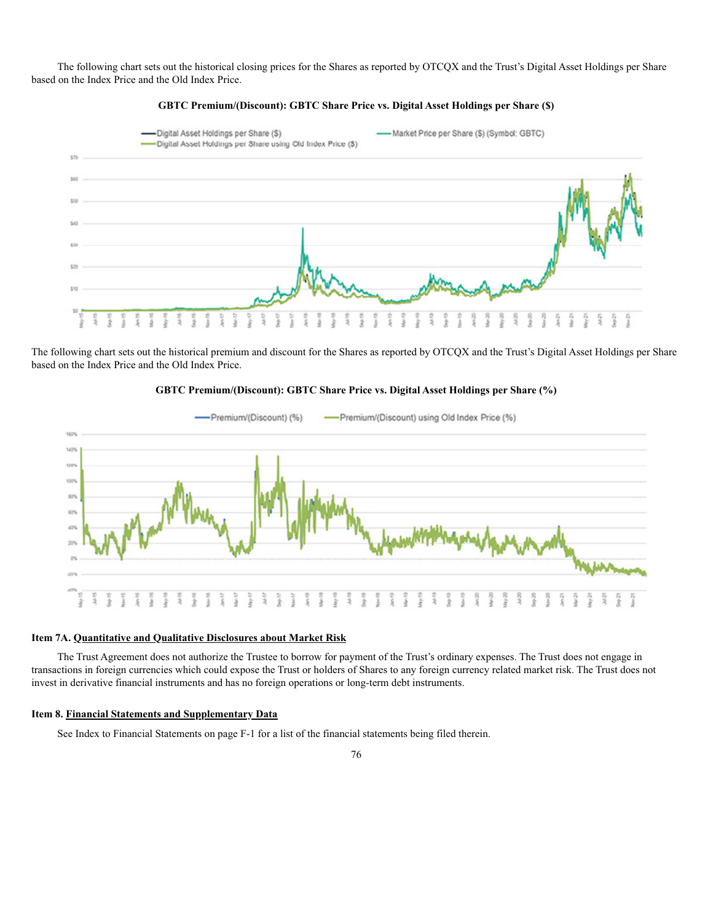The following chart sets out the historical closing prices for the Shares as reported by OTCQX and the Trust's Digital Asset Holdings per Share based on the Index Price and the Old Index Price.



## **GBTC Premium/(Discount): GBTC Share Price vs. Digital Asset Holdings per Share (\$)**

The following chart sets out the historical premium and discount for the Shares as reported by OTCQX and the Trust's Digital Asset Holdings per Share based on the Index Price and the Old Index Price.



## **GBTC Premium/(Discount): GBTC Share Price vs. Digital Asset Holdings per Share (%)**



The Trust Agreement does not authorize the Trustee to borrow for payment of the Trust's ordinary expenses. The Trust does not engage in transactions in foreign currencies which could expose the Trust or holders of Shares to any foreign currency related market risk. The Trust does not invest in derivative financial instruments and has no foreign operations or long-term debt instruments.

# **Item 8. Financial Statements and Supplementary Data**

1025 540% **sans** 100% 80% son

See Index to Financial Statements on page F-1 for a list of the financial statements being filed therein.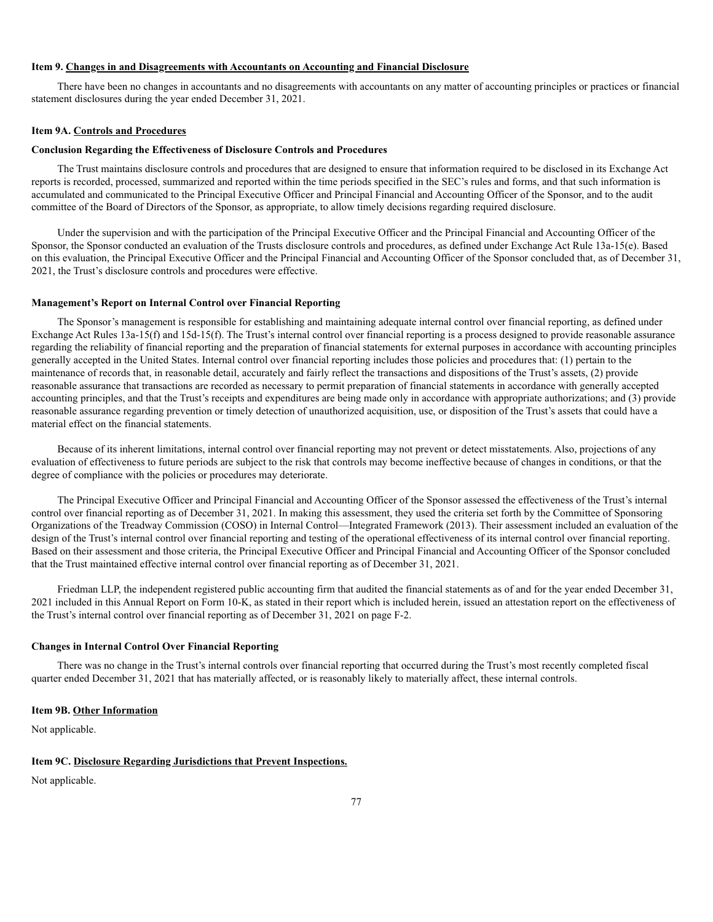#### **Item 9. Changes in and Disagreements with Accountants on Accounting and Financial Disclosure**

There have been no changes in accountants and no disagreements with accountants on any matter of accounting principles or practices or financial statement disclosures during the year ended December 31, 2021.

#### **Item 9A. Controls and Procedures**

### **Conclusion Regarding the Effectiveness of Disclosure Controls and Procedures**

The Trust maintains disclosure controls and procedures that are designed to ensure that information required to be disclosed in its Exchange Act reports is recorded, processed, summarized and reported within the time periods specified in the SEC's rules and forms, and that such information is accumulated and communicated to the Principal Executive Officer and Principal Financial and Accounting Officer of the Sponsor, and to the audit committee of the Board of Directors of the Sponsor, as appropriate, to allow timely decisions regarding required disclosure.

Under the supervision and with the participation of the Principal Executive Officer and the Principal Financial and Accounting Officer of the Sponsor, the Sponsor conducted an evaluation of the Trusts disclosure controls and procedures, as defined under Exchange Act Rule 13a-15(e). Based on this evaluation, the Principal Executive Officer and the Principal Financial and Accounting Officer of the Sponsor concluded that, as of December 31, 2021, the Trust's disclosure controls and procedures were effective.

#### **Management's Report on Internal Control over Financial Reporting**

The Sponsor's management is responsible for establishing and maintaining adequate internal control over financial reporting, as defined under Exchange Act Rules 13a-15(f) and 15d-15(f). The Trust's internal control over financial reporting is a process designed to provide reasonable assurance regarding the reliability of financial reporting and the preparation of financial statements for external purposes in accordance with accounting principles generally accepted in the United States. Internal control over financial reporting includes those policies and procedures that: (1) pertain to the maintenance of records that, in reasonable detail, accurately and fairly reflect the transactions and dispositions of the Trust's assets, (2) provide reasonable assurance that transactions are recorded as necessary to permit preparation of financial statements in accordance with generally accepted accounting principles, and that the Trust's receipts and expenditures are being made only in accordance with appropriate authorizations; and (3) provide reasonable assurance regarding prevention or timely detection of unauthorized acquisition, use, or disposition of the Trust's assets that could have a material effect on the financial statements.

Because of its inherent limitations, internal control over financial reporting may not prevent or detect misstatements. Also, projections of any evaluation of effectiveness to future periods are subject to the risk that controls may become ineffective because of changes in conditions, or that the degree of compliance with the policies or procedures may deteriorate.

The Principal Executive Officer and Principal Financial and Accounting Officer of the Sponsor assessed the effectiveness of the Trust's internal control over financial reporting as of December 31, 2021. In making this assessment, they used the criteria set forth by the Committee of Sponsoring Organizations of the Treadway Commission (COSO) in Internal Control—Integrated Framework (2013). Their assessment included an evaluation of the design of the Trust's internal control over financial reporting and testing of the operational effectiveness of its internal control over financial reporting. Based on their assessment and those criteria, the Principal Executive Officer and Principal Financial and Accounting Officer of the Sponsor concluded that the Trust maintained effective internal control over financial reporting as of December 31, 2021.

Friedman LLP, the independent registered public accounting firm that audited the financial statements as of and for the year ended December 31, 2021 included in this Annual Report on Form 10-K, as stated in their report which is included herein, issued an attestation report on the effectiveness of the Trust's internal control over financial reporting as of December 31, 2021 on page F-2.

## **Changes in Internal Control Over Financial Reporting**

There was no change in the Trust's internal controls over financial reporting that occurred during the Trust's most recently completed fiscal quarter ended December 31, 2021 that has materially affected, or is reasonably likely to materially affect, these internal controls.

#### **Item 9B. Other Information**

Not applicable.

## **Item 9C. Disclosure Regarding Jurisdictions that Prevent Inspections.**

Not applicable.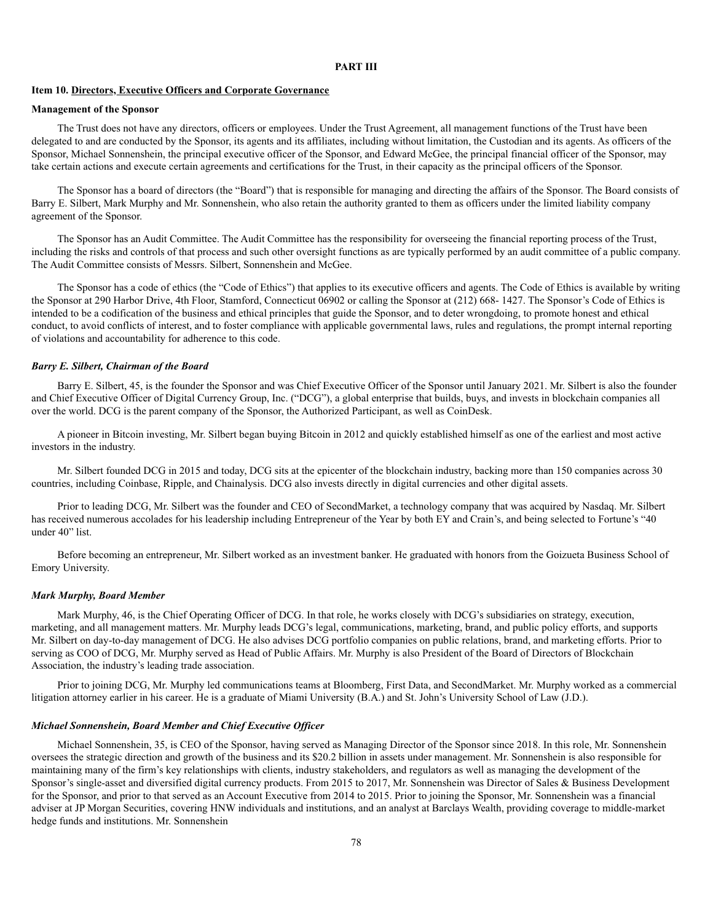### **PART III**

## **Item 10. Directors, Executive Officers and Corporate Governance**

# **Management of the Sponsor**

The Trust does not have any directors, officers or employees. Under the Trust Agreement, all management functions of the Trust have been delegated to and are conducted by the Sponsor, its agents and its affiliates, including without limitation, the Custodian and its agents. As officers of the Sponsor, Michael Sonnenshein, the principal executive officer of the Sponsor, and Edward McGee, the principal financial officer of the Sponsor, may take certain actions and execute certain agreements and certifications for the Trust, in their capacity as the principal officers of the Sponsor.

The Sponsor has a board of directors (the "Board") that is responsible for managing and directing the affairs of the Sponsor. The Board consists of Barry E. Silbert, Mark Murphy and Mr. Sonnenshein, who also retain the authority granted to them as officers under the limited liability company agreement of the Sponsor.

The Sponsor has an Audit Committee. The Audit Committee has the responsibility for overseeing the financial reporting process of the Trust, including the risks and controls of that process and such other oversight functions as are typically performed by an audit committee of a public company. The Audit Committee consists of Messrs. Silbert, Sonnenshein and McGee.

The Sponsor has a code of ethics (the "Code of Ethics") that applies to its executive officers and agents. The Code of Ethics is available by writing the Sponsor at 290 Harbor Drive, 4th Floor, Stamford, Connecticut 06902 or calling the Sponsor at (212) 668- 1427. The Sponsor's Code of Ethics is intended to be a codification of the business and ethical principles that guide the Sponsor, and to deter wrongdoing, to promote honest and ethical conduct, to avoid conflicts of interest, and to foster compliance with applicable governmental laws, rules and regulations, the prompt internal reporting of violations and accountability for adherence to this code.

### *Barry E. Silbert, Chairman of the Board*

Barry E. Silbert, 45, is the founder the Sponsor and was Chief Executive Officer of the Sponsor until January 2021. Mr. Silbert is also the founder and Chief Executive Officer of Digital Currency Group, Inc. ("DCG"), a global enterprise that builds, buys, and invests in blockchain companies all over the world. DCG is the parent company of the Sponsor, the Authorized Participant, as well as CoinDesk.

A pioneer in Bitcoin investing, Mr. Silbert began buying Bitcoin in 2012 and quickly established himself as one of the earliest and most active investors in the industry.

Mr. Silbert founded DCG in 2015 and today, DCG sits at the epicenter of the blockchain industry, backing more than 150 companies across 30 countries, including Coinbase, Ripple, and Chainalysis. DCG also invests directly in digital currencies and other digital assets.

Prior to leading DCG, Mr. Silbert was the founder and CEO of SecondMarket, a technology company that was acquired by Nasdaq. Mr. Silbert has received numerous accolades for his leadership including Entrepreneur of the Year by both EY and Crain's, and being selected to Fortune's "40 under 40" list.

Before becoming an entrepreneur, Mr. Silbert worked as an investment banker. He graduated with honors from the Goizueta Business School of Emory University.

#### *Mark Murphy, Board Member*

Mark Murphy, 46, is the Chief Operating Officer of DCG. In that role, he works closely with DCG's subsidiaries on strategy, execution, marketing, and all management matters. Mr. Murphy leads DCG's legal, communications, marketing, brand, and public policy efforts, and supports Mr. Silbert on day-to-day management of DCG. He also advises DCG portfolio companies on public relations, brand, and marketing efforts. Prior to serving as COO of DCG, Mr. Murphy served as Head of Public Affairs. Mr. Murphy is also President of the Board of Directors of Blockchain Association, the industry's leading trade association.

Prior to joining DCG, Mr. Murphy led communications teams at Bloomberg, First Data, and SecondMarket. Mr. Murphy worked as a commercial litigation attorney earlier in his career. He is a graduate of Miami University (B.A.) and St. John's University School of Law (J.D.).

#### *Michael Sonnenshein, Board Member and Chief Executive Officer*

Michael Sonnenshein, 35, is CEO of the Sponsor, having served as Managing Director of the Sponsor since 2018. In this role, Mr. Sonnenshein oversees the strategic direction and growth of the business and its \$20.2 billion in assets under management. Mr. Sonnenshein is also responsible for maintaining many of the firm's key relationships with clients, industry stakeholders, and regulators as well as managing the development of the Sponsor's single-asset and diversified digital currency products. From 2015 to 2017, Mr. Sonnenshein was Director of Sales & Business Development for the Sponsor, and prior to that served as an Account Executive from 2014 to 2015. Prior to joining the Sponsor, Mr. Sonnenshein was a financial adviser at JP Morgan Securities, covering HNW individuals and institutions, and an analyst at Barclays Wealth, providing coverage to middle-market hedge funds and institutions. Mr. Sonnenshein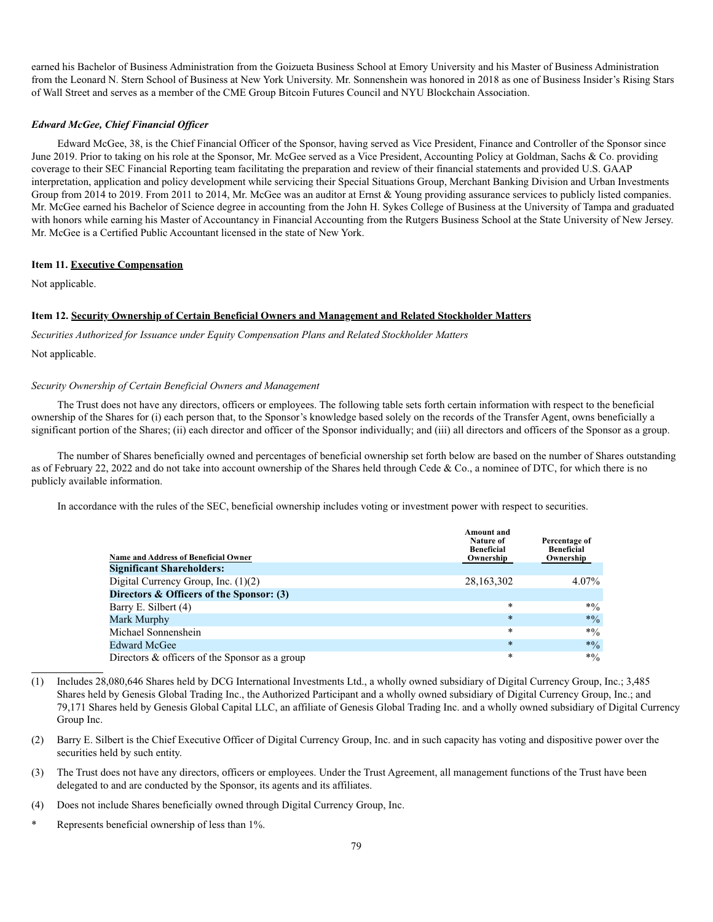earned his Bachelor of Business Administration from the Goizueta Business School at Emory University and his Master of Business Administration from the Leonard N. Stern School of Business at New York University. Mr. Sonnenshein was honored in 2018 as one of Business Insider's Rising Stars of Wall Street and serves as a member of the CME Group Bitcoin Futures Council and NYU Blockchain Association.

## *Edward McGee, Chief Financial Officer*

Edward McGee, 38, is the Chief Financial Officer of the Sponsor, having served as Vice President, Finance and Controller of the Sponsor since June 2019. Prior to taking on his role at the Sponsor, Mr. McGee served as a Vice President, Accounting Policy at Goldman, Sachs & Co. providing coverage to their SEC Financial Reporting team facilitating the preparation and review of their financial statements and provided U.S. GAAP interpretation, application and policy development while servicing their Special Situations Group, Merchant Banking Division and Urban Investments Group from 2014 to 2019. From 2011 to 2014, Mr. McGee was an auditor at Ernst & Young providing assurance services to publicly listed companies. Mr. McGee earned his Bachelor of Science degree in accounting from the John H. Sykes College of Business at the University of Tampa and graduated with honors while earning his Master of Accountancy in Financial Accounting from the Rutgers Business School at the State University of New Jersey. Mr. McGee is a Certified Public Accountant licensed in the state of New York.

## **Item 11. Executive Compensation**

Not applicable.

## **Item 12. Security Ownership of Certain Beneficial Owners and Management and Related Stockholder Matters**

*Securities Authorized for Issuance under Equity Compensation Plans and Related Stockholder Matters*

Not applicable.

### *Security Ownership of Certain Beneficial Owners and Management*

The Trust does not have any directors, officers or employees. The following table sets forth certain information with respect to the beneficial ownership of the Shares for (i) each person that, to the Sponsor's knowledge based solely on the records of the Transfer Agent, owns beneficially a significant portion of the Shares; (ii) each director and officer of the Sponsor individually; and (iii) all directors and officers of the Sponsor as a group.

The number of Shares beneficially owned and percentages of beneficial ownership set forth below are based on the number of Shares outstanding as of February 22, 2022 and do not take into account ownership of the Shares held through Cede & Co., a nominee of DTC, for which there is no publicly available information.

In accordance with the rules of the SEC, beneficial ownership includes voting or investment power with respect to securities.

| <b>Name and Address of Beneficial Owner</b>       | <b>Amount</b> and<br>Nature of<br><b>Beneficial</b><br>Ownership | Percentage of<br><b>Beneficial</b><br>Ownership |
|---------------------------------------------------|------------------------------------------------------------------|-------------------------------------------------|
| <b>Significant Shareholders:</b>                  |                                                                  |                                                 |
| Digital Currency Group, Inc. $(1)(2)$             | 28, 163, 302                                                     | $4.07\%$                                        |
| Directors & Officers of the Sponsor: (3)          |                                                                  |                                                 |
| Barry E. Silbert (4)                              | $\ast$                                                           | $*0/0$                                          |
| Mark Murphy                                       | $\star$                                                          | $*0/0$                                          |
| Michael Sonnenshein                               | $\star$                                                          | $*0/0$                                          |
| <b>Edward McGee</b>                               | $\ast$                                                           | $*9/0$                                          |
| Directors $\&$ officers of the Sponsor as a group | $\star$                                                          | $*0/0$                                          |

- (1) Includes 28,080,646 Shares held by DCG International Investments Ltd., a wholly owned subsidiary of Digital Currency Group, Inc.; 3,485 Shares held by Genesis Global Trading Inc., the Authorized Participant and a wholly owned subsidiary of Digital Currency Group, Inc.; and 79,171 Shares held by Genesis Global Capital LLC, an affiliate of Genesis Global Trading Inc. and a wholly owned subsidiary of Digital Currency Group Inc.
- (2) Barry E. Silbert is the Chief Executive Officer of Digital Currency Group, Inc. and in such capacity has voting and dispositive power over the securities held by such entity.
- (3) The Trust does not have any directors, officers or employees. Under the Trust Agreement, all management functions of the Trust have been delegated to and are conducted by the Sponsor, its agents and its affiliates.
- (4) Does not include Shares beneficially owned through Digital Currency Group, Inc.
- Represents beneficial ownership of less than 1%.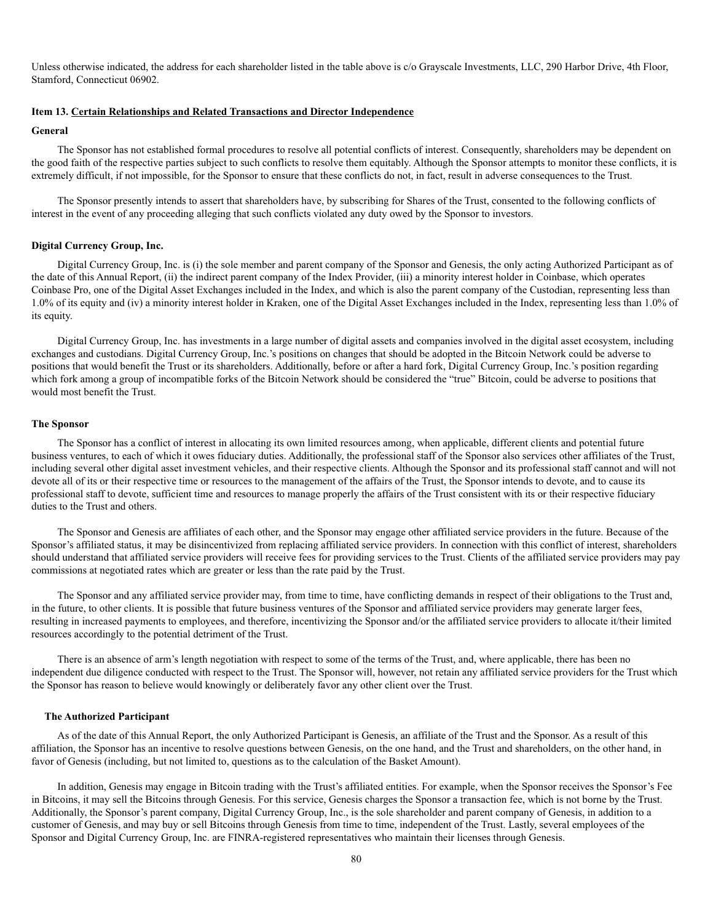Unless otherwise indicated, the address for each shareholder listed in the table above is c/o Grayscale Investments, LLC, 290 Harbor Drive, 4th Floor, Stamford, Connecticut 06902.

## **Item 13. Certain Relationships and Related Transactions and Director Independence**

## **General**

The Sponsor has not established formal procedures to resolve all potential conflicts of interest. Consequently, shareholders may be dependent on the good faith of the respective parties subject to such conflicts to resolve them equitably. Although the Sponsor attempts to monitor these conflicts, it is extremely difficult, if not impossible, for the Sponsor to ensure that these conflicts do not, in fact, result in adverse consequences to the Trust.

The Sponsor presently intends to assert that shareholders have, by subscribing for Shares of the Trust, consented to the following conflicts of interest in the event of any proceeding alleging that such conflicts violated any duty owed by the Sponsor to investors.

#### **Digital Currency Group, Inc.**

Digital Currency Group, Inc. is (i) the sole member and parent company of the Sponsor and Genesis, the only acting Authorized Participant as of the date of this Annual Report, (ii) the indirect parent company of the Index Provider, (iii) a minority interest holder in Coinbase, which operates Coinbase Pro, one of the Digital Asset Exchanges included in the Index, and which is also the parent company of the Custodian, representing less than 1.0% of its equity and (iv) a minority interest holder in Kraken, one of the Digital Asset Exchanges included in the Index, representing less than 1.0% of its equity.

Digital Currency Group, Inc. has investments in a large number of digital assets and companies involved in the digital asset ecosystem, including exchanges and custodians. Digital Currency Group, Inc.'s positions on changes that should be adopted in the Bitcoin Network could be adverse to positions that would benefit the Trust or its shareholders. Additionally, before or after a hard fork, Digital Currency Group, Inc.'s position regarding which fork among a group of incompatible forks of the Bitcoin Network should be considered the "true" Bitcoin, could be adverse to positions that would most benefit the Trust.

#### **The Sponsor**

The Sponsor has a conflict of interest in allocating its own limited resources among, when applicable, different clients and potential future business ventures, to each of which it owes fiduciary duties. Additionally, the professional staff of the Sponsor also services other affiliates of the Trust, including several other digital asset investment vehicles, and their respective clients. Although the Sponsor and its professional staff cannot and will not devote all of its or their respective time or resources to the management of the affairs of the Trust, the Sponsor intends to devote, and to cause its professional staff to devote, sufficient time and resources to manage properly the affairs of the Trust consistent with its or their respective fiduciary duties to the Trust and others.

The Sponsor and Genesis are affiliates of each other, and the Sponsor may engage other affiliated service providers in the future. Because of the Sponsor's affiliated status, it may be disincentivized from replacing affiliated service providers. In connection with this conflict of interest, shareholders should understand that affiliated service providers will receive fees for providing services to the Trust. Clients of the affiliated service providers may pay commissions at negotiated rates which are greater or less than the rate paid by the Trust.

The Sponsor and any affiliated service provider may, from time to time, have conflicting demands in respect of their obligations to the Trust and, in the future, to other clients. It is possible that future business ventures of the Sponsor and affiliated service providers may generate larger fees, resulting in increased payments to employees, and therefore, incentivizing the Sponsor and/or the affiliated service providers to allocate it/their limited resources accordingly to the potential detriment of the Trust.

There is an absence of arm's length negotiation with respect to some of the terms of the Trust, and, where applicable, there has been no independent due diligence conducted with respect to the Trust. The Sponsor will, however, not retain any affiliated service providers for the Trust which the Sponsor has reason to believe would knowingly or deliberately favor any other client over the Trust.

## **The Authorized Participant**

As of the date of this Annual Report, the only Authorized Participant is Genesis, an affiliate of the Trust and the Sponsor. As a result of this affiliation, the Sponsor has an incentive to resolve questions between Genesis, on the one hand, and the Trust and shareholders, on the other hand, in favor of Genesis (including, but not limited to, questions as to the calculation of the Basket Amount).

In addition, Genesis may engage in Bitcoin trading with the Trust's affiliated entities. For example, when the Sponsor receives the Sponsor's Fee in Bitcoins, it may sell the Bitcoins through Genesis. For this service, Genesis charges the Sponsor a transaction fee, which is not borne by the Trust. Additionally, the Sponsor's parent company, Digital Currency Group, Inc., is the sole shareholder and parent company of Genesis, in addition to a customer of Genesis, and may buy or sell Bitcoins through Genesis from time to time, independent of the Trust. Lastly, several employees of the Sponsor and Digital Currency Group, Inc. are FINRA-registered representatives who maintain their licenses through Genesis.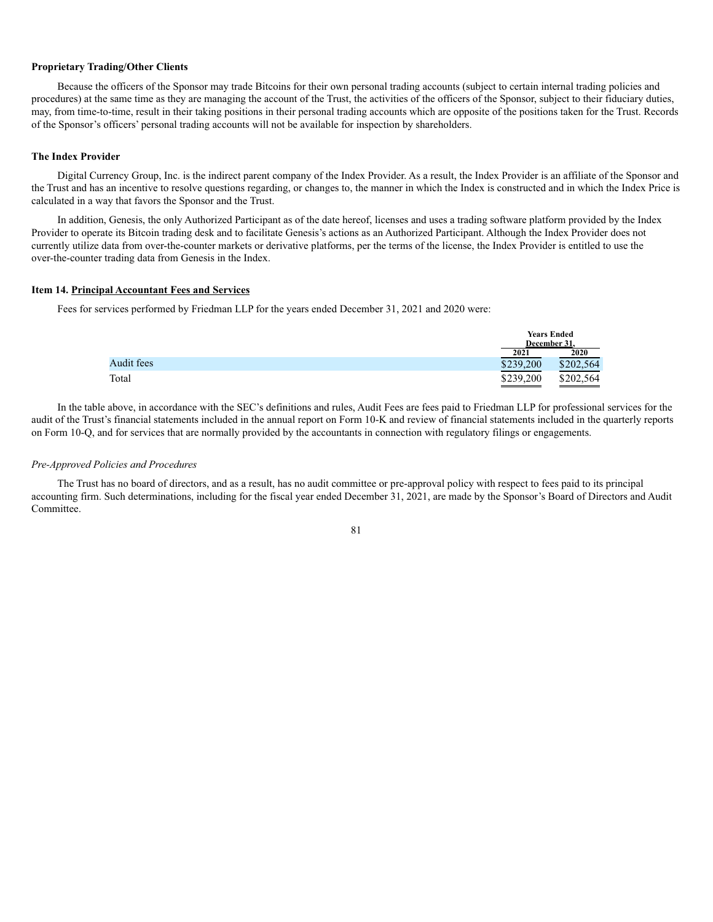#### **Proprietary Trading/Other Clients**

Because the officers of the Sponsor may trade Bitcoins for their own personal trading accounts (subject to certain internal trading policies and procedures) at the same time as they are managing the account of the Trust, the activities of the officers of the Sponsor, subject to their fiduciary duties, may, from time-to-time, result in their taking positions in their personal trading accounts which are opposite of the positions taken for the Trust. Records of the Sponsor's officers' personal trading accounts will not be available for inspection by shareholders.

#### **The Index Provider**

Digital Currency Group, Inc. is the indirect parent company of the Index Provider. As a result, the Index Provider is an affiliate of the Sponsor and the Trust and has an incentive to resolve questions regarding, or changes to, the manner in which the Index is constructed and in which the Index Price is calculated in a way that favors the Sponsor and the Trust.

In addition, Genesis, the only Authorized Participant as of the date hereof, licenses and uses a trading software platform provided by the Index Provider to operate its Bitcoin trading desk and to facilitate Genesis's actions as an Authorized Participant. Although the Index Provider does not currently utilize data from over-the-counter markets or derivative platforms, per the terms of the license, the Index Provider is entitled to use the over-the-counter trading data from Genesis in the Index.

## **Item 14. Principal Accountant Fees and Services**

Fees for services performed by Friedman LLP for the years ended December 31, 2021 and 2020 were:

|            | December 31. | <b>Years Ended</b> |
|------------|--------------|--------------------|
|            | 2021         | 2020               |
| Audit fees | \$239,200    | \$202,564          |
| Total      | \$239,200    | \$202,564          |
|            |              |                    |

In the table above, in accordance with the SEC's definitions and rules, Audit Fees are fees paid to Friedman LLP for professional services for the audit of the Trust's financial statements included in the annual report on Form 10-K and review of financial statements included in the quarterly reports on Form 10-Q, and for services that are normally provided by the accountants in connection with regulatory filings or engagements.

## *Pre-Approved Policies and Procedures*

The Trust has no board of directors, and as a result, has no audit committee or pre-approval policy with respect to fees paid to its principal accounting firm. Such determinations, including for the fiscal year ended December 31, 2021, are made by the Sponsor's Board of Directors and Audit Committee.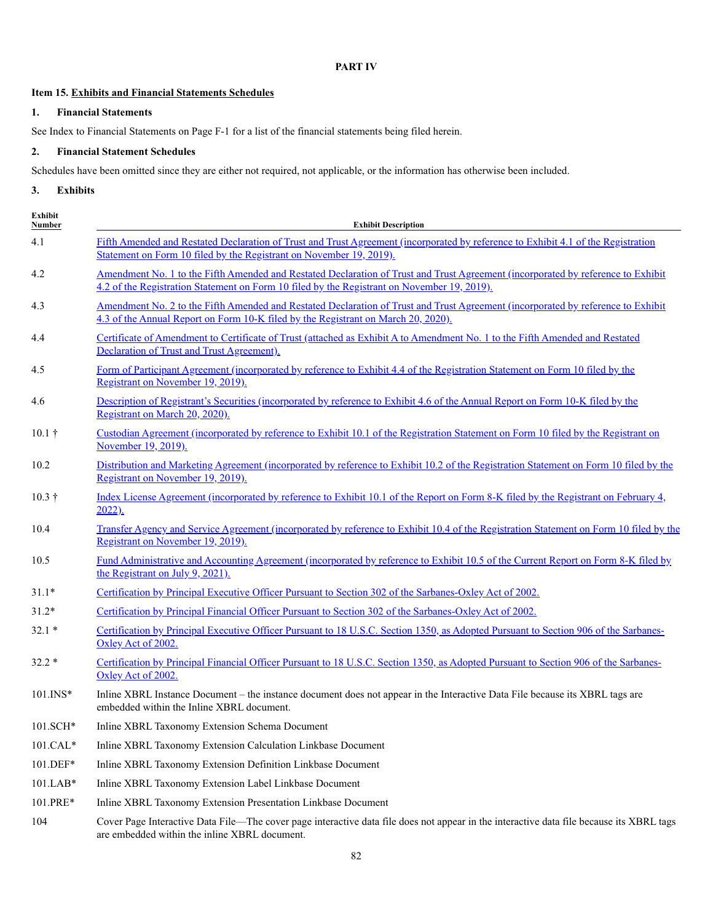# **PART IV**

# **Item 15. Exhibits and Financial Statements Schedules**

# **1. Financial Statements**

See Index to Financial Statements on Page F-1 for a list of the financial statements being filed herein.

# **2. Financial Statement Schedules**

Schedules have been omitted since they are either not required, not applicable, or the information has otherwise been included.

**3. Exhibits**

| Exhibit<br>Number | <b>Exhibit Description</b>                                                                                                                                                                                                      |
|-------------------|---------------------------------------------------------------------------------------------------------------------------------------------------------------------------------------------------------------------------------|
| 4.1               | Fifth Amended and Restated Declaration of Trust and Trust Agreement (incorporated by reference to Exhibit 4.1 of the Registration<br>Statement on Form 10 filed by the Registrant on November 19, 2019).                        |
| 4.2               | Amendment No. 1 to the Fifth Amended and Restated Declaration of Trust and Trust Agreement (incorporated by reference to Exhibit<br>4.2 of the Registration Statement on Form 10 filed by the Registrant on November 19, 2019). |
| 4.3               | Amendment No. 2 to the Fifth Amended and Restated Declaration of Trust and Trust Agreement (incorporated by reference to Exhibit<br>4.3 of the Annual Report on Form 10-K filed by the Registrant on March 20, 2020).           |
| 4.4               | Certificate of Amendment to Certificate of Trust (attached as Exhibit A to Amendment No. 1 to the Fifth Amended and Restated<br>Declaration of Trust and Trust Agreement).                                                      |
| 4.5               | Form of Participant Agreement (incorporated by reference to Exhibit 4.4 of the Registration Statement on Form 10 filed by the<br>Registrant on November 19, 2019).                                                              |
| 4.6               | Description of Registrant's Securities (incorporated by reference to Exhibit 4.6 of the Annual Report on Form 10-K filed by the<br>Registrant on March 20, 2020).                                                               |
| $10.1 \dagger$    | Custodian Agreement (incorporated by reference to Exhibit 10.1 of the Registration Statement on Form 10 filed by the Registrant on<br>November 19, 2019).                                                                       |
| 10.2              | Distribution and Marketing Agreement (incorporated by reference to Exhibit 10.2 of the Registration Statement on Form 10 filed by the<br>Registrant on November 19, 2019).                                                      |
| $10.3\dagger$     | <u>Index License Agreement (incorporated by reference to Exhibit 10.1 of the Report on Form 8-K filed by the Registrant on February 4,</u><br>$2022$ ).                                                                         |
| 10.4              | Transfer Agency and Service Agreement (incorporated by reference to Exhibit 10.4 of the Registration Statement on Form 10 filed by the<br>Registrant on November 19, 2019).                                                     |
| 10.5              | Fund Administrative and Accounting Agreement (incorporated by reference to Exhibit 10.5 of the Current Report on Form 8-K filed by<br>the Registrant on July 9, 2021).                                                          |
| $31.1*$           | Certification by Principal Executive Officer Pursuant to Section 302 of the Sarbanes-Oxley Act of 2002.                                                                                                                         |
| $31.2*$           | Certification by Principal Financial Officer Pursuant to Section 302 of the Sarbanes-Oxley Act of 2002.                                                                                                                         |
| $32.1*$           | Certification by Principal Executive Officer Pursuant to 18 U.S.C. Section 1350, as Adopted Pursuant to Section 906 of the Sarbanes-<br>Oxley Act of 2002.                                                                      |
| $32.2*$           | Certification by Principal Financial Officer Pursuant to 18 U.S.C. Section 1350, as Adopted Pursuant to Section 906 of the Sarbanes-<br>Oxley Act of 2002.                                                                      |
| 101.INS*          | Inline XBRL Instance Document - the instance document does not appear in the Interactive Data File because its XBRL tags are<br>embedded within the Inline XBRL document.                                                       |
| 101.SCH*          | Inline XBRL Taxonomy Extension Schema Document                                                                                                                                                                                  |
| $101.CAL*$        | Inline XBRL Taxonomy Extension Calculation Linkbase Document                                                                                                                                                                    |
| 101.DEF*          | Inline XBRL Taxonomy Extension Definition Linkbase Document                                                                                                                                                                     |
| $101.LAB*$        | Inline XBRL Taxonomy Extension Label Linkbase Document                                                                                                                                                                          |
| 101.PRE*          | Inline XBRL Taxonomy Extension Presentation Linkbase Document                                                                                                                                                                   |
|                   |                                                                                                                                                                                                                                 |

104 Cover Page Interactive Data File—The cover page interactive data file does not appear in the interactive data file because its XBRL tags are embedded within the inline XBRL document.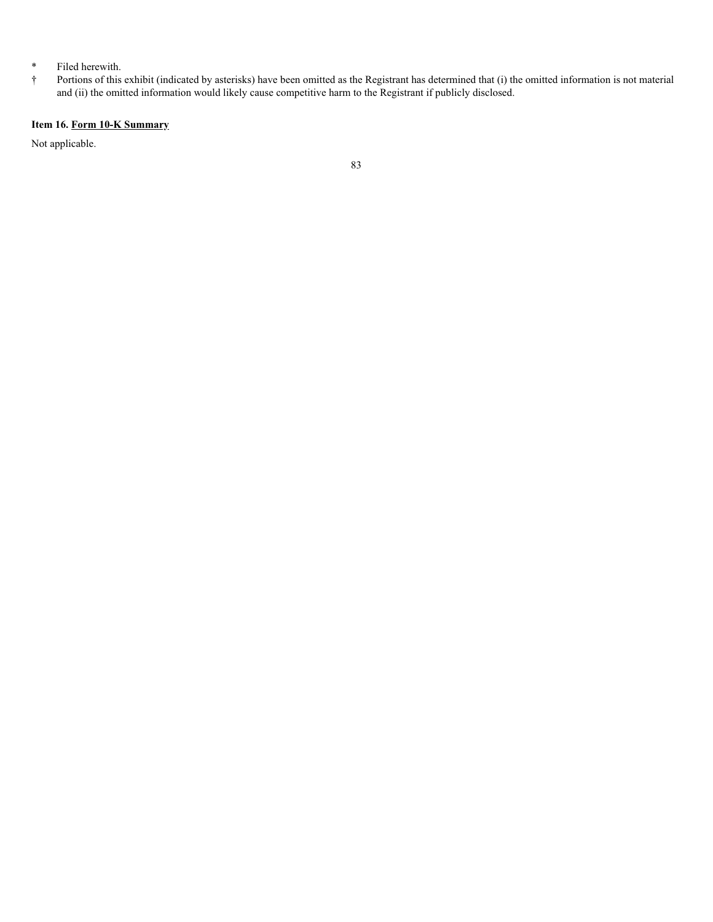- \* Filed herewith.
- † Portions of this exhibit (indicated by asterisks) have been omitted as the Registrant has determined that (i) the omitted information is not material and (ii) the omitted information would likely cause competitive harm to the Registrant if publicly disclosed.

# **Item 16. Form 10-K Summary**

Not applicable.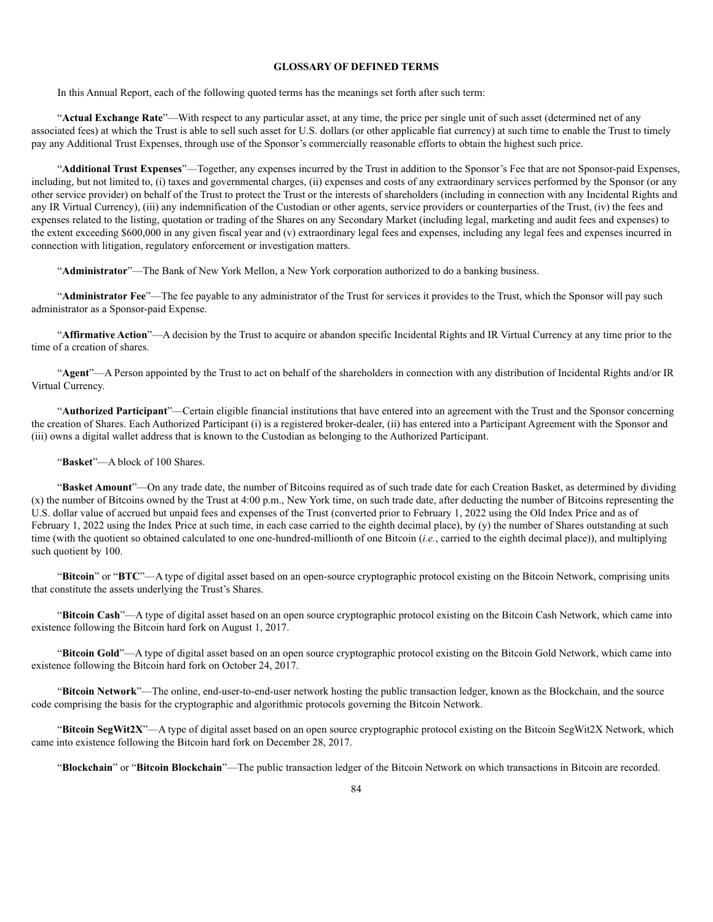### **GLOSSARY OF DEFINED TERMS**

In this Annual Report, each of the following quoted terms has the meanings set forth after such term:

"**Actual Exchange Rate**"—With respect to any particular asset, at any time, the price per single unit of such asset (determined net of any associated fees) at which the Trust is able to sell such asset for U.S. dollars (or other applicable fiat currency) at such time to enable the Trust to timely pay any Additional Trust Expenses, through use of the Sponsor's commercially reasonable efforts to obtain the highest such price.

"**Additional Trust Expenses**"—Together, any expenses incurred by the Trust in addition to the Sponsor's Fee that are not Sponsor-paid Expenses, including, but not limited to, (i) taxes and governmental charges, (ii) expenses and costs of any extraordinary services performed by the Sponsor (or any other service provider) on behalf of the Trust to protect the Trust or the interests of shareholders (including in connection with any Incidental Rights and any IR Virtual Currency), (iii) any indemnification of the Custodian or other agents, service providers or counterparties of the Trust, (iv) the fees and expenses related to the listing, quotation or trading of the Shares on any Secondary Market (including legal, marketing and audit fees and expenses) to the extent exceeding \$600,000 in any given fiscal year and (v) extraordinary legal fees and expenses, including any legal fees and expenses incurred in connection with litigation, regulatory enforcement or investigation matters.

"**Administrator**"—The Bank of New York Mellon, a New York corporation authorized to do a banking business.

"**Administrator Fee**"—The fee payable to any administrator of the Trust for services it provides to the Trust, which the Sponsor will pay such administrator as a Sponsor-paid Expense.

"**Affirmative Action**"—A decision by the Trust to acquire or abandon specific Incidental Rights and IR Virtual Currency at any time prior to the time of a creation of shares.

"**Agent**"—A Person appointed by the Trust to act on behalf of the shareholders in connection with any distribution of Incidental Rights and/or IR Virtual Currency.

"**Authorized Participant**"—Certain eligible financial institutions that have entered into an agreement with the Trust and the Sponsor concerning the creation of Shares. Each Authorized Participant (i) is a registered broker-dealer, (ii) has entered into a Participant Agreement with the Sponsor and (iii) owns a digital wallet address that is known to the Custodian as belonging to the Authorized Participant.

"**Basket**"—A block of 100 Shares.

"**Basket Amount**"—On any trade date, the number of Bitcoins required as of such trade date for each Creation Basket, as determined by dividing (x) the number of Bitcoins owned by the Trust at 4:00 p.m., New York time, on such trade date, after deducting the number of Bitcoins representing the U.S. dollar value of accrued but unpaid fees and expenses of the Trust (converted prior to February 1, 2022 using the Old Index Price and as of February 1, 2022 using the Index Price at such time, in each case carried to the eighth decimal place), by (y) the number of Shares outstanding at such time (with the quotient so obtained calculated to one one-hundred-millionth of one Bitcoin (*i.e.*, carried to the eighth decimal place)), and multiplying such quotient by 100.

"**Bitcoin**" or "**BTC**"—A type of digital asset based on an open-source cryptographic protocol existing on the Bitcoin Network, comprising units that constitute the assets underlying the Trust's Shares.

"**Bitcoin Cash**"—A type of digital asset based on an open source cryptographic protocol existing on the Bitcoin Cash Network, which came into existence following the Bitcoin hard fork on August 1, 2017.

"**Bitcoin Gold**"—A type of digital asset based on an open source cryptographic protocol existing on the Bitcoin Gold Network, which came into existence following the Bitcoin hard fork on October 24, 2017.

"**Bitcoin Network**"—The online, end-user-to-end-user network hosting the public transaction ledger, known as the Blockchain, and the source code comprising the basis for the cryptographic and algorithmic protocols governing the Bitcoin Network.

"**Bitcoin SegWit2X**"—A type of digital asset based on an open source cryptographic protocol existing on the Bitcoin SegWit2X Network, which came into existence following the Bitcoin hard fork on December 28, 2017.

"**Blockchain**" or "**Bitcoin Blockchain**"—The public transaction ledger of the Bitcoin Network on which transactions in Bitcoin are recorded.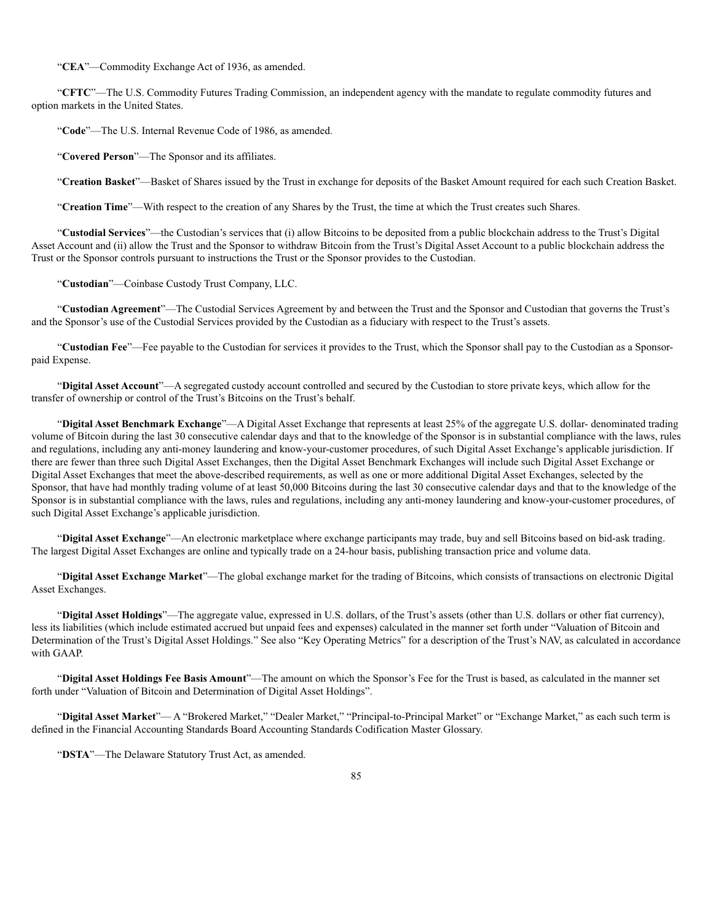"**CEA**"—Commodity Exchange Act of 1936, as amended.

"**CFTC**"—The U.S. Commodity Futures Trading Commission, an independent agency with the mandate to regulate commodity futures and option markets in the United States.

"**Code**"—The U.S. Internal Revenue Code of 1986, as amended.

"**Covered Person**"—The Sponsor and its affiliates.

"**Creation Basket**"—Basket of Shares issued by the Trust in exchange for deposits of the Basket Amount required for each such Creation Basket.

"**Creation Time**"—With respect to the creation of any Shares by the Trust, the time at which the Trust creates such Shares.

"**Custodial Services**"—the Custodian's services that (i) allow Bitcoins to be deposited from a public blockchain address to the Trust's Digital Asset Account and (ii) allow the Trust and the Sponsor to withdraw Bitcoin from the Trust's Digital Asset Account to a public blockchain address the Trust or the Sponsor controls pursuant to instructions the Trust or the Sponsor provides to the Custodian.

"**Custodian**"—Coinbase Custody Trust Company, LLC.

"**Custodian Agreement**"—The Custodial Services Agreement by and between the Trust and the Sponsor and Custodian that governs the Trust's and the Sponsor's use of the Custodial Services provided by the Custodian as a fiduciary with respect to the Trust's assets.

"**Custodian Fee**"—Fee payable to the Custodian for services it provides to the Trust, which the Sponsor shall pay to the Custodian as a Sponsorpaid Expense.

"**Digital Asset Account**"—A segregated custody account controlled and secured by the Custodian to store private keys, which allow for the transfer of ownership or control of the Trust's Bitcoins on the Trust's behalf.

"**Digital Asset Benchmark Exchange**"—A Digital Asset Exchange that represents at least 25% of the aggregate U.S. dollar- denominated trading volume of Bitcoin during the last 30 consecutive calendar days and that to the knowledge of the Sponsor is in substantial compliance with the laws, rules and regulations, including any anti-money laundering and know-your-customer procedures, of such Digital Asset Exchange's applicable jurisdiction. If there are fewer than three such Digital Asset Exchanges, then the Digital Asset Benchmark Exchanges will include such Digital Asset Exchange or Digital Asset Exchanges that meet the above-described requirements, as well as one or more additional Digital Asset Exchanges, selected by the Sponsor, that have had monthly trading volume of at least 50,000 Bitcoins during the last 30 consecutive calendar days and that to the knowledge of the Sponsor is in substantial compliance with the laws, rules and regulations, including any anti-money laundering and know-your-customer procedures, of such Digital Asset Exchange's applicable jurisdiction.

"**Digital Asset Exchange**"—An electronic marketplace where exchange participants may trade, buy and sell Bitcoins based on bid-ask trading. The largest Digital Asset Exchanges are online and typically trade on a 24-hour basis, publishing transaction price and volume data.

"**Digital Asset Exchange Market**"—The global exchange market for the trading of Bitcoins, which consists of transactions on electronic Digital Asset Exchanges.

"**Digital Asset Holdings**"—The aggregate value, expressed in U.S. dollars, of the Trust's assets (other than U.S. dollars or other fiat currency), less its liabilities (which include estimated accrued but unpaid fees and expenses) calculated in the manner set forth under "Valuation of Bitcoin and Determination of the Trust's Digital Asset Holdings." See also "Key Operating Metrics" for a description of the Trust's NAV, as calculated in accordance with GAAP.

"**Digital Asset Holdings Fee Basis Amount**"—The amount on which the Sponsor's Fee for the Trust is based, as calculated in the manner set forth under "Valuation of Bitcoin and Determination of Digital Asset Holdings".

"**Digital Asset Market**"— A "Brokered Market," "Dealer Market," "Principal-to-Principal Market" or "Exchange Market," as each such term is defined in the Financial Accounting Standards Board Accounting Standards Codification Master Glossary.

"**DSTA**"—The Delaware Statutory Trust Act, as amended.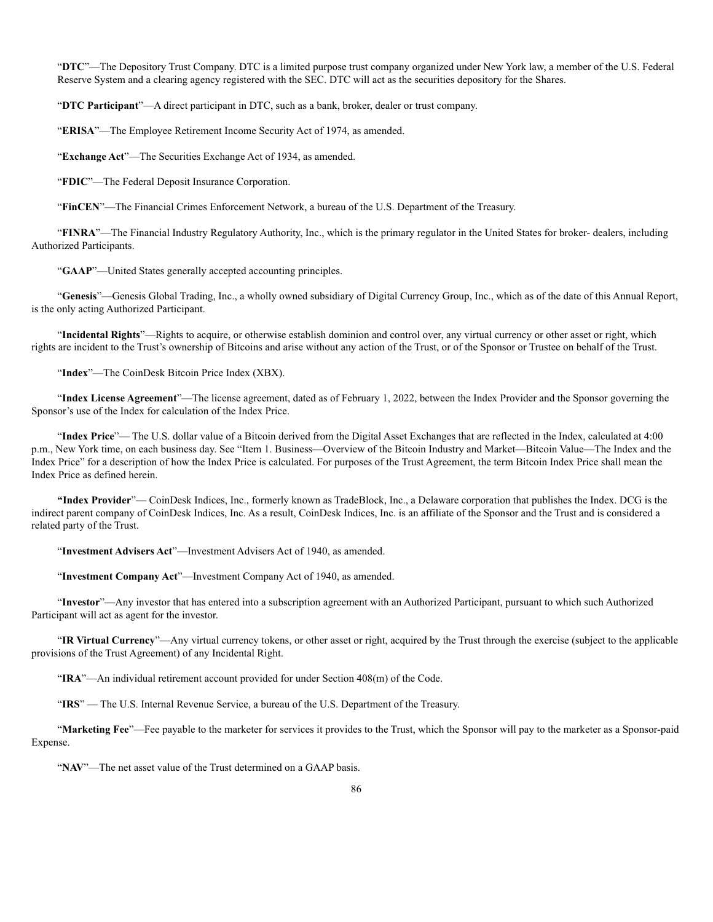"**DTC**"—The Depository Trust Company. DTC is a limited purpose trust company organized under New York law, a member of the U.S. Federal Reserve System and a clearing agency registered with the SEC. DTC will act as the securities depository for the Shares.

"**DTC Participant**"—A direct participant in DTC, such as a bank, broker, dealer or trust company.

"**ERISA**"—The Employee Retirement Income Security Act of 1974, as amended.

"**Exchange Act**"—The Securities Exchange Act of 1934, as amended.

"**FDIC**"—The Federal Deposit Insurance Corporation.

"**FinCEN**"—The Financial Crimes Enforcement Network, a bureau of the U.S. Department of the Treasury.

"**FINRA**"—The Financial Industry Regulatory Authority, Inc., which is the primary regulator in the United States for broker- dealers, including Authorized Participants.

"**GAAP**"—United States generally accepted accounting principles.

"**Genesis**"—Genesis Global Trading, Inc., a wholly owned subsidiary of Digital Currency Group, Inc., which as of the date of this Annual Report, is the only acting Authorized Participant.

"**Incidental Rights**"—Rights to acquire, or otherwise establish dominion and control over, any virtual currency or other asset or right, which rights are incident to the Trust's ownership of Bitcoins and arise without any action of the Trust, or of the Sponsor or Trustee on behalf of the Trust.

"**Index**"—The CoinDesk Bitcoin Price Index (XBX).

"**Index License Agreement**"—The license agreement, dated as of February 1, 2022, between the Index Provider and the Sponsor governing the Sponsor's use of the Index for calculation of the Index Price.

"**Index Price**"— The U.S. dollar value of a Bitcoin derived from the Digital Asset Exchanges that are reflected in the Index, calculated at 4:00 p.m., New York time, on each business day. See "Item 1. Business—Overview of the Bitcoin Industry and Market—Bitcoin Value—The Index and the Index Price" for a description of how the Index Price is calculated. For purposes of the Trust Agreement, the term Bitcoin Index Price shall mean the Index Price as defined herein.

**"Index Provider**"— CoinDesk Indices, Inc., formerly known as TradeBlock, Inc., a Delaware corporation that publishes the Index. DCG is the indirect parent company of CoinDesk Indices, Inc. As a result, CoinDesk Indices, Inc. is an affiliate of the Sponsor and the Trust and is considered a related party of the Trust.

"**Investment Advisers Act**"—Investment Advisers Act of 1940, as amended.

"**Investment Company Act**"—Investment Company Act of 1940, as amended.

"**Investor**"—Any investor that has entered into a subscription agreement with an Authorized Participant, pursuant to which such Authorized Participant will act as agent for the investor.

"**IR Virtual Currency**"—Any virtual currency tokens, or other asset or right, acquired by the Trust through the exercise (subject to the applicable provisions of the Trust Agreement) of any Incidental Right.

"IRA"—An individual retirement account provided for under Section 408(m) of the Code.

"**IRS**" — The U.S. Internal Revenue Service, a bureau of the U.S. Department of the Treasury.

"**Marketing Fee**"—Fee payable to the marketer for services it provides to the Trust, which the Sponsor will pay to the marketer as a Sponsor-paid Expense.

"**NAV**"—The net asset value of the Trust determined on a GAAP basis.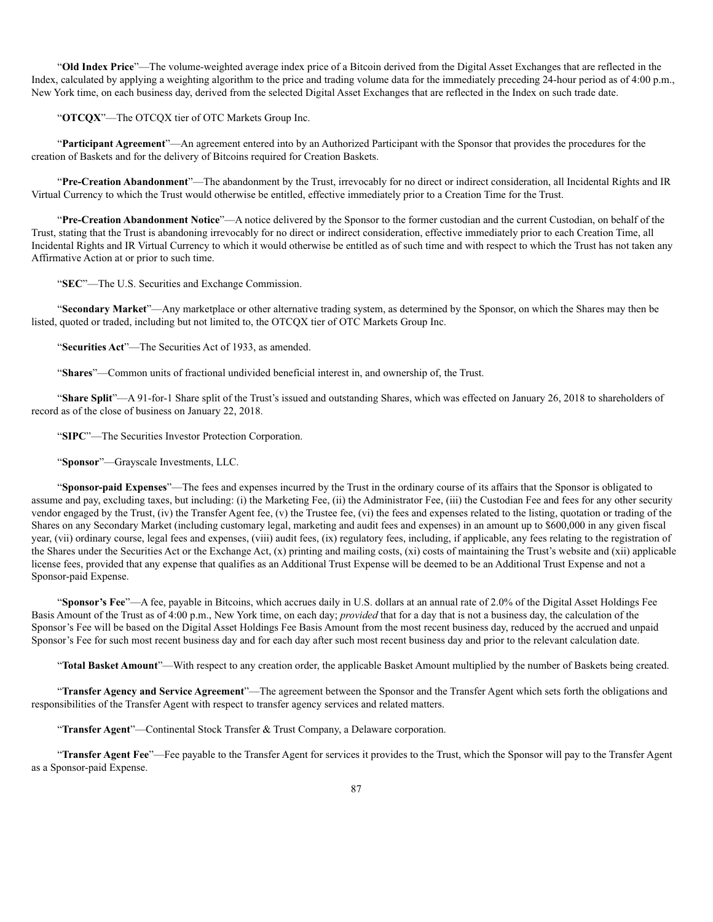"**Old Index Price**"—The volume-weighted average index price of a Bitcoin derived from the Digital Asset Exchanges that are reflected in the Index, calculated by applying a weighting algorithm to the price and trading volume data for the immediately preceding 24-hour period as of 4:00 p.m., New York time, on each business day, derived from the selected Digital Asset Exchanges that are reflected in the Index on such trade date.

"**OTCQX**"—The OTCQX tier of OTC Markets Group Inc.

"**Participant Agreement**"—An agreement entered into by an Authorized Participant with the Sponsor that provides the procedures for the creation of Baskets and for the delivery of Bitcoins required for Creation Baskets.

"**Pre-Creation Abandonment**"—The abandonment by the Trust, irrevocably for no direct or indirect consideration, all Incidental Rights and IR Virtual Currency to which the Trust would otherwise be entitled, effective immediately prior to a Creation Time for the Trust.

"**Pre-Creation Abandonment Notice**"—A notice delivered by the Sponsor to the former custodian and the current Custodian, on behalf of the Trust, stating that the Trust is abandoning irrevocably for no direct or indirect consideration, effective immediately prior to each Creation Time, all Incidental Rights and IR Virtual Currency to which it would otherwise be entitled as of such time and with respect to which the Trust has not taken any Affirmative Action at or prior to such time.

"**SEC**"—The U.S. Securities and Exchange Commission.

"**Secondary Market**"—Any marketplace or other alternative trading system, as determined by the Sponsor, on which the Shares may then be listed, quoted or traded, including but not limited to, the OTCQX tier of OTC Markets Group Inc.

"**Securities Act**"—The Securities Act of 1933, as amended.

"**Shares**"—Common units of fractional undivided beneficial interest in, and ownership of, the Trust.

"**Share Split**"—A 91-for-1 Share split of the Trust's issued and outstanding Shares, which was effected on January 26, 2018 to shareholders of record as of the close of business on January 22, 2018.

"**SIPC**"—The Securities Investor Protection Corporation.

"**Sponsor**"—Grayscale Investments, LLC.

"**Sponsor-paid Expenses**"—The fees and expenses incurred by the Trust in the ordinary course of its affairs that the Sponsor is obligated to assume and pay, excluding taxes, but including: (i) the Marketing Fee, (ii) the Administrator Fee, (iii) the Custodian Fee and fees for any other security vendor engaged by the Trust, (iv) the Transfer Agent fee, (v) the Trustee fee, (vi) the fees and expenses related to the listing, quotation or trading of the Shares on any Secondary Market (including customary legal, marketing and audit fees and expenses) in an amount up to \$600,000 in any given fiscal year, (vii) ordinary course, legal fees and expenses, (viii) audit fees, (ix) regulatory fees, including, if applicable, any fees relating to the registration of the Shares under the Securities Act or the Exchange Act,  $(x)$  printing and mailing costs,  $(xi)$  costs of maintaining the Trust's website and  $(xii)$  applicable license fees, provided that any expense that qualifies as an Additional Trust Expense will be deemed to be an Additional Trust Expense and not a Sponsor-paid Expense.

"**Sponsor's Fee**"—A fee, payable in Bitcoins, which accrues daily in U.S. dollars at an annual rate of 2.0% of the Digital Asset Holdings Fee Basis Amount of the Trust as of 4:00 p.m., New York time, on each day; *provided* that for a day that is not a business day, the calculation of the Sponsor's Fee will be based on the Digital Asset Holdings Fee Basis Amount from the most recent business day, reduced by the accrued and unpaid Sponsor's Fee for such most recent business day and for each day after such most recent business day and prior to the relevant calculation date.

"**Total Basket Amount**"—With respect to any creation order, the applicable Basket Amount multiplied by the number of Baskets being created.

"**Transfer Agency and Service Agreement**"—The agreement between the Sponsor and the Transfer Agent which sets forth the obligations and responsibilities of the Transfer Agent with respect to transfer agency services and related matters.

"**Transfer Agent**"—Continental Stock Transfer & Trust Company, a Delaware corporation.

"**Transfer Agent Fee**"—Fee payable to the Transfer Agent for services it provides to the Trust, which the Sponsor will pay to the Transfer Agent as a Sponsor-paid Expense.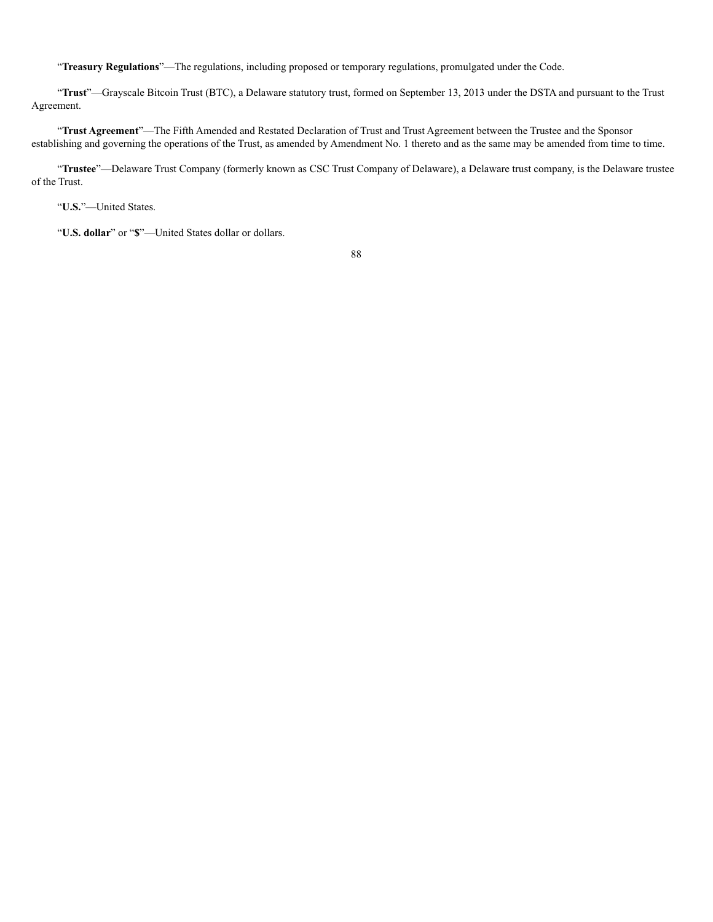"**Treasury Regulations**"—The regulations, including proposed or temporary regulations, promulgated under the Code.

"**Trust**"—Grayscale Bitcoin Trust (BTC), a Delaware statutory trust, formed on September 13, 2013 under the DSTA and pursuant to the Trust Agreement.

"**Trust Agreement**"—The Fifth Amended and Restated Declaration of Trust and Trust Agreement between the Trustee and the Sponsor establishing and governing the operations of the Trust, as amended by Amendment No. 1 thereto and as the same may be amended from time to time.

"**Trustee**"—Delaware Trust Company (formerly known as CSC Trust Company of Delaware), a Delaware trust company, is the Delaware trustee of the Trust.

"**U.S.**"—United States.

"**U.S. dollar**" or "**\$**"—United States dollar or dollars.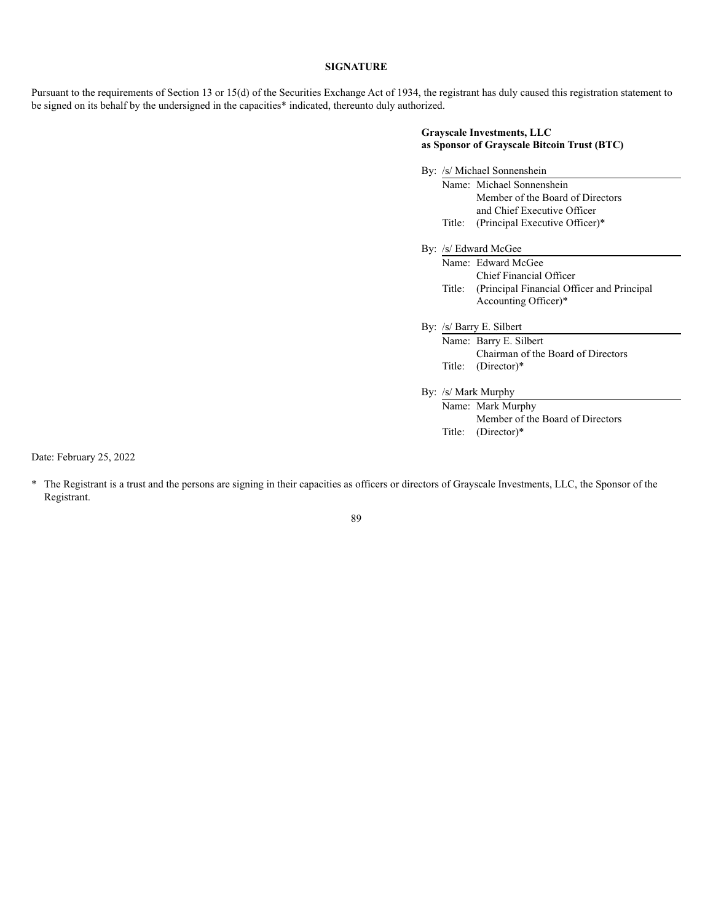#### **SIGNATURE**

Pursuant to the requirements of Section 13 or 15(d) of the Securities Exchange Act of 1934, the registrant has duly caused this registration statement to be signed on its behalf by the undersigned in the capacities\* indicated, thereunto duly authorized.

## **Grayscale Investments, LLC as Sponsor of Grayscale Bitcoin Trust (BTC)**

By: /s/ Michael Sonnenshein

 Name: Michael Sonnenshein Member of the Board of Directors and Chief Executive Officer Title: (Principal Executive Officer)\*

By: /s/ Edward McGee

 Name: Edward McGee Chief Financial Officer Title: (Principal Financial Officer and Principal Accounting Officer)\*

By: /s/ Barry E. Silbert

 Name: Barry E. Silbert Chairman of the Board of Directors Title: (Director)\*

By: /s/ Mark Murphy

 Name: Mark Murphy Member of the Board of Directors Title: (Director)\*

Date: February 25, 2022

89

<sup>\*</sup> The Registrant is a trust and the persons are signing in their capacities as officers or directors of Grayscale Investments, LLC, the Sponsor of the Registrant.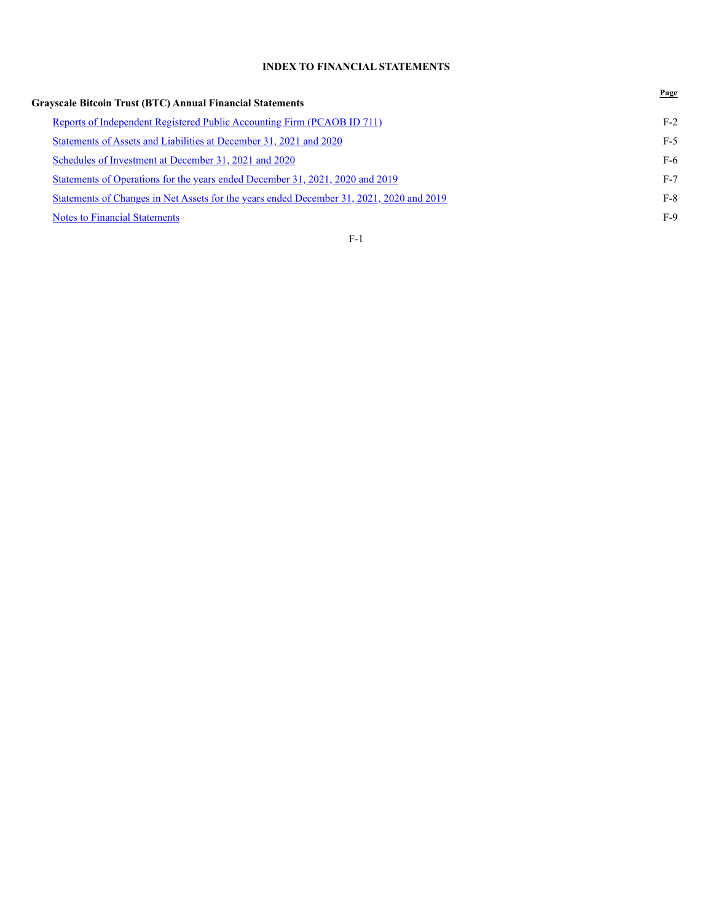# **INDEX TO FINANCIAL STATEMENTS**

| <b>Grayscale Bitcoin Trust (BTC) Annual Financial Statements</b>                         | Page  |
|------------------------------------------------------------------------------------------|-------|
| <u>Reports of Independent Registered Public Accounting Firm (PCAOB ID 711)</u>           | $F-2$ |
| Statements of Assets and Liabilities at December 31, 2021 and 2020                       | $F-5$ |
| Schedules of Investment at December 31, 2021 and 2020                                    | $F-6$ |
| Statements of Operations for the years ended December 31, 2021, 2020 and 2019            | $F-7$ |
| Statements of Changes in Net Assets for the years ended December 31, 2021, 2020 and 2019 | $F-8$ |
| <b>Notes to Financial Statements</b>                                                     | $F-9$ |
|                                                                                          |       |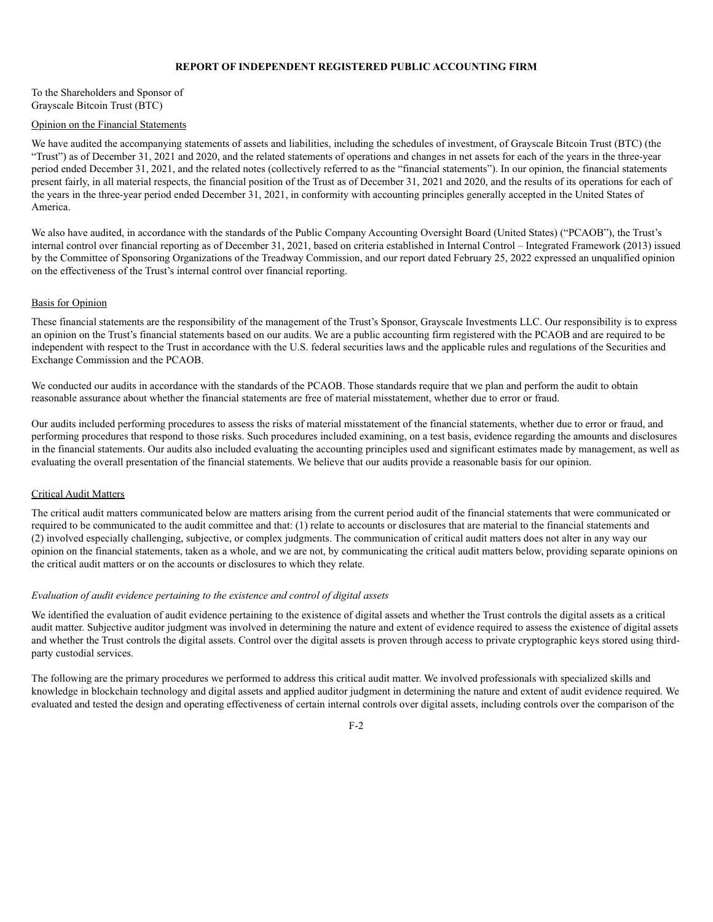## **REPORT OF INDEPENDENT REGISTERED PUBLIC ACCOUNTING FIRM**

To the Shareholders and Sponsor of Grayscale Bitcoin Trust (BTC)

#### Opinion on the Financial Statements

We have audited the accompanying statements of assets and liabilities, including the schedules of investment, of Grayscale Bitcoin Trust (BTC) (the "Trust") as of December 31, 2021 and 2020, and the related statements of operations and changes in net assets for each of the years in the three-year period ended December 31, 2021, and the related notes (collectively referred to as the "financial statements"). In our opinion, the financial statements present fairly, in all material respects, the financial position of the Trust as of December 31, 2021 and 2020, and the results of its operations for each of the years in the three-year period ended December 31, 2021, in conformity with accounting principles generally accepted in the United States of America.

We also have audited, in accordance with the standards of the Public Company Accounting Oversight Board (United States) ("PCAOB"), the Trust's internal control over financial reporting as of December 31, 2021, based on criteria established in Internal Control – Integrated Framework (2013) issued by the Committee of Sponsoring Organizations of the Treadway Commission, and our report dated February 25, 2022 expressed an unqualified opinion on the effectiveness of the Trust's internal control over financial reporting.

### Basis for Opinion

These financial statements are the responsibility of the management of the Trust's Sponsor, Grayscale Investments LLC. Our responsibility is to express an opinion on the Trust's financial statements based on our audits. We are a public accounting firm registered with the PCAOB and are required to be independent with respect to the Trust in accordance with the U.S. federal securities laws and the applicable rules and regulations of the Securities and Exchange Commission and the PCAOB.

We conducted our audits in accordance with the standards of the PCAOB. Those standards require that we plan and perform the audit to obtain reasonable assurance about whether the financial statements are free of material misstatement, whether due to error or fraud.

Our audits included performing procedures to assess the risks of material misstatement of the financial statements, whether due to error or fraud, and performing procedures that respond to those risks. Such procedures included examining, on a test basis, evidence regarding the amounts and disclosures in the financial statements. Our audits also included evaluating the accounting principles used and significant estimates made by management, as well as evaluating the overall presentation of the financial statements. We believe that our audits provide a reasonable basis for our opinion.

#### Critical Audit Matters

The critical audit matters communicated below are matters arising from the current period audit of the financial statements that were communicated or required to be communicated to the audit committee and that: (1) relate to accounts or disclosures that are material to the financial statements and (2) involved especially challenging, subjective, or complex judgments. The communication of critical audit matters does not alter in any way our opinion on the financial statements, taken as a whole, and we are not, by communicating the critical audit matters below, providing separate opinions on the critical audit matters or on the accounts or disclosures to which they relate.

#### *Evaluation of audit evidence pertaining to the existence and control of digital assets*

We identified the evaluation of audit evidence pertaining to the existence of digital assets and whether the Trust controls the digital assets as a critical audit matter. Subjective auditor judgment was involved in determining the nature and extent of evidence required to assess the existence of digital assets and whether the Trust controls the digital assets. Control over the digital assets is proven through access to private cryptographic keys stored using thirdparty custodial services.

The following are the primary procedures we performed to address this critical audit matter. We involved professionals with specialized skills and knowledge in blockchain technology and digital assets and applied auditor judgment in determining the nature and extent of audit evidence required. We evaluated and tested the design and operating effectiveness of certain internal controls over digital assets, including controls over the comparison of the

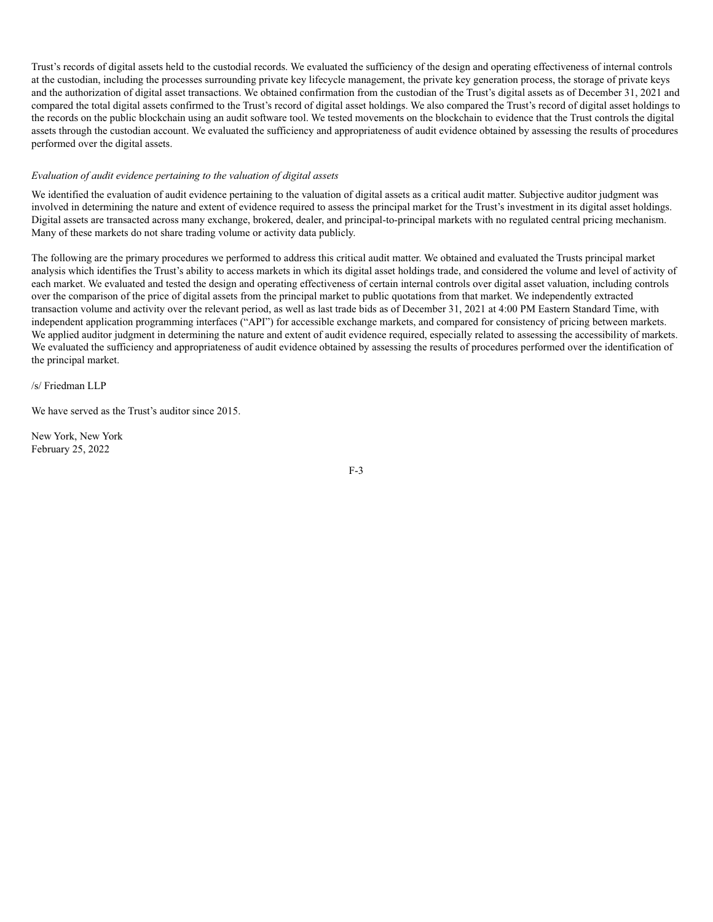Trust's records of digital assets held to the custodial records. We evaluated the sufficiency of the design and operating effectiveness of internal controls at the custodian, including the processes surrounding private key lifecycle management, the private key generation process, the storage of private keys and the authorization of digital asset transactions. We obtained confirmation from the custodian of the Trust's digital assets as of December 31, 2021 and compared the total digital assets confirmed to the Trust's record of digital asset holdings. We also compared the Trust's record of digital asset holdings to the records on the public blockchain using an audit software tool. We tested movements on the blockchain to evidence that the Trust controls the digital assets through the custodian account. We evaluated the sufficiency and appropriateness of audit evidence obtained by assessing the results of procedures performed over the digital assets.

## *Evaluation of audit evidence pertaining to the valuation of digital assets*

We identified the evaluation of audit evidence pertaining to the valuation of digital assets as a critical audit matter. Subjective auditor judgment was involved in determining the nature and extent of evidence required to assess the principal market for the Trust's investment in its digital asset holdings. Digital assets are transacted across many exchange, brokered, dealer, and principal-to-principal markets with no regulated central pricing mechanism. Many of these markets do not share trading volume or activity data publicly.

The following are the primary procedures we performed to address this critical audit matter. We obtained and evaluated the Trusts principal market analysis which identifies the Trust's ability to access markets in which its digital asset holdings trade, and considered the volume and level of activity of each market. We evaluated and tested the design and operating effectiveness of certain internal controls over digital asset valuation, including controls over the comparison of the price of digital assets from the principal market to public quotations from that market. We independently extracted transaction volume and activity over the relevant period, as well as last trade bids as of December 31, 2021 at 4:00 PM Eastern Standard Time, with independent application programming interfaces ("API") for accessible exchange markets, and compared for consistency of pricing between markets. We applied auditor judgment in determining the nature and extent of audit evidence required, especially related to assessing the accessibility of markets. We evaluated the sufficiency and appropriateness of audit evidence obtained by assessing the results of procedures performed over the identification of the principal market.

/s/ Friedman LLP

We have served as the Trust's auditor since 2015.

New York, New York February 25, 2022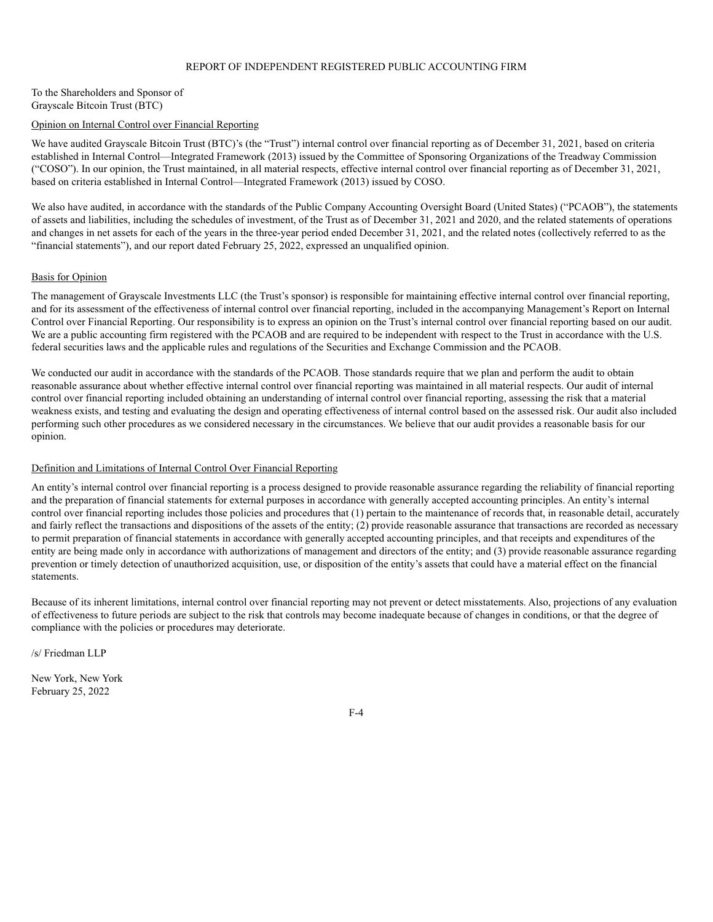## REPORT OF INDEPENDENT REGISTERED PUBLIC ACCOUNTING FIRM

To the Shareholders and Sponsor of Grayscale Bitcoin Trust (BTC)

### Opinion on Internal Control over Financial Reporting

We have audited Grayscale Bitcoin Trust (BTC)'s (the "Trust") internal control over financial reporting as of December 31, 2021, based on criteria established in Internal Control—Integrated Framework (2013) issued by the Committee of Sponsoring Organizations of the Treadway Commission ("COSO"). In our opinion, the Trust maintained, in all material respects, effective internal control over financial reporting as of December 31, 2021, based on criteria established in Internal Control—Integrated Framework (2013) issued by COSO.

We also have audited, in accordance with the standards of the Public Company Accounting Oversight Board (United States) ("PCAOB"), the statements of assets and liabilities, including the schedules of investment, of the Trust as of December 31, 2021 and 2020, and the related statements of operations and changes in net assets for each of the years in the three-year period ended December 31, 2021, and the related notes (collectively referred to as the "financial statements"), and our report dated February 25, 2022, expressed an unqualified opinion.

## Basis for Opinion

The management of Grayscale Investments LLC (the Trust's sponsor) is responsible for maintaining effective internal control over financial reporting, and for its assessment of the effectiveness of internal control over financial reporting, included in the accompanying Management's Report on Internal Control over Financial Reporting. Our responsibility is to express an opinion on the Trust's internal control over financial reporting based on our audit. We are a public accounting firm registered with the PCAOB and are required to be independent with respect to the Trust in accordance with the U.S. federal securities laws and the applicable rules and regulations of the Securities and Exchange Commission and the PCAOB.

We conducted our audit in accordance with the standards of the PCAOB. Those standards require that we plan and perform the audit to obtain reasonable assurance about whether effective internal control over financial reporting was maintained in all material respects. Our audit of internal control over financial reporting included obtaining an understanding of internal control over financial reporting, assessing the risk that a material weakness exists, and testing and evaluating the design and operating effectiveness of internal control based on the assessed risk. Our audit also included performing such other procedures as we considered necessary in the circumstances. We believe that our audit provides a reasonable basis for our opinion.

### Definition and Limitations of Internal Control Over Financial Reporting

An entity's internal control over financial reporting is a process designed to provide reasonable assurance regarding the reliability of financial reporting and the preparation of financial statements for external purposes in accordance with generally accepted accounting principles. An entity's internal control over financial reporting includes those policies and procedures that (1) pertain to the maintenance of records that, in reasonable detail, accurately and fairly reflect the transactions and dispositions of the assets of the entity; (2) provide reasonable assurance that transactions are recorded as necessary to permit preparation of financial statements in accordance with generally accepted accounting principles, and that receipts and expenditures of the entity are being made only in accordance with authorizations of management and directors of the entity; and (3) provide reasonable assurance regarding prevention or timely detection of unauthorized acquisition, use, or disposition of the entity's assets that could have a material effect on the financial statements.

Because of its inherent limitations, internal control over financial reporting may not prevent or detect misstatements. Also, projections of any evaluation of effectiveness to future periods are subject to the risk that controls may become inadequate because of changes in conditions, or that the degree of compliance with the policies or procedures may deteriorate.

/s/ Friedman LLP

New York, New York February 25, 2022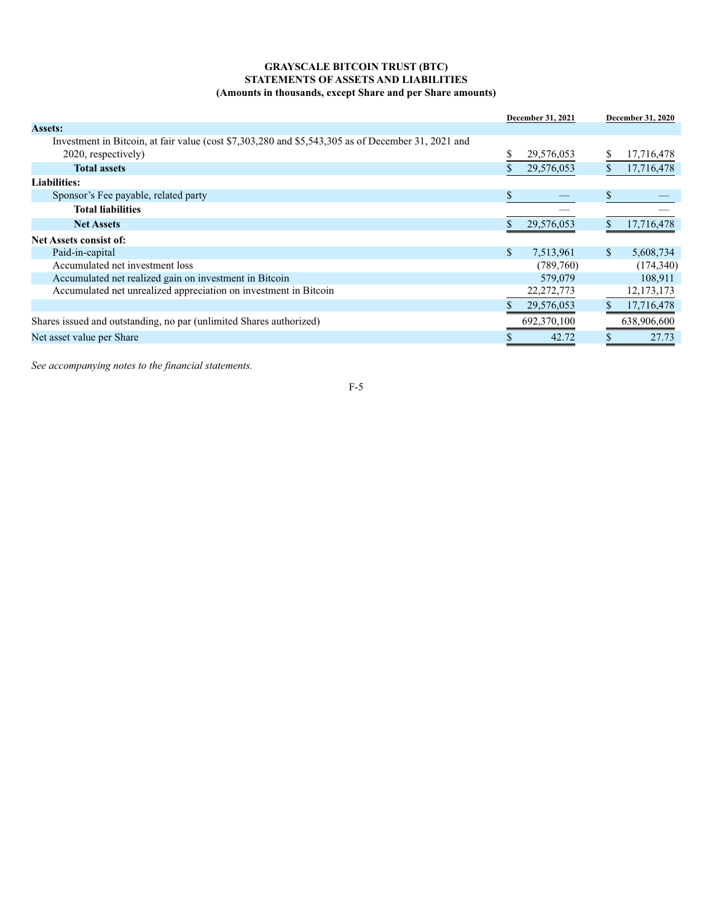# **GRAYSCALE BITCOIN TRUST (BTC) STATEMENTS OF ASSETS AND LIABILITIES (Amounts in thousands, except Share and per Share amounts)**

|                                                                                                    | December 31, 2021 | <b>December 31, 2020</b> |              |  |
|----------------------------------------------------------------------------------------------------|-------------------|--------------------------|--------------|--|
| <b>Assets:</b>                                                                                     |                   |                          |              |  |
| Investment in Bitcoin, at fair value (cost \$7,303,280 and \$5,543,305 as of December 31, 2021 and |                   |                          |              |  |
| 2020, respectively)                                                                                | 29,576,053        | S                        | 17,716,478   |  |
| <b>Total assets</b>                                                                                | 29,576,053        | \$                       | 17,716,478   |  |
| Liabilities:                                                                                       |                   |                          |              |  |
| Sponsor's Fee payable, related party                                                               |                   | \$                       |              |  |
| <b>Total liabilities</b>                                                                           |                   |                          |              |  |
| <b>Net Assets</b>                                                                                  | 29,576,053        | \$                       | 17,716,478   |  |
| Net Assets consist of:                                                                             |                   |                          |              |  |
| Paid-in-capital                                                                                    | \$<br>7,513,961   | $\mathbb{S}$             | 5,608,734    |  |
| Accumulated net investment loss                                                                    | (789,760)         |                          | (174, 340)   |  |
| Accumulated net realized gain on investment in Bitcoin                                             | 579,079           |                          | 108,911      |  |
| Accumulated net unrealized appreciation on investment in Bitcoin                                   | 22,272,773        |                          | 12, 173, 173 |  |
|                                                                                                    | 29,576,053        | \$                       | 17,716,478   |  |
| Shares issued and outstanding, no par (unlimited Shares authorized)                                | 692,370,100       |                          | 638,906,600  |  |
| Net asset value per Share                                                                          | 42.72             |                          | 27.73        |  |

*See accompanying notes to the financial statements.*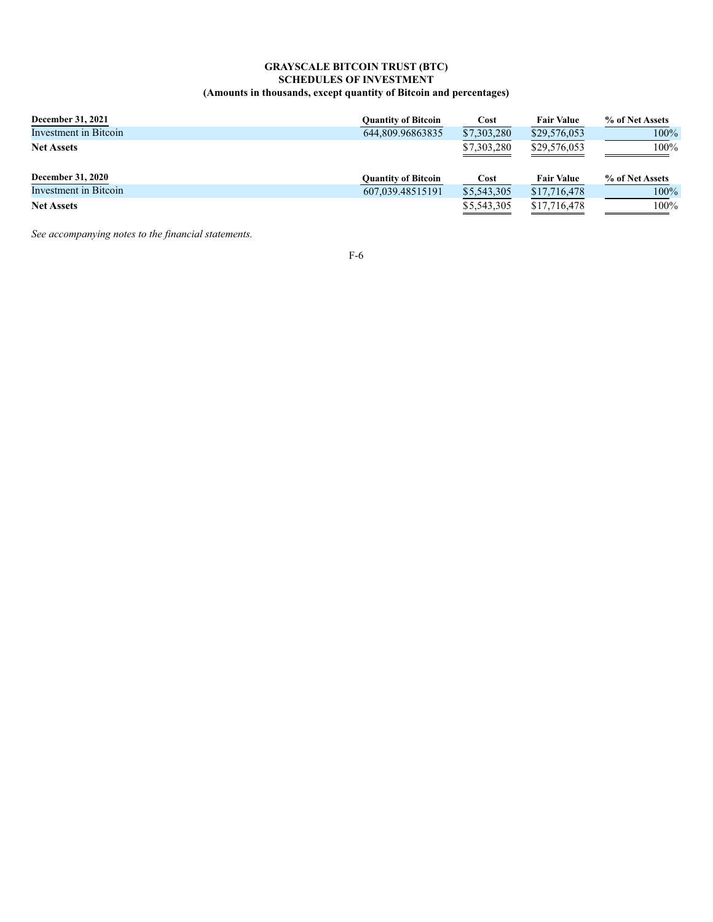# **GRAYSCALE BITCOIN TRUST (BTC) SCHEDULES OF INVESTMENT (Amounts in thousands, except quantity of Bitcoin and percentages)**

| December 31, 2021            | <b>Quantity of Bitcoin</b> | Cost        | <b>Fair Value</b> | % of Net Assets |
|------------------------------|----------------------------|-------------|-------------------|-----------------|
| Investment in Bitcoin        | 644,809.96863835           | \$7,303,280 | \$29,576,053      | $100\%$         |
| <b>Net Assets</b>            |                            | \$7,303,280 | \$29,576,053      | $100\%$         |
| <b>December 31, 2020</b>     | <b>Quantity of Bitcoin</b> | Cost        | <b>Fair Value</b> | % of Net Assets |
| <b>Investment</b> in Bitcoin | 607,039.48515191           | \$5,543,305 | \$17,716,478      | $100\%$         |
| <b>Net Assets</b>            |                            | \$5,543,305 | \$17,716,478      | $100\%$         |

*See accompanying notes to the financial statements.*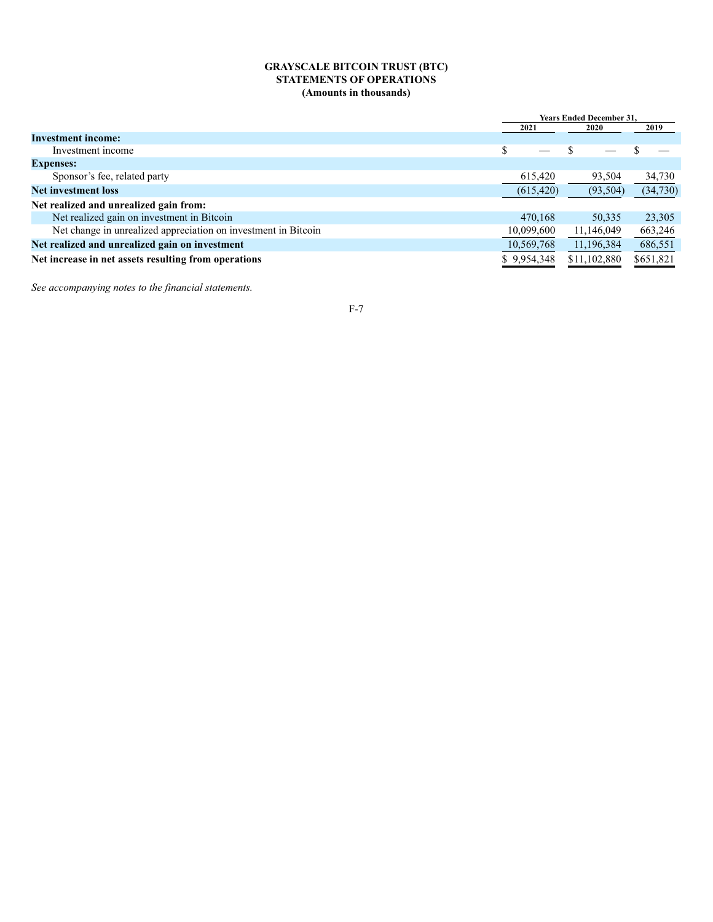# **GRAYSCALE BITCOIN TRUST (BTC) STATEMENTS OF OPERATIONS (Amounts in thousands)**

|                                                                | <b>Years Ended December 31.</b> |             |  |              |  |           |
|----------------------------------------------------------------|---------------------------------|-------------|--|--------------|--|-----------|
|                                                                |                                 | 2021        |  | 2020         |  | 2019      |
| <b>Investment income:</b>                                      |                                 |             |  |              |  |           |
| Investment income                                              | S                               |             |  |              |  |           |
| <b>Expenses:</b>                                               |                                 |             |  |              |  |           |
| Sponsor's fee, related party                                   |                                 | 615,420     |  | 93,504       |  | 34,730    |
| <b>Net investment loss</b>                                     |                                 | (615, 420)  |  | (93, 504)    |  | (34,730)  |
| Net realized and unrealized gain from:                         |                                 |             |  |              |  |           |
| Net realized gain on investment in Bitcoin                     |                                 | 470,168     |  | 50,335       |  | 23,305    |
| Net change in unrealized appreciation on investment in Bitcoin |                                 | 10,099,600  |  | 11,146,049   |  | 663,246   |
| Net realized and unrealized gain on investment                 |                                 | 10,569,768  |  | 11,196,384   |  | 686,551   |
| Net increase in net assets resulting from operations           |                                 | \$9,954,348 |  | \$11,102,880 |  | \$651,821 |
|                                                                |                                 |             |  |              |  |           |

*See accompanying notes to the financial statements.*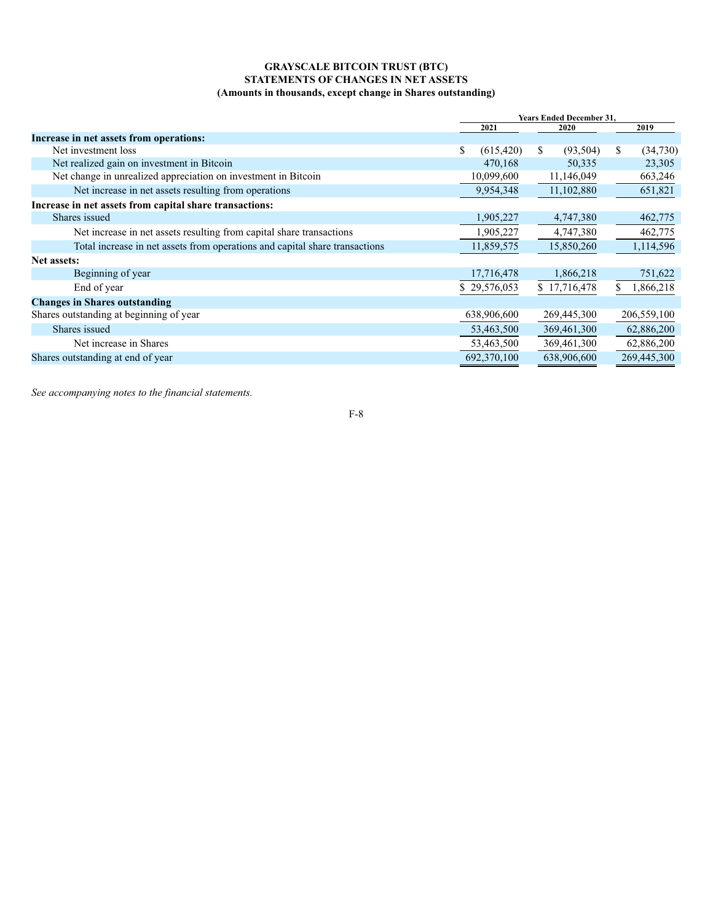# **GRAYSCALE BITCOIN TRUST (BTC) STATEMENTS OF CHANGES IN NET ASSETS (Amounts in thousands, except change in Shares outstanding)**

|                                                                             |   | <b>Years Ended December 31,</b> |    |              |      |             |
|-----------------------------------------------------------------------------|---|---------------------------------|----|--------------|------|-------------|
|                                                                             |   | 2021<br>2020                    |    |              | 2019 |             |
| Increase in net assets from operations:                                     |   |                                 |    |              |      |             |
| Net investment loss                                                         | S | (615, 420)                      | S. | (93, 504)    | S    | (34,730)    |
| Net realized gain on investment in Bitcoin                                  |   | 470,168                         |    | 50,335       |      | 23,305      |
| Net change in unrealized appreciation on investment in Bitcoin              |   | 10,099,600                      |    | 11,146,049   |      | 663,246     |
| Net increase in net assets resulting from operations                        |   | 9,954,348                       |    | 11,102,880   |      | 651,821     |
| Increase in net assets from capital share transactions:                     |   |                                 |    |              |      |             |
| Shares issued                                                               |   | 1,905,227                       |    | 4,747,380    |      | 462,775     |
| Net increase in net assets resulting from capital share transactions        |   | 1,905,227                       |    | 4,747,380    |      | 462,775     |
| Total increase in net assets from operations and capital share transactions |   | 11,859,575                      |    | 15,850,260   |      | 1,114,596   |
| Net assets:                                                                 |   |                                 |    |              |      |             |
| Beginning of year                                                           |   | 17,716,478                      |    | 1,866,218    |      | 751,622     |
| End of year                                                                 |   | \$29,576,053                    |    | \$17,716,478 |      | 1,866,218   |
| <b>Changes in Shares outstanding</b>                                        |   |                                 |    |              |      |             |
| Shares outstanding at beginning of year                                     |   | 638,906,600                     |    | 269,445,300  |      | 206,559,100 |
| Shares issued                                                               |   | 53,463,500                      |    | 369,461,300  |      | 62,886,200  |
| Net increase in Shares                                                      |   | 53,463,500                      |    | 369,461,300  |      | 62,886,200  |
| Shares outstanding at end of year                                           |   | 692,370,100                     |    | 638,906,600  |      | 269,445,300 |
|                                                                             |   |                                 |    |              |      |             |

*See accompanying notes to the financial statements.*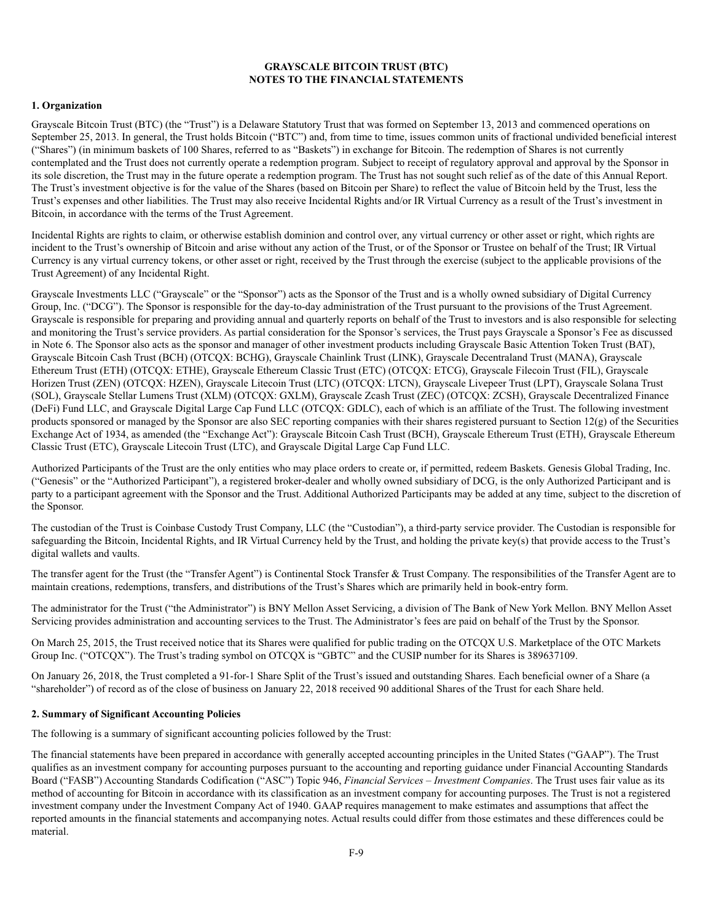# **GRAYSCALE BITCOIN TRUST (BTC) NOTES TO THE FINANCIAL STATEMENTS**

## **1. Organization**

Grayscale Bitcoin Trust (BTC) (the "Trust") is a Delaware Statutory Trust that was formed on September 13, 2013 and commenced operations on September 25, 2013. In general, the Trust holds Bitcoin ("BTC") and, from time to time, issues common units of fractional undivided beneficial interest ("Shares") (in minimum baskets of 100 Shares, referred to as "Baskets") in exchange for Bitcoin. The redemption of Shares is not currently contemplated and the Trust does not currently operate a redemption program. Subject to receipt of regulatory approval and approval by the Sponsor in its sole discretion, the Trust may in the future operate a redemption program. The Trust has not sought such relief as of the date of this Annual Report. The Trust's investment objective is for the value of the Shares (based on Bitcoin per Share) to reflect the value of Bitcoin held by the Trust, less the Trust's expenses and other liabilities. The Trust may also receive Incidental Rights and/or IR Virtual Currency as a result of the Trust's investment in Bitcoin, in accordance with the terms of the Trust Agreement.

Incidental Rights are rights to claim, or otherwise establish dominion and control over, any virtual currency or other asset or right, which rights are incident to the Trust's ownership of Bitcoin and arise without any action of the Trust, or of the Sponsor or Trustee on behalf of the Trust; IR Virtual Currency is any virtual currency tokens, or other asset or right, received by the Trust through the exercise (subject to the applicable provisions of the Trust Agreement) of any Incidental Right.

Grayscale Investments LLC ("Grayscale" or the "Sponsor") acts as the Sponsor of the Trust and is a wholly owned subsidiary of Digital Currency Group, Inc. ("DCG"). The Sponsor is responsible for the day-to-day administration of the Trust pursuant to the provisions of the Trust Agreement. Grayscale is responsible for preparing and providing annual and quarterly reports on behalf of the Trust to investors and is also responsible for selecting and monitoring the Trust's service providers. As partial consideration for the Sponsor's services, the Trust pays Grayscale a Sponsor's Fee as discussed in Note 6. The Sponsor also acts as the sponsor and manager of other investment products including Grayscale Basic Attention Token Trust (BAT), Grayscale Bitcoin Cash Trust (BCH) (OTCQX: BCHG), Grayscale Chainlink Trust (LINK), Grayscale Decentraland Trust (MANA), Grayscale Ethereum Trust (ETH) (OTCQX: ETHE), Grayscale Ethereum Classic Trust (ETC) (OTCQX: ETCG), Grayscale Filecoin Trust (FIL), Grayscale Horizen Trust (ZEN) (OTCQX: HZEN), Grayscale Litecoin Trust (LTC) (OTCQX: LTCN), Grayscale Livepeer Trust (LPT), Grayscale Solana Trust (SOL), Grayscale Stellar Lumens Trust (XLM) (OTCQX: GXLM), Grayscale Zcash Trust (ZEC) (OTCQX: ZCSH), Grayscale Decentralized Finance (DeFi) Fund LLC, and Grayscale Digital Large Cap Fund LLC (OTCQX: GDLC), each of which is an affiliate of the Trust. The following investment products sponsored or managed by the Sponsor are also SEC reporting companies with their shares registered pursuant to Section 12(g) of the Securities Exchange Act of 1934, as amended (the "Exchange Act"): Grayscale Bitcoin Cash Trust (BCH), Grayscale Ethereum Trust (ETH), Grayscale Ethereum Classic Trust (ETC), Grayscale Litecoin Trust (LTC), and Grayscale Digital Large Cap Fund LLC.

Authorized Participants of the Trust are the only entities who may place orders to create or, if permitted, redeem Baskets. Genesis Global Trading, Inc. ("Genesis" or the "Authorized Participant"), a registered broker-dealer and wholly owned subsidiary of DCG, is the only Authorized Participant and is party to a participant agreement with the Sponsor and the Trust. Additional Authorized Participants may be added at any time, subject to the discretion of the Sponsor.

The custodian of the Trust is Coinbase Custody Trust Company, LLC (the "Custodian"), a third-party service provider. The Custodian is responsible for safeguarding the Bitcoin, Incidental Rights, and IR Virtual Currency held by the Trust, and holding the private key(s) that provide access to the Trust's digital wallets and vaults.

The transfer agent for the Trust (the "Transfer Agent") is Continental Stock Transfer & Trust Company. The responsibilities of the Transfer Agent are to maintain creations, redemptions, transfers, and distributions of the Trust's Shares which are primarily held in book-entry form.

The administrator for the Trust ("the Administrator") is BNY Mellon Asset Servicing, a division of The Bank of New York Mellon. BNY Mellon Asset Servicing provides administration and accounting services to the Trust. The Administrator's fees are paid on behalf of the Trust by the Sponsor.

On March 25, 2015, the Trust received notice that its Shares were qualified for public trading on the OTCQX U.S. Marketplace of the OTC Markets Group Inc. ("OTCQX"). The Trust's trading symbol on OTCQX is "GBTC" and the CUSIP number for its Shares is 389637109.

On January 26, 2018, the Trust completed a 91-for-1 Share Split of the Trust's issued and outstanding Shares. Each beneficial owner of a Share (a "shareholder") of record as of the close of business on January 22, 2018 received 90 additional Shares of the Trust for each Share held.

### **2. Summary of Significant Accounting Policies**

The following is a summary of significant accounting policies followed by the Trust:

The financial statements have been prepared in accordance with generally accepted accounting principles in the United States ("GAAP"). The Trust qualifies as an investment company for accounting purposes pursuant to the accounting and reporting guidance under Financial Accounting Standards Board ("FASB") Accounting Standards Codification ("ASC") Topic 946, *Financial Services – Investment Companies*. The Trust uses fair value as its method of accounting for Bitcoin in accordance with its classification as an investment company for accounting purposes. The Trust is not a registered investment company under the Investment Company Act of 1940. GAAP requires management to make estimates and assumptions that affect the reported amounts in the financial statements and accompanying notes. Actual results could differ from those estimates and these differences could be material.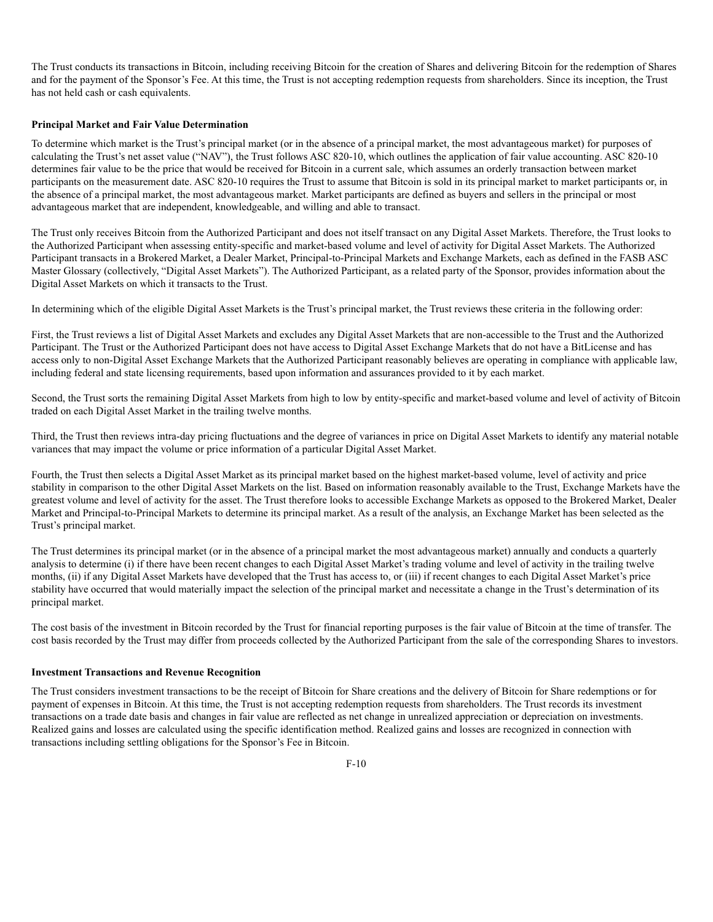The Trust conducts its transactions in Bitcoin, including receiving Bitcoin for the creation of Shares and delivering Bitcoin for the redemption of Shares and for the payment of the Sponsor's Fee. At this time, the Trust is not accepting redemption requests from shareholders. Since its inception, the Trust has not held cash or cash equivalents.

## **Principal Market and Fair Value Determination**

To determine which market is the Trust's principal market (or in the absence of a principal market, the most advantageous market) for purposes of calculating the Trust's net asset value ("NAV"), the Trust follows ASC 820-10, which outlines the application of fair value accounting. ASC 820-10 determines fair value to be the price that would be received for Bitcoin in a current sale, which assumes an orderly transaction between market participants on the measurement date. ASC 820-10 requires the Trust to assume that Bitcoin is sold in its principal market to market participants or, in the absence of a principal market, the most advantageous market. Market participants are defined as buyers and sellers in the principal or most advantageous market that are independent, knowledgeable, and willing and able to transact.

The Trust only receives Bitcoin from the Authorized Participant and does not itself transact on any Digital Asset Markets. Therefore, the Trust looks to the Authorized Participant when assessing entity-specific and market-based volume and level of activity for Digital Asset Markets. The Authorized Participant transacts in a Brokered Market, a Dealer Market, Principal-to-Principal Markets and Exchange Markets, each as defined in the FASB ASC Master Glossary (collectively, "Digital Asset Markets"). The Authorized Participant, as a related party of the Sponsor, provides information about the Digital Asset Markets on which it transacts to the Trust.

In determining which of the eligible Digital Asset Markets is the Trust's principal market, the Trust reviews these criteria in the following order:

First, the Trust reviews a list of Digital Asset Markets and excludes any Digital Asset Markets that are non-accessible to the Trust and the Authorized Participant. The Trust or the Authorized Participant does not have access to Digital Asset Exchange Markets that do not have a BitLicense and has access only to non-Digital Asset Exchange Markets that the Authorized Participant reasonably believes are operating in compliance with applicable law, including federal and state licensing requirements, based upon information and assurances provided to it by each market.

Second, the Trust sorts the remaining Digital Asset Markets from high to low by entity-specific and market-based volume and level of activity of Bitcoin traded on each Digital Asset Market in the trailing twelve months.

Third, the Trust then reviews intra-day pricing fluctuations and the degree of variances in price on Digital Asset Markets to identify any material notable variances that may impact the volume or price information of a particular Digital Asset Market.

Fourth, the Trust then selects a Digital Asset Market as its principal market based on the highest market-based volume, level of activity and price stability in comparison to the other Digital Asset Markets on the list. Based on information reasonably available to the Trust, Exchange Markets have the greatest volume and level of activity for the asset. The Trust therefore looks to accessible Exchange Markets as opposed to the Brokered Market, Dealer Market and Principal-to-Principal Markets to determine its principal market. As a result of the analysis, an Exchange Market has been selected as the Trust's principal market.

The Trust determines its principal market (or in the absence of a principal market the most advantageous market) annually and conducts a quarterly analysis to determine (i) if there have been recent changes to each Digital Asset Market's trading volume and level of activity in the trailing twelve months, (ii) if any Digital Asset Markets have developed that the Trust has access to, or (iii) if recent changes to each Digital Asset Market's price stability have occurred that would materially impact the selection of the principal market and necessitate a change in the Trust's determination of its principal market.

The cost basis of the investment in Bitcoin recorded by the Trust for financial reporting purposes is the fair value of Bitcoin at the time of transfer. The cost basis recorded by the Trust may differ from proceeds collected by the Authorized Participant from the sale of the corresponding Shares to investors.

### **Investment Transactions and Revenue Recognition**

The Trust considers investment transactions to be the receipt of Bitcoin for Share creations and the delivery of Bitcoin for Share redemptions or for payment of expenses in Bitcoin. At this time, the Trust is not accepting redemption requests from shareholders. The Trust records its investment transactions on a trade date basis and changes in fair value are reflected as net change in unrealized appreciation or depreciation on investments. Realized gains and losses are calculated using the specific identification method. Realized gains and losses are recognized in connection with transactions including settling obligations for the Sponsor's Fee in Bitcoin.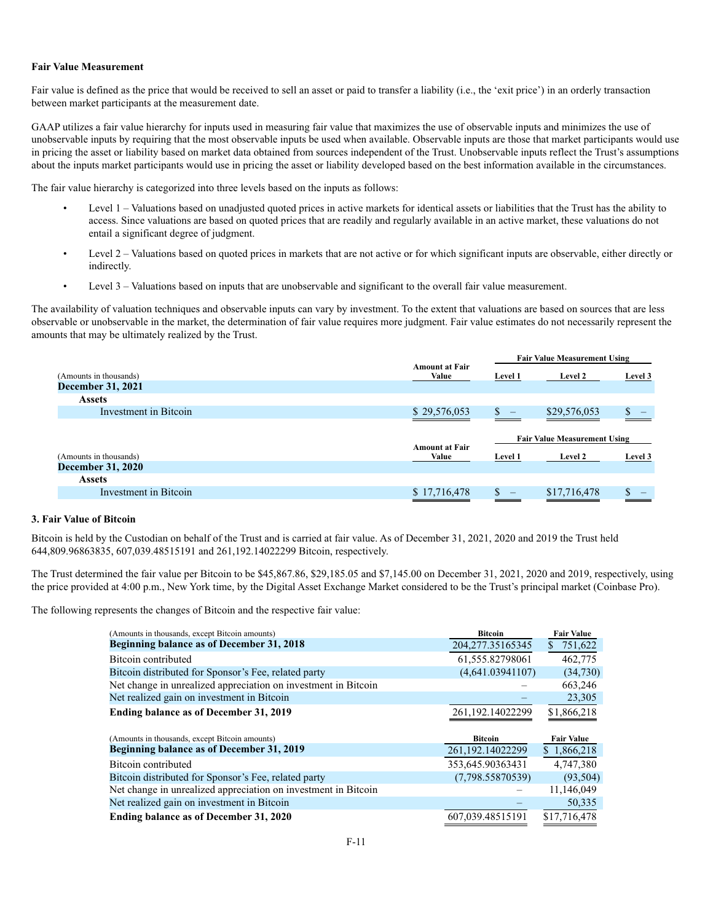#### **Fair Value Measurement**

Fair value is defined as the price that would be received to sell an asset or paid to transfer a liability (i.e., the 'exit price') in an orderly transaction between market participants at the measurement date.

GAAP utilizes a fair value hierarchy for inputs used in measuring fair value that maximizes the use of observable inputs and minimizes the use of unobservable inputs by requiring that the most observable inputs be used when available. Observable inputs are those that market participants would use in pricing the asset or liability based on market data obtained from sources independent of the Trust. Unobservable inputs reflect the Trust's assumptions about the inputs market participants would use in pricing the asset or liability developed based on the best information available in the circumstances.

The fair value hierarchy is categorized into three levels based on the inputs as follows:

- Level 1 Valuations based on unadjusted quoted prices in active markets for identical assets or liabilities that the Trust has the ability to access. Since valuations are based on quoted prices that are readily and regularly available in an active market, these valuations do not entail a significant degree of judgment.
- Level 2 Valuations based on quoted prices in markets that are not active or for which significant inputs are observable, either directly or indirectly.
- Level 3 Valuations based on inputs that are unobservable and significant to the overall fair value measurement.

The availability of valuation techniques and observable inputs can vary by investment. To the extent that valuations are based on sources that are less observable or unobservable in the market, the determination of fair value requires more judgment. Fair value estimates do not necessarily represent the amounts that may be ultimately realized by the Trust.

|                          |                                | <b>Fair Value Measurement Using</b> |                                     |         |  |
|--------------------------|--------------------------------|-------------------------------------|-------------------------------------|---------|--|
| (Amounts in thousands)   | <b>Amount at Fair</b><br>Value | Level 1                             | Level 2                             | Level 3 |  |
| <b>December 31, 2021</b> |                                |                                     |                                     |         |  |
| <b>Assets</b>            |                                |                                     |                                     |         |  |
| Investment in Bitcoin    | \$29,576,053                   | $S =$                               | \$29,576,053                        |         |  |
|                          |                                |                                     |                                     |         |  |
|                          |                                |                                     | <b>Fair Value Measurement Using</b> |         |  |
| (Amounts in thousands)   | <b>Amount at Fair</b><br>Value | Level 1                             | Level 2                             | Level 3 |  |
| <b>December 31, 2020</b> |                                |                                     |                                     |         |  |
| <b>Assets</b>            |                                |                                     |                                     |         |  |
| Investment in Bitcoin    | \$17,716,478                   |                                     | \$17,716,478                        |         |  |
|                          |                                |                                     |                                     |         |  |

## **3. Fair Value of Bitcoin**

Bitcoin is held by the Custodian on behalf of the Trust and is carried at fair value. As of December 31, 2021, 2020 and 2019 the Trust held 644,809.96863835, 607,039.48515191 and 261,192.14022299 Bitcoin, respectively.

The Trust determined the fair value per Bitcoin to be \$45,867.86, \$29,185.05 and \$7,145.00 on December 31, 2021, 2020 and 2019, respectively, using the price provided at 4:00 p.m., New York time, by the Digital Asset Exchange Market considered to be the Trust's principal market (Coinbase Pro).

The following represents the changes of Bitcoin and the respective fair value:

| (Amounts in thousands, except Bitcoin amounts)                 | <b>Bitcoin</b>     | <b>Fair Value</b> |
|----------------------------------------------------------------|--------------------|-------------------|
| Beginning balance as of December 31, 2018                      | 204, 277. 35165345 | 751,622<br>S.     |
| Bitcoin contributed                                            | 61,555.82798061    | 462,775           |
| Bitcoin distributed for Sponsor's Fee, related party           | (4,641.03941107)   | (34,730)          |
| Net change in unrealized appreciation on investment in Bitcoin |                    | 663,246           |
| Net realized gain on investment in Bitcoin                     |                    | 23,305            |
| Ending balance as of December 31, 2019                         | 261, 192, 14022299 | \$1,866,218       |
|                                                                |                    |                   |
|                                                                |                    |                   |
| (Amounts in thousands, except Bitcoin amounts)                 | <b>Bitcoin</b>     | <b>Fair Value</b> |
| Beginning balance as of December 31, 2019                      | 261,192.14022299   | \$1,866,218       |
| Bitcoin contributed                                            | 353,645.90363431   | 4,747,380         |
| Bitcoin distributed for Sponsor's Fee, related party           | (7,798.55870539)   | (93, 504)         |
| Net change in unrealized appreciation on investment in Bitcoin |                    | 11,146,049        |
| Net realized gain on investment in Bitcoin                     |                    | 50,335            |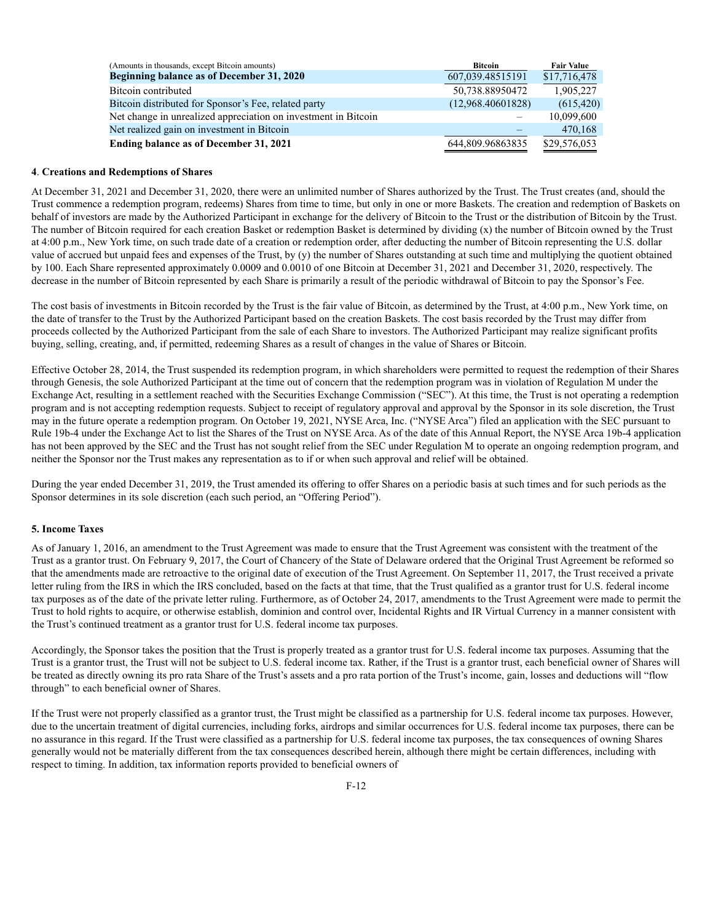| (Amounts in thousands, except Bitcoin amounts)                 | <b>Bitcoin</b>    | <b>Fair Value</b> |
|----------------------------------------------------------------|-------------------|-------------------|
| Beginning balance as of December 31, 2020                      | 607,039.48515191  | \$17,716,478      |
| Bitcoin contributed                                            | 50,738.88950472   | 1,905,227         |
| Bitcoin distributed for Sponsor's Fee, related party           | (12,968,40601828) | (615, 420)        |
| Net change in unrealized appreciation on investment in Bitcoin |                   | 10,099,600        |
| Net realized gain on investment in Bitcoin                     |                   | 470,168           |
| Ending balance as of December 31, 2021                         | 644,809.96863835  | \$29,576,053      |

#### **4**. **Creations and Redemptions of Shares**

At December 31, 2021 and December 31, 2020, there were an unlimited number of Shares authorized by the Trust. The Trust creates (and, should the Trust commence a redemption program, redeems) Shares from time to time, but only in one or more Baskets. The creation and redemption of Baskets on behalf of investors are made by the Authorized Participant in exchange for the delivery of Bitcoin to the Trust or the distribution of Bitcoin by the Trust. The number of Bitcoin required for each creation Basket or redemption Basket is determined by dividing (x) the number of Bitcoin owned by the Trust at 4:00 p.m., New York time, on such trade date of a creation or redemption order, after deducting the number of Bitcoin representing the U.S. dollar value of accrued but unpaid fees and expenses of the Trust, by (y) the number of Shares outstanding at such time and multiplying the quotient obtained by 100. Each Share represented approximately 0.0009 and 0.0010 of one Bitcoin at December 31, 2021 and December 31, 2020, respectively. The decrease in the number of Bitcoin represented by each Share is primarily a result of the periodic withdrawal of Bitcoin to pay the Sponsor's Fee.

The cost basis of investments in Bitcoin recorded by the Trust is the fair value of Bitcoin, as determined by the Trust, at 4:00 p.m., New York time, on the date of transfer to the Trust by the Authorized Participant based on the creation Baskets. The cost basis recorded by the Trust may differ from proceeds collected by the Authorized Participant from the sale of each Share to investors. The Authorized Participant may realize significant profits buying, selling, creating, and, if permitted, redeeming Shares as a result of changes in the value of Shares or Bitcoin.

Effective October 28, 2014, the Trust suspended its redemption program, in which shareholders were permitted to request the redemption of their Shares through Genesis, the sole Authorized Participant at the time out of concern that the redemption program was in violation of Regulation M under the Exchange Act, resulting in a settlement reached with the Securities Exchange Commission ("SEC"). At this time, the Trust is not operating a redemption program and is not accepting redemption requests. Subject to receipt of regulatory approval and approval by the Sponsor in its sole discretion, the Trust may in the future operate a redemption program. On October 19, 2021, NYSE Arca, Inc. ("NYSE Arca") filed an application with the SEC pursuant to Rule 19b-4 under the Exchange Act to list the Shares of the Trust on NYSE Arca. As of the date of this Annual Report, the NYSE Arca 19b-4 application has not been approved by the SEC and the Trust has not sought relief from the SEC under Regulation M to operate an ongoing redemption program, and neither the Sponsor nor the Trust makes any representation as to if or when such approval and relief will be obtained.

During the year ended December 31, 2019, the Trust amended its offering to offer Shares on a periodic basis at such times and for such periods as the Sponsor determines in its sole discretion (each such period, an "Offering Period").

### **5. Income Taxes**

As of January 1, 2016, an amendment to the Trust Agreement was made to ensure that the Trust Agreement was consistent with the treatment of the Trust as a grantor trust. On February 9, 2017, the Court of Chancery of the State of Delaware ordered that the Original Trust Agreement be reformed so that the amendments made are retroactive to the original date of execution of the Trust Agreement. On September 11, 2017, the Trust received a private letter ruling from the IRS in which the IRS concluded, based on the facts at that time, that the Trust qualified as a grantor trust for U.S. federal income tax purposes as of the date of the private letter ruling. Furthermore, as of October 24, 2017, amendments to the Trust Agreement were made to permit the Trust to hold rights to acquire, or otherwise establish, dominion and control over, Incidental Rights and IR Virtual Currency in a manner consistent with the Trust's continued treatment as a grantor trust for U.S. federal income tax purposes.

Accordingly, the Sponsor takes the position that the Trust is properly treated as a grantor trust for U.S. federal income tax purposes. Assuming that the Trust is a grantor trust, the Trust will not be subject to U.S. federal income tax. Rather, if the Trust is a grantor trust, each beneficial owner of Shares will be treated as directly owning its pro rata Share of the Trust's assets and a pro rata portion of the Trust's income, gain, losses and deductions will "flow through" to each beneficial owner of Shares.

If the Trust were not properly classified as a grantor trust, the Trust might be classified as a partnership for U.S. federal income tax purposes. However, due to the uncertain treatment of digital currencies, including forks, airdrops and similar occurrences for U.S. federal income tax purposes, there can be no assurance in this regard. If the Trust were classified as a partnership for U.S. federal income tax purposes, the tax consequences of owning Shares generally would not be materially different from the tax consequences described herein, although there might be certain differences, including with respect to timing. In addition, tax information reports provided to beneficial owners of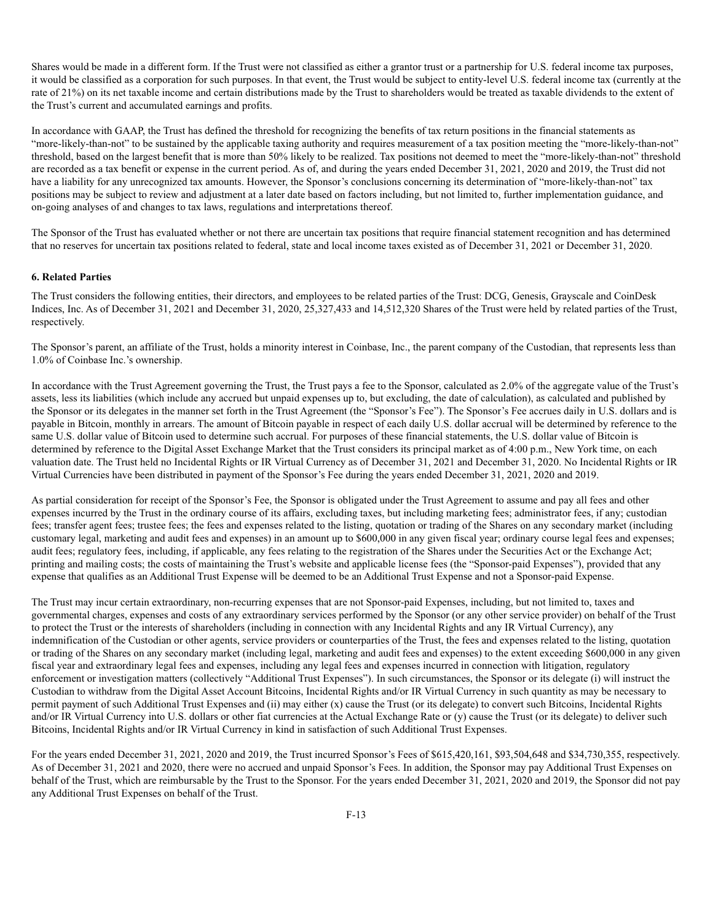Shares would be made in a different form. If the Trust were not classified as either a grantor trust or a partnership for U.S. federal income tax purposes, it would be classified as a corporation for such purposes. In that event, the Trust would be subject to entity-level U.S. federal income tax (currently at the rate of 21%) on its net taxable income and certain distributions made by the Trust to shareholders would be treated as taxable dividends to the extent of the Trust's current and accumulated earnings and profits.

In accordance with GAAP, the Trust has defined the threshold for recognizing the benefits of tax return positions in the financial statements as "more-likely-than-not" to be sustained by the applicable taxing authority and requires measurement of a tax position meeting the "more-likely-than-not" threshold, based on the largest benefit that is more than 50% likely to be realized. Tax positions not deemed to meet the "more-likely-than-not" threshold are recorded as a tax benefit or expense in the current period. As of, and during the years ended December 31, 2021, 2020 and 2019, the Trust did not have a liability for any unrecognized tax amounts. However, the Sponsor's conclusions concerning its determination of "more-likely-than-not" tax positions may be subject to review and adjustment at a later date based on factors including, but not limited to, further implementation guidance, and on-going analyses of and changes to tax laws, regulations and interpretations thereof.

The Sponsor of the Trust has evaluated whether or not there are uncertain tax positions that require financial statement recognition and has determined that no reserves for uncertain tax positions related to federal, state and local income taxes existed as of December 31, 2021 or December 31, 2020.

## **6. Related Parties**

The Trust considers the following entities, their directors, and employees to be related parties of the Trust: DCG, Genesis, Grayscale and CoinDesk Indices, Inc. As of December 31, 2021 and December 31, 2020, 25,327,433 and 14,512,320 Shares of the Trust were held by related parties of the Trust, respectively.

The Sponsor's parent, an affiliate of the Trust, holds a minority interest in Coinbase, Inc., the parent company of the Custodian, that represents less than 1.0% of Coinbase Inc.'s ownership.

In accordance with the Trust Agreement governing the Trust, the Trust pays a fee to the Sponsor, calculated as 2.0% of the aggregate value of the Trust's assets, less its liabilities (which include any accrued but unpaid expenses up to, but excluding, the date of calculation), as calculated and published by the Sponsor or its delegates in the manner set forth in the Trust Agreement (the "Sponsor's Fee"). The Sponsor's Fee accrues daily in U.S. dollars and is payable in Bitcoin, monthly in arrears. The amount of Bitcoin payable in respect of each daily U.S. dollar accrual will be determined by reference to the same U.S. dollar value of Bitcoin used to determine such accrual. For purposes of these financial statements, the U.S. dollar value of Bitcoin is determined by reference to the Digital Asset Exchange Market that the Trust considers its principal market as of 4:00 p.m., New York time, on each valuation date. The Trust held no Incidental Rights or IR Virtual Currency as of December 31, 2021 and December 31, 2020. No Incidental Rights or IR Virtual Currencies have been distributed in payment of the Sponsor's Fee during the years ended December 31, 2021, 2020 and 2019.

As partial consideration for receipt of the Sponsor's Fee, the Sponsor is obligated under the Trust Agreement to assume and pay all fees and other expenses incurred by the Trust in the ordinary course of its affairs, excluding taxes, but including marketing fees; administrator fees, if any; custodian fees; transfer agent fees; trustee fees; the fees and expenses related to the listing, quotation or trading of the Shares on any secondary market (including customary legal, marketing and audit fees and expenses) in an amount up to \$600,000 in any given fiscal year; ordinary course legal fees and expenses; audit fees; regulatory fees, including, if applicable, any fees relating to the registration of the Shares under the Securities Act or the Exchange Act; printing and mailing costs; the costs of maintaining the Trust's website and applicable license fees (the "Sponsor-paid Expenses"), provided that any expense that qualifies as an Additional Trust Expense will be deemed to be an Additional Trust Expense and not a Sponsor-paid Expense.

The Trust may incur certain extraordinary, non-recurring expenses that are not Sponsor-paid Expenses, including, but not limited to, taxes and governmental charges, expenses and costs of any extraordinary services performed by the Sponsor (or any other service provider) on behalf of the Trust to protect the Trust or the interests of shareholders (including in connection with any Incidental Rights and any IR Virtual Currency), any indemnification of the Custodian or other agents, service providers or counterparties of the Trust, the fees and expenses related to the listing, quotation or trading of the Shares on any secondary market (including legal, marketing and audit fees and expenses) to the extent exceeding \$600,000 in any given fiscal year and extraordinary legal fees and expenses, including any legal fees and expenses incurred in connection with litigation, regulatory enforcement or investigation matters (collectively "Additional Trust Expenses"). In such circumstances, the Sponsor or its delegate (i) will instruct the Custodian to withdraw from the Digital Asset Account Bitcoins, Incidental Rights and/or IR Virtual Currency in such quantity as may be necessary to permit payment of such Additional Trust Expenses and (ii) may either (x) cause the Trust (or its delegate) to convert such Bitcoins, Incidental Rights and/or IR Virtual Currency into U.S. dollars or other fiat currencies at the Actual Exchange Rate or (y) cause the Trust (or its delegate) to deliver such Bitcoins, Incidental Rights and/or IR Virtual Currency in kind in satisfaction of such Additional Trust Expenses.

For the years ended December 31, 2021, 2020 and 2019, the Trust incurred Sponsor's Fees of \$615,420,161, \$93,504,648 and \$34,730,355, respectively. As of December 31, 2021 and 2020, there were no accrued and unpaid Sponsor's Fees. In addition, the Sponsor may pay Additional Trust Expenses on behalf of the Trust, which are reimbursable by the Trust to the Sponsor. For the years ended December 31, 2021, 2020 and 2019, the Sponsor did not pay any Additional Trust Expenses on behalf of the Trust.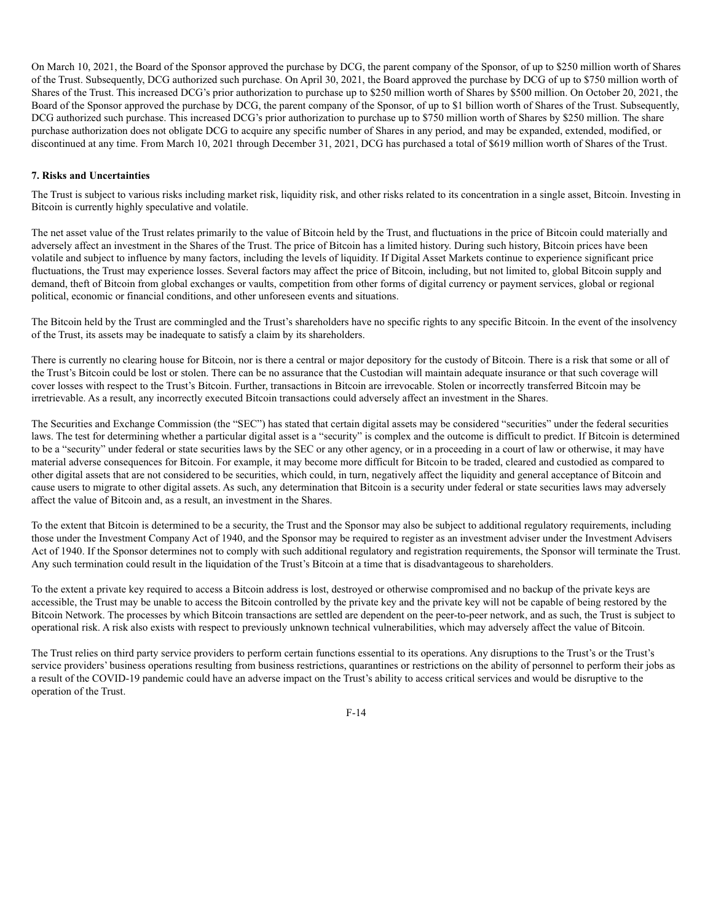On March 10, 2021, the Board of the Sponsor approved the purchase by DCG, the parent company of the Sponsor, of up to \$250 million worth of Shares of the Trust. Subsequently, DCG authorized such purchase. On April 30, 2021, the Board approved the purchase by DCG of up to \$750 million worth of Shares of the Trust. This increased DCG's prior authorization to purchase up to \$250 million worth of Shares by \$500 million. On October 20, 2021, the Board of the Sponsor approved the purchase by DCG, the parent company of the Sponsor, of up to \$1 billion worth of Shares of the Trust. Subsequently, DCG authorized such purchase. This increased DCG's prior authorization to purchase up to \$750 million worth of Shares by \$250 million. The share purchase authorization does not obligate DCG to acquire any specific number of Shares in any period, and may be expanded, extended, modified, or discontinued at any time. From March 10, 2021 through December 31, 2021, DCG has purchased a total of \$619 million worth of Shares of the Trust.

# **7. Risks and Uncertainties**

The Trust is subject to various risks including market risk, liquidity risk, and other risks related to its concentration in a single asset, Bitcoin. Investing in Bitcoin is currently highly speculative and volatile.

The net asset value of the Trust relates primarily to the value of Bitcoin held by the Trust, and fluctuations in the price of Bitcoin could materially and adversely affect an investment in the Shares of the Trust. The price of Bitcoin has a limited history. During such history, Bitcoin prices have been volatile and subject to influence by many factors, including the levels of liquidity. If Digital Asset Markets continue to experience significant price fluctuations, the Trust may experience losses. Several factors may affect the price of Bitcoin, including, but not limited to, global Bitcoin supply and demand, theft of Bitcoin from global exchanges or vaults, competition from other forms of digital currency or payment services, global or regional political, economic or financial conditions, and other unforeseen events and situations.

The Bitcoin held by the Trust are commingled and the Trust's shareholders have no specific rights to any specific Bitcoin. In the event of the insolvency of the Trust, its assets may be inadequate to satisfy a claim by its shareholders.

There is currently no clearing house for Bitcoin, nor is there a central or major depository for the custody of Bitcoin. There is a risk that some or all of the Trust's Bitcoin could be lost or stolen. There can be no assurance that the Custodian will maintain adequate insurance or that such coverage will cover losses with respect to the Trust's Bitcoin. Further, transactions in Bitcoin are irrevocable. Stolen or incorrectly transferred Bitcoin may be irretrievable. As a result, any incorrectly executed Bitcoin transactions could adversely affect an investment in the Shares.

The Securities and Exchange Commission (the "SEC") has stated that certain digital assets may be considered "securities" under the federal securities laws. The test for determining whether a particular digital asset is a "security" is complex and the outcome is difficult to predict. If Bitcoin is determined to be a "security" under federal or state securities laws by the SEC or any other agency, or in a proceeding in a court of law or otherwise, it may have material adverse consequences for Bitcoin. For example, it may become more difficult for Bitcoin to be traded, cleared and custodied as compared to other digital assets that are not considered to be securities, which could, in turn, negatively affect the liquidity and general acceptance of Bitcoin and cause users to migrate to other digital assets. As such, any determination that Bitcoin is a security under federal or state securities laws may adversely affect the value of Bitcoin and, as a result, an investment in the Shares.

To the extent that Bitcoin is determined to be a security, the Trust and the Sponsor may also be subject to additional regulatory requirements, including those under the Investment Company Act of 1940, and the Sponsor may be required to register as an investment adviser under the Investment Advisers Act of 1940. If the Sponsor determines not to comply with such additional regulatory and registration requirements, the Sponsor will terminate the Trust. Any such termination could result in the liquidation of the Trust's Bitcoin at a time that is disadvantageous to shareholders.

To the extent a private key required to access a Bitcoin address is lost, destroyed or otherwise compromised and no backup of the private keys are accessible, the Trust may be unable to access the Bitcoin controlled by the private key and the private key will not be capable of being restored by the Bitcoin Network. The processes by which Bitcoin transactions are settled are dependent on the peer-to-peer network, and as such, the Trust is subject to operational risk. A risk also exists with respect to previously unknown technical vulnerabilities, which may adversely affect the value of Bitcoin.

The Trust relies on third party service providers to perform certain functions essential to its operations. Any disruptions to the Trust's or the Trust's service providers' business operations resulting from business restrictions, quarantines or restrictions on the ability of personnel to perform their jobs as a result of the COVID-19 pandemic could have an adverse impact on the Trust's ability to access critical services and would be disruptive to the operation of the Trust.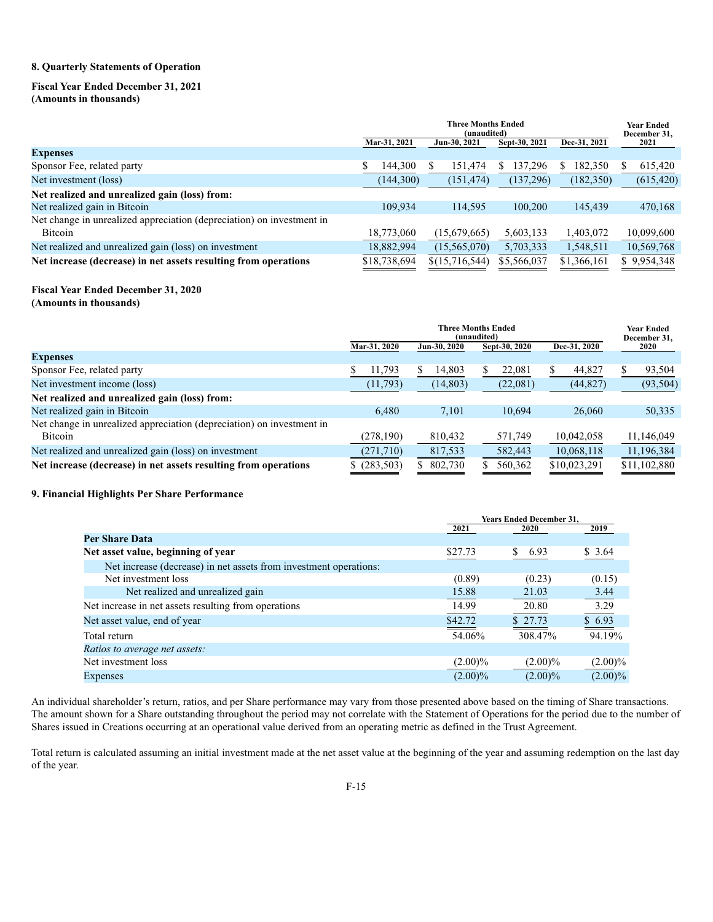### **8. Quarterly Statements of Operation**

### **Fiscal Year Ended December 31, 2021 (Amounts in thousands)**

| 2021        |
|-------------|
|             |
|             |
| 615,420     |
| (615, 420)  |
|             |
| 470,168     |
|             |
| 10,099,600  |
| 10,569,768  |
| \$9,954,348 |
|             |

# **Fiscal Year Ended December 31, 2020**

**(Amounts in thousands)**

|                                                                       | <b>Three Months Ended</b><br>(unaudited) |              |               | <b>Year Ended</b><br>December 31, |              |
|-----------------------------------------------------------------------|------------------------------------------|--------------|---------------|-----------------------------------|--------------|
|                                                                       | Mar-31, 2020                             | Jun-30, 2020 | Sept-30, 2020 | Dec-31, 2020                      | 2020         |
| <b>Expenses</b>                                                       |                                          |              |               |                                   |              |
| Sponsor Fee, related party                                            | 11,793                                   | 14,803       | S<br>22.081   | 44,827                            | \$<br>93,504 |
| Net investment income (loss)                                          | (11, 793)                                | (14, 803)    | (22,081)      | (44, 827)                         | (93, 504)    |
| Net realized and unrealized gain (loss) from:                         |                                          |              |               |                                   |              |
| Net realized gain in Bitcoin                                          | 6,480                                    | 7,101        | 10,694        | 26,060                            | 50,335       |
| Net change in unrealized appreciation (depreciation) on investment in |                                          |              |               |                                   |              |
| <b>Bitcoin</b>                                                        | (278, 190)                               | 810,432      | 571,749       | 10,042,058                        | 11,146,049   |
| Net realized and unrealized gain (loss) on investment                 | (271, 710)                               | 817,533      | 582,443       | 10,068,118                        | 11,196,384   |
| Net increase (decrease) in net assets resulting from operations       | \$(283,503)                              | \$ 802,730   | 560,362       | \$10,023,291                      | \$11,102,880 |

## **9. Financial Highlights Per Share Performance**

|                                                                   |            | <b>Years Ended December 31.</b> |            |  |  |
|-------------------------------------------------------------------|------------|---------------------------------|------------|--|--|
|                                                                   | 2021       | 2020                            | 2019       |  |  |
| Per Share Data                                                    |            |                                 |            |  |  |
| Net asset value, beginning of year                                | \$27.73    | 6.93                            | \$3.64     |  |  |
| Net increase (decrease) in net assets from investment operations: |            |                                 |            |  |  |
| Net investment loss                                               | (0.89)     | (0.23)                          | (0.15)     |  |  |
| Net realized and unrealized gain                                  | 15.88      | 21.03                           | 3.44       |  |  |
| Net increase in net assets resulting from operations              | 14.99      | 20.80                           | 3.29       |  |  |
| Net asset value, end of year                                      | \$42.72    | \$27.73                         | \$6.93     |  |  |
| Total return                                                      | 54.06%     | 308.47%                         | 94.19%     |  |  |
| Ratios to average net assets:                                     |            |                                 |            |  |  |
| Net investment loss                                               | $(2.00)\%$ | $(2.00)\%$                      | $(2.00)\%$ |  |  |
| Expenses                                                          | $(2.00)\%$ | $(2.00)\%$                      | $(2.00)\%$ |  |  |

An individual shareholder's return, ratios, and per Share performance may vary from those presented above based on the timing of Share transactions. The amount shown for a Share outstanding throughout the period may not correlate with the Statement of Operations for the period due to the number of Shares issued in Creations occurring at an operational value derived from an operating metric as defined in the Trust Agreement.

Total return is calculated assuming an initial investment made at the net asset value at the beginning of the year and assuming redemption on the last day of the year.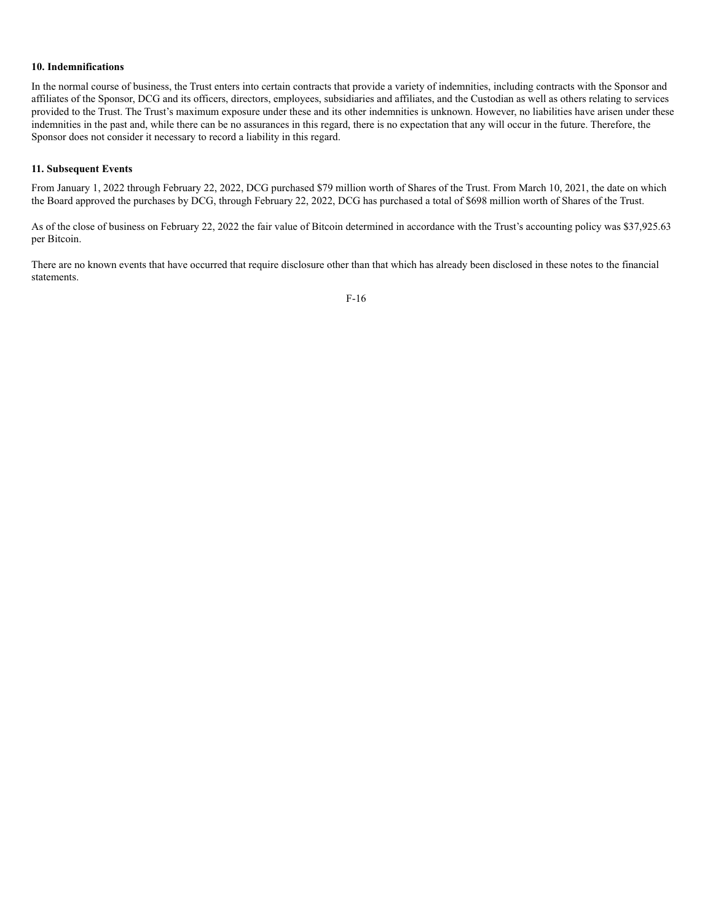### **10. Indemnifications**

In the normal course of business, the Trust enters into certain contracts that provide a variety of indemnities, including contracts with the Sponsor and affiliates of the Sponsor, DCG and its officers, directors, employees, subsidiaries and affiliates, and the Custodian as well as others relating to services provided to the Trust. The Trust's maximum exposure under these and its other indemnities is unknown. However, no liabilities have arisen under these indemnities in the past and, while there can be no assurances in this regard, there is no expectation that any will occur in the future. Therefore, the Sponsor does not consider it necessary to record a liability in this regard.

#### **11. Subsequent Events**

From January 1, 2022 through February 22, 2022, DCG purchased \$79 million worth of Shares of the Trust. From March 10, 2021, the date on which the Board approved the purchases by DCG, through February 22, 2022, DCG has purchased a total of \$698 million worth of Shares of the Trust.

As of the close of business on February 22, 2022 the fair value of Bitcoin determined in accordance with the Trust's accounting policy was \$37,925.63 per Bitcoin.

There are no known events that have occurred that require disclosure other than that which has already been disclosed in these notes to the financial statements.

F-16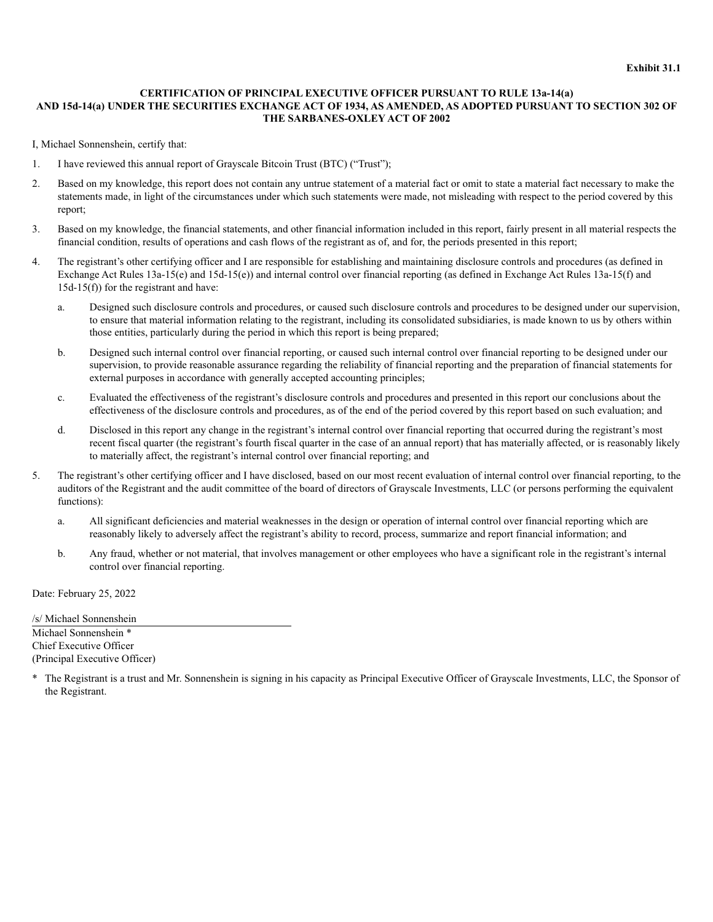## **CERTIFICATION OF PRINCIPAL EXECUTIVE OFFICER PURSUANT TO RULE 13a-14(a) AND 15d-14(a) UNDER THE SECURITIES EXCHANGE ACT OF 1934, AS AMENDED, AS ADOPTED PURSUANT TO SECTION 302 OF THE SARBANES-OXLEY ACT OF 2002**

I, Michael Sonnenshein, certify that:

- 1. I have reviewed this annual report of Grayscale Bitcoin Trust (BTC) ("Trust");
- 2. Based on my knowledge, this report does not contain any untrue statement of a material fact or omit to state a material fact necessary to make the statements made, in light of the circumstances under which such statements were made, not misleading with respect to the period covered by this report;
- 3. Based on my knowledge, the financial statements, and other financial information included in this report, fairly present in all material respects the financial condition, results of operations and cash flows of the registrant as of, and for, the periods presented in this report;
- 4. The registrant's other certifying officer and I are responsible for establishing and maintaining disclosure controls and procedures (as defined in Exchange Act Rules 13a-15(e) and 15d-15(e)) and internal control over financial reporting (as defined in Exchange Act Rules 13a-15(f) and 15d-15(f)) for the registrant and have:
	- a. Designed such disclosure controls and procedures, or caused such disclosure controls and procedures to be designed under our supervision, to ensure that material information relating to the registrant, including its consolidated subsidiaries, is made known to us by others within those entities, particularly during the period in which this report is being prepared;
	- b. Designed such internal control over financial reporting, or caused such internal control over financial reporting to be designed under our supervision, to provide reasonable assurance regarding the reliability of financial reporting and the preparation of financial statements for external purposes in accordance with generally accepted accounting principles;
	- c. Evaluated the effectiveness of the registrant's disclosure controls and procedures and presented in this report our conclusions about the effectiveness of the disclosure controls and procedures, as of the end of the period covered by this report based on such evaluation; and
	- d. Disclosed in this report any change in the registrant's internal control over financial reporting that occurred during the registrant's most recent fiscal quarter (the registrant's fourth fiscal quarter in the case of an annual report) that has materially affected, or is reasonably likely to materially affect, the registrant's internal control over financial reporting; and
- 5. The registrant's other certifying officer and I have disclosed, based on our most recent evaluation of internal control over financial reporting, to the auditors of the Registrant and the audit committee of the board of directors of Grayscale Investments, LLC (or persons performing the equivalent functions):
	- a. All significant deficiencies and material weaknesses in the design or operation of internal control over financial reporting which are reasonably likely to adversely affect the registrant's ability to record, process, summarize and report financial information; and
	- b. Any fraud, whether or not material, that involves management or other employees who have a significant role in the registrant's internal control over financial reporting.

Date: February 25, 2022

/s/ Michael Sonnenshein Michael Sonnenshein \* Chief Executive Officer (Principal Executive Officer)

\* The Registrant is a trust and Mr. Sonnenshein is signing in his capacity as Principal Executive Officer of Grayscale Investments, LLC, the Sponsor of the Registrant.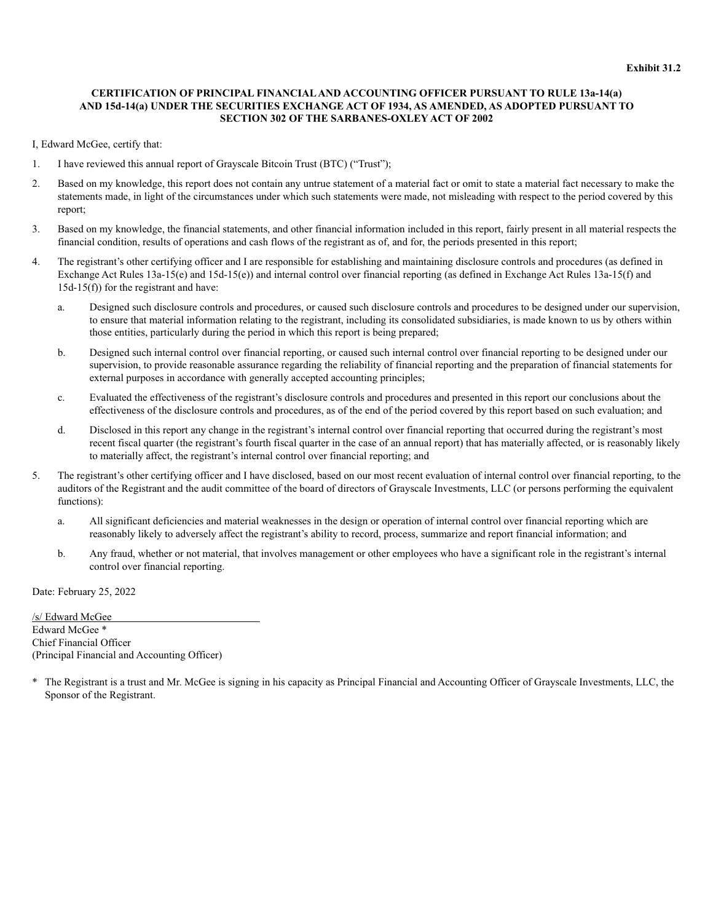## **CERTIFICATION OF PRINCIPAL FINANCIAL AND ACCOUNTING OFFICER PURSUANT TO RULE 13a-14(a) AND 15d-14(a) UNDER THE SECURITIES EXCHANGE ACT OF 1934, AS AMENDED, AS ADOPTED PURSUANT TO SECTION 302 OF THE SARBANES-OXLEY ACT OF 2002**

I, Edward McGee, certify that:

- 1. I have reviewed this annual report of Grayscale Bitcoin Trust (BTC) ("Trust");
- 2. Based on my knowledge, this report does not contain any untrue statement of a material fact or omit to state a material fact necessary to make the statements made, in light of the circumstances under which such statements were made, not misleading with respect to the period covered by this report;
- 3. Based on my knowledge, the financial statements, and other financial information included in this report, fairly present in all material respects the financial condition, results of operations and cash flows of the registrant as of, and for, the periods presented in this report;
- 4. The registrant's other certifying officer and I are responsible for establishing and maintaining disclosure controls and procedures (as defined in Exchange Act Rules 13a-15(e) and 15d-15(e)) and internal control over financial reporting (as defined in Exchange Act Rules 13a-15(f) and 15d-15 $(f)$ ) for the registrant and have:
	- a. Designed such disclosure controls and procedures, or caused such disclosure controls and procedures to be designed under our supervision, to ensure that material information relating to the registrant, including its consolidated subsidiaries, is made known to us by others within those entities, particularly during the period in which this report is being prepared;
	- b. Designed such internal control over financial reporting, or caused such internal control over financial reporting to be designed under our supervision, to provide reasonable assurance regarding the reliability of financial reporting and the preparation of financial statements for external purposes in accordance with generally accepted accounting principles;
	- c. Evaluated the effectiveness of the registrant's disclosure controls and procedures and presented in this report our conclusions about the effectiveness of the disclosure controls and procedures, as of the end of the period covered by this report based on such evaluation; and
	- d. Disclosed in this report any change in the registrant's internal control over financial reporting that occurred during the registrant's most recent fiscal quarter (the registrant's fourth fiscal quarter in the case of an annual report) that has materially affected, or is reasonably likely to materially affect, the registrant's internal control over financial reporting; and
- 5. The registrant's other certifying officer and I have disclosed, based on our most recent evaluation of internal control over financial reporting, to the auditors of the Registrant and the audit committee of the board of directors of Grayscale Investments, LLC (or persons performing the equivalent functions):
	- a. All significant deficiencies and material weaknesses in the design or operation of internal control over financial reporting which are reasonably likely to adversely affect the registrant's ability to record, process, summarize and report financial information; and
	- b. Any fraud, whether or not material, that involves management or other employees who have a significant role in the registrant's internal control over financial reporting.

Date: February 25, 2022

/s/ Edward McGee Edward McGee \* Chief Financial Officer (Principal Financial and Accounting Officer)

\* The Registrant is a trust and Mr. McGee is signing in his capacity as Principal Financial and Accounting Officer of Grayscale Investments, LLC, the Sponsor of the Registrant.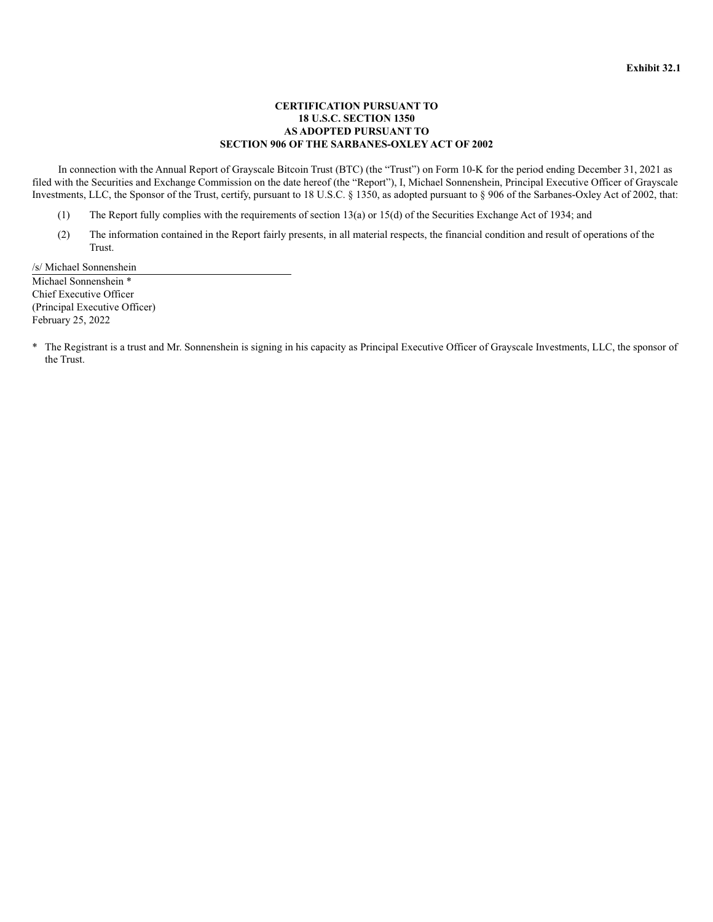## **CERTIFICATION PURSUANT TO 18 U.S.C. SECTION 1350 AS ADOPTED PURSUANT TO SECTION 906 OF THE SARBANES-OXLEY ACT OF 2002**

In connection with the Annual Report of Grayscale Bitcoin Trust (BTC) (the "Trust") on Form 10-K for the period ending December 31, 2021 as filed with the Securities and Exchange Commission on the date hereof (the "Report"), I, Michael Sonnenshein, Principal Executive Officer of Grayscale Investments, LLC, the Sponsor of the Trust, certify, pursuant to 18 U.S.C. § 1350, as adopted pursuant to § 906 of the Sarbanes-Oxley Act of 2002, that:

- (1) The Report fully complies with the requirements of section 13(a) or 15(d) of the Securities Exchange Act of 1934; and
- (2) The information contained in the Report fairly presents, in all material respects, the financial condition and result of operations of the Trust.

/s/ Michael Sonnenshein

Michael Sonnenshein \* Chief Executive Officer (Principal Executive Officer) February 25, 2022

\* The Registrant is a trust and Mr. Sonnenshein is signing in his capacity as Principal Executive Officer of Grayscale Investments, LLC, the sponsor of the Trust.